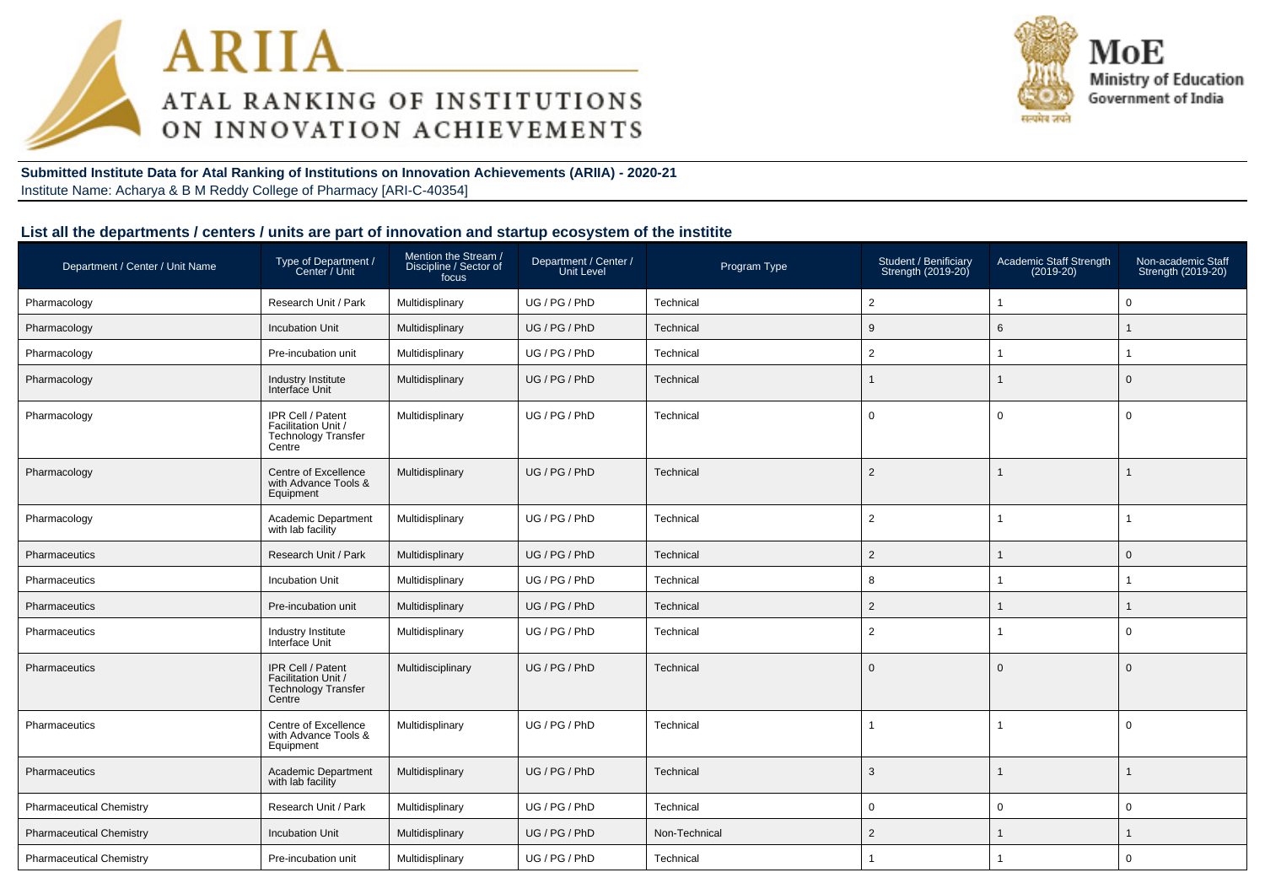



**Submitted Institute Data for Atal Ranking of Institutions on Innovation Achievements (ARIIA) - 2020-21**Institute Name: Acharya & B M Reddy College of Pharmacy [ARI-C-40354]

#### **List all the departments / centers / units are part of innovation and startup ecosystem of the institite**

| Department / Center / Unit Name | Type of Department /<br>Center / Unit                                            | Mention the Stream /<br>Discipline / Sector of<br>focus | Department / Center /<br><b>Unit Level</b> | Program Type  | Student / Benificiary<br>Strength (2019-20) | Academic Staff Strength<br>$(2019-20)$ | Non-academic Staff<br>Strength (2019-20) |
|---------------------------------|----------------------------------------------------------------------------------|---------------------------------------------------------|--------------------------------------------|---------------|---------------------------------------------|----------------------------------------|------------------------------------------|
| Pharmacology                    | Research Unit / Park                                                             | Multidisplinary                                         | UG / PG / PhD                              | Technical     | $\overline{2}$                              | $\mathbf{1}$                           | $\mathbf 0$                              |
| Pharmacology                    | <b>Incubation Unit</b>                                                           | Multidisplinary                                         | UG / PG / PhD                              | Technical     | 9                                           | 6                                      | $\mathbf{1}$                             |
| Pharmacology                    | Pre-incubation unit                                                              | Multidisplinary                                         | UG / PG / PhD                              | Technical     | $\overline{2}$                              | $\mathbf 1$                            | 1                                        |
| Pharmacology                    | Industry Institute<br>Interface Unit                                             | Multidisplinary                                         | UG / PG / PhD                              | Technical     |                                             |                                        | $\mathbf 0$                              |
| Pharmacology                    | IPR Cell / Patent<br>Facilitation Unit /<br><b>Technology Transfer</b><br>Centre | Multidisplinary                                         | UG / PG / PhD                              | Technical     | $\mathbf{0}$                                | $\mathbf 0$                            | $\mathbf 0$                              |
| Pharmacology                    | Centre of Excellence<br>with Advance Tools &<br>Equipment                        | Multidisplinary                                         | UG / PG / PhD                              | Technical     | 2                                           | $\mathbf 1$                            | $\overline{1}$                           |
| Pharmacology                    | Academic Department<br>with lab facility                                         | Multidisplinary                                         | UG / PG / PhD                              | Technical     | $\overline{2}$                              | $\mathbf{1}$                           | $\overline{1}$                           |
| <b>Pharmaceutics</b>            | Research Unit / Park                                                             | Multidisplinary                                         | UG / PG / PhD                              | Technical     | $\overline{2}$                              |                                        | $\mathbf 0$                              |
| Pharmaceutics                   | <b>Incubation Unit</b>                                                           | Multidisplinary                                         | UG / PG / PhD                              | Technical     | 8                                           | 1                                      |                                          |
| Pharmaceutics                   | Pre-incubation unit                                                              | Multidisplinary                                         | UG / PG / PhD                              | Technical     | $\overline{2}$                              |                                        | 1                                        |
| Pharmaceutics                   | Industry Institute<br>Interface Unit                                             | Multidisplinary                                         | UG / PG / PhD                              | Technical     | $\overline{2}$                              | -1                                     | $\mathbf 0$                              |
| Pharmaceutics                   | IPR Cell / Patent<br>Facilitation Unit /<br><b>Technology Transfer</b><br>Centre | Multidisciplinary                                       | UG / PG / PhD                              | Technical     | $\Omega$                                    | $\mathbf{0}$                           | $\overline{0}$                           |
| Pharmaceutics                   | Centre of Excellence<br>with Advance Tools &<br>Equipment                        | Multidisplinary                                         | UG / PG / PhD                              | Technical     |                                             | $\mathbf{1}$                           | $\overline{0}$                           |
| Pharmaceutics                   | Academic Department<br>with lab facility                                         | Multidisplinary                                         | UG / PG / PhD                              | Technical     | 3                                           | $\mathbf 1$                            | $\overline{1}$                           |
| <b>Pharmaceutical Chemistry</b> | Research Unit / Park                                                             | Multidisplinary                                         | UG / PG / PhD                              | Technical     | $\mathbf 0$                                 | $\mathbf 0$                            | $\mathbf 0$                              |
| <b>Pharmaceutical Chemistry</b> | <b>Incubation Unit</b>                                                           | Multidisplinary                                         | UG / PG / PhD                              | Non-Technical | $\overline{2}$                              |                                        |                                          |
| <b>Pharmaceutical Chemistry</b> | Pre-incubation unit                                                              | Multidisplinary                                         | UG / PG / PhD                              | Technical     |                                             | $\mathbf{1}$                           | $\mathbf 0$                              |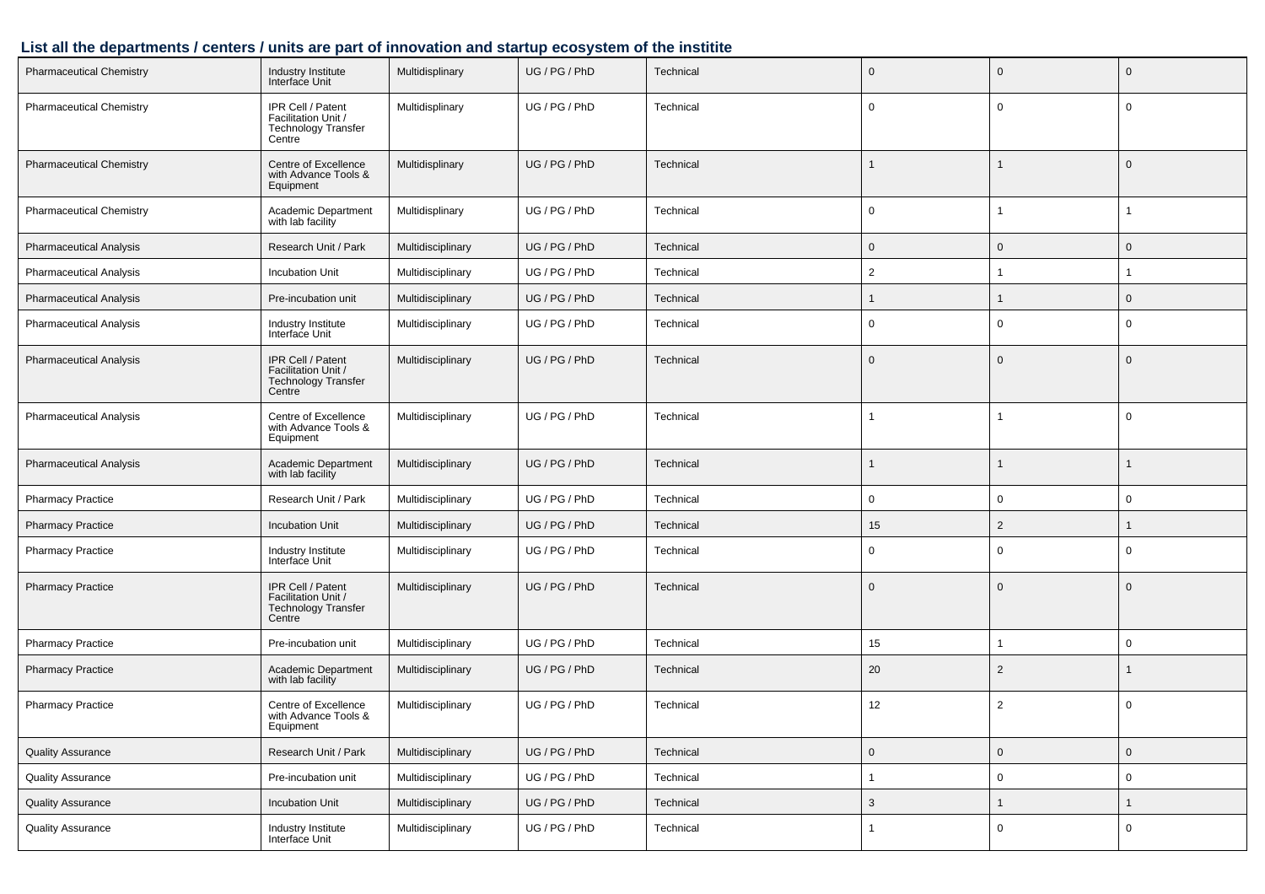## **List all the departments / centers / units are part of innovation and startup ecosystem of the institite**

| <b>Pharmaceutical Chemistry</b> | Industry Institute<br>Interface Unit                                             | Multidisplinary   | UG / PG / PhD | Technical | $\mathbf 0$         | $\mathbf{0}$        | $\mathbf 0$ |
|---------------------------------|----------------------------------------------------------------------------------|-------------------|---------------|-----------|---------------------|---------------------|-------------|
| <b>Pharmaceutical Chemistry</b> | IPR Cell / Patent<br>Facilitation Unit /<br><b>Technology Transfer</b><br>Centre | Multidisplinary   | UG / PG / PhD | Technical | 0                   | $\mathbf 0$         | $\mathbf 0$ |
| <b>Pharmaceutical Chemistry</b> | Centre of Excellence<br>with Advance Tools &<br>Equipment                        | Multidisplinary   | UG / PG / PhD | Technical | 1                   | $\mathbf 1$         | $\mathbf 0$ |
| <b>Pharmaceutical Chemistry</b> | Academic Department<br>with lab facility                                         | Multidisplinary   | UG / PG / PhD | Technical | 0                   | 1                   |             |
| <b>Pharmaceutical Analysis</b>  | Research Unit / Park                                                             | Multidisciplinary | UG / PG / PhD | Technical | 0                   | $\mathbf{0}$        | $\mathbf 0$ |
| <b>Pharmaceutical Analysis</b>  | Incubation Unit                                                                  | Multidisciplinary | UG / PG / PhD | Technical | $\overline{2}$      |                     |             |
| <b>Pharmaceutical Analysis</b>  | Pre-incubation unit                                                              | Multidisciplinary | UG / PG / PhD | Technical | 1                   |                     | $\mathbf 0$ |
| <b>Pharmaceutical Analysis</b>  | Industry Institute<br>Interface Unit                                             | Multidisciplinary | UG / PG / PhD | Technical | 0                   | 0                   | $\mathbf 0$ |
| <b>Pharmaceutical Analysis</b>  | IPR Cell / Patent<br>Facilitation Unit /<br><b>Technology Transfer</b><br>Centre | Multidisciplinary | UG / PG / PhD | Technical | $\mathbf 0$         | $\mathbf{0}$        | $\mathbf 0$ |
| <b>Pharmaceutical Analysis</b>  | Centre of Excellence<br>with Advance Tools &<br>Equipment                        | Multidisciplinary | UG / PG / PhD | Technical | -1                  | $\mathbf{1}$        | $\mathbf 0$ |
| <b>Pharmaceutical Analysis</b>  | Academic Department<br>with lab facility                                         | Multidisciplinary | UG / PG / PhD | Technical |                     |                     |             |
| <b>Pharmacy Practice</b>        | Research Unit / Park                                                             | Multidisciplinary | UG / PG / PhD | Technical | 0                   | 0                   | $\mathbf 0$ |
| <b>Pharmacy Practice</b>        | <b>Incubation Unit</b>                                                           | Multidisciplinary | UG / PG / PhD | Technical | 15                  | $\overline{2}$      |             |
| <b>Pharmacy Practice</b>        | Industry Institute<br>Interface Unit                                             | Multidisciplinary | UG / PG / PhD | Technical | 0                   | 0                   | 0           |
| <b>Pharmacy Practice</b>        | IPR Cell / Patent<br>Facilitation Unit /<br><b>Technology Transfer</b><br>Centre | Multidisciplinary | UG / PG / PhD | Technical | 0                   | $\mathbf{0}$        | $\mathbf 0$ |
| <b>Pharmacy Practice</b>        | Pre-incubation unit                                                              | Multidisciplinary | UG / PG / PhD | Technical | 15                  | 1                   | 0           |
| <b>Pharmacy Practice</b>        | Academic Department<br>with lab facility                                         | Multidisciplinary | UG / PG / PhD | Technical | 20                  | $\overline{2}$      |             |
| <b>Pharmacy Practice</b>        | Centre of Excellence<br>with Advance Tools &<br>Equipment                        | Multidisciplinary | UG / PG / PhD | Technical | 12                  | $\overline{2}$      | $\mathbf 0$ |
| <b>Quality Assurance</b>        | Research Unit / Park                                                             | Multidisciplinary | UG / PG / PhD | Technical | $\mathsf{O}\xspace$ | $\mathsf{O}\xspace$ | $\mathbf 0$ |
| <b>Quality Assurance</b>        | Pre-incubation unit                                                              | Multidisciplinary | UG / PG / PhD | Technical | $\mathbf{1}$        | $\mathbf 0$         | $\pmb{0}$   |
| <b>Quality Assurance</b>        | <b>Incubation Unit</b>                                                           | Multidisciplinary | UG / PG / PhD | Technical | $\mathbf{3}$        | 1                   |             |
| <b>Quality Assurance</b>        | Industry Institute<br>Interface Unit                                             | Multidisciplinary | UG / PG / PhD | Technical | 1                   | $\mathbf 0$         | $\mathbf 0$ |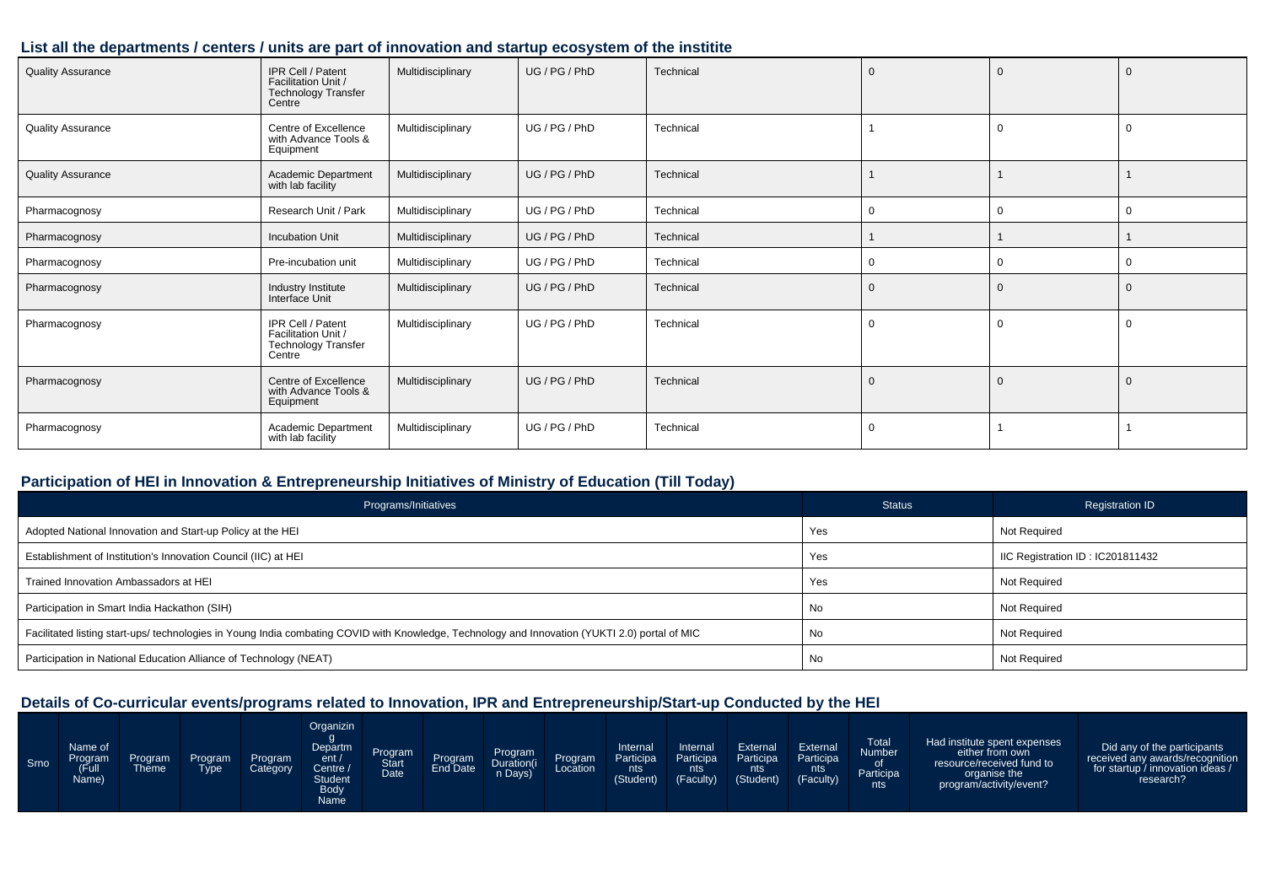#### **List all the departments / centers / units are part of innovation and startup ecosystem of the institite**

| <b>Quality Assurance</b> | IPR Cell / Patent<br>Facilitation Unit /<br><b>Technology Transfer</b><br>Centre | Multidisciplinary | UG/PG/PhD     | Technical | $\overline{0}$ | $\mathbf 0$  | $\Omega$    |
|--------------------------|----------------------------------------------------------------------------------|-------------------|---------------|-----------|----------------|--------------|-------------|
| <b>Quality Assurance</b> | Centre of Excellence<br>with Advance Tools &<br>Equipment                        | Multidisciplinary | UG / PG / PhD | Technical |                | $\Omega$     |             |
| <b>Quality Assurance</b> | Academic Department<br>with lab facility                                         | Multidisciplinary | UG / PG / PhD | Technical |                |              |             |
| Pharmacognosy            | Research Unit / Park                                                             | Multidisciplinary | UG / PG / PhD | Technical | $\Omega$       | $\Omega$     | $\Omega$    |
| Pharmacognosy            | <b>Incubation Unit</b>                                                           | Multidisciplinary | UG / PG / PhD | Technical |                |              |             |
| Pharmacognosy            | Pre-incubation unit                                                              | Multidisciplinary | UG / PG / PhD | Technical | 0              | $\mathbf{0}$ | $\mathbf 0$ |
| Pharmacognosy            | Industry Institute<br>Interface Unit                                             | Multidisciplinary | UG/PG/PhD     | Technical | $\mathbf 0$    | $\mathbf 0$  | $\mathbf 0$ |
| Pharmacognosy            | IPR Cell / Patent<br>Facilitation Unit /<br><b>Technology Transfer</b><br>Centre | Multidisciplinary | UG / PG / PhD | Technical | 0              | $\Omega$     | $\Omega$    |
| Pharmacognosy            | Centre of Excellence<br>with Advance Tools &<br>Equipment                        | Multidisciplinary | UG/PG/PhD     | Technical | $\Omega$       | $\mathbf 0$  | $\Omega$    |
| Pharmacognosy            | Academic Department<br>with lab facility                                         | Multidisciplinary | UG / PG / PhD | Technical | 0              |              |             |

#### **Participation of HEI in Innovation & Entrepreneurship Initiatives of Ministry of Education (Till Today)**

| Programs/Initiatives                                                                                                                           | <b>Status</b> | Registration ID                  |
|------------------------------------------------------------------------------------------------------------------------------------------------|---------------|----------------------------------|
| Adopted National Innovation and Start-up Policy at the HEI                                                                                     | Yes           | Not Required                     |
| Establishment of Institution's Innovation Council (IIC) at HEI                                                                                 | Yes           | IIC Registration ID: IC201811432 |
| Trained Innovation Ambassadors at HEI                                                                                                          | Yes           | Not Required                     |
| Participation in Smart India Hackathon (SIH)                                                                                                   | No            | Not Required                     |
| Facilitated listing start-ups/ technologies in Young India combating COVID with Knowledge, Technology and Innovation (YUKTI 2.0) portal of MIC | No            | Not Required                     |
| Participation in National Education Alliance of Technology (NEAT)                                                                              | No            | Not Required                     |

| Srno | Name of<br>Program<br>(Full<br>Name) | Program<br><b>Theme</b> | <b>Program</b><br>Tvpe | <b>Program</b><br>Category | Organizin<br>Departm<br>ent/<br>Centre A<br>Student<br><b>Body</b><br>Name | Program<br>Start<br>Date | Program | Program<br>Duration(i<br>n Days) | Program<br>Location | Internal<br>Participa<br>nts<br>(Student) | Internal<br>Participa<br>nts '<br>(Faculty) | External<br>Participa<br>nts<br>(Student) | External<br>Participa<br>nts.<br>(Faculty) | <b>Total</b><br>Number<br>0t<br>Participa<br>nts | Had institute spent expenses<br>either from own<br>resource/received fund to<br>organise the<br>program/activity/event? | Did any of the participants<br>received any awards/recognition<br>for startup / innovation ideas /<br>research? |
|------|--------------------------------------|-------------------------|------------------------|----------------------------|----------------------------------------------------------------------------|--------------------------|---------|----------------------------------|---------------------|-------------------------------------------|---------------------------------------------|-------------------------------------------|--------------------------------------------|--------------------------------------------------|-------------------------------------------------------------------------------------------------------------------------|-----------------------------------------------------------------------------------------------------------------|
|------|--------------------------------------|-------------------------|------------------------|----------------------------|----------------------------------------------------------------------------|--------------------------|---------|----------------------------------|---------------------|-------------------------------------------|---------------------------------------------|-------------------------------------------|--------------------------------------------|--------------------------------------------------|-------------------------------------------------------------------------------------------------------------------------|-----------------------------------------------------------------------------------------------------------------|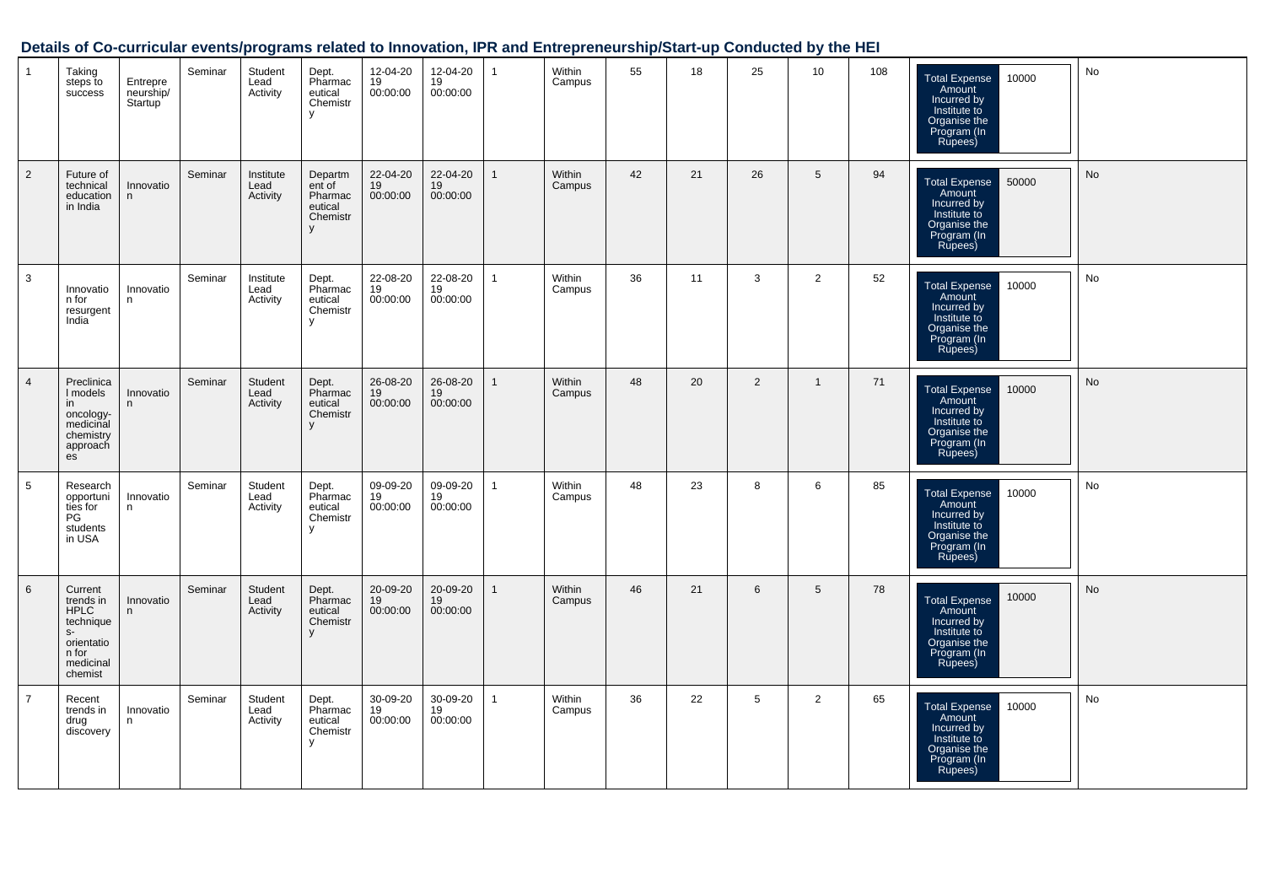| $\mathbf{1}$   | Taking<br>steps to<br>success                                                                           | Entrepre<br>neurship/<br>Startup | Seminar | Student<br>Lead<br>Activity   | Dept.<br>Pharmac<br>eutical<br>Chemistr<br>y             | 12-04-20<br>19<br>00:00:00 | 12-04-20<br>19<br>00:00:00 | $\mathbf{1}$ | Within<br>Campus | 55 | 18 | 25 | 10             | 108 | <b>Total Expense</b><br>10000<br>Amount<br>Incurred by<br>Institute to<br>Organise the<br>Program (In<br>Rupees) | No |
|----------------|---------------------------------------------------------------------------------------------------------|----------------------------------|---------|-------------------------------|----------------------------------------------------------|----------------------------|----------------------------|--------------|------------------|----|----|----|----------------|-----|------------------------------------------------------------------------------------------------------------------|----|
| 2              | Future of<br>technical<br>education<br>in India                                                         | Innovatio<br>n                   | Seminar | Institute<br>Lead<br>Activity | Departm<br>ent of<br>Pharmac<br>eutical<br>Chemistr<br>y | 22-04-20<br>19<br>00:00:00 | 22-04-20<br>19<br>00:00:00 | $\mathbf{1}$ | Within<br>Campus | 42 | 21 | 26 | 5              | 94  | 50000<br><b>Total Expense</b><br>Amount<br>Incurred by<br>Institute to<br>Organise the<br>Program (In<br>Rupees) | No |
| 3              | Innovatio<br>n for<br>resurgent<br>India                                                                | Innovatio<br>n                   | Seminar | Institute<br>Lead<br>Activity | Dept.<br>Pharmac<br>eutical<br>Chemistr<br>y             | 22-08-20<br>19<br>00:00:00 | 22-08-20<br>19<br>00:00:00 | $\mathbf{1}$ | Within<br>Campus | 36 | 11 | 3  | $\overline{2}$ | 52  | 10000<br><b>Total Expense</b><br>Amount<br>Incurred by<br>Institute to<br>Organise the<br>Program (In<br>Rupees) | No |
| $\overline{4}$ | Preclinica<br>I models<br>in<br>oncology-<br>medicinal<br>chemistry<br>approach<br>es                   | Innovatio<br>n                   | Seminar | Student<br>Lead<br>Activity   | Dept.<br>Pharmac<br>eutical<br>Chemistr<br>y             | 26-08-20<br>19<br>00:00:00 | 26-08-20<br>19<br>00:00:00 | $\mathbf{1}$ | Within<br>Campus | 48 | 20 | 2  | $\mathbf{1}$   | 71  | Total Expense<br>Amount<br>10000<br>Incurred by<br>Institute to<br>Organise the<br>Program (In<br>Rupees)        | No |
| 5              | Research<br>opportuni<br>ties for<br>PG<br>students<br>in USA                                           | Innovatio<br>n                   | Seminar | Student<br>Lead<br>Activity   | Dept.<br>Pharmac<br>eutical<br>Chemistr<br>$\mathsf{V}$  | 09-09-20<br>19<br>00:00:00 | 09-09-20<br>19<br>00:00:00 | $\mathbf{1}$ | Within<br>Campus | 48 | 23 | 8  | 6              | 85  | <b>Total Expense</b><br>10000<br>Amount<br>Incurred by<br>Institute to<br>Organise the<br>Program (In<br>Rupees) | No |
| $6\phantom{1}$ | Current<br>trends in<br><b>HPLC</b><br>technique<br>$S-$<br>orientatio<br>n for<br>medicinal<br>chemist | Innovatio<br>n                   | Seminar | Student<br>Lead<br>Activity   | Dept.<br>Pharmac<br>eutical<br>Chemistr<br>V             | 20-09-20<br>19<br>00:00:00 | 20-09-20<br>19<br>00:00:00 | $\mathbf{1}$ | Within<br>Campus | 46 | 21 | 6  | 5              | 78  | 10000<br><b>Total Expense</b><br>Amount<br>Incurred by<br>Institute to<br>Organise the<br>Program (In<br>Rupees) | No |
| $\overline{7}$ | Recent<br>trends in<br>drug<br>discovery                                                                | Innovatio<br>n                   | Seminar | Student<br>Lead<br>Activity   | Dept.<br>Pharmac<br>eutical<br>Chemistr<br>y             | 30-09-20<br>19<br>00:00:00 | 30-09-20<br>19<br>00:00:00 | $\mathbf{1}$ | Within<br>Campus | 36 | 22 | 5  | $\overline{2}$ | 65  | 10000<br><b>Total Expense</b><br>Amount<br>Incurred by<br>Institute to<br>Organise the<br>Program (In<br>Rupees) | No |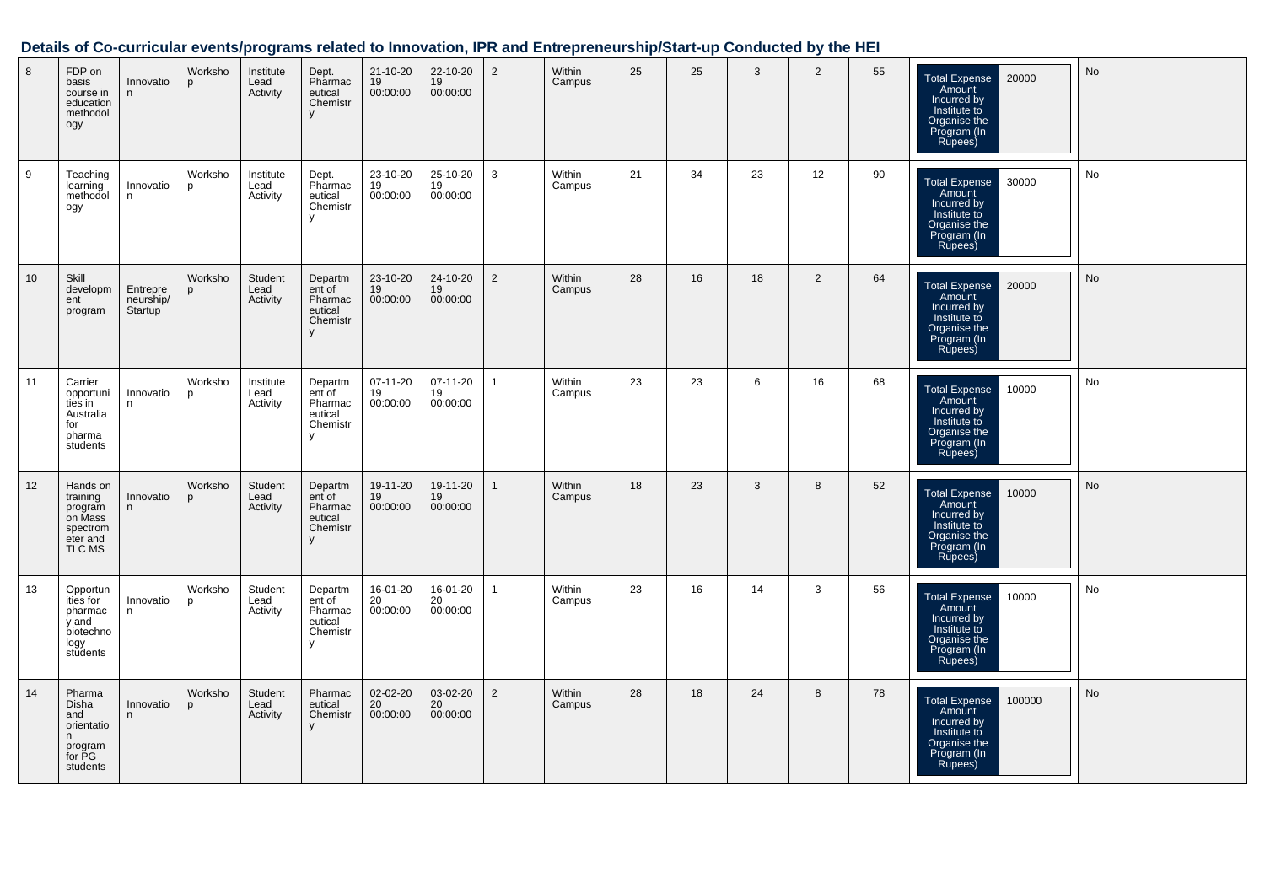| 8  | FDP on<br>basis<br>course in<br>education<br>methodol<br>ogy                 | Innovatio<br>n                   | Worksho<br>D | Institute<br>Lead<br>Activity | Dept.<br>Pharmac<br>eutical<br>Chemistr<br>V             | 21-10-20<br>19<br>00:00:00 | 22-10-20<br>19<br>00:00:00 | $\overline{2}$ | Within<br>Campus | 25 | 25 | 3  | $\overline{2}$ | 55 | 20000<br>Total Expense<br>Amount<br>Incurred by<br>Institute to<br>Organise the<br>Program (In<br>Rupees)         | No        |
|----|------------------------------------------------------------------------------|----------------------------------|--------------|-------------------------------|----------------------------------------------------------|----------------------------|----------------------------|----------------|------------------|----|----|----|----------------|----|-------------------------------------------------------------------------------------------------------------------|-----------|
| 9  | Teaching<br>learning<br>methodol<br>ogy                                      | Innovatio<br>n                   | Worksho<br>p | Institute<br>Lead<br>Activity | Dept.<br>Pharmac<br>eutical<br>Chemistr<br>V             | 23-10-20<br>19<br>00:00:00 | 25-10-20<br>19<br>00:00:00 | 3              | Within<br>Campus | 21 | 34 | 23 | 12             | 90 | <b>Total Expense</b><br>30000<br>Amount<br>Incurred by<br>Institute to<br>Organise the<br>Program (In<br>Rupees)  | No        |
| 10 | Skill<br>developm<br>ent<br>program                                          | Entrepre<br>neurship/<br>Startup | Worksho<br>p | Student<br>Lead<br>Activity   | Departm<br>ent of<br>Pharmac<br>eutical<br>Chemistr<br>V | 23-10-20<br>19<br>00:00:00 | 24-10-20<br>19<br>00:00:00 | $\overline{2}$ | Within<br>Campus | 28 | 16 | 18 | $\overline{2}$ | 64 | 20000<br>Total Expense<br>Amount<br>Incurred by<br>Institute to<br>Organise the<br>Program (In<br>Rupees)         | No        |
| 11 | Carrier<br>opportuni<br>ties in<br>Australia<br>for<br>pharma<br>students    | Innovatio<br>n                   | Worksho<br>p | Institute<br>Lead<br>Activity | Departm<br>ent of<br>Pharmac<br>eutical<br>Chemistr<br>V | 07-11-20<br>19<br>00:00:00 | 07-11-20<br>19<br>00:00:00 | $\mathbf{1}$   | Within<br>Campus | 23 | 23 | 6  | 16             | 68 | 10000<br><b>Total Expense</b><br>Amount<br>Incurred by<br>Institute to<br>Organise the<br>Program (In<br>Rupees)  | No        |
| 12 | Hands on<br>training<br>program<br>on Mass<br>spectrom<br>eter and<br>TLC MS | Innovatio<br>n                   | Worksho<br>D | Student<br>Lead<br>Activity   | Departm<br>ent of<br>Pharmac<br>eutical<br>Chemistr<br>V | 19-11-20<br>19<br>00:00:00 | 19-11-20<br>19<br>00:00:00 | $\mathbf{1}$   | Within<br>Campus | 18 | 23 | 3  | 8              | 52 | <b>Total Expense</b><br>10000<br>Amount<br>Incurred by<br>Institute to<br>Organise the<br>Program (In<br>Rupees)  | <b>No</b> |
| 13 | Opportun<br>ities for<br>pharmac<br>y and<br>biotechno<br>logy<br>students   | Innovatio<br>n                   | Worksho<br>D | Student<br>Lead<br>Activity   | Departm<br>ent of<br>Pharmac<br>eutical<br>Chemistr<br>V | 16-01-20<br>20<br>00:00:00 | 16-01-20<br>20<br>00:00:00 | $\overline{1}$ | Within<br>Campus | 23 | 16 | 14 | 3              | 56 | 10000<br><b>Total Expense</b><br>Amount<br>Incurred by<br>Institute to<br>Organise the<br>Program (In<br>Rupees)  | No        |
| 14 | Pharma<br>Disha<br>and<br>orientatio<br>n<br>program<br>for PG<br>students   | Innovatio<br>n                   | Worksho<br>p | Student<br>Lead<br>Activity   | Pharmac<br>eutical<br>Chemistr<br>V                      | 02-02-20<br>20<br>00:00:00 | 03-02-20<br>20<br>00:00:00 | $\overline{2}$ | Within<br>Campus | 28 | 18 | 24 | 8              | 78 | <b>Total Expense</b><br>100000<br>Amount<br>Incurred by<br>Institute to<br>Organise the<br>Program (In<br>Rupees) | No        |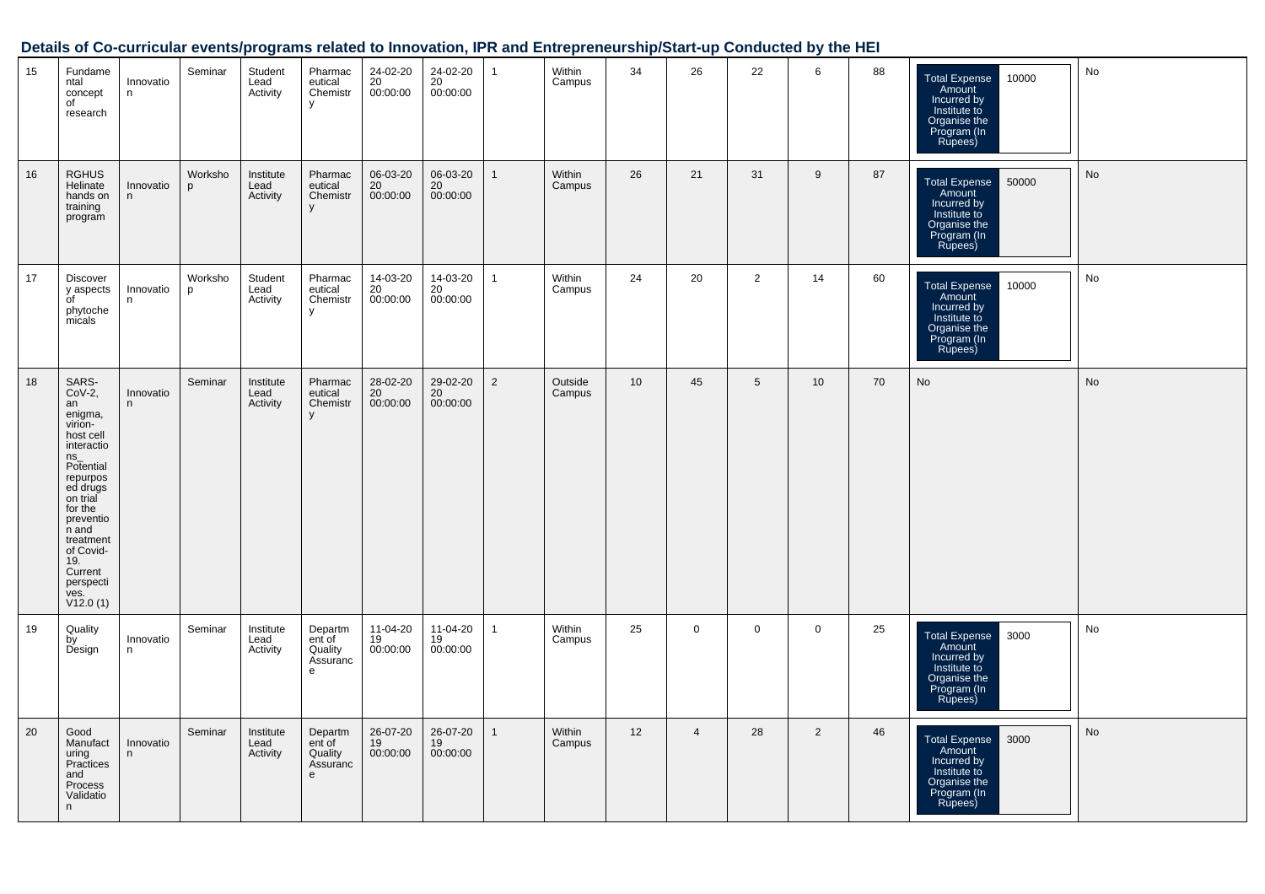| 15 | Fundame<br>ntal<br>concept<br>of<br>research                                                                                                                                                                                                        | Innovatio<br>n | Seminar      | Student<br>Lead<br>Activity   | Pharmac<br>eutical<br>Chemistr<br>У                      | 24-02-20<br>20<br>00:00:00 | 24-02-20<br>20<br>00:00:00 | $\mathbf{1}$   | Within<br>Campus  | 34              | 26             | 22             | 6              | 88 | 10000<br>Total Expense<br>Amount<br>Incurred by<br>Institute to<br>Organise the<br>Program (In<br>Rupees)        | No |
|----|-----------------------------------------------------------------------------------------------------------------------------------------------------------------------------------------------------------------------------------------------------|----------------|--------------|-------------------------------|----------------------------------------------------------|----------------------------|----------------------------|----------------|-------------------|-----------------|----------------|----------------|----------------|----|------------------------------------------------------------------------------------------------------------------|----|
| 16 | <b>RGHUS</b><br>Helinate<br>hands on<br>training<br>program                                                                                                                                                                                         | Innovatio<br>n | Worksho<br>p | Institute<br>Lead<br>Activity | Pharmac<br>eutical<br>Chemistr<br>y                      | 06-03-20<br>20<br>00:00:00 | 06-03-20<br>20<br>00:00:00 | $\mathbf{1}$   | Within<br>Campus  | 26              | 21             | 31             | 9              | 87 | <b>Total Expense</b><br>50000<br>Amount<br>Incurred by<br>Institute to<br>Organise the<br>Program (In<br>Rupees) | No |
| 17 | <b>Discover</b><br>y aspects<br>of<br>phytoche<br>micals                                                                                                                                                                                            | Innovatio<br>n | Worksho<br>p | Student<br>Lead<br>Activity   | Pharmac<br>eutical<br>Chemistr<br>У                      | 14-03-20<br>20<br>00:00:00 | 14-03-20<br>20<br>00:00:00 | $\mathbf{1}$   | Within<br>Campus  | 24              | 20             | $\overline{2}$ | 14             | 60 | 10000<br><b>Total Expense</b><br>Amount<br>Incurred by<br>Institute to<br>Organise the<br>Program (In<br>Rupees) | No |
| 18 | SARS-<br>$CoV-2,$<br>an<br>enigma,<br>virion-<br>host cell<br>interactio<br>$ns_{-}$<br>Potential<br>repurpos<br>ed drugs<br>on trial<br>for the<br>preventio<br>n and<br>treatment<br>of Covid-<br>19.<br>Current<br>perspecti<br>ves.<br>V12.0(1) | Innovatio<br>n | Seminar      | Institute<br>Lead<br>Activity | Pharmac<br>eutical<br>Chemistr<br>y                      | 28-02-20<br>20<br>00:00:00 | 29-02-20<br>20<br>00:00:00 | $\overline{2}$ | Outside<br>Campus | 10 <sup>1</sup> | 45             | 5              | 10             | 70 | No                                                                                                               | No |
| 19 | Quality<br>by<br>Design                                                                                                                                                                                                                             | Innovatio<br>n | Seminar      | Institute<br>Lead<br>Activity | Departm<br>ent of<br>Quality<br>Assuranc<br>e            | 11-04-20<br>19<br>00:00:00 | 11-04-20<br>19<br>00:00:00 | $\mathbf{1}$   | Within<br>Campus  | 25              | $\mathbf 0$    | $\mathbf 0$    | $\overline{0}$ | 25 | 3000<br><b>Total Expense</b><br>Amount<br>Incurred by<br>Institute to<br>Organise the<br>Program (In<br>Rupees)  | No |
| 20 | Good<br>Manufact<br>uring<br>Practices<br>and<br>Process<br>Validatio<br>n                                                                                                                                                                          | Innovatio<br>n | Seminar      | Institute<br>Lead<br>Activity | Departm<br>ent of<br>Quality<br>Assuranc<br>$\mathbf{e}$ | 26-07-20<br>19<br>00:00:00 | 26-07-20<br>19<br>00:00:00 | $\mathbf{1}$   | Within<br>Campus  | 12              | $\overline{4}$ | 28             | 2              | 46 | 3000<br><b>Total Expense</b><br>Amount<br>Incurred by<br>Institute to<br>Organise the<br>Program (In<br>Rupees)  | No |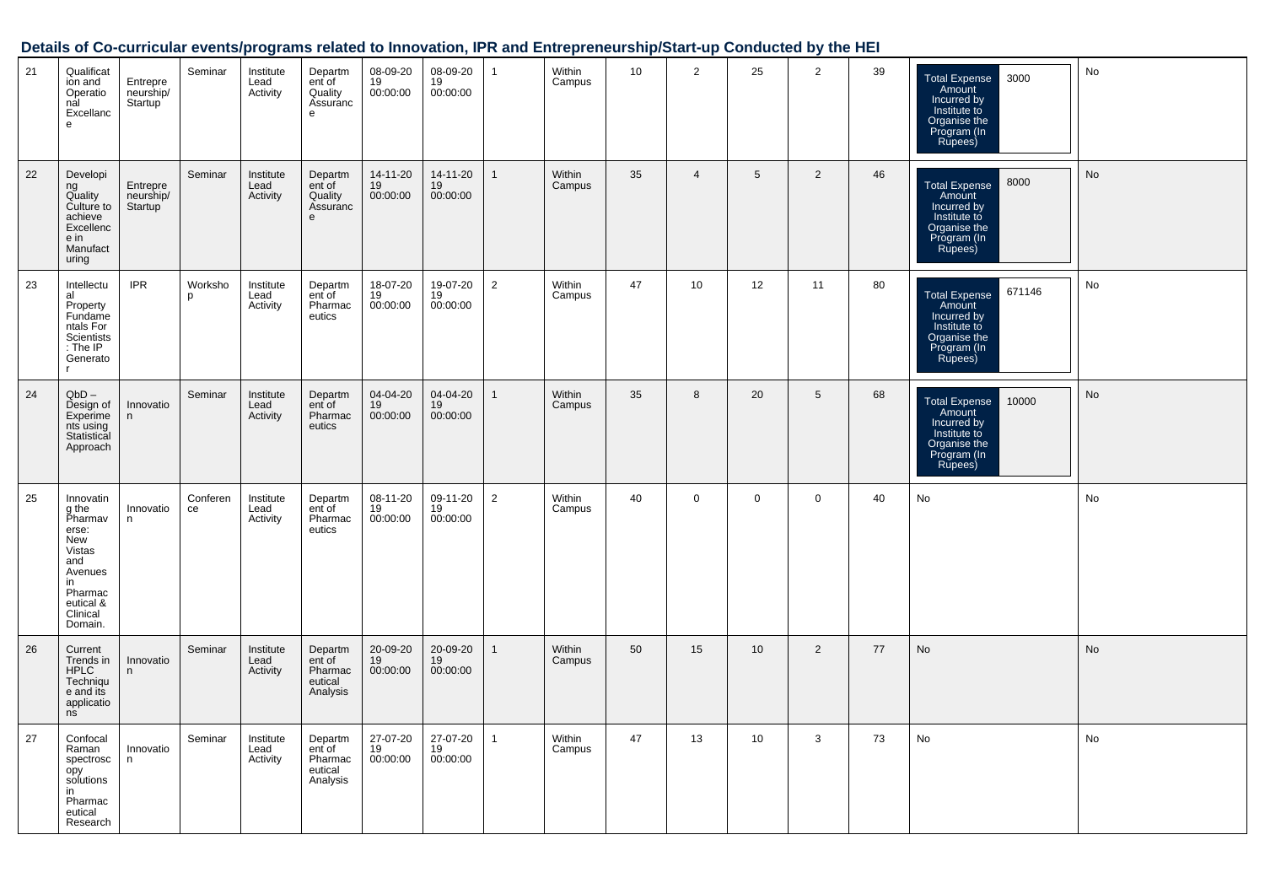| 21 | Qualificat<br>ion and<br>Operatio<br>nal<br>Excellanc<br>e                                                                            | Entrepre<br>neurship/<br>Startup <sup>'</sup> | Seminar        | Institute<br>Lead<br>Activity | Departm<br>ent of<br>Quality<br>Assuranc<br>$\mathbf{e}$ | 08-09-20<br>19<br>00:00:00 | 08-09-20<br>19<br>00:00:00 | $\mathbf{1}$   | Within<br>Campus | 10 | $\overline{2}$ | 25              | $\overline{2}$ | 39 | Total Expense<br>Amount<br>3000<br>Incurred by<br>Institute to<br>Organise the<br>Program (In<br>Rupees)          | No |
|----|---------------------------------------------------------------------------------------------------------------------------------------|-----------------------------------------------|----------------|-------------------------------|----------------------------------------------------------|----------------------------|----------------------------|----------------|------------------|----|----------------|-----------------|----------------|----|-------------------------------------------------------------------------------------------------------------------|----|
| 22 | Developi<br>ng<br>Quality<br>Culture to<br>achieve<br>Excellenc<br>e in<br>Manufact<br>uring                                          | Entrepre<br>neurship/<br>Startup <sup>'</sup> | Seminar        | Institute<br>Lead<br>Activity | Departm<br>ent of<br>Quality<br>Assuranc<br>$\mathbf{e}$ | 14-11-20<br>19<br>00:00:00 | 14-11-20<br>19<br>00:00:00 | $\mathbf{1}$   | Within<br>Campus | 35 | $\overline{4}$ | 5               | 2              | 46 | 8000<br><b>Total Expense</b><br>Amount<br>Incurred by<br>Institute to<br>Organise the<br>Program (In<br>Rupees)   | No |
| 23 | Intellectu<br>al<br>Property<br>Fundame<br>ntals For<br>Scientists<br>: The IP<br>Generato                                            | <b>IPR</b>                                    | Worksho<br>p   | Institute<br>Lead<br>Activity | Departm<br>ent of<br>Pharmac<br>eutics                   | 18-07-20<br>19<br>00:00:00 | 19-07-20<br>19<br>00:00:00 | $\overline{2}$ | Within<br>Campus | 47 | 10             | 12              | 11             | 80 | 671146<br><b>Total Expense</b><br>Amount<br>Incurred by<br>Institute to<br>Organise the<br>Program (In<br>Rupees) | No |
| 24 | $QbD -$<br>Design of<br>Experime<br>nts using<br>Statistical<br>Approach                                                              | Innovatio<br>n                                | Seminar        | Institute<br>Lead<br>Activity | Departm<br>ent of<br>Pharmac<br>eutics                   | 04-04-20<br>19<br>00:00:00 | 04-04-20<br>19<br>00:00:00 | $\mathbf{1}$   | Within<br>Campus | 35 | 8              | 20              | $5\phantom{1}$ | 68 | <b>Total Expense</b><br>10000<br>Amount<br>Incurred by<br>Institute to<br>Organise the<br>Program (In<br>Rupees)  | No |
| 25 | Innovatin<br>g the<br>Pharmav<br>erse:<br><b>New</b><br>Vistas<br>and<br>Avenues<br>in<br>Pharmac<br>eutical &<br>Clinical<br>Domain. | Innovatio<br>n                                | Conferen<br>ce | Institute<br>Lead<br>Activity | Departm<br>ent of<br>Pharmac<br>eutics                   | 08-11-20<br>19<br>00:00:00 | 09-11-20<br>19<br>00:00:00 | $\overline{2}$ | Within<br>Campus | 40 | $\mathbf 0$    | $\overline{0}$  | $\mathsf 0$    | 40 | No                                                                                                                | No |
| 26 | Current<br>Trends in<br><b>HPLC</b><br>Techniqu<br>e and its<br>applicatio<br>ns                                                      | Innovatio<br>n                                | Seminar        | Institute<br>Lead<br>Activity | Departm<br>ent of<br>Pharmac<br>eutical<br>Analysis      | 20-09-20<br>19<br>00:00:00 | 20-09-20<br>19<br>00:00:00 | $\mathbf{1}$   | Within<br>Campus | 50 | 15             | 10              | $\overline{2}$ | 77 | <b>No</b>                                                                                                         | No |
| 27 | Confocal<br>Raman<br>spectrosc<br>opy<br>solutions<br>in<br>Pharmac<br>eutical<br>Research                                            | Innovatio<br>n                                | Seminar        | Institute<br>Lead<br>Activity | Departm<br>ent of<br>Pharmac<br>eutical<br>Analysis      | 27-07-20<br>19<br>00:00:00 | 27-07-20<br>19<br>00:00:00 | $\mathbf{1}$   | Within<br>Campus | 47 | 13             | 10 <sup>1</sup> | 3              | 73 | No                                                                                                                | No |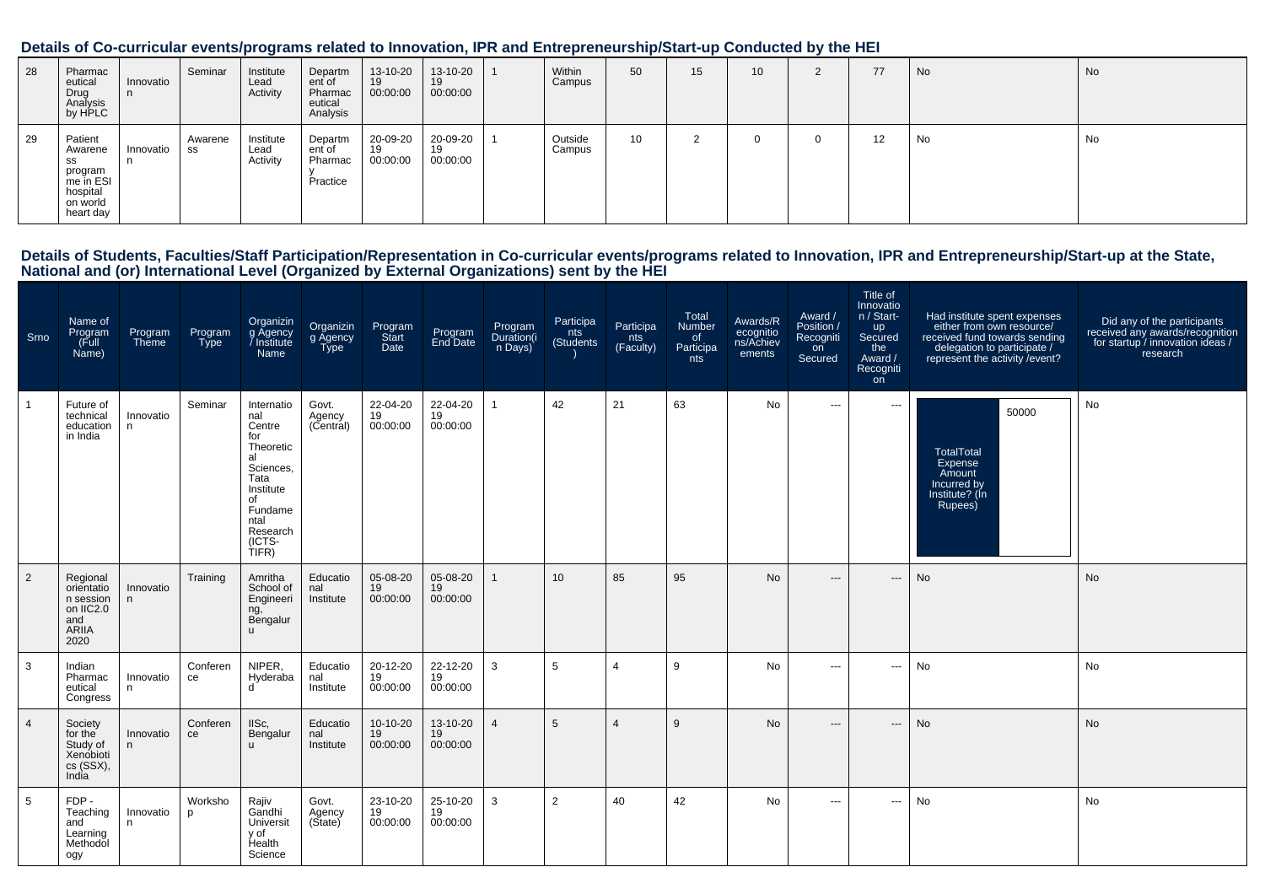| 28 | Pharmac<br>eutical<br>Drug<br>Analysis<br>by HPLC                                     | Innovatio<br>n  | Seminar       | Institute<br>Lead<br>Activity | Departm<br>ent of<br>Pharmac<br>eutical<br>Analysis | 13-10-20<br>19<br>00:00:00 | 13-10-20<br>19<br>00:00:00 | Within<br>Campus  | 50 | 15 <sup>1</sup> | 10 <sup>°</sup> | $\Omega$<br>$\epsilon$ | 77 | No | <b>No</b> |
|----|---------------------------------------------------------------------------------------|-----------------|---------------|-------------------------------|-----------------------------------------------------|----------------------------|----------------------------|-------------------|----|-----------------|-----------------|------------------------|----|----|-----------|
| 29 | Patient<br>Awarene<br>SS<br>program<br>me in ESI<br>hospital<br>on world<br>heart day | Innovatio<br>n. | Awarene<br>SS | Institute<br>Lead<br>Activity | Departm<br>ent of<br>Pharmac<br>Practice            | 20-09-20<br>19<br>00:00:00 | 20-09-20<br>19<br>00:00:00 | Outside<br>Campus | 10 |                 |                 | 0                      | 12 | No | No        |

Details of Students, Faculties/Staff Participation/Representation in Co-curricular events/programs related to Innovation, IPR and Entrepreneurship/Start-up at the State,<br>National and (or) International Level (Organized by

| Srno           | Name of<br>Program<br>(Full<br>Name)                                     | Program<br>Theme | Program<br><b>Type</b> | Organizin<br>g Agency<br>/ Institute<br>Name                                                                                                    | Organizin<br>g Agency<br><b>Type</b> | Program<br>Start<br>Date   | Program<br>End Date        | Program<br>Duration(i<br>n Days) | Participa<br>nts<br>(Students | Participa<br>nts<br>(Faculty) | Total<br>Number<br>of<br>Participa<br>nts | Awards/R<br>ecognitio<br>ns/Achiev<br>ements | Award /<br>Position /<br>Recogniti<br>on<br>Secured | Title of<br>Innovatio<br>n / Start-<br><b>up</b><br>Secured<br>the<br>Award /<br>Recogniti<br>on | Had institute spent expenses<br>either from own resource/<br>received fund towards sending<br>delegation to participate /<br>represent the activity / event? | Did any of the participants<br>received any awards/recognition<br>for startup / innovation ideas /<br>research |
|----------------|--------------------------------------------------------------------------|------------------|------------------------|-------------------------------------------------------------------------------------------------------------------------------------------------|--------------------------------------|----------------------------|----------------------------|----------------------------------|-------------------------------|-------------------------------|-------------------------------------------|----------------------------------------------|-----------------------------------------------------|--------------------------------------------------------------------------------------------------|--------------------------------------------------------------------------------------------------------------------------------------------------------------|----------------------------------------------------------------------------------------------------------------|
|                | Future of<br>technical<br>education<br>in India                          | Innovatio<br>n.  | Seminar                | Internatio<br>nal<br>Centre<br>for<br>Theoretic<br>al<br>Sciences,<br>Tata<br>Institute<br>of<br>Fundame<br>ntal<br>Research<br>(ICTS-<br>TIFR) | Govt.<br>Agency<br>(Central)         | 22-04-20<br>19<br>00:00:00 | 22-04-20<br>19<br>00:00:00 | $\overline{1}$                   | 42                            | 21                            | 63                                        | No                                           | $\sim$ $\sim$ $\sim$                                | $\sim$ $\sim$ $\sim$                                                                             | 50000<br><b>TotalTotal</b><br>Expense<br>Amount<br>Incurred by<br>Institute? (In<br>Rupees)                                                                  | <b>No</b>                                                                                                      |
| $\overline{2}$ | Regional<br>orientatio<br>n session<br>on IIC2.0<br>and<br>ARIIA<br>2020 | Innovatio<br>n.  | Training               | Amritha<br>School of<br>Engineeri<br>ng,<br>Bengalur<br>$\mathbf{u}$                                                                            | Educatio<br>nal<br>Institute         | 05-08-20<br>19<br>00:00:00 | 05-08-20<br>19<br>00:00:00 | $\mathbf{1}$                     | 10 <sup>10</sup>              | 85                            | 95                                        | <b>No</b>                                    | $\hspace{0.05cm} \ldots$                            | $\qquad \qquad - -$                                                                              | No                                                                                                                                                           | <b>No</b>                                                                                                      |
| 3              | Indian<br>Pharmac<br>eutical<br>Congress                                 | Innovatio<br>n   | Conferen<br>ce         | NIPER,<br>Hyderaba<br>d                                                                                                                         | Educatio<br>nal<br>Institute         | 20-12-20<br>19<br>00:00:00 | 22-12-20<br>19<br>00:00:00 | 3                                | 5                             | $\overline{4}$                | 9                                         | No                                           | $\hspace{0.05cm} \ldots$                            | $\cdots$                                                                                         | No                                                                                                                                                           | No                                                                                                             |
| $\overline{4}$ | Society<br>for the<br>Study of<br>Xenobioti<br>cs (SSX),<br>India        | Innovatio<br>n.  | Conferen<br>ce         | IISc,<br>Bengalur<br>$\mathbf{u}$                                                                                                               | Educatio<br>nal<br>Institute         | 10-10-20<br>19<br>00:00:00 | 13-10-20<br>19<br>00:00:00 | $\overline{4}$                   | 5                             | 4                             | 9                                         | <b>No</b>                                    | $\hspace{0.05cm} \ldots$                            | $\qquad \qquad - -$                                                                              | <b>No</b>                                                                                                                                                    | <b>No</b>                                                                                                      |
| 5              | FDP-<br>Teaching<br>and<br>Learning<br>Methodol<br>ogy                   | Innovatio<br>n   | Worksho<br>p           | Rajiv<br>Gandhi<br>Universit<br>v of<br>Health<br>Science                                                                                       | Govt.<br>Agency<br>(Sitate)          | 23-10-20<br>19<br>00:00:00 | 25-10-20<br>19<br>00:00:00 | 3                                | $\overline{2}$                | 40                            | 42                                        | No                                           | $\sim$ $\sim$                                       | $\cdots$                                                                                         | No                                                                                                                                                           | No                                                                                                             |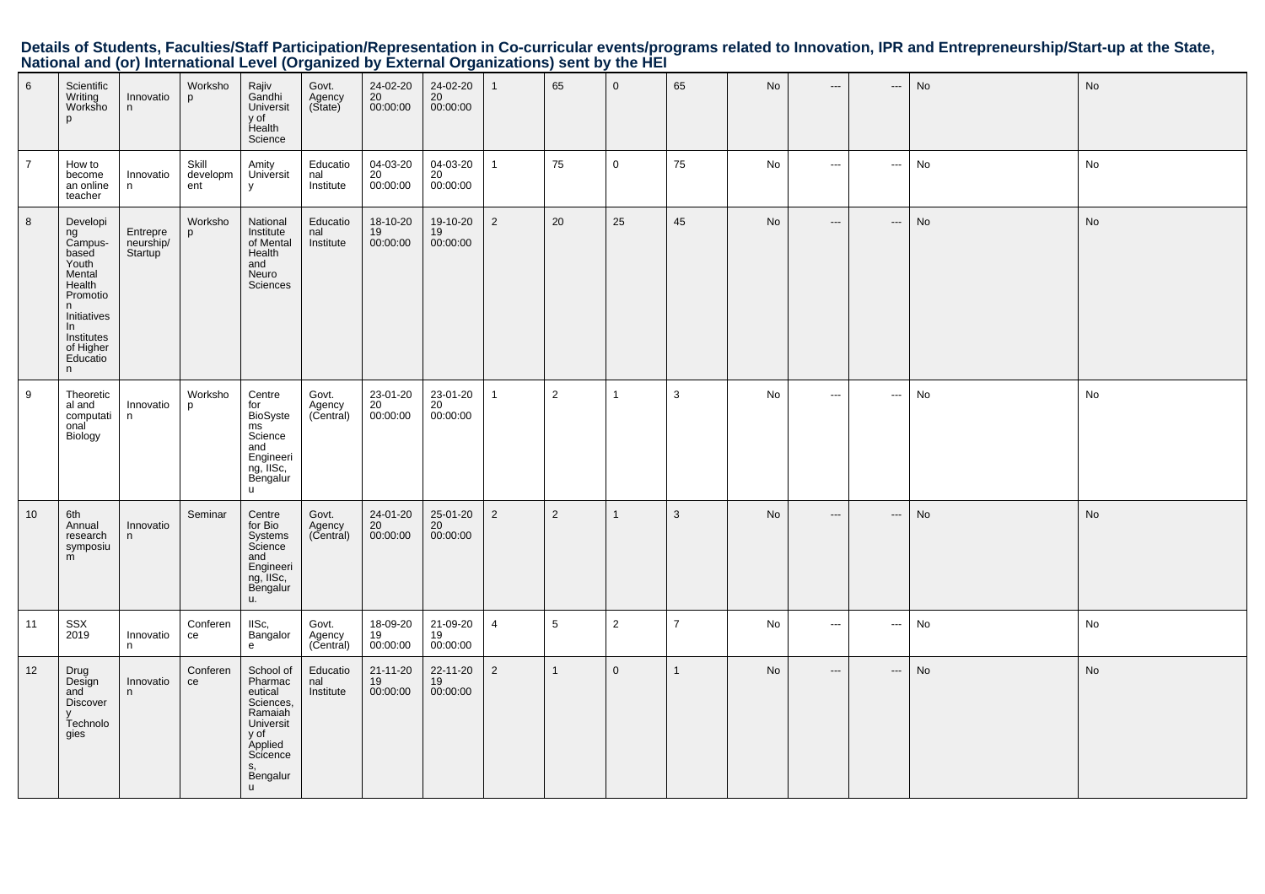Details of Students, Faculties/Staff Participation/Representation in Co-curricular events/programs related to Innovation, IPR and Entrepreneurship/Start-up at the State,<br>National and (or) International Level (Organized by

| 6              | Scientific<br>Writing<br>Worksho<br>p                                                                                                             | Innovatio<br>n                   | Worksho<br>p             | Rajiv<br>Gandhi<br>Universit<br>y of<br>Health<br>Science                                                                         | Govt.<br>Agency<br>(State)   | 24-02-20<br>20<br>00:00:00       | 24-02-20<br>20<br>00:00:00 | $\mathbf{1}$   | 65             | $\mathsf 0$    | 65             | No        | $\hspace{0.05cm} \ldots$ | $\hspace{0.05cm} \cdots$ | No | No |
|----------------|---------------------------------------------------------------------------------------------------------------------------------------------------|----------------------------------|--------------------------|-----------------------------------------------------------------------------------------------------------------------------------|------------------------------|----------------------------------|----------------------------|----------------|----------------|----------------|----------------|-----------|--------------------------|--------------------------|----|----|
| $\overline{7}$ | How to<br>become<br>an online<br>teacher                                                                                                          | Innovatio<br>n                   | Skill<br>developm<br>ent | Amity<br>Universit<br>у                                                                                                           | Educatio<br>nal<br>Institute | 04-03-20<br>20<br>00:00:00       | 04-03-20<br>20<br>00:00:00 | $\mathbf{1}$   | 75             | $\mathbf 0$    | 75             | No        | $\sim$                   | $\hspace{0.05cm} \cdots$ | No | No |
| 8              | Developi<br>ng<br>Campus-<br>based<br>Youth<br>Mental<br>Health<br>Promotio<br>n<br>Initiatives<br>In<br>Institutes<br>of Higher<br>Educatio<br>n | Entrepre<br>neurship/<br>Startup | Worksho<br>p             | National<br>Institute<br>of Mental<br>Health<br>and<br>Neuro<br><b>Sciences</b>                                                   | Educatio<br>nal<br>Institute | 18-10-20<br>19<br>00:00:00       | 19-10-20<br>19<br>00:00:00 | $\overline{2}$ | 20             | 25             | 45             | No        | $\hspace{0.05cm} \ldots$ | $\hspace{0.05cm} \cdots$ | No | No |
| 9              | Theoretic<br>al and<br>computati<br>onal<br>Biology                                                                                               | Innovatio<br>n                   | Worksho<br>p             | Centre<br>for<br>BioSyste<br>ms<br>Science<br>and<br>Engineeri<br>ng, IISc,<br>Bengalur<br>$\mathsf{u}$                           | Govt.<br>Agency<br>(Central) | 23-01-20<br>20<br>00:00:00       | 23-01-20<br>20<br>00:00:00 | $\mathbf{1}$   | $\overline{2}$ | $\overline{1}$ | 3              | No        | $\hspace{0.05cm} \cdots$ | $\hspace{0.05cm} \cdots$ | No | No |
| 10             | 6th<br>Annual<br>research<br>symposiu<br>m                                                                                                        | Innovatio<br>n.                  | Seminar                  | Centre<br>for Bio<br>Systems<br>Science<br>and<br>Engineeri<br>ng, IISc,<br>Bengalur<br>u.                                        | Govt.<br>Agency<br>(Central) | 24-01-20<br>20<br>00:00:00       | 25-01-20<br>20<br>00:00:00 | $\overline{2}$ | $\overline{2}$ | $\overline{1}$ | 3              | <b>No</b> | $---$                    | $\hspace{0.05cm} \ldots$ | No | No |
| 11             | SSX<br>2019                                                                                                                                       | Innovatio<br>n                   | Conferen<br>ce           | IISc,<br>Bangalor<br>e                                                                                                            | Govt.<br>Agency<br>(Central) | 18-09-20<br>19<br>00:00:00       | 21-09-20<br>19<br>00:00:00 | $\overline{4}$ | 5              | 2              | $\overline{7}$ | No        | $\sim$ $\sim$            | $\sim$                   | No | No |
| 12             | Drug<br>Design<br>and<br><b>Discover</b><br>Technolo<br>gies                                                                                      | Innovatio<br>n.                  | Conferen<br>ce           | School of<br>Pharmac<br>eutical<br>Sciences,<br>Ramaiah<br>Universit<br>y of<br>Applied<br>Scicence<br>S,<br>Bengalur<br><b>u</b> | Educatio<br>nal<br>Institute | $21 - 11 - 20$<br>19<br>00:00:00 | 22-11-20<br>19<br>00:00:00 | $\overline{2}$ | $\overline{1}$ | $\mathbf 0$    | $\mathbf{1}$   | No        | $\hspace{0.05cm} \ldots$ | $\hspace{0.05cm} \ldots$ | No | No |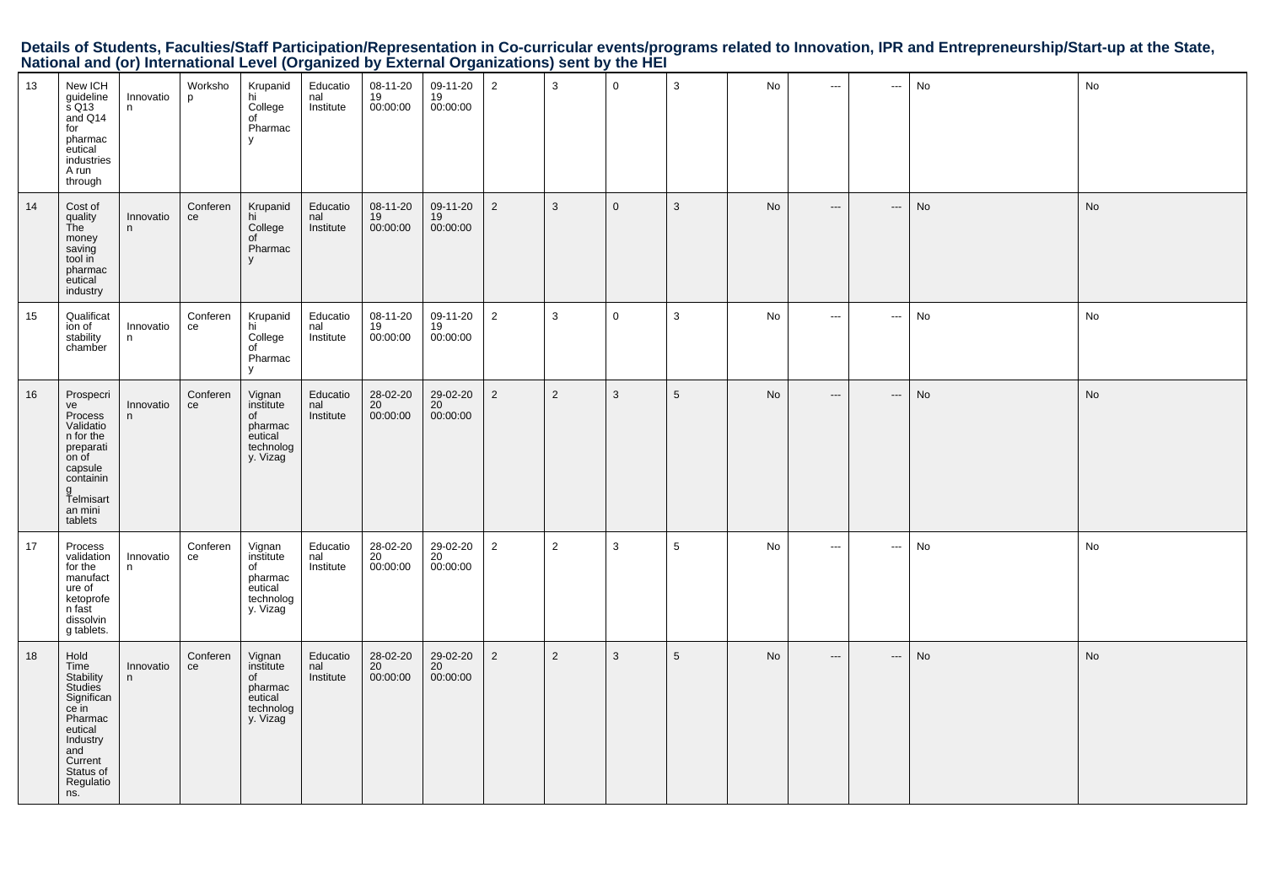Details of Students, Faculties/Staff Participation/Representation in Co-curricular events/programs related to Innovation, IPR and Entrepreneurship/Start-up at the State,<br>National and (or) International Level (Organized by

| 13 | New ICH<br>guideline<br>s Q13<br>and Q14<br>for<br>pharmac<br>eutical<br>industries<br>A run<br>through                                          | Innovatio<br>n. | Worksho<br>p   | Krupanid<br>hi<br>College<br>of<br>Pharmac<br>y                          | Educatio<br>nal<br>Institute | 08-11-20<br>19<br>00:00:00   | 09-11-20<br>19<br>00:00:00 | $\overline{2}$ | 3              | $\mathbf 0$    | 3               | No | $\sim$                   | ---                      | No | No         |
|----|--------------------------------------------------------------------------------------------------------------------------------------------------|-----------------|----------------|--------------------------------------------------------------------------|------------------------------|------------------------------|----------------------------|----------------|----------------|----------------|-----------------|----|--------------------------|--------------------------|----|------------|
| 14 | Cost of<br>quality<br>The<br>money<br>saving<br>tool in<br>pharmac<br>eutical<br>industry                                                        | Innovatio<br>n  | Conferen<br>ce | Krupanid<br>hi<br>College<br>of<br>Pharmac<br>V                          | Educatio<br>nal<br>Institute | 08-11-20<br>19<br>00:00:00   | 09-11-20<br>19<br>00:00:00 | $\overline{2}$ | $\mathbf{3}$   | $\overline{0}$ | 3               | No | $\hspace{0.05cm} \ldots$ | $\hspace{0.05cm} \cdots$ | No | No         |
| 15 | Qualificat<br>ion of<br>stability<br>chamber                                                                                                     | Innovatio<br>n. | Conferen<br>ce | Krupanid<br>hi<br>College<br>of<br>Pharmac<br>y                          | Educatio<br>nal<br>Institute | 08-11-20<br>19<br>00:00:00   | 09-11-20<br>19<br>00:00:00 | $\overline{2}$ | 3              | $\overline{0}$ | 3               | No | $\sim$ $\sim$            | $\sim$                   | No | No         |
| 16 | Prospecri<br>ve<br>Process<br>Validatio<br>n for the<br>preparati<br>on of<br>capsule<br>containin<br>g<br>Telmisart<br>an mini<br>tablets       | Innovatio<br>n  | Conferen<br>ce | Vignan<br>institute<br>of<br>pharmac<br>eutical<br>technolog<br>y. Vizag | Educatio<br>nal<br>Institute | $28-02-20$<br>20<br>00:00:00 | 29-02-20<br>20<br>00:00:00 | $\overline{2}$ | $\overline{2}$ | $\mathbf{3}$   | $5\phantom{.0}$ | No | $\hspace{0.05cm} \ldots$ | $\hspace{0.05cm} \cdots$ | No | No         |
| 17 | Process<br>validation<br>for the<br>manufact<br>ure of<br>ketoprofe<br>n fast<br>dissolvin<br>g tablets.                                         | Innovatio<br>n. | Conferen<br>ce | Vignan<br>institute<br>of<br>pharmac<br>eutical<br>technolog<br>y. Vizag | Educatio<br>nal<br>Institute | 28-02-20<br>20<br>00:00:00   | 29-02-20<br>20<br>00:00:00 | $\overline{a}$ | $\overline{2}$ | $\mathbf{3}$   | $\overline{5}$  | No | $\sim$ $\sim$            | $\cdots$                 | No | ${\sf No}$ |
| 18 | Hold<br>Time<br>Stability<br>Studies<br>Significan<br>ce in<br>Pharmac<br>eutical<br>Industry<br>and<br>Current<br>Status of<br>Regulatio<br>ns. | Innovatio<br>n. | Conferen<br>ce | Vignan<br>institute<br>of<br>pharmac<br>eutical<br>technolog<br>y. Vizag | Educatio<br>nal<br>Institute | 28-02-20<br>20<br>00:00:00   | 29-02-20<br>20<br>00:00:00 | $\overline{2}$ | $\overline{2}$ | $\mathbf{3}$   | $5\phantom{.0}$ | No | $\hspace{0.05cm} \ldots$ | $\hspace{0.05cm} \ldots$ | No | No         |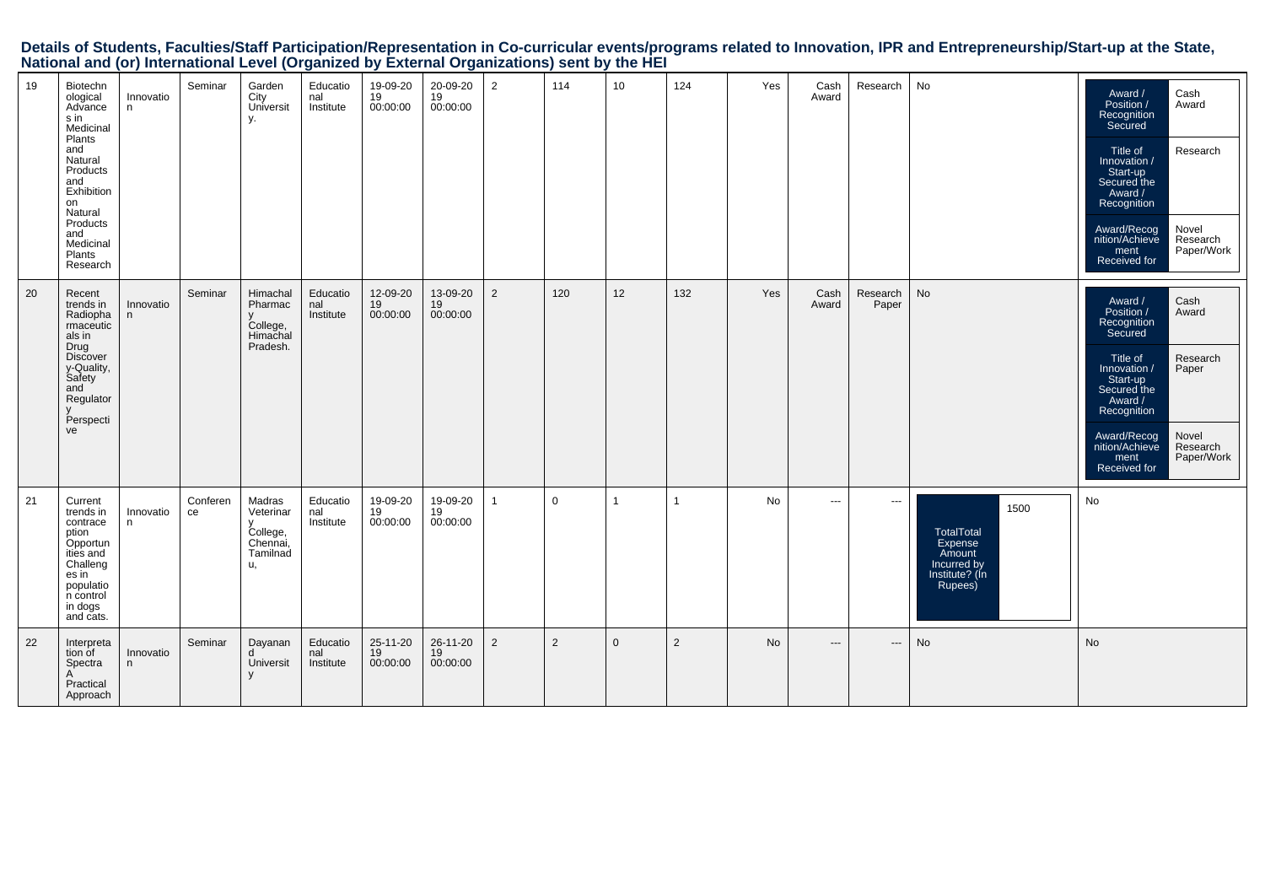| Details of Students, Faculties/Staff Participation/Representation in Co-curricular events/programs related to Innovation, IPR and Entrepreneurship/Start-up at the State, |  |
|---------------------------------------------------------------------------------------------------------------------------------------------------------------------------|--|
| National and (or) International Level (Organized by External Organizations) sent by the HEI                                                                               |  |

| 19 | Biotechn<br>ological<br>Advance<br>s in<br>Medicinal<br>Plants<br>and<br>Natural<br>Products<br>and<br>Exhibition<br>on<br>Natural<br>Products<br>and<br>Medicinal<br>Plants<br>Research | Innovatio<br>n  | Seminar        | Garden<br>City<br>Universit<br>γ.                             | Educatio<br>nal<br>Institute | 19-09-20<br>19<br>00:00:00 | 20-09-20<br>19<br>00:00:00 | 2              | 114         | 10          | 124            | Yes | Cash<br>Award | Research                 | No                                                                                  | Award /<br>Position /<br>Recognition<br>Secured<br>Title of<br>Innovation /<br>Start-up<br>Secured the<br>Award /<br>Recognition<br>Award/Recog<br>nition/Achieve<br>ment<br>Received for | Cash<br>Award<br>Research<br>Novel<br>Research<br>Paper/Work          |
|----|------------------------------------------------------------------------------------------------------------------------------------------------------------------------------------------|-----------------|----------------|---------------------------------------------------------------|------------------------------|----------------------------|----------------------------|----------------|-------------|-------------|----------------|-----|---------------|--------------------------|-------------------------------------------------------------------------------------|-------------------------------------------------------------------------------------------------------------------------------------------------------------------------------------------|-----------------------------------------------------------------------|
| 20 | Recent<br>trends in<br>Radiopha<br>rmaceutic<br>als in<br>Drug<br><b>Discover</b><br>y-Quality,<br>Safety<br>and<br>Regulator<br>Perspecti<br>ve                                         | Innovatio<br>n. | Seminar        | Himachal<br>Pharmac<br>College,<br>Himachal<br>Pradesh.       | Educatio<br>nal<br>Institute | 12-09-20<br>19<br>00:00:00 | 13-09-20<br>19<br>00:00:00 | $\overline{2}$ | 120         | 12          | 132            | Yes | Cash<br>Award | Research<br>Paper        | No                                                                                  | Award /<br>Position /<br>Recognition<br>Secured<br>Title of<br>Innovation /<br>Start-up<br>Secured the<br>Award /<br>Recognition<br>Award/Recog<br>nition/Achieve<br>ment<br>Received for | Cash<br>Award<br>Research<br>Paper<br>Novel<br>Research<br>Paper/Work |
| 21 | Current<br>trends in<br>contrace<br>ption<br>Opportun<br>ities and<br>Challeng<br>es in<br>populatio<br>n control<br>in dogs<br>and cats.                                                | Innovatio<br>n  | Conferen<br>ce | Madras<br>Veterinar<br>College,<br>Chennai,<br>Tamilnad<br>u, | Educatio<br>nal<br>Institute | 19-09-20<br>19<br>00:00:00 | 19-09-20<br>19<br>00:00:00 | $\overline{1}$ | $\mathbf 0$ | 1           | 1              | No  | $\cdots$      | $\hspace{0.05cm} \ldots$ | 1500<br>TotalTotal<br>Expense<br>Amount<br>Incurred by<br>Institute? (In<br>Rupees) | No                                                                                                                                                                                        |                                                                       |
| 22 | Interpreta<br>tion of<br>Spectra<br>A<br>Practical<br>Approach                                                                                                                           | Innovatio<br>n  | Seminar        | Dayanan<br>Universit                                          | Educatio<br>nal<br>Institute | 25-11-20<br>19<br>00:00:00 | 26-11-20<br>19<br>00:00:00 | $\overline{2}$ | 2           | $\mathbf 0$ | $\overline{2}$ | No  | $---$         | $\hspace{0.05cm} \cdots$ | No                                                                                  | No                                                                                                                                                                                        |                                                                       |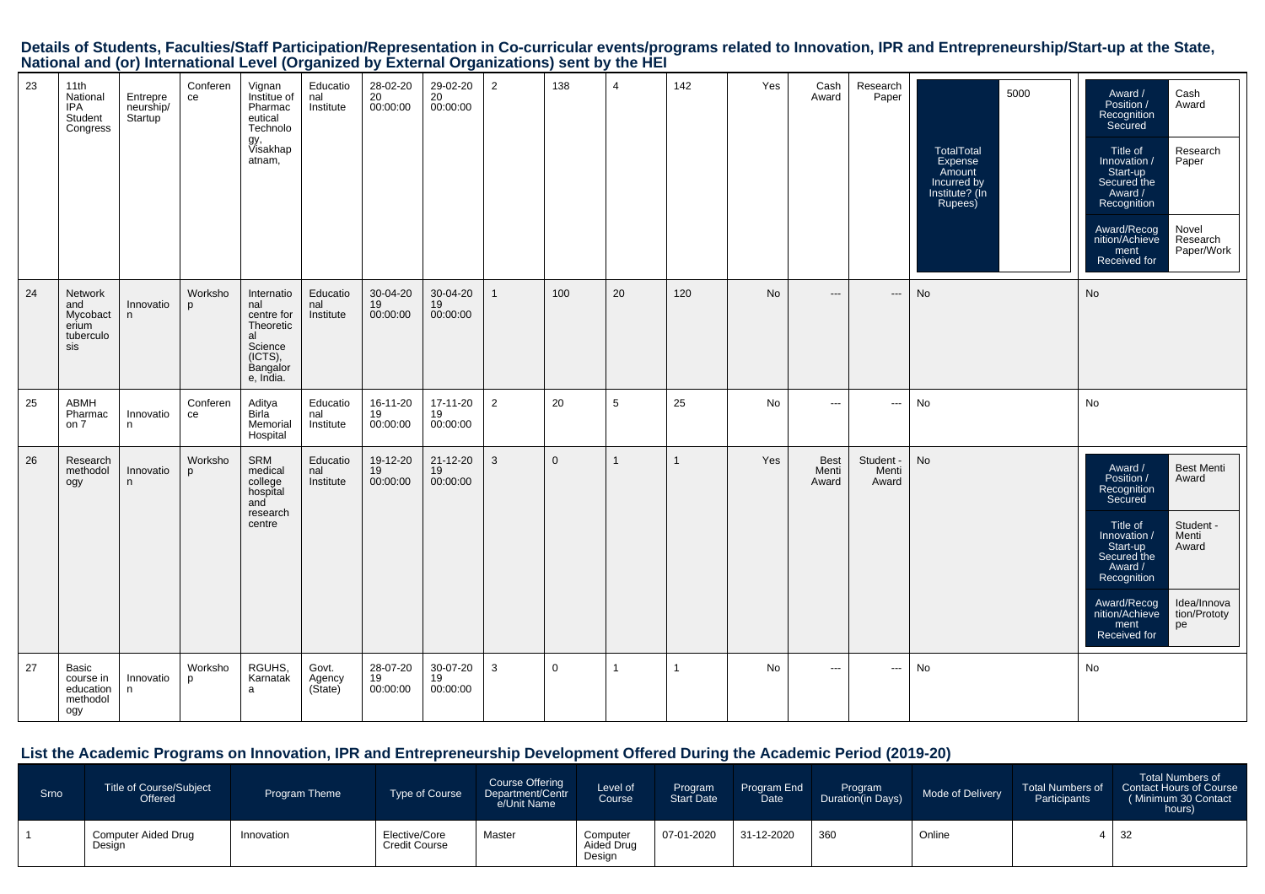Details of Students, Faculties/Staff Participation/Representation in Co-curricular events/programs related to Innovation, IPR and Entrepreneurship/Start-up at the State,<br>National and (or) International Level (Organized by

| 23 | 11th<br>National<br>IPA<br>Student<br>Congress                 | Entrepre<br>neurship/<br>Startup | Conferen<br>ce          | Vignan<br>Institue of<br>Pharmac<br>eutical<br>Technolo<br>gy,<br>Visakhap<br>atnam,              | Educatio<br>nal<br>Institute | 28-02-20<br>20<br>00:00:00 | 29-02-20<br>20<br>00:00:00 | 2              | 138         | $\overline{4}$ | 142          | Yes       | Cash<br>Award                 | Research<br>Paper                        | 5000<br><b>TotalTotal</b><br>Expense<br>Amount<br>Incurred by<br>Institute? (Ín<br>Rupees) | Cash<br>Award /<br>Position /<br>Award<br>Recognition<br>Secured<br>Research<br>Title of<br>Paper<br>Innovation /<br>Start-up<br>Secured the<br>Award /<br>Recognition<br>Novel<br>Award/Recog<br>nition/Achieve<br>Research<br>Paper/Work<br>ment<br>Received for                          |
|----|----------------------------------------------------------------|----------------------------------|-------------------------|---------------------------------------------------------------------------------------------------|------------------------------|----------------------------|----------------------------|----------------|-------------|----------------|--------------|-----------|-------------------------------|------------------------------------------|--------------------------------------------------------------------------------------------|---------------------------------------------------------------------------------------------------------------------------------------------------------------------------------------------------------------------------------------------------------------------------------------------|
| 24 | <b>Network</b><br>and<br>Mycobact<br>erium<br>tuberculo<br>sis | Innovatio<br>n                   | Worksho<br>D            | Internatio<br>nal<br>centre for<br>Theoretic<br>al<br>Science<br>(ICTS),<br>Bangalor<br>e, India. | Educatio<br>nal<br>Institute | 30-04-20<br>19<br>00:00:00 | 30-04-20<br>19<br>00:00:00 | $\mathbf{1}$   | 100         | 20             | 120          | <b>No</b> | $\hspace{0.05cm} \ldots$      | $\hspace{0.05cm} \ldots \hspace{0.05cm}$ | No                                                                                         | No                                                                                                                                                                                                                                                                                          |
| 25 | ABMH<br>Pharmac<br>on 7                                        | Innovatio<br>n                   | Conferen<br>ce          | Aditya<br>Birla<br>Memorial<br>Hospital                                                           | Educatio<br>nal<br>Institute | 16-11-20<br>19<br>00:00:00 | 17-11-20<br>19<br>00:00:00 | $\overline{2}$ | 20          | 5              | 25           | No        | $\sim$ $\sim$ $\sim$          | $\sim$ $\sim$                            | No                                                                                         | No                                                                                                                                                                                                                                                                                          |
| 26 | Research<br>methodol<br>ogy                                    | Innovatio<br>n.                  | Worksho<br>$\mathbf{D}$ | SRM<br>medical<br>college<br>hospital<br>and<br>research<br>centre                                | Educatio<br>nal<br>Institute | 19-12-20<br>19<br>00:00:00 | 21-12-20<br>19<br>00:00:00 | 3              | $\Omega$    | $\mathbf{1}$   |              | Yes       | <b>Best</b><br>Menti<br>Award | Student -<br>Menti<br>Award              | No                                                                                         | <b>Best Menti</b><br>Award /<br>Position /<br>Award<br>Recognition<br>Secured<br>Student -<br>Title of<br>Innovation /<br>Menti<br>Start-up<br>Award<br>Secured the<br>Award /<br>Recognition<br>Idea/Innova<br>Award/Recog<br>nition/Achieve<br>tion/Prototy<br>pe<br>ment<br>Received for |
| 27 | <b>Basic</b><br>course in<br>education<br>methodol<br>ogy      | Innovatio<br>n                   | Worksho<br>p            | RGUHS,<br>Karnatak<br>a                                                                           | Govt.<br>Agency<br>(State)   | 28-07-20<br>19<br>00:00:00 | 30-07-20<br>19<br>00:00:00 | 3              | $\mathbf 0$ | $\mathbf{1}$   | $\mathbf{1}$ | No        | $\hspace{0.05cm} \ldots$      | $\hspace{0.05cm} \cdots$                 | No                                                                                         | No                                                                                                                                                                                                                                                                                          |

#### **List the Academic Programs on Innovation, IPR and Entrepreneurship Development Offered During the Academic Period (2019-20)**

| <b>Srno</b> | <b>Title of Course/Subject</b><br>Offered | Program Theme | <b>Type of Course</b>                 | Course Offering<br>Department/Centr<br>e/Unit Name | Level of<br>Course               | Program<br>Start Date | Program End<br>Date | Program<br>Duration(in Days) | Mode of Delivery | <b>Total Numbers of</b><br>Participants | <b>Total Numbers of</b><br>Contact Hours of Course<br>(Minimum 30 Contact<br>hours) |
|-------------|-------------------------------------------|---------------|---------------------------------------|----------------------------------------------------|----------------------------------|-----------------------|---------------------|------------------------------|------------------|-----------------------------------------|-------------------------------------------------------------------------------------|
|             | <b>Computer Aided Drug</b><br>Design      | Innovation    | Elective/Core<br><b>Credit Course</b> | Master                                             | Computer<br>Aided Drug<br>Design | 07-01-2020            | 31-12-2020          | 360                          | Online           |                                         | -32                                                                                 |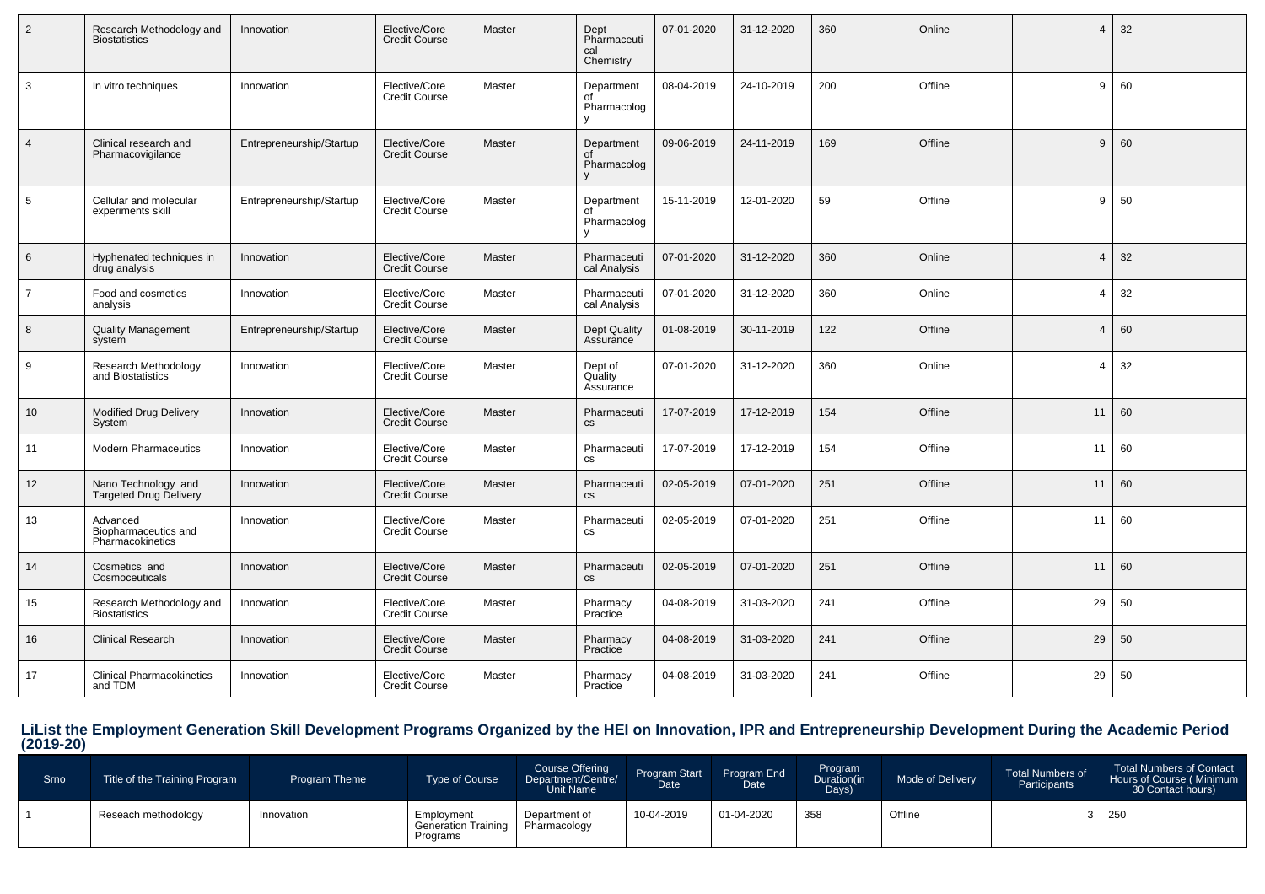| $\overline{2}$  | Research Methodology and<br><b>Biostatistics</b>     | Innovation               | Elective/Core<br><b>Credit Course</b> | Master | Dept<br>Pharmaceuti<br>cal<br>Chemistry | 07-01-2020 | 31-12-2020 | 360 | Online  | $\boldsymbol{\Delta}$ | 32 |
|-----------------|------------------------------------------------------|--------------------------|---------------------------------------|--------|-----------------------------------------|------------|------------|-----|---------|-----------------------|----|
| $\mathbf{3}$    | In vitro techniques                                  | Innovation               | Elective/Core<br><b>Credit Course</b> | Master | Department<br>of<br>Pharmacolog<br>v    | 08-04-2019 | 24-10-2019 | 200 | Offline | 9                     | 60 |
| $\overline{4}$  | Clinical research and<br>Pharmacovigilance           | Entrepreneurship/Startup | Elective/Core<br><b>Credit Course</b> | Master | Department<br>Pharmacolog               | 09-06-2019 | 24-11-2019 | 169 | Offline | 9                     | 60 |
| $5\phantom{.0}$ | Cellular and molecular<br>experiments skill          | Entrepreneurship/Startup | Elective/Core<br><b>Credit Course</b> | Master | Department<br>nf<br>Pharmacolog<br>V    | 15-11-2019 | 12-01-2020 | 59  | Offline | 9                     | 50 |
| 6               | Hyphenated techniques in<br>drug analysis            | Innovation               | Elective/Core<br><b>Credit Course</b> | Master | Pharmaceuti<br>cal Analysis             | 07-01-2020 | 31-12-2020 | 360 | Online  | $\overline{4}$        | 32 |
| $\overline{7}$  | Food and cosmetics<br>analysis                       | Innovation               | Elective/Core<br><b>Credit Course</b> | Master | Pharmaceuti<br>cal Analysis             | 07-01-2020 | 31-12-2020 | 360 | Online  | $\overline{4}$        | 32 |
| 8               | <b>Quality Management</b><br>system                  | Entrepreneurship/Startup | Elective/Core<br><b>Credit Course</b> | Master | <b>Dept Quality</b><br>Assurance        | 01-08-2019 | 30-11-2019 | 122 | Offline | $\overline{A}$        | 60 |
| 9               | Research Methodology<br>and Biostatistics            | Innovation               | Elective/Core<br><b>Credit Course</b> | Master | Dept of<br>Quality<br>Assurance         | 07-01-2020 | 31-12-2020 | 360 | Online  | $\overline{4}$        | 32 |
| 10              | <b>Modified Drug Delivery</b><br>System              | Innovation               | Elective/Core<br><b>Credit Course</b> | Master | Pharmaceuti<br><b>CS</b>                | 17-07-2019 | 17-12-2019 | 154 | Offline | 11                    | 60 |
| 11              | <b>Modern Pharmaceutics</b>                          | Innovation               | Elective/Core<br><b>Credit Course</b> | Master | Pharmaceuti<br>CS                       | 17-07-2019 | 17-12-2019 | 154 | Offline | 11                    | 60 |
| 12              | Nano Technology and<br><b>Targeted Drug Delivery</b> | Innovation               | Elective/Core<br><b>Credit Course</b> | Master | Pharmaceuti<br><b>CS</b>                | 02-05-2019 | 07-01-2020 | 251 | Offline | 11                    | 60 |
| 13              | Advanced<br>Biopharmaceutics and<br>Pharmacokinetics | Innovation               | Elective/Core<br><b>Credit Course</b> | Master | Pharmaceuti<br><b>CS</b>                | 02-05-2019 | 07-01-2020 | 251 | Offline | 11                    | 60 |
| 14              | Cosmetics and<br>Cosmoceuticals                      | Innovation               | Elective/Core<br><b>Credit Course</b> | Master | Pharmaceuti<br>cs                       | 02-05-2019 | 07-01-2020 | 251 | Offline | 11                    | 60 |
| 15              | Research Methodology and<br><b>Biostatistics</b>     | Innovation               | Elective/Core<br><b>Credit Course</b> | Master | Pharmacy<br>Practice                    | 04-08-2019 | 31-03-2020 | 241 | Offline | 29                    | 50 |
| 16              | <b>Clinical Research</b>                             | Innovation               | Elective/Core<br><b>Credit Course</b> | Master | Pharmacy<br>Practice                    | 04-08-2019 | 31-03-2020 | 241 | Offline | 29                    | 50 |
| 17              | <b>Clinical Pharmacokinetics</b><br>and TDM          | Innovation               | Elective/Core<br><b>Credit Course</b> | Master | Pharmacy<br>Practice                    | 04-08-2019 | 31-03-2020 | 241 | Offline | 29                    | 50 |

# **LiList the Employment Generation Skill Development Programs Organized by the HEI on Innovation, IPR and Entrepreneurship Development During the Academic Period (2019-20)**

| Srno | Title of the Training Program | <b>Program Theme</b> | Type of Course                                | <b>Course Offering</b><br>Department/Centre/<br><b>Unit Name</b> | Program Start<br>Date <sup>1</sup> | Program End<br>Date | Program<br>Duration(in<br>Days) | Mode of Delivery | <b>Total Numbers of</b><br>Participants | <b>Total Numbers of Contact</b><br>Hours of Course (Minimum<br>30 Contact hours) |
|------|-------------------------------|----------------------|-----------------------------------------------|------------------------------------------------------------------|------------------------------------|---------------------|---------------------------------|------------------|-----------------------------------------|----------------------------------------------------------------------------------|
|      | Reseach methodology           | Innovation           | Employment<br>Generation Training<br>Programs | Department of<br>Pharmacology                                    | 10-04-2019                         | 01-04-2020          | 358                             | Offline          |                                         |                                                                                  |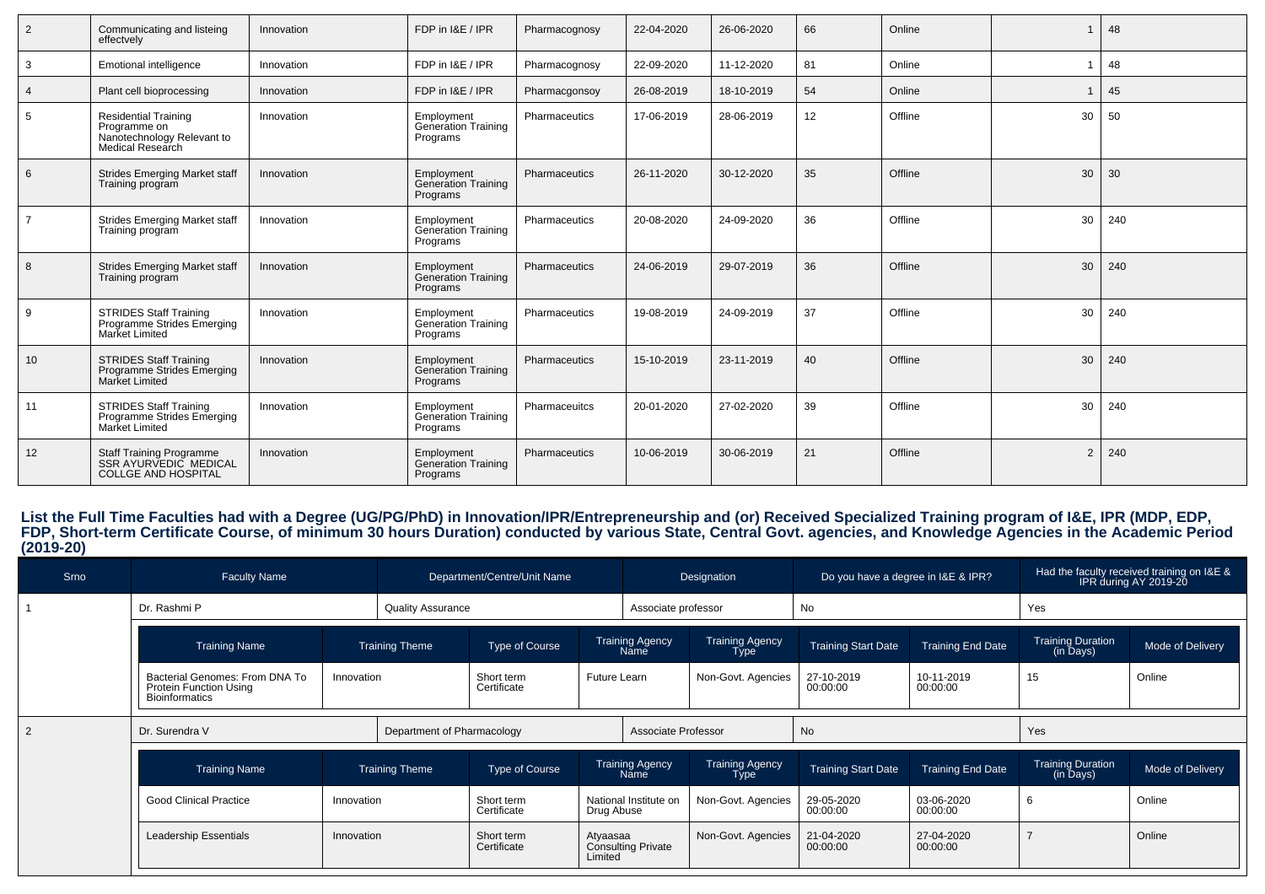| $\overline{2}$ | Communicating and listeing<br>effectvelv                                                      | Innovation | FDP in I&E / IPR                              | Pharmacognosy | 22-04-2020 | 26-06-2020 | 66              | Online  |                | 48  |
|----------------|-----------------------------------------------------------------------------------------------|------------|-----------------------------------------------|---------------|------------|------------|-----------------|---------|----------------|-----|
| 3              | Emotional intelligence                                                                        | Innovation | FDP in I&E / IPR                              | Pharmacognosy | 22-09-2020 | 11-12-2020 | 81              | Online  | 1              | 48  |
| $\overline{4}$ | Plant cell bioprocessing                                                                      | Innovation | FDP in I&E / IPR                              | Pharmacgonsoy | 26-08-2019 | 18-10-2019 | 54              | Online  |                | 45  |
| 5              | <b>Residential Training</b><br>Programme on<br>Nanotechnology Relevant to<br>Medical Research | Innovation | Employment<br>Generation Training<br>Programs | Pharmaceutics | 17-06-2019 | 28-06-2019 | 12 <sup>2</sup> | Offline | 30             | 50  |
| 6              | <b>Strides Emerging Market staff</b><br>Training program                                      | Innovation | Employment<br>Generation Training<br>Programs | Pharmaceutics | 26-11-2020 | 30-12-2020 | 35              | Offline | 30             | 30  |
| $\overline{7}$ | <b>Strides Emerging Market staff</b><br>Training program                                      | Innovation | Employment<br>Generation Training<br>Programs | Pharmaceutics | 20-08-2020 | 24-09-2020 | 36              | Offline | 30             | 240 |
| 8              | <b>Strides Emerging Market staff</b><br>Training program                                      | Innovation | Employment<br>Generation Training<br>Programs | Pharmaceutics | 24-06-2019 | 29-07-2019 | 36              | Offline | 30             | 240 |
| 9              | <b>STRIDES Staff Training</b><br>Programme Strides Emerging<br>Market Limited                 | Innovation | Employment<br>Generation Training<br>Programs | Pharmaceutics | 19-08-2019 | 24-09-2019 | 37              | Offline | 30             | 240 |
| 10             | <b>STRIDES Staff Training</b><br>Programme Strides Emerging<br>Market Limited                 | Innovation | Employment<br>Generation Training<br>Programs | Pharmaceutics | 15-10-2019 | 23-11-2019 | 40              | Offline | 30             | 240 |
| 11             | <b>STRIDES Staff Training</b><br>Programme Strides Emerging<br>Market Limited                 | Innovation | Employment<br>Generation Training<br>Programs | Pharmaceuitcs | 20-01-2020 | 27-02-2020 | 39              | Offline | 30             | 240 |
| 12             | Staff Training Programme<br>SSR AYURVEDIC MEDICAL<br><b>COLLGE AND HOSPITAL</b>               | Innovation | Employment<br>Generation Training<br>Programs | Pharmaceutics | 10-06-2019 | 30-06-2019 | 21              | Offline | $\overline{2}$ | 240 |

List the Full Time Faculties had with a Degree (UG/PG/PhD) in Innovation/IPR/Entrepreneurship and (or) Received Specialized Training program of I&E, IPR (MDP, EDP,<br>FDP, Short-term Certificate Course, of minimum 30 hours Du

| Srno | <b>Faculty Name</b>                                                                      |  | Department/Centre/Unit Name             |                                                  |                                |                                | Designation                    | Do you have a degree in I&E & IPR? |                          | Had the faculty received training on I&E &<br>IPR during AY 2019-20 |                  |
|------|------------------------------------------------------------------------------------------|--|-----------------------------------------|--------------------------------------------------|--------------------------------|--------------------------------|--------------------------------|------------------------------------|--------------------------|---------------------------------------------------------------------|------------------|
|      | Dr. Rashmi P                                                                             |  | <b>Quality Assurance</b>                |                                                  |                                | Associate professor            |                                | No                                 |                          | Yes                                                                 |                  |
|      | <b>Training Name</b>                                                                     |  | <b>Training Theme</b>                   | Type of Course                                   | <b>Training Agency</b><br>Name |                                | <b>Training Agency</b><br>Type | <b>Training Start Date</b>         | <b>Training End Date</b> | <b>Training Duration</b><br>(in Days)                               | Mode of Delivery |
|      | Bacterial Genomes: From DNA To<br><b>Protein Function Using</b><br><b>Bioinformatics</b> |  | Short term<br>Innovation<br>Certificate |                                                  | Future Learn                   |                                | Non-Govt. Agencies             | 27-10-2019<br>00:00:00             | 10-11-2019<br>00:00:00   | 15                                                                  | Online           |
|      | Dr. Surendra V                                                                           |  | Department of Pharmacology              |                                                  |                                | Associate Professor            |                                | No                                 |                          | Yes                                                                 |                  |
|      | <b>Training Name</b>                                                                     |  | <b>Training Theme</b>                   | Type of Course                                   |                                | <b>Training Agency</b><br>Name | <b>Training Agency</b><br>Type | <b>Training Start Date</b>         | <b>Training End Date</b> | <b>Training Duration</b><br>(in Days)                               | Mode of Delivery |
|      | <b>Good Clinical Practice</b><br>Innovation                                              |  |                                         | Short term<br>Certificate<br>Drug Abuse          |                                | National Institute on          | Non-Govt. Agencies             | 29-05-2020<br>00:00:00             | 03-06-2020<br>00:00:00   | 6                                                                   | Online           |
|      | Leadership Essentials<br>Innovation                                                      |  |                                         | Short term<br>Atyaasaa<br>Certificate<br>Limited |                                | <b>Consulting Private</b>      | Non-Govt. Agencies             | 21-04-2020<br>00:00:00             | 27-04-2020<br>00:00:00   |                                                                     | Online           |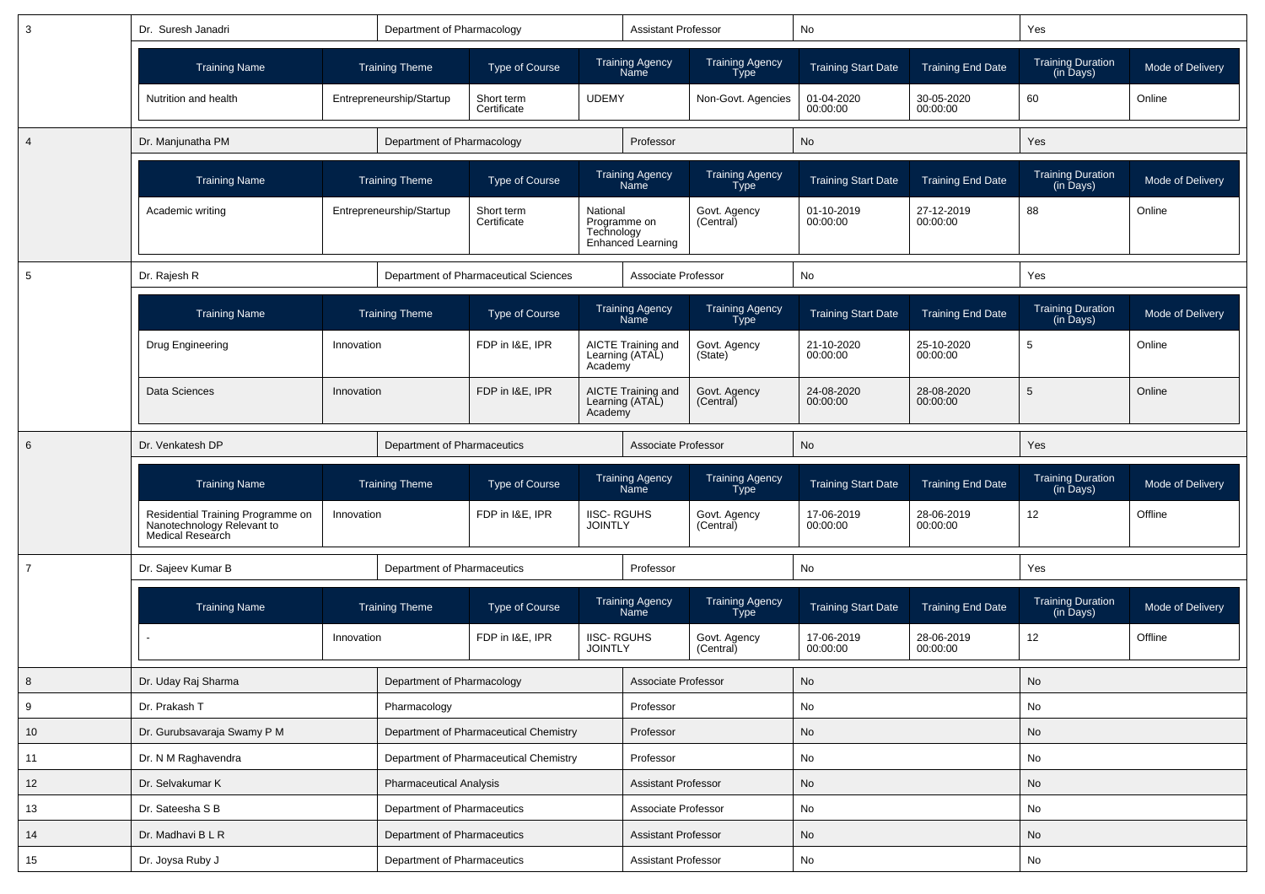| 3               | Dr. Suresh Janadri                                                                  |            | Department of Pharmacology  |                                        |                                     | <b>Assistant Professor</b>                      |                                       | No                         |                          | Yes                                   |                  |
|-----------------|-------------------------------------------------------------------------------------|------------|-----------------------------|----------------------------------------|-------------------------------------|-------------------------------------------------|---------------------------------------|----------------------------|--------------------------|---------------------------------------|------------------|
|                 | <b>Training Name</b>                                                                |            | <b>Training Theme</b>       | Type of Course                         |                                     | <b>Training Agency</b><br><b>Name</b>           | <b>Training Agency</b><br><b>Type</b> | <b>Training Start Date</b> | <b>Training End Date</b> | <b>Training Duration</b><br>(in Days) | Mode of Delivery |
|                 | Nutrition and health                                                                |            | Entrepreneurship/Startup    | Short term<br>Certificate              | <b>UDEMY</b>                        |                                                 | Non-Govt. Agencies                    | 01-04-2020<br>00:00:00     | 30-05-2020<br>00:00:00   | 60                                    | Online           |
| $\overline{4}$  | Dr. Manjunatha PM                                                                   |            | Department of Pharmacology  |                                        |                                     | Professor                                       |                                       | No                         |                          | Yes                                   |                  |
|                 | <b>Training Name</b>                                                                |            | <b>Training Theme</b>       | Type of Course                         |                                     | <b>Training Agency</b><br>Name                  | <b>Training Agency</b><br><b>Type</b> | <b>Training Start Date</b> | <b>Training End Date</b> | <b>Training Duration</b><br>(in Days) | Mode of Delivery |
|                 | Academic writing                                                                    |            | Entrepreneurship/Startup    | Short term<br>Certificate              | National                            | Programme on<br>Technology<br>Enhanced Learning | Govt. Agency<br>(Central)             | 01-10-2019<br>00:00:00     | 27-12-2019<br>00:00:00   | 88                                    | Online           |
| 5               | Dr. Rajesh R                                                                        |            |                             | Department of Pharmaceutical Sciences  |                                     | Associate Professor                             |                                       | No                         |                          | Yes                                   |                  |
|                 | <b>Training Name</b>                                                                |            | <b>Training Theme</b>       | <b>Type of Course</b>                  |                                     | Training Agency<br>Name                         | Training Agency<br>Type               | <b>Training Start Date</b> | <b>Training End Date</b> | Training Duration<br>(in Days)        | Mode of Delivery |
|                 | Drug Engineering                                                                    | Innovation |                             | FDP in I&E, IPR                        | Academy                             | AICTE Training and<br>Learning (ATAL)           | Govt. Agency<br>(State)               | 21-10-2020<br>00:00:00     | 25-10-2020<br>00:00:00   | 5                                     | Online           |
|                 | Data Sciences                                                                       | Innovation |                             | FDP in I&E, IPR                        | Academy                             | AICTE Training and<br>Learning (ATAL)           | Govt. Agency<br>(Central)             | 24-08-2020<br>00:00:00     | 28-08-2020<br>00:00:00   | 5                                     | Online           |
| 6               | Dr. Venkatesh DP                                                                    |            | Department of Pharmaceutics |                                        |                                     | Associate Professor                             |                                       | No                         |                          | Yes                                   |                  |
|                 | <b>Training Name</b>                                                                |            | <b>Training Theme</b>       | Type of Course                         |                                     | <b>Training Agency</b><br><b>Name</b>           | <b>Training Agency</b><br>Type        | <b>Training Start Date</b> | <b>Training End Date</b> | Training Duration<br>(in Days)        | Mode of Delivery |
|                 | Residential Training Programme on<br>Nanotechnology Relevant to<br>Medical Research | Innovation |                             | FDP in I&E, IPR                        | <b>IISC-RGUHS</b><br><b>JOINTLY</b> |                                                 | Govt. Agency<br>(Central)             | 17-06-2019<br>00:00:00     | 28-06-2019<br>00:00:00   | 12                                    | Offline          |
| $\overline{7}$  | Dr. Sajeev Kumar B                                                                  |            | Department of Pharmaceutics |                                        |                                     | Professor                                       |                                       | No                         |                          | Yes                                   |                  |
|                 | <b>Training Name</b>                                                                |            | <b>Training Theme</b>       | <b>Type of Course</b>                  |                                     | <b>Training Agency</b><br>Name                  | <b>Training Agency</b><br><b>Type</b> | <b>Training Start Date</b> | <b>Training End Date</b> | <b>Training Duration</b><br>(in Days) | Mode of Delivery |
|                 |                                                                                     | Innovation |                             | FDP in I&E, IPR                        | <b>IISC-RGUHS</b><br><b>JOINTLY</b> |                                                 | Govt. Agency<br>(Central)             | 17-06-2019<br>00:00:00     | 28-06-2019<br>00:00:00   | 12                                    | Offline          |
| 8               | Dr. Uday Raj Sharma                                                                 |            | Department of Pharmacology  |                                        |                                     | Associate Professor                             |                                       | No                         |                          | No                                    |                  |
| 9               | Dr. Prakash T                                                                       |            | Pharmacology                |                                        |                                     | Professor                                       |                                       | No                         |                          | No                                    |                  |
| 10 <sup>1</sup> | Dr. Gurubsavaraja Swamy P M                                                         |            |                             | Department of Pharmaceutical Chemistry |                                     | Professor                                       |                                       | No                         |                          | No                                    |                  |
| 11              | Dr. N M Raghavendra                                                                 |            |                             | Department of Pharmaceutical Chemistry |                                     | Professor                                       |                                       | No                         |                          | No                                    |                  |
| 12              | Dr. Selvakumar K                                                                    |            | Pharmaceutical Analysis     |                                        |                                     | Assistant Professor                             |                                       | No                         |                          | No                                    |                  |
| 13              | Dr. Sateesha S B                                                                    |            | Department of Pharmaceutics |                                        |                                     | Associate Professor                             |                                       | No                         |                          | No                                    |                  |
| 14              | Dr. Madhavi B L R                                                                   |            | Department of Pharmaceutics |                                        |                                     | Assistant Professor                             |                                       | No                         |                          | No                                    |                  |
| 15              | Dr. Joysa Ruby J                                                                    |            | Department of Pharmaceutics |                                        |                                     | Assistant Professor                             |                                       | No                         |                          | $\operatorname{\mathsf{No}}$          |                  |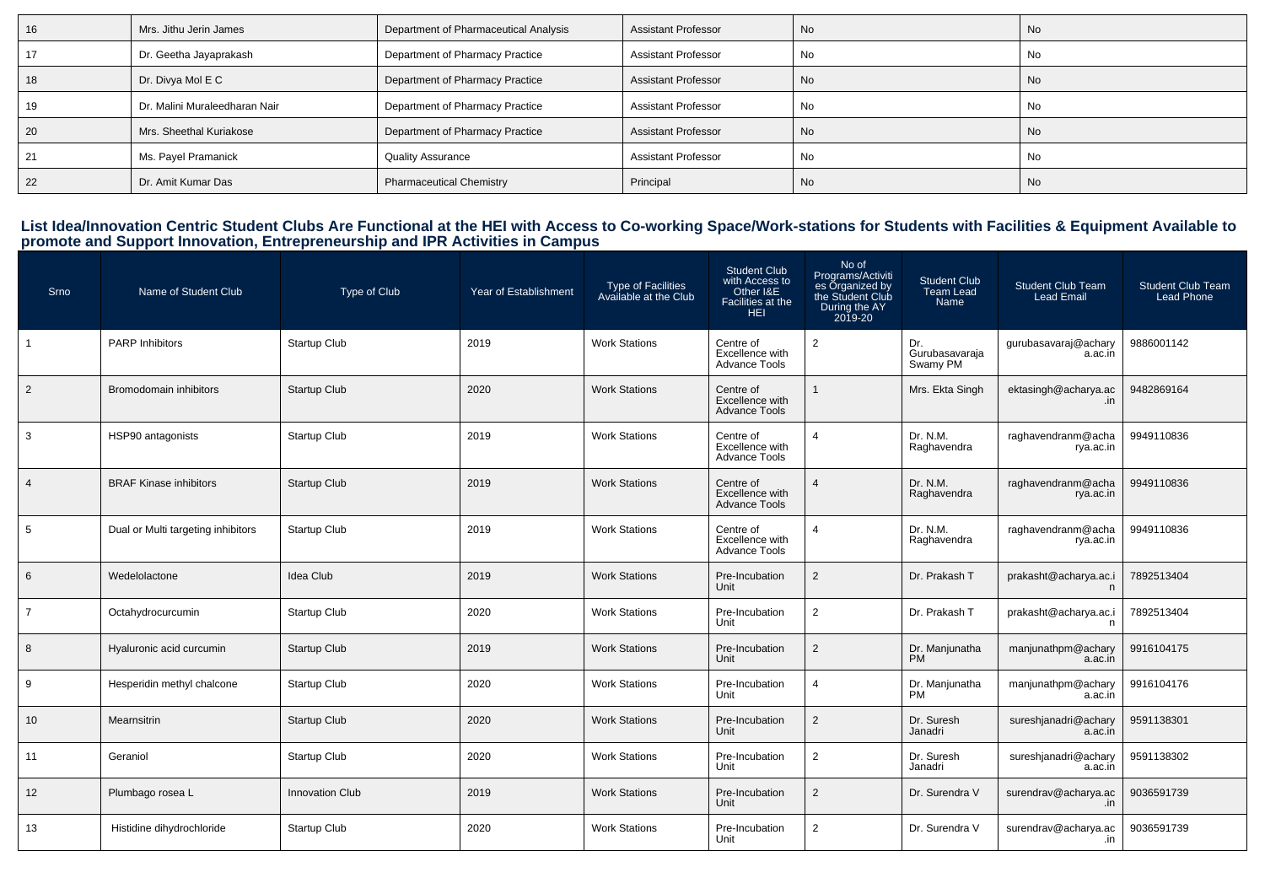| ΙO | Mrs. Jithu Jerin James        | Department of Pharmaceutical Analysis | <b>Assistant Professor</b> | No        | <b>No</b> |
|----|-------------------------------|---------------------------------------|----------------------------|-----------|-----------|
|    | Dr. Geetha Jayaprakash        | Department of Pharmacy Practice       | <b>Assistant Professor</b> | No        | No        |
| ıο | Dr. Divya Mol E C             | Department of Pharmacy Practice       | <b>Assistant Professor</b> | No        | <b>No</b> |
|    | Dr. Malini Muraleedharan Nair | Department of Pharmacy Practice       | <b>Assistant Professor</b> | No        | No        |
| 20 | Mrs. Sheethal Kuriakose       | Department of Pharmacy Practice       | <b>Assistant Professor</b> | <b>No</b> | <b>No</b> |
|    | Ms. Payel Pramanick           | <b>Quality Assurance</b>              | <b>Assistant Professor</b> | No        | No        |
| 22 | Dr. Amit Kumar Das            | <b>Pharmaceutical Chemistry</b>       | Principal                  | No        | <b>No</b> |

# List Idea/Innovation Centric Student Clubs Are Functional at the HEI with Access to Co-working Space/Work-stations for Students with Facilities & Equipment Available to<br>promote and Support Innovation, Entrepreneurship and

| Srno           | Name of Student Club               | Type of Club           | Year of Establishment | Type of Facilities<br>Available at the Club | <b>Student Club</b><br>with Access to<br>Other I&E<br>Facilities at the<br><b>HEI</b> | No of<br>Programs/Activiti<br>es Organized by<br>the Student Club<br>During the AY<br>2019-20 | <b>Student Club</b><br>Team Lead<br>Name | <b>Student Club Team</b><br><b>Lead Email</b> | <b>Student Club Team</b><br><b>Lead Phone</b> |
|----------------|------------------------------------|------------------------|-----------------------|---------------------------------------------|---------------------------------------------------------------------------------------|-----------------------------------------------------------------------------------------------|------------------------------------------|-----------------------------------------------|-----------------------------------------------|
| $\mathbf{1}$   | PARP Inhibitors                    | <b>Startup Club</b>    | 2019                  | <b>Work Stations</b>                        | Centre of<br>Excellence with<br><b>Advance Tools</b>                                  | $\overline{2}$                                                                                | Dr.<br>Gurubasavaraja<br>Swamy PM        | gurubasavaraj@achary<br>a.ac.in               | 9886001142                                    |
| 2              | Bromodomain inhibitors             | <b>Startup Club</b>    | 2020                  | <b>Work Stations</b>                        | Centre of<br>Excellence with<br><b>Advance Tools</b>                                  |                                                                                               | Mrs. Ekta Singh                          | ektasingh@acharya.ac                          | 9482869164                                    |
| 3              | HSP90 antagonists                  | <b>Startup Club</b>    | 2019                  | <b>Work Stations</b>                        | Centre of<br>Excellence with<br><b>Advance Tools</b>                                  | 4                                                                                             | Dr. N.M.<br>Raghavendra                  | raghavendranm@acha<br>rya.ac.in               | 9949110836                                    |
| $\overline{4}$ | <b>BRAF Kinase inhibitors</b>      | <b>Startup Club</b>    | 2019                  | <b>Work Stations</b>                        | Centre of<br>Excellence with<br><b>Advance Tools</b>                                  | $\overline{4}$                                                                                | Dr. N.M.<br>Raghavendra                  | raghavendranm@acha<br>rya.ac.in               | 9949110836                                    |
| 5              | Dual or Multi targeting inhibitors | Startup Club           | 2019                  | <b>Work Stations</b>                        | Centre of<br>Excellence with<br><b>Advance Tools</b>                                  | 4                                                                                             | Dr. N.M.<br>Raghavendra                  | raghavendranm@acha<br>rya.ac.in               | 9949110836                                    |
| 6              | Wedelolactone                      | <b>Idea Club</b>       | 2019                  | <b>Work Stations</b>                        | Pre-Incubation<br>Unit                                                                | 2                                                                                             | Dr. Prakash T                            | prakasht@acharya.ac.i<br>n                    | 7892513404                                    |
| $\overline{7}$ | Octahydrocurcumin                  | <b>Startup Club</b>    | 2020                  | <b>Work Stations</b>                        | Pre-Incubation<br>Unit                                                                | 2                                                                                             | Dr. Prakash T                            | prakasht@acharya.ac.i                         | 7892513404                                    |
| 8              | Hyaluronic acid curcumin           | <b>Startup Club</b>    | 2019                  | <b>Work Stations</b>                        | Pre-Incubation<br>Unit                                                                | 2                                                                                             | Dr. Manjunatha<br><b>PM</b>              | manjunathpm@achary<br>a.ac.in                 | 9916104175                                    |
| 9              | Hesperidin methyl chalcone         | Startup Club           | 2020                  | <b>Work Stations</b>                        | Pre-Incubation<br>Unit                                                                | Δ                                                                                             | Dr. Manjunatha<br><b>PM</b>              | manjunathpm@achary<br>a.ac.in                 | 9916104176                                    |
| 10             | Mearnsitrin                        | <b>Startup Club</b>    | 2020                  | <b>Work Stations</b>                        | Pre-Incubation<br>Unit                                                                | 2                                                                                             | Dr. Suresh<br>Janadri                    | sureshjanadri@achary<br>a.ac.in               | 9591138301                                    |
| 11             | Geraniol                           | Startup Club           | 2020                  | <b>Work Stations</b>                        | Pre-Incubation<br>Unit                                                                | $\overline{2}$                                                                                | Dr. Suresh<br>Janadri                    | sureshjanadri@achary<br>a.ac.in               | 9591138302                                    |
| 12             | Plumbago rosea L                   | <b>Innovation Club</b> | 2019                  | <b>Work Stations</b>                        | Pre-Incubation<br>Unit                                                                | $\overline{2}$                                                                                | Dr. Surendra V                           | surendrav@acharya.ac<br>.in                   | 9036591739                                    |
| 13             | Histidine dihydrochloride          | <b>Startup Club</b>    | 2020                  | <b>Work Stations</b>                        | Pre-Incubation<br>Unit                                                                | $\overline{2}$                                                                                | Dr. Surendra V                           | surendrav@acharya.ac<br>.in                   | 9036591739                                    |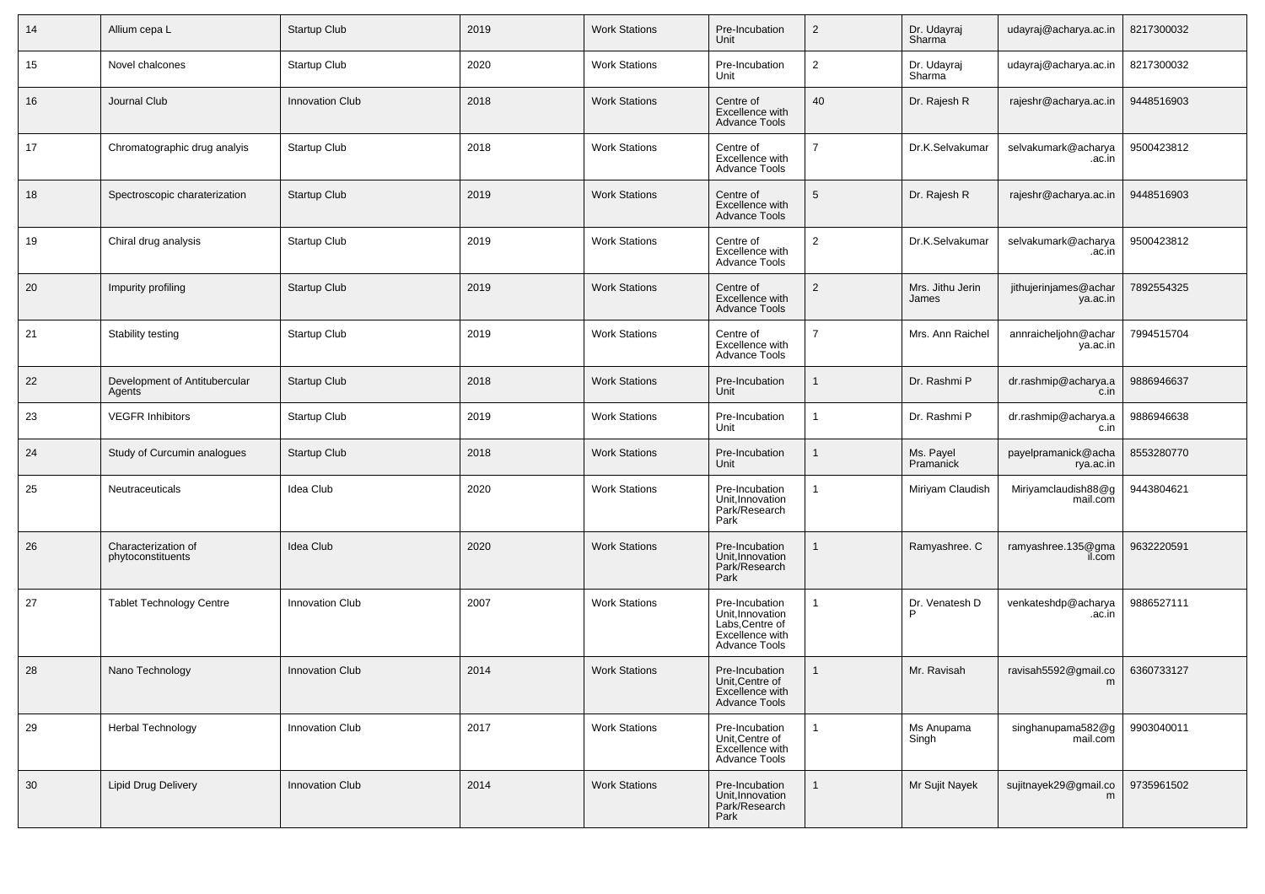| 14     | Allium cepa L                            | Startup Club           | 2019 | <b>Work Stations</b> | Pre-Incubation<br>Unit                                                                    | $\overline{2}$ | Dr. Udayraj<br>Sharma     | udayraj@acharya.ac.in             | 8217300032 |
|--------|------------------------------------------|------------------------|------|----------------------|-------------------------------------------------------------------------------------------|----------------|---------------------------|-----------------------------------|------------|
| 15     | Novel chalcones                          | <b>Startup Club</b>    | 2020 | <b>Work Stations</b> | Pre-Incubation<br>Unit                                                                    | $\overline{2}$ | Dr. Udayraj<br>Sharma     | udayraj@acharya.ac.in             | 8217300032 |
| 16     | Journal Club                             | <b>Innovation Club</b> | 2018 | <b>Work Stations</b> | Centre of<br>Excellence with<br><b>Advance Tools</b>                                      | 40             | Dr. Rajesh R              | rajeshr@acharya.ac.in             | 9448516903 |
| 17     | Chromatographic drug analyis             | Startup Club           | 2018 | <b>Work Stations</b> | Centre of<br>Excellence with<br><b>Advance Tools</b>                                      | $\overline{7}$ | Dr.K.Selvakumar           | selvakumark@acharya<br>.ac.in     | 9500423812 |
| 18     | Spectroscopic charaterization            | Startup Club           | 2019 | <b>Work Stations</b> | Centre of<br>Excellence with<br><b>Advance Tools</b>                                      | 5              | Dr. Rajesh R              | rajeshr@acharya.ac.in             | 9448516903 |
| 19     | Chiral drug analysis                     | Startup Club           | 2019 | <b>Work Stations</b> | Centre of<br>Excellence with<br>Advance Tools                                             | $\overline{2}$ | Dr.K.Selvakumar           | selvakumark@acharya<br>.ac.in     | 9500423812 |
| 20     | Impurity profiling                       | Startup Club           | 2019 | <b>Work Stations</b> | Centre of<br>Excellence with<br><b>Advance Tools</b>                                      | $\overline{2}$ | Mrs. Jithu Jerin<br>James | jithujerinjames@achar<br>ya.ac.in | 7892554325 |
| 21     | Stability testing                        | Startup Club           | 2019 | <b>Work Stations</b> | Centre of<br>Excellence with<br><b>Advance Tools</b>                                      | $\overline{7}$ | Mrs. Ann Raichel          | annraicheljohn@achar<br>ya.ac.in  | 7994515704 |
| 22     | Development of Antitubercular<br>Agents  | <b>Startup Club</b>    | 2018 | <b>Work Stations</b> | Pre-Incubation<br>Unit                                                                    | $\mathbf{1}$   | Dr. Rashmi P              | dr.rashmip@acharya.a<br>c.in      | 9886946637 |
| 23     | <b>VEGFR Inhibitors</b>                  | Startup Club           | 2019 | <b>Work Stations</b> | Pre-Incubation<br>Unit                                                                    | 1              | Dr. Rashmi P              | dr.rashmip@acharya.a<br>c.in      | 9886946638 |
| 24     | Study of Curcumin analogues              | Startup Club           | 2018 | <b>Work Stations</b> | Pre-Incubation<br>Unit                                                                    | 1              | Ms. Payel<br>Pramanick    | payelpramanick@acha<br>rya.ac.in  | 8553280770 |
| 25     | Neutraceuticals                          | Idea Club              | 2020 | <b>Work Stations</b> | Pre-Incubation<br>Unit, Innovation<br>Park/Research<br>Park                               |                | Miriyam Claudish          | Miriyamclaudish88@g<br>mail.com   | 9443804621 |
| 26     | Characterization of<br>phytoconstituents | Idea Club              | 2020 | <b>Work Stations</b> | Pre-Incubation<br>Unit, Innovation<br>Park/Research<br>Park                               |                | Ramyashree. C             | ramyashree.135@gma<br>il.com      | 9632220591 |
| 27     | <b>Tablet Technology Centre</b>          | Innovation Club        | 2007 | <b>Work Stations</b> | Pre-Incubation<br>Unit, Innovation<br>Labs, Centre of<br>Excellence with<br>Advance Tools |                | Dr. Venatesh D            | venkateshdp@acharya<br>.ac.in     | 9886527111 |
| 28     | Nano Technology                          | <b>Innovation Club</b> | 2014 | <b>Work Stations</b> | Pre-Incubation<br>Unit, Centre of<br>Excellence with<br><b>Advance Tools</b>              | 1              | Mr. Ravisah               | ravisah5592@gmail.co<br>m         | 6360733127 |
| 29     | <b>Herbal Technology</b>                 | <b>Innovation Club</b> | 2017 | <b>Work Stations</b> | Pre-Incubation<br>Unit, Centre of<br>Excellence with<br><b>Advance Tools</b>              | $\mathbf{1}$   | Ms Anupama<br>Singh       | singhanupama582@g<br>mail.com     | 9903040011 |
| $30\,$ | <b>Lipid Drug Delivery</b>               | Innovation Club        | 2014 | <b>Work Stations</b> | Pre-Incubation<br>Unit, Innovation<br>Park/Research<br>Park                               | $\mathbf{1}$   | Mr Sujit Nayek            | sujitnayek29@gmail.co<br>m        | 9735961502 |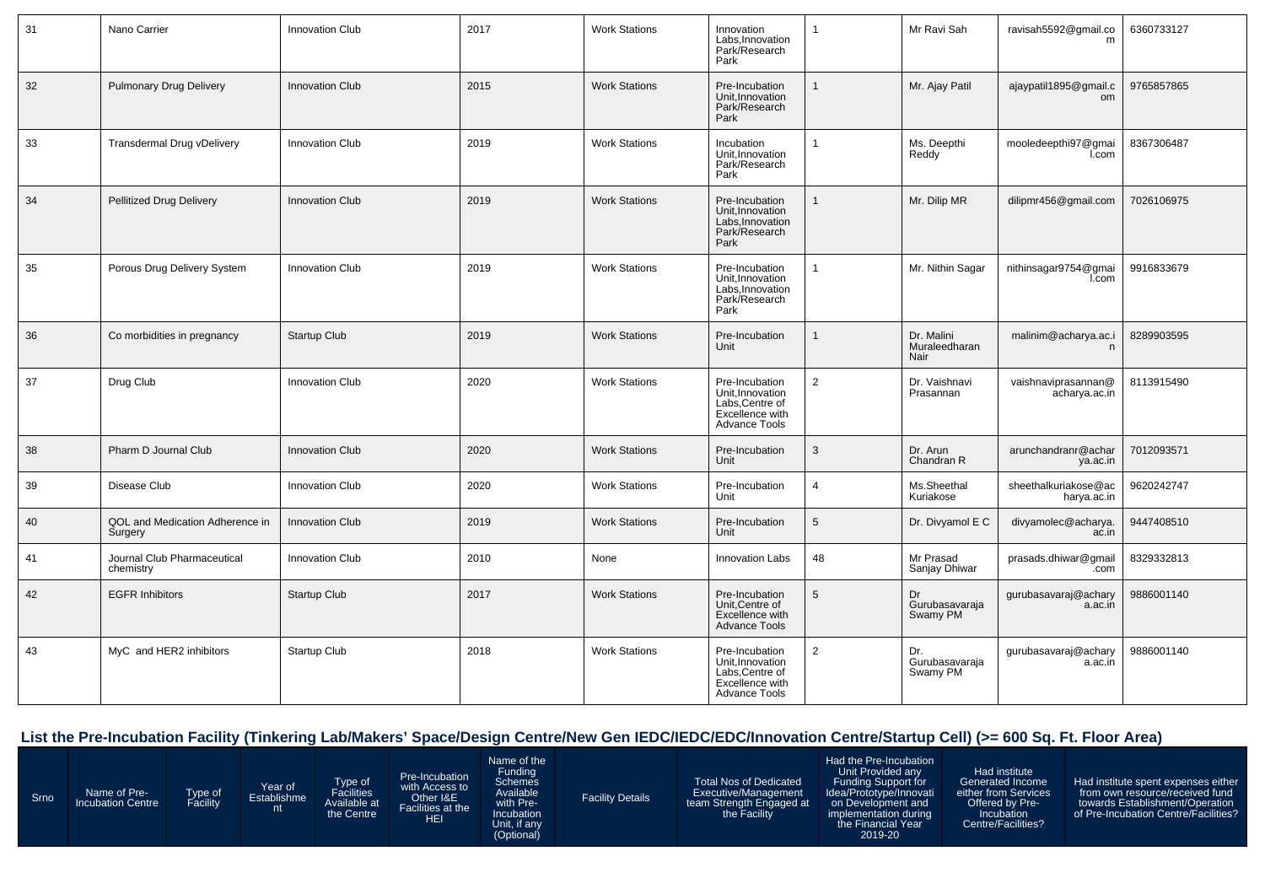| 31 | Nano Carrier                               | Innovation Club        | 2017 | <b>Work Stations</b> | Innovation<br>Labs, Innovation<br>Park/Research<br>Park                                          | -1             | Mr Ravi Sah                         | ravisah5592@gmail.co<br>m            | 6360733127 |
|----|--------------------------------------------|------------------------|------|----------------------|--------------------------------------------------------------------------------------------------|----------------|-------------------------------------|--------------------------------------|------------|
| 32 | <b>Pulmonary Drug Delivery</b>             | <b>Innovation Club</b> | 2015 | <b>Work Stations</b> | Pre-Incubation<br>Unit.Innovation<br>Park/Research<br>Park                                       | 1              | Mr. Ajay Patil                      | ajaypatil1895@gmail.c<br>om          | 9765857865 |
| 33 | <b>Transdermal Drug vDelivery</b>          | Innovation Club        | 2019 | <b>Work Stations</b> | Incubation<br>Unit, Innovation<br>Park/Research<br>Park                                          |                | Ms. Deepthi<br>Reddy                | mooledeepthi97@gmai<br>l.com         | 8367306487 |
| 34 | <b>Pellitized Drug Delivery</b>            | <b>Innovation Club</b> | 2019 | <b>Work Stations</b> | Pre-Incubation<br>Unit, Innovation<br>Labs, Innovation<br>Park/Research<br>Park                  |                | Mr. Dilip MR                        | dilipmr456@gmail.com                 | 7026106975 |
| 35 | Porous Drug Delivery System                | <b>Innovation Club</b> | 2019 | <b>Work Stations</b> | Pre-Incubation<br>Unit, Innovation<br>Labs, Innovation<br>Park/Research<br>Park                  |                | Mr. Nithin Sagar                    | nithinsagar9754@gmai<br>I.com        | 9916833679 |
| 36 | Co morbidities in pregnancy                | Startup Club           | 2019 | <b>Work Stations</b> | Pre-Incubation<br>Unit                                                                           |                | Dr. Malini<br>Muraleedharan<br>Nair | malinim@acharya.ac.i<br>n            | 8289903595 |
| 37 | Drug Club                                  | <b>Innovation Club</b> | 2020 | <b>Work Stations</b> | Pre-Incubation<br>Unit, Innovation<br>Labs, Centre of<br>Excellence with<br><b>Advance Tools</b> | 2              | Dr. Vaishnavi<br>Prasannan          | vaishnaviprasannan@<br>acharya.ac.in | 8113915490 |
| 38 | Pharm D Journal Club                       | <b>Innovation Club</b> | 2020 | <b>Work Stations</b> | Pre-Incubation<br>Unit                                                                           | 3              | Dr. Arun<br>Chandran R              | arunchandranr@achar<br>ya.ac.in      | 7012093571 |
| 39 | Disease Club                               | <b>Innovation Club</b> | 2020 | <b>Work Stations</b> | Pre-Incubation<br>Unit                                                                           | $\overline{4}$ | Ms.Sheethal<br>Kuriakose            | sheethalkuriakose@ac<br>harya.ac.in  | 9620242747 |
| 40 | QOL and Medication Adherence in<br>Surgery | <b>Innovation Club</b> | 2019 | <b>Work Stations</b> | Pre-Incubation<br>Unit                                                                           | 5              | Dr. Divyamol E C                    | divyamolec@acharya.<br>ac.in         | 9447408510 |
| 41 | Journal Club Pharmaceutical<br>chemistry   | Innovation Club        | 2010 | None                 | <b>Innovation Labs</b>                                                                           | 48             | Mr Prasad<br>Sanjay Dhiwar          | prasads.dhiwar@gmail<br>.com         | 8329332813 |
| 42 | <b>EGFR Inhibitors</b>                     | <b>Startup Club</b>    | 2017 | <b>Work Stations</b> | Pre-Incubation<br>Unit, Centre of<br>Excellence with<br><b>Advance Tools</b>                     | 5              | Dr<br>Gurubasavaraja<br>Swamy PM    | gurubasavaraj@achary<br>a.ac.in      | 9886001140 |
| 43 | MyC and HER2 inhibitors                    | Startup Club           | 2018 | <b>Work Stations</b> | Pre-Incubation<br>Unit, Innovation<br>Labs.Centre of<br>Excellence with<br>Advance Tools         | 2              | Dr.<br>Gurubasavaraja<br>Swamy PM   | gurubasavaraj@achary<br>a.ac.in      | 9886001140 |

# **List the Pre-Incubation Facility (Tinkering Lab/Makers' Space/Design Centre/New Gen IEDC/IEDC/EDC/Innovation Centre/Startup Cell) (>= 600 Sq. Ft. Floor Area)**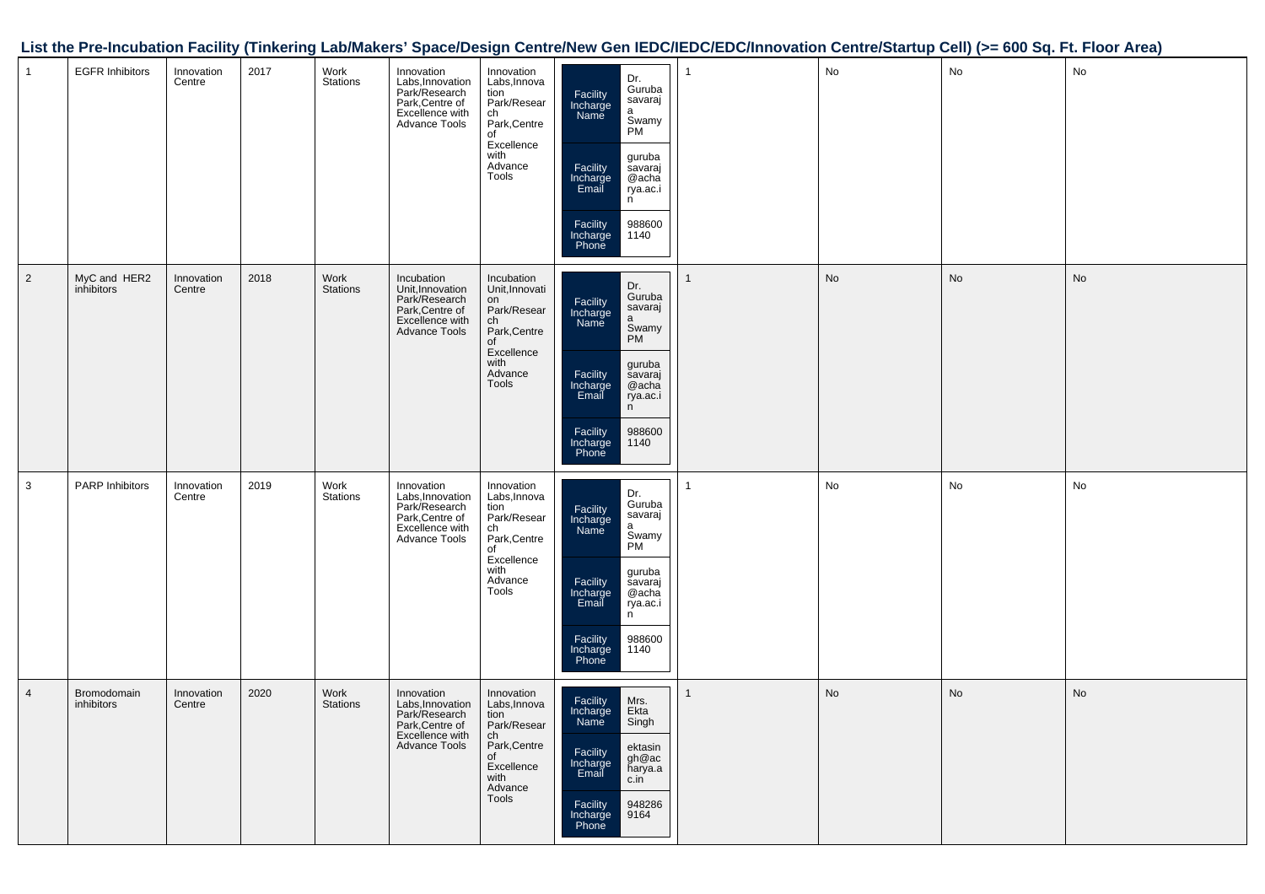|                |                            |                      |      |                  |                                                                                                               |                                                                                                                         |                                                                                                                                                                                                                 | List the Pre-Incubation Facility (Tinkering Lab/Makers' Space/Design Centre/New Gen IEDC/IEDC/EDC/Innovation Centre/Startup Cell) (>= 600 Sq. Ft. Floor Area) |               |           |               |
|----------------|----------------------------|----------------------|------|------------------|---------------------------------------------------------------------------------------------------------------|-------------------------------------------------------------------------------------------------------------------------|-----------------------------------------------------------------------------------------------------------------------------------------------------------------------------------------------------------------|---------------------------------------------------------------------------------------------------------------------------------------------------------------|---------------|-----------|---------------|
|                | <b>EGFR Inhibitors</b>     | Innovation<br>Centre | 2017 | Work<br>Stations | Innovation<br>Labs, Innovation<br>Park/Research<br>Park, Centre of<br>Excellence with<br>Advance Tools        | Innovation<br>Labs, Innova<br>tion<br>Park/Resear<br>ch<br>Park,Centre<br>of<br>Excellence<br>with<br>Advance<br>Tools  | Dr.<br>Guruba<br>Facility<br>Incharge<br>Name<br>savaraj<br>a<br>Swamy<br>PM<br>guruba<br>savaraj<br>@acha<br>Facility<br>Incharge<br>Email<br>rya.ac.i<br>n<br>988600<br>Facility<br>Incharge<br>Phone<br>1140 |                                                                                                                                                               | No            | <b>No</b> | No            |
| $\overline{2}$ | MyC and HER2<br>inhibitors | Innovation<br>Centre | 2018 | Work<br>Stations | Incubation<br>Unit,Innovation<br>Park/Research<br>Park,Centre of<br>Excellence with<br>Advance Tools          | Incubation<br>Unit, Innovati<br>on<br>Park/Resear<br>ch<br>Park,Centre<br>of<br>Excellence<br>with<br>Advance<br>Tools  | Dr.<br>Guruba<br>Facility<br>Incharge<br>Name<br>savaraj<br>a<br>Swamy<br>PM<br>guruba<br>savaraj<br>@acha<br>Facility<br>Incharge<br>Email<br>rya.ac.i<br>n<br>988600<br>Facility<br>Incharge<br>Phone<br>1140 |                                                                                                                                                               | $\mathsf{No}$ | No        | $\mathsf{No}$ |
| $\mathbf{3}$   | <b>PARP Inhibitors</b>     | Innovation<br>Centre | 2019 | Work<br>Stations | Innovation<br>Labs, Innovation<br>Park/Research<br>Park, Centre of<br>Excellence with<br>Advance Tools        | Innovation<br>Labs, Innova<br>tion<br>Park/Resear<br>ch<br>Park,Centre<br>of<br>Excellence<br>with<br>Advance<br>Tools  | Dr.<br>Guruba<br>savaraj<br>Facility<br>Incharge<br>Name<br>a<br>Swamy<br>PM<br>guruba<br>savaraj<br>@acha<br>Facility<br>Incharge<br>Email<br>rya.ac.i<br>n<br>988600<br>Facility<br>Incharge<br>Phone<br>1140 |                                                                                                                                                               | $\mathsf{No}$ | No        | No            |
| $\overline{4}$ | Bromodomain<br>inhibitors  | Innovation<br>Centre | 2020 | Work<br>Stations | Innovation<br>Labs, Innovation<br>Park/Research<br>Park, Centre of<br>Excellence with<br><b>Advance Tools</b> | Innovation<br>Labs, Innova<br>tion<br>Park/Resear<br>ch<br>Park, Centre<br>of<br>Excellence<br>with<br>Advance<br>Tools | Facility<br>Incharge<br>Mrs.<br>Ekta<br>Singh<br>Name<br>ektasin<br>Facility<br>gh@ac<br>harya.a<br>Incharge<br>Email<br>c.in<br><b>Facility</b><br>948286<br>9164<br>Incharge<br>Phone                         |                                                                                                                                                               | $\mathsf{No}$ | No        | $\mathsf{No}$ |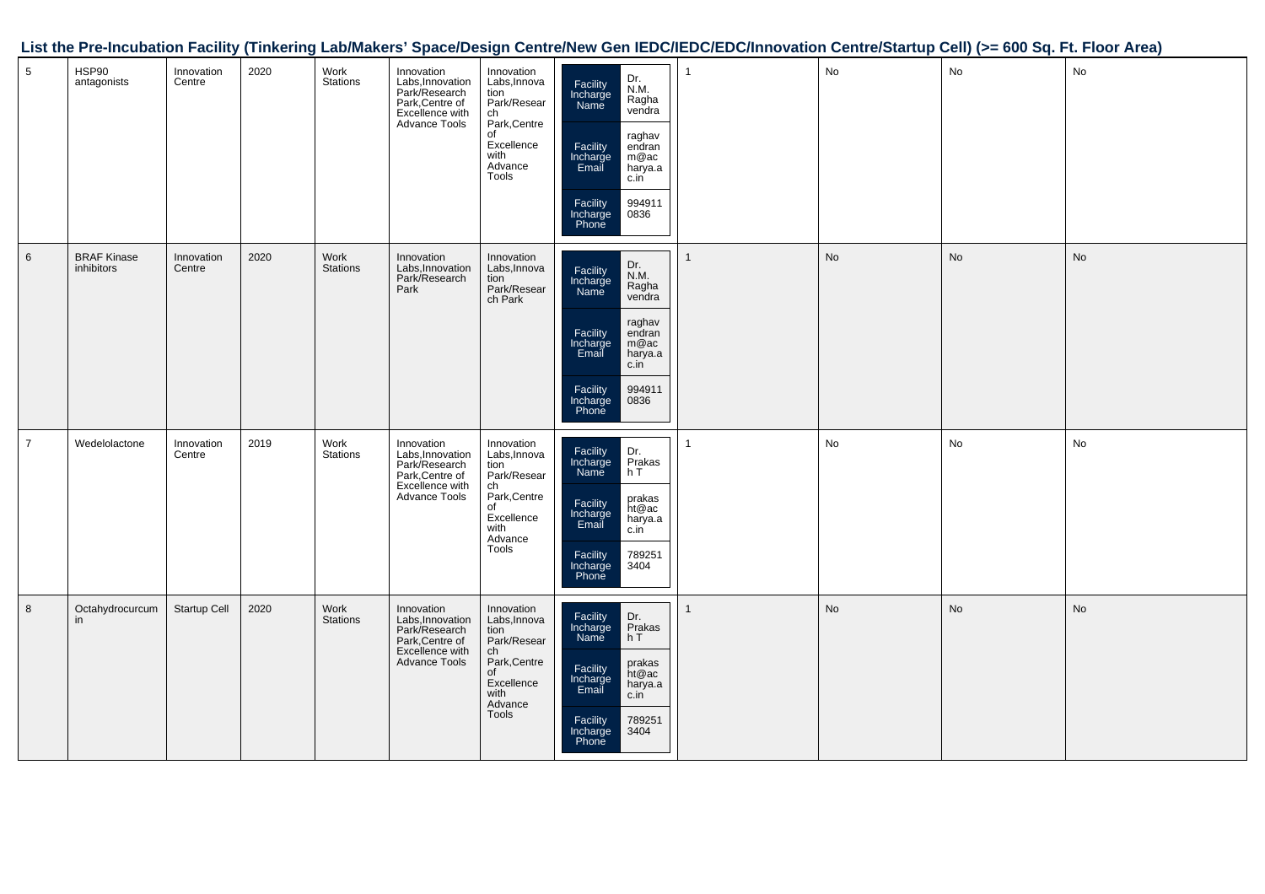|                  |                                  |                      |      |                  |                                                                                                               |                                                                                                                        |                                                                                                                                                                                                   | List the Pre-Incubation Facility (Tinkering Lab/Makers' Space/Design Centre/New Gen IEDC/IEDC/EDC/Innovation Centre/Startup Cell) (>= 600 Sq. Ft. Floor Area) |    |               |    |
|------------------|----------------------------------|----------------------|------|------------------|---------------------------------------------------------------------------------------------------------------|------------------------------------------------------------------------------------------------------------------------|---------------------------------------------------------------------------------------------------------------------------------------------------------------------------------------------------|---------------------------------------------------------------------------------------------------------------------------------------------------------------|----|---------------|----|
| $5\phantom{.0}$  | HSP90<br>antagonists             | Innovation<br>Centre | 2020 | Work<br>Stations | Innovation<br>Labs, Innovation<br>Park/Research<br>Park, Centre of<br>Excellence with<br>Advance Tools        | Innovation<br>Labs, Innova<br>tion<br>Park/Resear<br>ch<br>Park,Centre<br>of<br>Excellence<br>with<br>Advance<br>Tools | Dr.<br>N.M.<br>Facility<br>Incharge<br>Name<br>Ragha<br>vendra<br>raghav<br>endran<br>m@ac<br>harya.a<br>Facility<br>Incharge<br>Email<br>c.in<br>Facility<br>994911<br>0836<br>Incharge<br>Phone |                                                                                                                                                               | No | <b>No</b>     | No |
| $6\phantom{1}6$  | <b>BRAF Kinase</b><br>inhibitors | Innovation<br>Centre | 2020 | Work<br>Stations | Innovation<br>Labs, Innovation<br>Park/Research<br>Park                                                       | Innovation<br>Labs, Innova<br>rass, missear<br>tion<br>Park/Resear<br>ch Park                                          | Dr.<br>N.M.<br>Ragha<br>vendra<br>Facility<br>Incharge<br>Name<br>raghav<br>endran<br>Facility<br>Incharge<br>Email<br>m@ac<br>harya.a<br>c.in<br>994911<br>0836<br>Facility<br>Incharge<br>Phone |                                                                                                                                                               | No | <b>No</b>     | No |
| $\overline{7}$   | Wedelolactone                    | Innovation<br>Centre | 2019 | Work<br>Stations | Innovation<br>Labs, Innovation<br>Park/Research<br>Park, Centre of<br>Excellence with<br>Advance Tools        | Innovation<br>Labs, Innova<br>tion<br>Park/Resear<br>ch<br>Park,Centre<br>of<br>Excellence<br>with<br>Advance<br>Tools | Dr.<br>Prakas<br>Facility<br>Incharge<br>Name<br>hT<br>prakas<br>ht@ac<br>Facility<br>Incharge<br>Email<br>harya.a<br>c.in<br>789251<br>Facility<br>Incharge<br>Phone<br>3404                     |                                                                                                                                                               | No | No            | No |
| $\boldsymbol{8}$ | Octahydrocurcum<br>in            | Startup Cell         | 2020 | Work<br>Stations | Innovation<br><b>Labs, Innovation</b><br>Park/Research<br>Park, Centre of<br>Excellence with<br>Advance Tools | Innovation<br>Labs, Innova<br>tion<br>Park/Resear<br>ch<br>Park,Centre<br>of<br>Excellence<br>with<br>Advance<br>Tools | Facility<br>Incharge<br>Dr.<br>Pr <u>a</u> kas<br>hT<br>Name<br>prakas<br>ht@ac<br>Facility<br>Incharge<br>Email<br>harya.a<br>c.in<br>Facility<br>Incharge<br>Phone<br>789251<br>3404            |                                                                                                                                                               | No | $\mathsf{No}$ | No |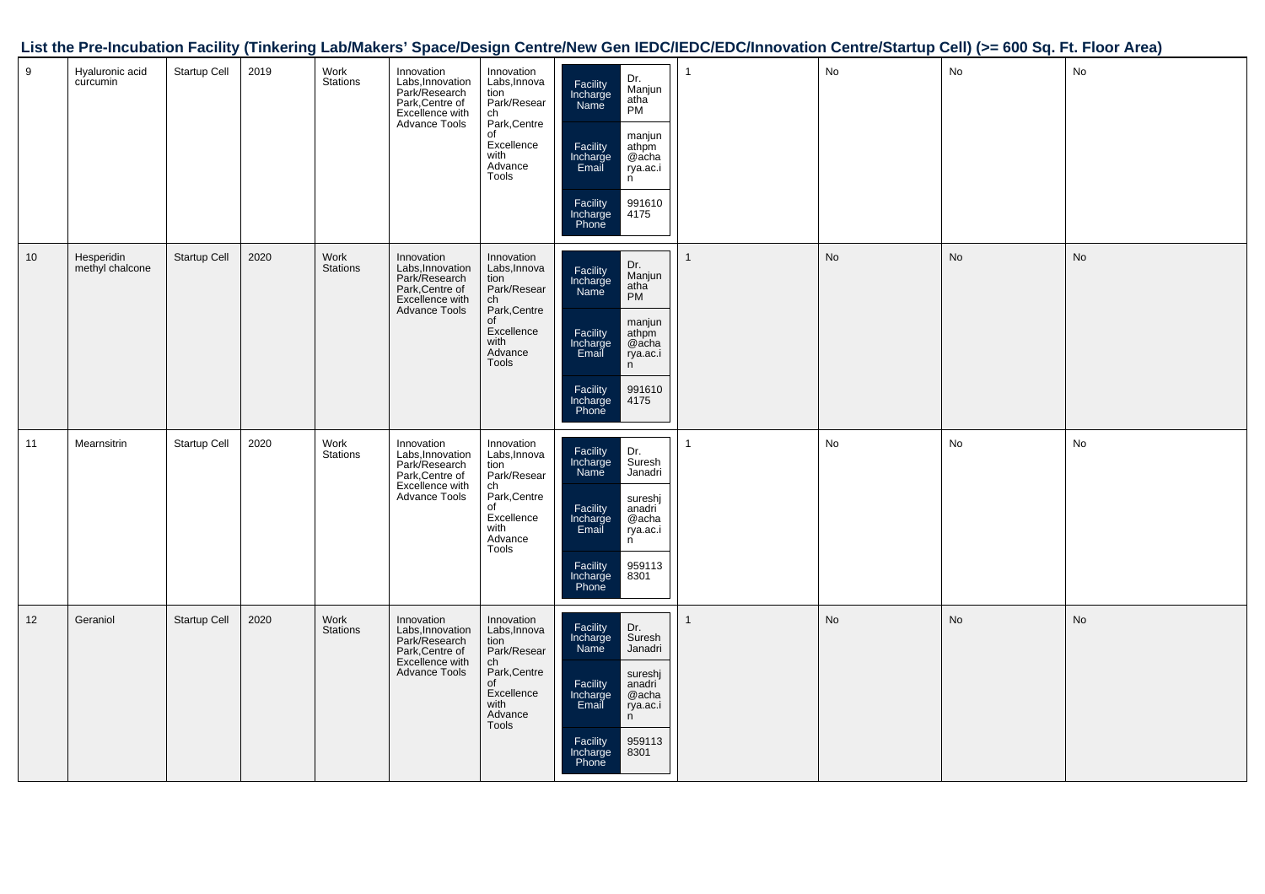|                 |                               |              |      |                         |                                                                                                        |                                                                                                                                |                                                                                                                                                                                                     | List the Pre-incubation Facility (Tinkering Lab/Makers' Space/Design Centre/New Gen IEDC/IEDC/IEDC/Innovation Centre/Startup Cell) (>= 600 Sq. Ft. Floor Area) |    |    |               |
|-----------------|-------------------------------|--------------|------|-------------------------|--------------------------------------------------------------------------------------------------------|--------------------------------------------------------------------------------------------------------------------------------|-----------------------------------------------------------------------------------------------------------------------------------------------------------------------------------------------------|----------------------------------------------------------------------------------------------------------------------------------------------------------------|----|----|---------------|
| $9\,$           | Hyaluronic acid<br>curcumin   | Startup Cell | 2019 | Work<br>Stations        | Innovation<br>Labs, Innovation<br>Park/Research<br>Park, Centre of<br>Excellence with<br>Advance Tools | Innovation<br>Labs, Innova<br>tion<br>Park/Resear<br>ch<br>Park, Centre<br>of<br>Excellence<br>with<br>Advance<br>Tools        | Dr.<br>Manjun<br>Facility<br>Incharge<br>Name<br>atha<br><b>PM</b><br>manjun<br>athpm<br>@acha<br>Facility<br>Incharge<br>Email<br>rya.ac.i<br>n<br>Facility<br>Incharge<br>Phone<br>991610<br>4175 | $\mathbf{1}$                                                                                                                                                   | No | No | <b>No</b>     |
| 10 <sup>°</sup> | Hesperidin<br>methyl chalcone | Startup Cell | 2020 | Work<br><b>Stations</b> | Innovation<br>Labs, Innovation<br>Park/Research<br>Park, Centre of<br>Excellence with<br>Advance Tools | Innovation<br>Labs, Innova<br>tion<br>Park/Resear<br>ch<br>Park,Centre<br>of<br>Excellence<br>with<br>Advance<br>Tools         | Dr.<br>Manjun<br>Facility<br>Incharge<br>atha<br>Name<br>manjun<br>athpm<br>Facility<br>Incharge<br>@acha<br>Email<br>rya.ac.i<br>n<br>Facility<br>Incharge<br>991610<br>4175<br>Phone              |                                                                                                                                                                | No | No | $\mathsf{No}$ |
| 11              | Mearnsitrin                   | Startup Cell | 2020 | Work<br><b>Stations</b> | Innovation<br>Labs, Innovation<br>Park/Research<br>Park, Centre of<br>Excellence with<br>Advance Tools | Innovation<br>Labs, Innova<br>tion<br>Park/Resear<br>ch<br>Park, Centre<br>$\circ f$<br>Excellence<br>with<br>Advance<br>Tools | Facility<br>Incharge<br>Name<br>Dr.<br>Suresh<br>Janadri<br>sureshj<br>Facility<br>Incharge<br>anadri<br>@acha<br>Email<br>rya.ac.i<br>n<br>Facility<br>959113<br>Incharge<br>Phone<br>8301         |                                                                                                                                                                | No | No | <b>No</b>     |
| 12              | Geraniol                      | Startup Cell | 2020 | Work<br><b>Stations</b> | Innovation<br>Labs, Innovation<br>Park/Research<br>Park, Centre of<br>Excellence with<br>Advance Tools | Innovation<br>Labs, Innova<br>tion<br>Park/Resear<br>ch<br>Park,Centre<br>of<br>Excellence<br>with<br>Advance<br>Tools         | Facility<br>Incharge<br>Dr.<br>Suresh<br>Name<br>Janadri<br>sureshj<br>Facility<br>anadri<br>Incharge<br>@acha<br>Email<br>rya.ac.i<br>n<br>959113<br>Facility<br>8301<br>Incharge<br>Phone         | 1                                                                                                                                                              | No | No | <b>No</b>     |

## **List the Pre-Incubation Facility (Tinkering Lab/Makers' Space/Design Centre/New Gen IEDC/IEDC/EDC/Innovation Centre/Startup Cell) (>= 600 Sq. Ft. Floor Area)**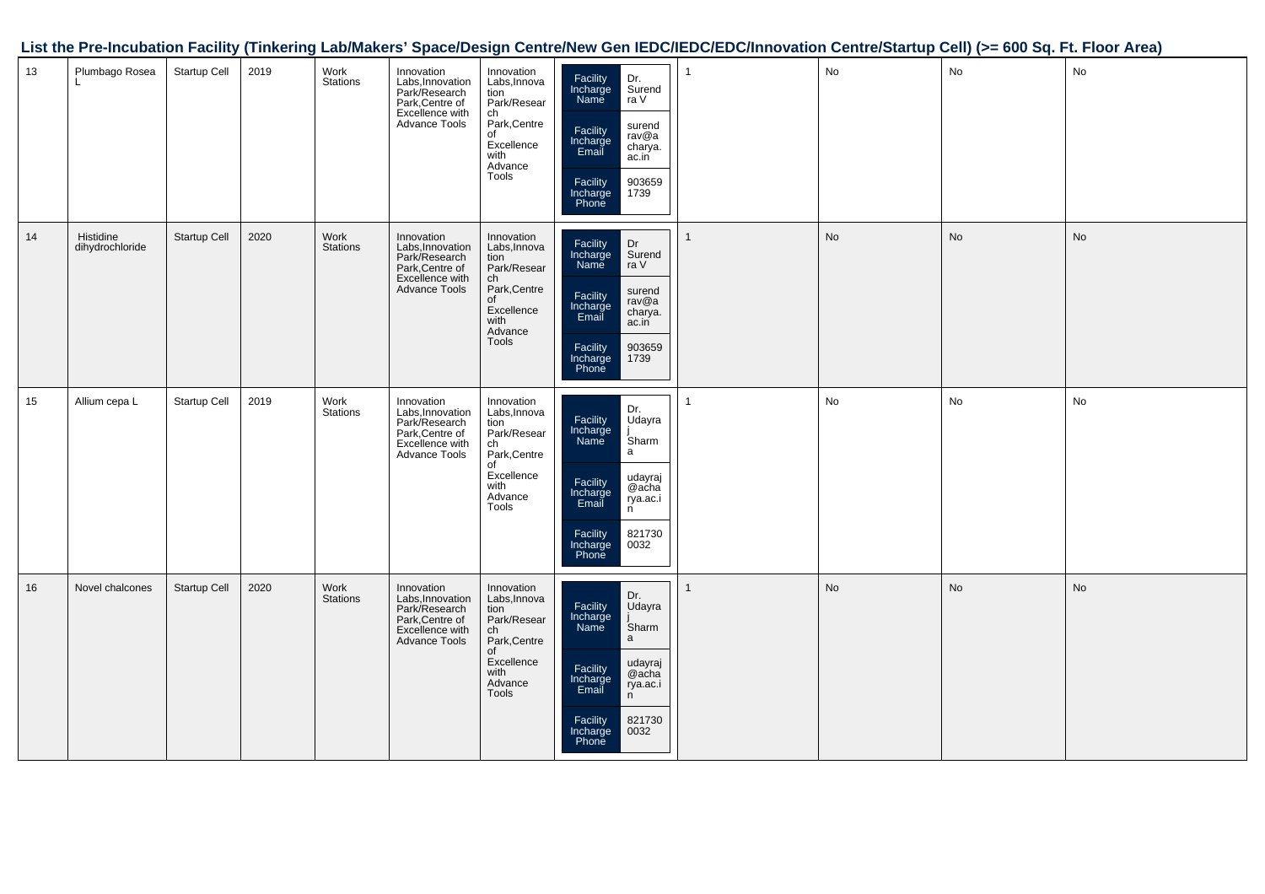|    |                              |              |      |                  |                                                                                                        |                                                                                                                                       |                                                                                                                                                                                      | List the Pre-Incubation Facility (Tinkering Lab/Makers' Space/Design Centre/New Gen IEDC/IEDC/EDC/Innovation Centre/Startup Cell) (>= 600 Sq. Ft. Floor Area) |               |               |    |
|----|------------------------------|--------------|------|------------------|--------------------------------------------------------------------------------------------------------|---------------------------------------------------------------------------------------------------------------------------------------|--------------------------------------------------------------------------------------------------------------------------------------------------------------------------------------|---------------------------------------------------------------------------------------------------------------------------------------------------------------|---------------|---------------|----|
| 13 | Plumbago Rosea<br>L.         | Startup Cell | 2019 | Work<br>Stations | Innovation<br>Labs, Innovation<br>Park/Research<br>Park, Centre of<br>Excellence with<br>Advance Tools | Innovation<br>Labs, Innova<br>Ediss, information<br>Park/Resear<br>Ch<br>Park, Centre<br>of<br>Excellence<br>with<br>Advance<br>Tools | Facility<br>Incharge<br>Name<br>Dr.<br>Surend<br>ra V<br>surend<br>rav@a<br>Facility<br>Incharge<br>Email<br>charya.<br>ac.in<br>903659<br>Facility<br>Incharge<br>Phone<br>1739     |                                                                                                                                                               | No            | No            | No |
| 14 | Histidine<br>dihydrochloride | Startup Cell | 2020 | Work<br>Stations | Innovation<br>Labs, Innovation<br>Park/Research<br>Park, Centre of<br>Excellence with<br>Advance Tools | Innovation<br>Labs, Innova<br>tion<br>Park/Resear<br>ch<br>Park, Centre<br>of<br>Excellence<br>with<br>Advance<br>Tools               | Dr<br>Facility<br>Incharge<br>Name<br>Surend<br>ra V<br>surend<br>Facility<br>Incharge<br>Email<br>rav@a<br>charya.<br>ac.in<br>Facility<br>903659<br>Incharge<br>Phone<br>1739      |                                                                                                                                                               | No            | $\mathsf{No}$ | No |
| 15 | Allium cepa L                | Startup Cell | 2019 | Work<br>Stations | Innovation<br>Labs, Innovation<br>Park/Research<br>Park, Centre of<br>Excellence with<br>Advance Tools | Innovation<br>Labs, Innova<br>tion<br>Park/Resear<br>ch<br>Park,Centre<br>of<br>Excellence<br>with<br>Advance<br>Tools                | Dr.<br>Udayra<br>Facility<br>Incharge<br>Name<br>Sharm<br>a<br>udayraj<br>@acha<br>Facility<br>Incharge<br>Email<br>rya.ac.i<br>n<br>Facility<br>Incharge<br>Phone<br>821730<br>0032 | $\mathbf{1}$                                                                                                                                                  | ${\sf No}$    | No            | No |
| 16 | Novel chalcones              | Startup Cell | 2020 | Work<br>Stations | Innovation<br>Labs, Innovation<br>Park/Research<br>Park, Centre of<br>Excellence with<br>Advance Tools | Innovation<br>Labs, Innova<br>tion<br>Park/Resear<br>ch<br>Park,Centre<br>of<br>Excellence<br>with<br>Advance<br>Tools                | Dr.<br>Udayra<br>Facility<br>Incharge<br>Name<br>Sharm<br>a<br>udayraj<br>@acha<br>Facility<br>Incharge<br>Email<br>rya.ac.i<br>n<br>821730<br>0032<br>Facility<br>Incharge<br>Phone |                                                                                                                                                               | $\mathsf{No}$ | <b>No</b>     | No |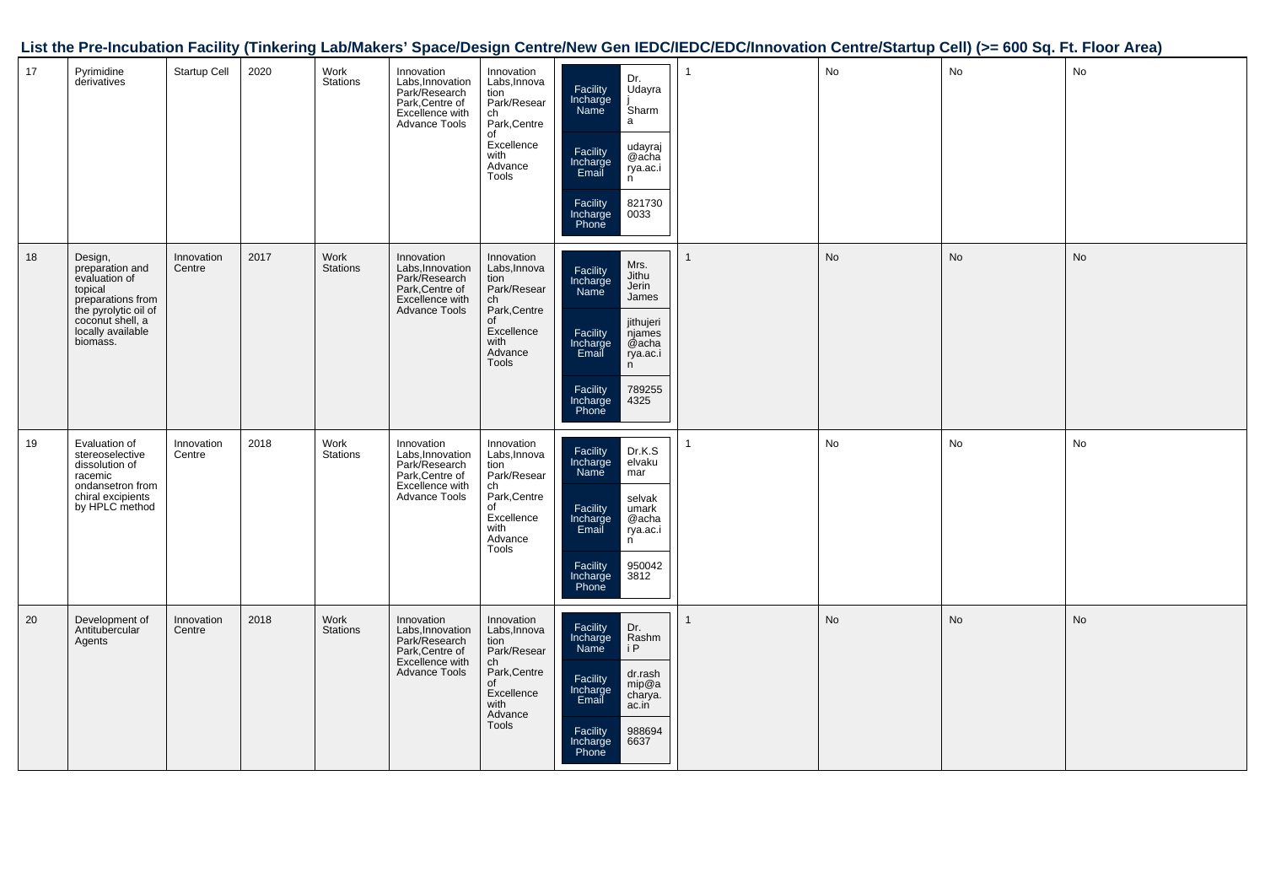|  |  |  |  |  |  | List the Pre-Incubation Facility (Tinkering Lab/Makers' Space/Design Centre/New Gen IEDC/IEDC/EDC/Innovation Centre/Startup Cell) (>= 600 Sq. Ft. Floor Area) |  |  |  |  |  |
|--|--|--|--|--|--|---------------------------------------------------------------------------------------------------------------------------------------------------------------|--|--|--|--|--|
|--|--|--|--|--|--|---------------------------------------------------------------------------------------------------------------------------------------------------------------|--|--|--|--|--|

| 17 | Pyrimidine<br>derivatives                                                                                                                                | Startup Cell         | 2020 | Work<br><b>Stations</b> | Innovation<br>Labs, Innovation<br>Park/Research<br>Park, Centre of<br>Excellence with<br>Advance Tools        | Innovation<br>Labs, Innova<br>tion<br>Park/Resear<br>ch<br>Park, Centre<br>of<br>Excellence<br>with<br>Advance<br>Tools | Dr.<br>Facility<br>Incharge<br>Udayra<br>Name<br>Sharm<br>a<br>udayraj<br>Facility<br>@acha<br>Incharge<br>Email<br>rya.ac.i<br>n<br>Facility<br>821730<br>0033<br>Incharge<br>Phone                 | No        | No        | No        |
|----|----------------------------------------------------------------------------------------------------------------------------------------------------------|----------------------|------|-------------------------|---------------------------------------------------------------------------------------------------------------|-------------------------------------------------------------------------------------------------------------------------|------------------------------------------------------------------------------------------------------------------------------------------------------------------------------------------------------|-----------|-----------|-----------|
| 18 | Design,<br>preparation and<br>evaluation of<br>topical<br>preparations from<br>the pyrolytic oil of<br>coconut shell, a<br>locally available<br>biomass. | Innovation<br>Centre | 2017 | Work<br><b>Stations</b> | Innovation<br>Labs, Innovation<br>Park/Research<br>Park, Centre of<br>Excellence with<br><b>Advance Tools</b> | Innovation<br>Labs, Innova<br>tion<br>Park/Resear<br>ch<br>Park, Centre<br>of<br>Excellence<br>with<br>Advance<br>Tools | Mrs.<br>Facility<br>Incharge<br>Jithu<br>Jerin<br>Name<br>James<br>jithujeri<br>Facility<br>njames<br>@acha<br>Incharge<br>Email<br>rya.ac.i<br>n<br>789255<br>Facility<br>Incharge<br>4325<br>Phone | <b>No</b> | <b>No</b> | <b>No</b> |
| 19 | Evaluation of<br>stereoselective<br>dissolution of<br>racemic<br>ondansetron from<br>chiral excipients<br>by HPLC method                                 | Innovation<br>Centre | 2018 | Work<br><b>Stations</b> | Innovation<br>Labs, Innovation<br>Park/Research<br>Park, Centre of<br>Excellence with<br><b>Advance Tools</b> | Innovation<br>Labs, Innova<br>tion<br>Park/Resear<br>ch<br>Park, Centre<br>of<br>Excellence<br>with<br>Advance<br>Tools | Facility<br>Dr.K.S<br>Incharge<br>elvaku<br>Name<br>mar<br>selvak<br>Facility<br>Incharge<br>umark<br>@acha<br>Email<br>rya.ac.i<br>n<br>950042<br>Facility<br>Incharge<br>Phone<br>3812             | No        | No        | No        |
| 20 | Development of<br>Antitubercular<br>Agents                                                                                                               | Innovation<br>Centre | 2018 | Work<br><b>Stations</b> | Innovation<br>Labs, Innovation<br>Park/Research<br>Park, Centre of<br>Excellence with<br><b>Advance Tools</b> | Innovation<br>Labs, Innova<br>tion<br>Park/Resear<br>ch<br>Park, Centre<br>of<br>Excellence<br>with<br>Advance<br>Tools | Facility<br>Dr.<br>Incharge<br>Rashm<br>i P<br><b>Name</b><br>dr.rash<br>Facility<br>mip@a<br>Incharge<br>Email<br>charya.<br>ac.in<br>Facility<br>988694<br>6637<br>Incharge<br>Phone               | <b>No</b> | <b>No</b> | <b>No</b> |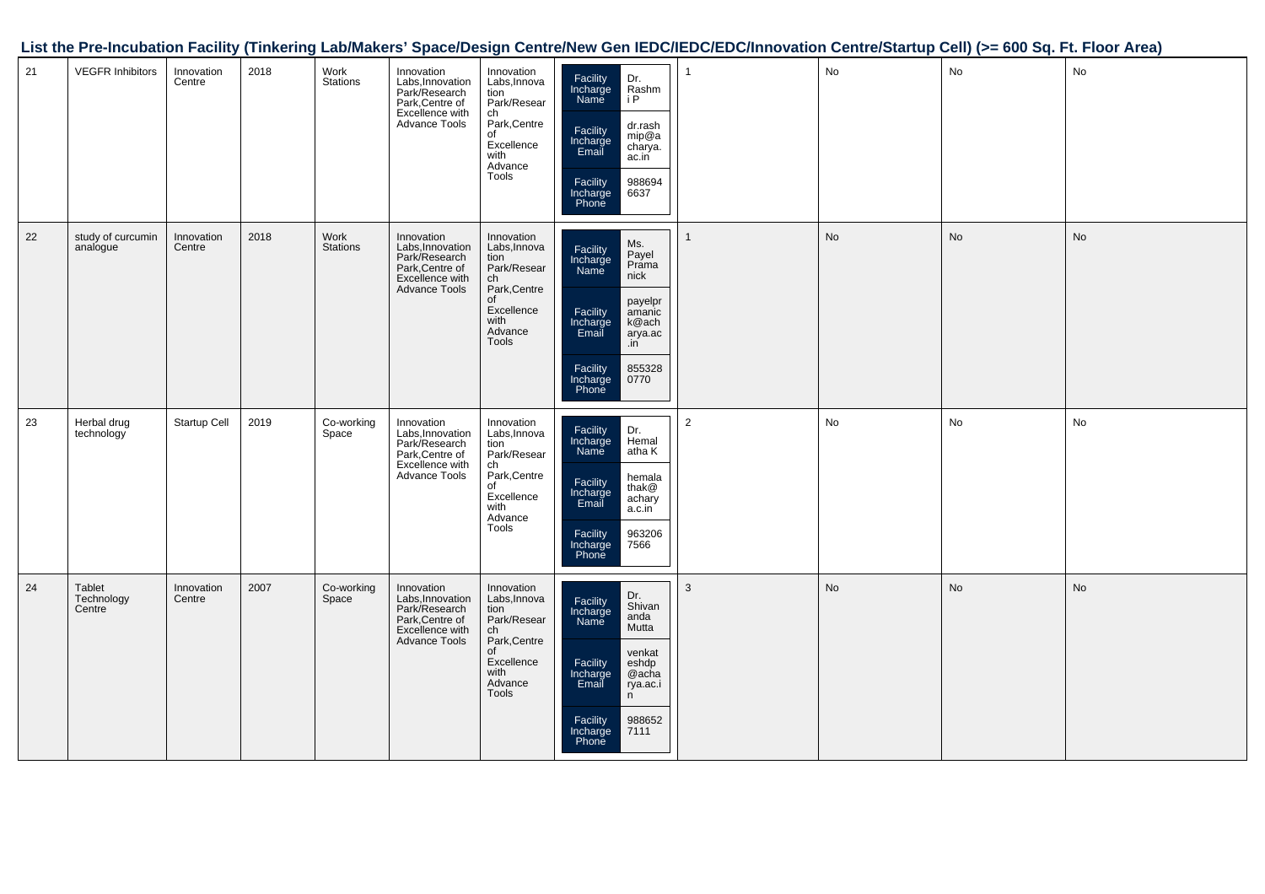|    |                                |                      |      |                     |                                                                                                        |                                                                                                                                       |                                                                                                                                                                                                   | List the Pre-Incubation Facility (Tinkering Lab/Makers' Space/Design Centre/New Gen IEDC/IEDC/EDC/Innovation Centre/Startup Cell) (>= 600 Sq. Ft. Floor Area) |    |           |               |
|----|--------------------------------|----------------------|------|---------------------|--------------------------------------------------------------------------------------------------------|---------------------------------------------------------------------------------------------------------------------------------------|---------------------------------------------------------------------------------------------------------------------------------------------------------------------------------------------------|---------------------------------------------------------------------------------------------------------------------------------------------------------------|----|-----------|---------------|
| 21 | <b>VEGFR Inhibitors</b>        | Innovation<br>Centre | 2018 | Work<br>Stations    | Innovation<br>Labs, Innovation<br>Park/Research<br>Park, Centre of<br>Excellence with<br>Advance Tools | Innovation<br>Labs, Innova<br>Ediss, information<br>Park/Resear<br>Ch<br>Park, Centre<br>of<br>Excellence<br>with<br>Advance<br>Tools | Facility<br>Incharge<br>Name<br>Dr.<br>Rashm<br>i P<br>dr.rash<br>mip@a<br>Facility<br>Incharge<br>Email<br>charya.<br>ac.in<br>988694<br>Facility<br>Incharge<br>Phone<br>6637                   |                                                                                                                                                               | No | <b>No</b> | No            |
| 22 | study of curcumin<br>analogue  | Innovation<br>Centre | 2018 | Work<br>Stations    | Innovation<br>Labs, Innovation<br>Park/Research<br>Park, Centre of<br>Excellence with<br>Advance Tools | Innovation<br>Labs, Innova<br>tion<br>Park/Resear<br>ch<br>Park,Centre<br>of<br>Excellence<br>with<br>Advance<br>Tools                | Ms.<br>Payel<br>Prama<br>nick<br>Facility<br>Incharge<br>Name<br>payelpr<br>amanic<br>Facility<br>Incharge<br>Email<br>k@ach<br>arya.ac<br>.in<br>855328<br>Facility<br>Incharge<br>Phone<br>0770 |                                                                                                                                                               | No | <b>No</b> | No            |
| 23 | Herbal drug<br>technology      | Startup Cell         | 2019 | Co-working<br>Space | Innovation<br>Labs, Innovation<br>Park/Research<br>Park, Centre of<br>Excellence with<br>Advance Tools | Innovation<br>Labs, Innova<br>tion<br>Park/Resear<br>ch<br>Park,Centre<br>of<br>Excellence<br>with<br>n<br>Advance<br>Tools           | Dr.<br>Hemal<br>Facility<br>Incharge<br>Name<br>atha K<br>hemala<br>thak@<br>Facility<br>Incharge<br>Email<br>achary<br>a.c.in<br>Facility<br>Incharge<br>Phone<br>963206<br>7566                 | $\overline{2}$                                                                                                                                                | No | No        | $\mathsf{No}$ |
| 24 | Tablet<br>Technology<br>Centre | Innovation<br>Centre | 2007 | Co-working<br>Space | Innovation<br>Labs, Innovation<br>Park/Research<br>Park, Centre of<br>Excellence with<br>Advance Tools | Innovation<br>Labs, Innova<br>tion<br>Park/Resear<br>ch<br>Park,Centre<br>of<br>Excellence<br>with<br>Advance<br>Tools                | Dr.<br>Shivan<br>Facility<br>Incharge<br>Name<br>anda<br>Mutta<br>venkat<br>Facility<br>eshdp<br>@acha<br>Incharge<br>Email<br>rya.ac.i<br>n<br>988652<br>7111<br>Facility<br>Incharge<br>Phone   | 3                                                                                                                                                             | No | No        | No            |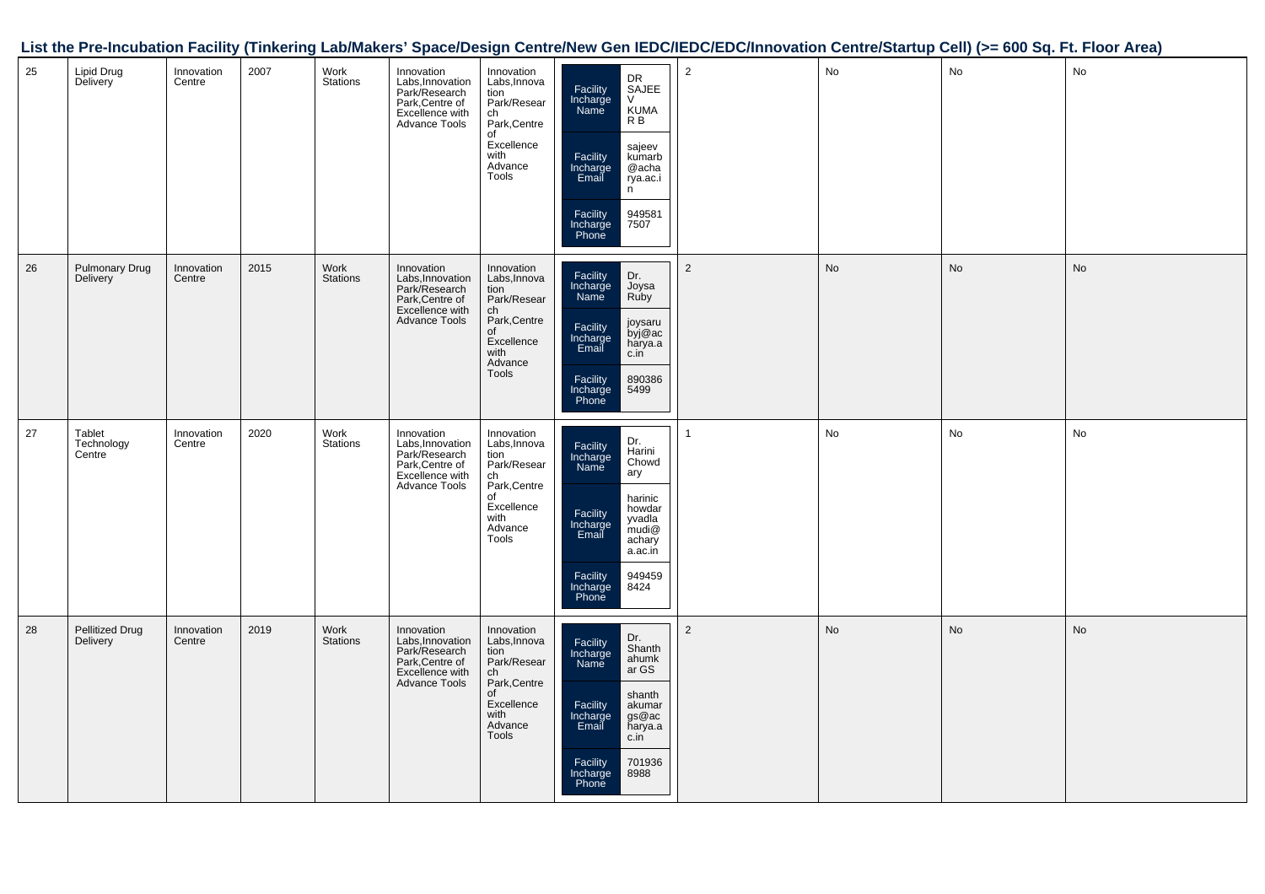|    |                                |                      |      |                  |                                                                                                        |                                                                                                                                      |                                                                                                                                                                                                                                   | List the Pre-Incubation Facility (Tinkering Lab/Makers' Space/Design Centre/New Gen IEDC/IEDC/EDC/Innovation Centre/Startup Cell) (>= 600 Sq. Ft. Floor Area) |    |           |           |
|----|--------------------------------|----------------------|------|------------------|--------------------------------------------------------------------------------------------------------|--------------------------------------------------------------------------------------------------------------------------------------|-----------------------------------------------------------------------------------------------------------------------------------------------------------------------------------------------------------------------------------|---------------------------------------------------------------------------------------------------------------------------------------------------------------|----|-----------|-----------|
| 25 | Lipid Drug<br>Delivery         | Innovation<br>Centre | 2007 | Work<br>Stations | Innovation<br>Labs, Innovation<br>Park/Research<br>Park, Centre of<br>Excellence with<br>Advance Tools | Innovation<br>Labs, Innova<br>tion<br>Park/Resear<br>ch<br>Park, Centre<br>$\overline{of}$<br>Excellence<br>with<br>Advance<br>Tools | DR<br>SAJEE<br>Facility<br>Incharge<br>Name<br>$\vee$<br>KUMA<br>R B<br>sajeev<br>kumarb<br>Facility<br>Incharge<br>Email<br>@acha<br>rya.ac.i<br>n<br>Facility<br>Incharge<br>Phone<br>949581<br>7507                            | 2                                                                                                                                                             | No | No        | No        |
| 26 | Pulmonary Drug<br>Delivery     | Innovation<br>Centre | 2015 | Work<br>Stations | Innovation<br>Labs, Innovation<br>Park/Research<br>Park, Centre of<br>Excellence with<br>Advance Tools | Innovation<br>Labs, Innova<br>tion<br>Park/Resear<br>ch<br>Park,Centre<br>of<br>Excellence<br>with<br>n<br>Advance<br>Tools          | Dr.<br>Joysa<br>Ruby<br>Facility<br>Incharge<br>Name<br>joysaru<br>byj@ac<br>harya.a<br>Facility<br>Incharge<br>Email<br>c.in<br>890386<br>Facility<br>Incharge<br>Phone<br>5499                                                  | $\sqrt{2}$                                                                                                                                                    | No | No        | <b>No</b> |
| 27 | Tablet<br>Technology<br>Centre | Innovation<br>Centre | 2020 | Work<br>Stations | Innovation<br>Labs, Innovation<br>Park/Research<br>Park/Research<br>Excellence with<br>Advance Tools   | Innovation<br>Labs, Innova<br>tion<br>Park/Resear<br>ch<br>Park, Centre<br>of<br>Excellence<br>with<br>Advance<br>Tools              | Dr.<br>Harini<br>Facility<br>Incharge<br>Name<br>Chowd<br>$\frac{1}{\text{ary}}$<br>harinic<br>howdar<br>yvadla<br>mudi@<br>Facility<br>Incharge<br>Email<br>achary<br>a.ac.in<br>Facility<br>Incharge<br>Phone<br>949459<br>8424 | 1                                                                                                                                                             | No | No        | No        |
| 28 | Pellitized Drug<br>Delivery    | Innovation<br>Centre | 2019 | Work<br>Stations | Innovation<br>Labs, Innovation<br>Park/Research<br>Park, Centre of<br>Excellence with<br>Advance Tools | Innovation<br>Labs, Innova<br>tion<br>Park/Resear<br>ch<br>Park,Centre<br>of<br>Excellence<br>with<br>Advance<br>Tools               | Dr.<br>Shanth<br>Facility<br>Incharge<br>Name<br>ahumk<br>ar GS<br>shanth<br>Facility<br>Incharge<br>Email<br>akumar<br>gs@ac<br>harya.a<br>c.in<br>701936<br>8988<br>Facility<br>Incharge<br>Phone                               | $\overline{2}$                                                                                                                                                | No | <b>No</b> | No        |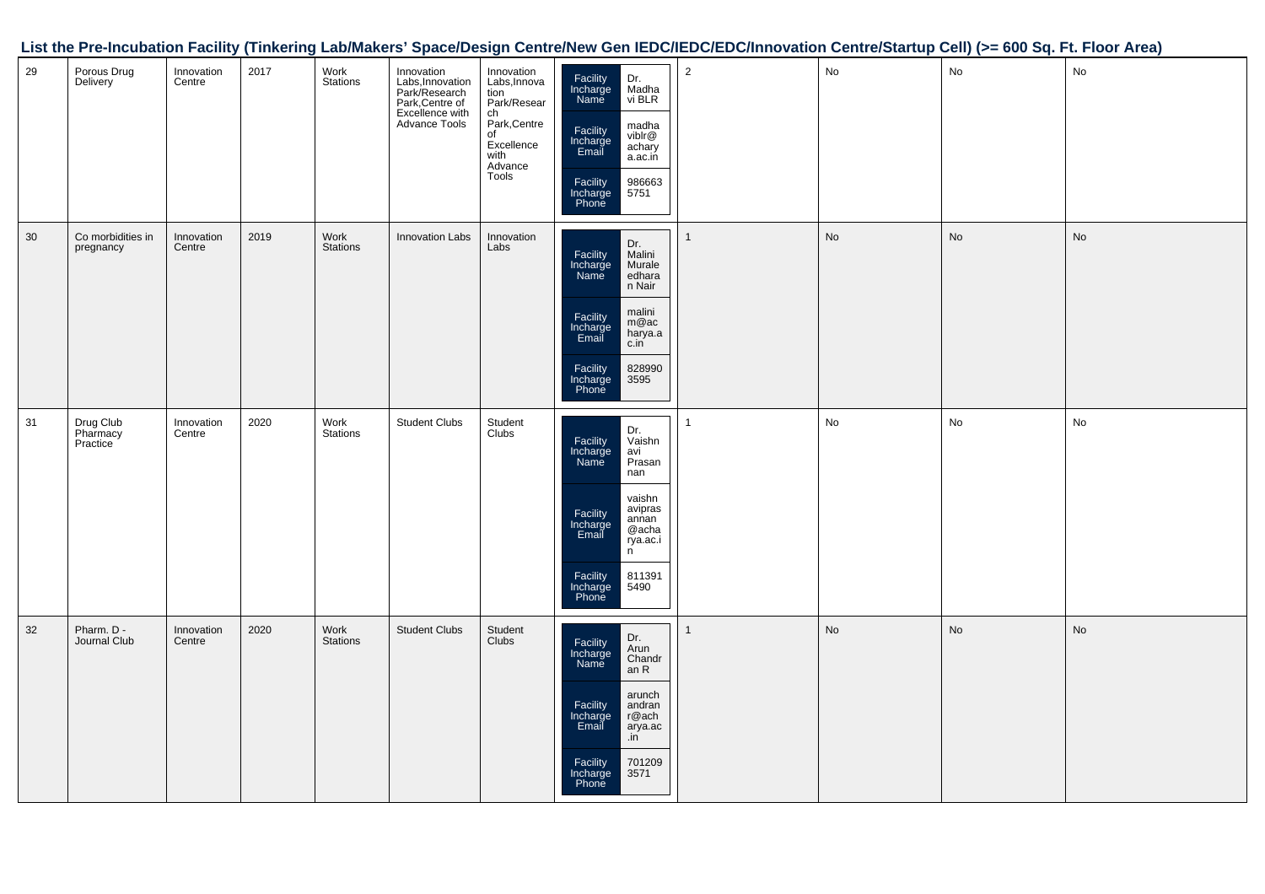|    |                                   |                      |      |                  |                                                                                                        |                                                                                                                              |                                                                                                                                                                                                                   | List the Pre-Incubation Facility (Tinkering Lab/Makers' Space/Design Centre/New Gen IEDC/IEDC/EDC/Innovation Centre/Startup Cell) (>= 600 Sq. Ft. Floor Area) |           |               |               |
|----|-----------------------------------|----------------------|------|------------------|--------------------------------------------------------------------------------------------------------|------------------------------------------------------------------------------------------------------------------------------|-------------------------------------------------------------------------------------------------------------------------------------------------------------------------------------------------------------------|---------------------------------------------------------------------------------------------------------------------------------------------------------------|-----------|---------------|---------------|
| 29 | Porous Drug<br>Delivery           | Innovation<br>Centre | 2017 | Work<br>Stations | Innovation<br>Labs, Innovation<br>Park/Research<br>Park, Centre of<br>Excellence with<br>Advance Tools | Innovation<br>Labs,Innova<br>tion<br>Park/Resear<br>ch<br>Park, Centre<br>of<br>or<br>Excellence<br>with<br>Advance<br>Tools | Facility<br>Incharge<br>Name<br>Dr.<br>Madha<br>vi BLR<br>madha<br>viblr@<br>Facility<br>Incharge<br>Email<br>achary<br>a.ac.in<br>986663<br>5751<br>Facility<br>Incharge<br>Phone                                | $\overline{2}$                                                                                                                                                | No        | No            | No            |
| 30 | Co morbidities in<br>pregnancy    | Innovation<br>Centre | 2019 | Work<br>Stations | Innovation Labs                                                                                        | Innovation<br>Labs                                                                                                           | Dr.<br>Malini<br>Facility<br>Incharge<br>Name<br>Murale<br>edhara<br>n Nair<br>malini<br>m@ac<br>harya.a<br>c.in<br>Facility<br>Incharge<br>Email<br>828990<br>3595<br>Facility<br>Incharge<br>Phone              | $\mathbf{1}$                                                                                                                                                  | No        | <b>No</b>     | $\mathsf{No}$ |
| 31 | Drug Club<br>Pharmacy<br>Practice | Innovation<br>Centre | 2020 | Work<br>Stations | Student Clubs                                                                                          | Student<br>Clubs                                                                                                             | Dr.<br>Vaishn<br>Facility<br>Incharge<br>Name<br>avi<br>Prasan<br>nan<br>vaishn<br>avipras<br>annan<br>Facility<br>Incharge<br>Email<br>@acha<br>rya.ac.i<br>n<br>811391<br>5490<br>Facility<br>Incharge<br>Phone | 1                                                                                                                                                             | <b>No</b> | $\mathsf{No}$ | No            |
| 32 | Pharm. D -<br>Journal Club        | Innovation<br>Centre | 2020 | Work<br>Stations | <b>Student Clubs</b>                                                                                   | Student<br>Clubs                                                                                                             | Dr.<br>Facility<br>Incharge<br>Name<br>Arun<br>Chandr<br>an R<br>arunch<br>Facility<br>Incharge<br>Email<br>andran<br>r@ach<br>arya.ac<br>.in<br>701209<br>3571<br>Facility<br>Incharge<br>Phone                  | $\mathbf{1}$                                                                                                                                                  | No        | No            | $\mathsf{No}$ |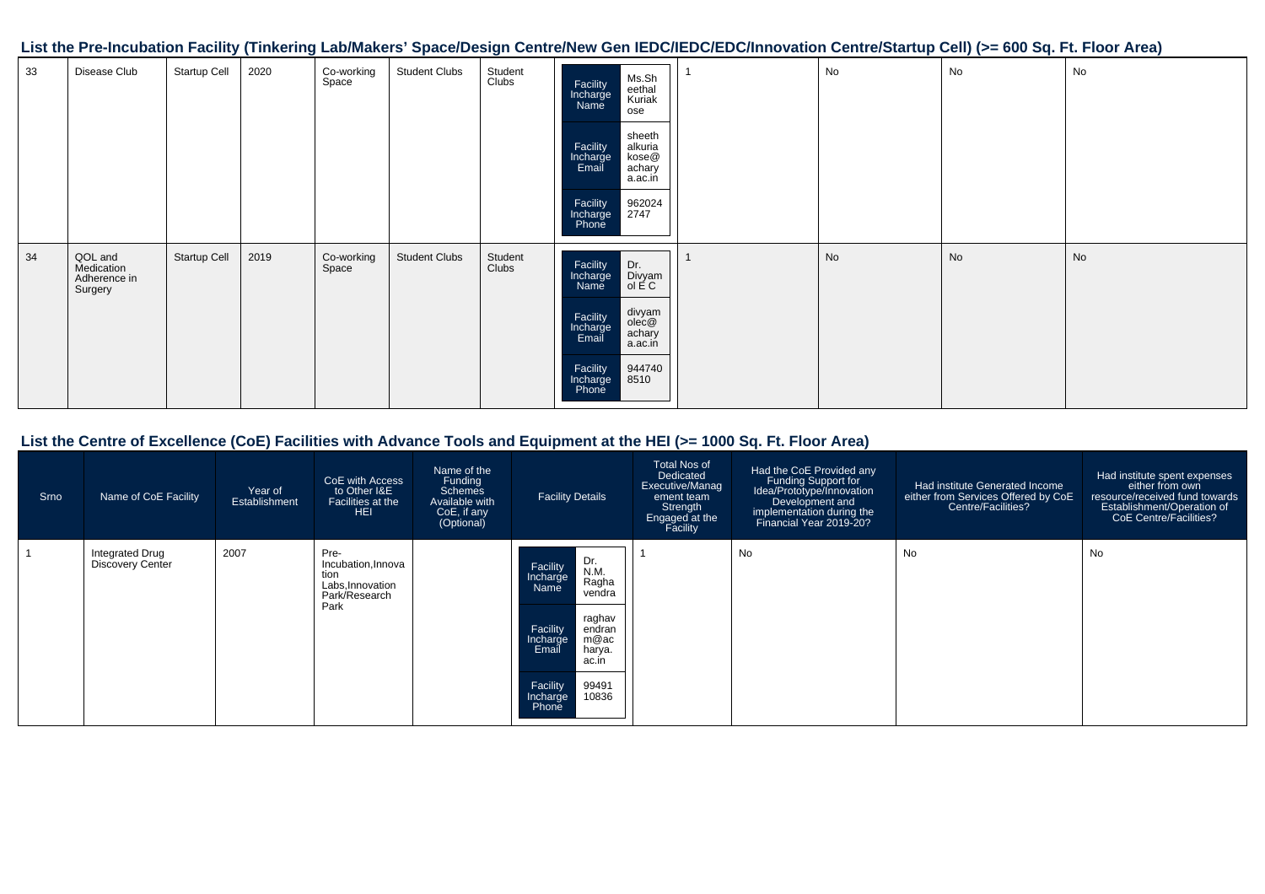**List the Pre-Incubation Facility (Tinkering Lab/Makers' Space/Design Centre/New Gen IEDC/IEDC/EDC/Innovation Centre/Startup Cell) (>= 600 Sq. Ft. Floor Area)**

| 33 | Disease Club                                     | Startup Cell | 2020 | Co-working<br>Space | <b>Student Clubs</b> | Student<br>Clubs | Ms.Sh<br>eethal<br>Kuriak<br>Facility<br>Incharge<br>Name<br>ose<br>sheeth<br>alkuria<br>kose@<br>achary<br>Facility<br>Incharge<br>Email<br>a.ac.in<br>962024<br>2747<br>Facility<br>Incharge<br>Phone | No | No | No |
|----|--------------------------------------------------|--------------|------|---------------------|----------------------|------------------|---------------------------------------------------------------------------------------------------------------------------------------------------------------------------------------------------------|----|----|----|
| 34 | QOL and<br>Medication<br>Adherence in<br>Surgery | Startup Cell | 2019 | Co-working<br>Space | <b>Student Clubs</b> | Student<br>Clubs | Facility<br>Incharge<br>Name<br>Dr.<br>Divyam<br>ol E C<br>divyam<br>olec@<br>achary<br>a.ac.in<br>Facility<br>Incharge<br>Email<br>Facility<br>944740<br>8510<br>Incharge<br>Phone                     | No | No | No |

#### **List the Centre of Excellence (CoE) Facilities with Advance Tools and Equipment at the HEI (>= 1000 Sq. Ft. Floor Area)**

| Srno | Name of CoE Facility                       | Year of<br>Establishment | CoE with Access<br>to Other I&E<br>Facilities at the<br><b>HEI</b>              | Name of the<br>Funding<br>Schemes<br>Available with<br>CoE, if any<br>(Optional) | <b>Facility Details</b>                                                                                                                                                                           | <b>Total Nos of</b><br>Dedicated<br>Executive/Manag<br>ement team<br>Strength<br>Engaged at the<br>Facility | Had the CoE Provided any<br>Funding Support for<br>Idea/Prototype/Innovation<br>Development and<br>implementation during the<br>Financial Year 2019-20? | Had institute Generated Income<br>either from Services Offered by CoE<br>Centre/Facilities? | Had institute spent expenses<br>either from own<br>resource/received fund towards<br>Establishment/Operation of<br>CoE Centre/Facilities? |
|------|--------------------------------------------|--------------------------|---------------------------------------------------------------------------------|----------------------------------------------------------------------------------|---------------------------------------------------------------------------------------------------------------------------------------------------------------------------------------------------|-------------------------------------------------------------------------------------------------------------|---------------------------------------------------------------------------------------------------------------------------------------------------------|---------------------------------------------------------------------------------------------|-------------------------------------------------------------------------------------------------------------------------------------------|
|      | Integrated Drug<br><b>Discovery Center</b> | 2007                     | Pre-<br>Incubation, Innova<br>tion<br>Labs, Innovation<br>Park/Research<br>Park |                                                                                  | Dr.<br>Facility<br>N.M.<br>Incharge<br>Ragha<br>Name<br>vendra<br>raghav<br>Facility<br>endran<br>m@ac<br>Incharge<br>harya.<br>Email<br>ac.in<br>99491<br>Facility<br>10836<br>Incharge<br>Phone |                                                                                                             | No                                                                                                                                                      | No                                                                                          | No                                                                                                                                        |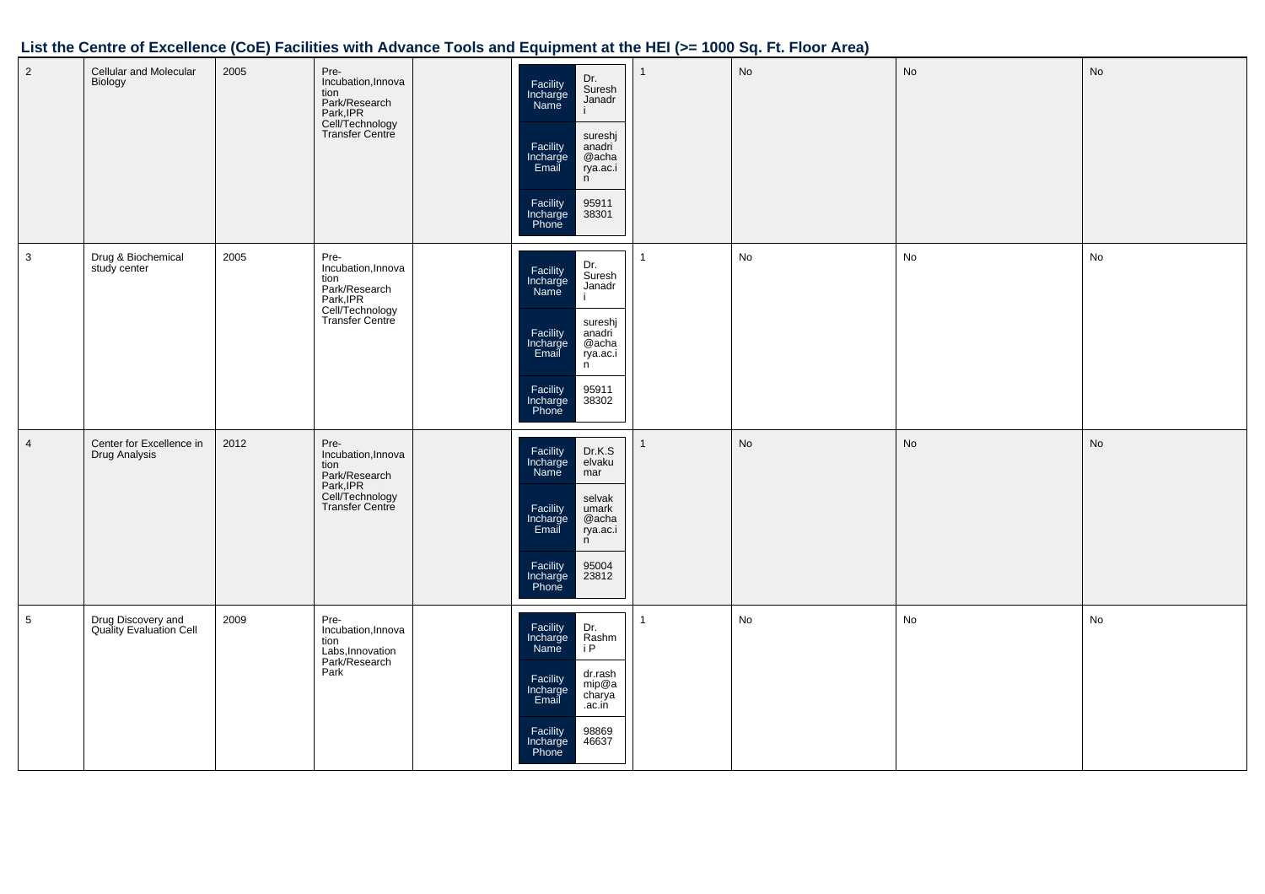## **List the Centre of Excellence (CoE) Facilities with Advance Tools and Equipment at the HEI (>= 1000 Sq. Ft. Floor Area)**

| $\overline{2}$  | Cellular and Molecular<br>Biology             | 2005 | Pre-<br>Incubation, Innova<br>tion<br>Park/Research<br>Park, IPR<br>Cell/Technology<br>Transfer Centre | Dr.<br>Suresh<br>Facility<br>Incharge<br>Name<br>Janadr<br>sureshj<br>Facility<br>Incharge<br>Email<br>anadri<br>@acha<br>rya.ac.i<br>n<br>Facility<br>Incharge<br>Phone<br>95911<br>38301 | $\mathbf{1}$ | No | No | No        |
|-----------------|-----------------------------------------------|------|--------------------------------------------------------------------------------------------------------|--------------------------------------------------------------------------------------------------------------------------------------------------------------------------------------------|--------------|----|----|-----------|
| $\mathbf{3}$    | Drug & Biochemical<br>study center            | 2005 | Pre-<br>Incubation, Innova<br>tion<br>Park/Research<br>Park, IPR<br>Cell/Technology<br>Transfer Centre | Dr.<br>Suresh<br>Facility<br>Incharge<br>Name<br>Janadr<br>sureshj<br>Facility<br>Incharge<br>Email<br>anadri<br>@acha<br>rya.ac.i<br>n<br>95911<br>38302<br>Facility<br>Incharge<br>Phone | $\mathbf{1}$ | No | No | No        |
| $\overline{4}$  | Center for Excellence in<br>Drug Analysis     | 2012 | Pre-<br>Incubation, Innova<br>tion<br>Park/Research<br>Park, IPR<br>Cell/Technology<br>Transfer Centre | Facility<br>Incharge<br>Name<br>Dr.K.S<br>elvaku<br>mar<br>selvak<br>Facility<br>Incharge<br>Email<br>umark<br>@acha<br>rya.ac.i<br>n<br>95004<br>23812<br>Facility<br>Incharge<br>Phone   | 1            | No | No | <b>No</b> |
| $5\overline{)}$ | Drug Discovery and<br>Quality Evaluation Cell | 2009 | Pre-<br>Incubation, Innova<br>tion<br>Labs, Innovation<br>Park/Research<br>Park                        | Facility<br>Incharge<br>Name<br>Dr.<br>Rashm<br>i P<br>dr.rash<br>mip@a<br>charya<br>Facility<br>Incharge<br>Email<br>.ac.in<br>Facility<br>98869<br>46637<br>Incharge<br>Phone            | $\mathbf{1}$ | No | No | No        |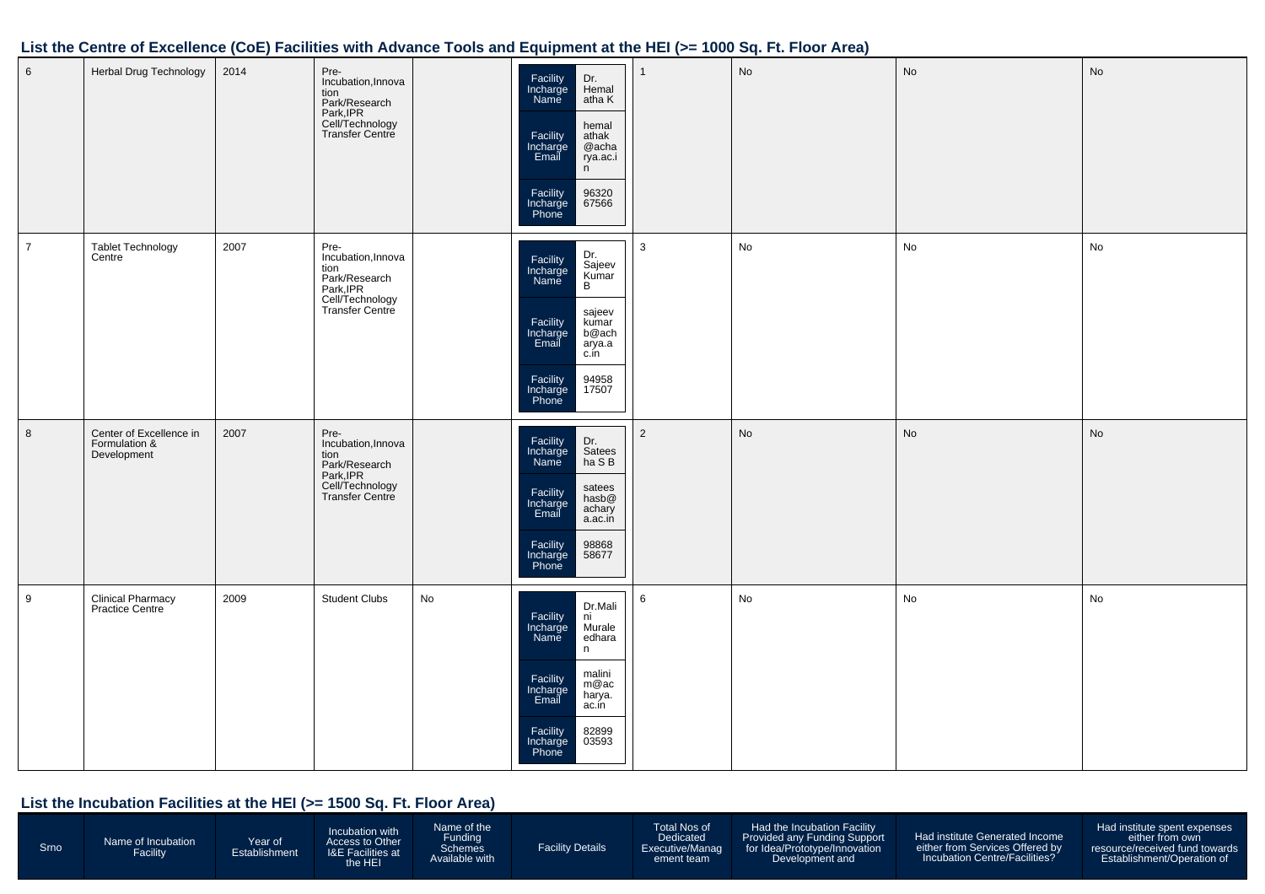| 6              | Herbal Drug Technology                                  | 2014 | Pre-<br>Incubation, Innova<br>tion<br>Park/Research<br>Park, IPR<br>Cell/Technology<br>Transfer Centre     |    | Facility<br>Incharge<br>Dr.<br>Hemal<br>Name<br>atha K<br>hemal<br>Facility<br>Incharge<br>Email<br>athak<br>@acha<br>rya.ac.i<br>n<br>96320<br>Facility<br>Incharge<br>Phone<br>67566                 |                | No | No | No |
|----------------|---------------------------------------------------------|------|------------------------------------------------------------------------------------------------------------|----|--------------------------------------------------------------------------------------------------------------------------------------------------------------------------------------------------------|----------------|----|----|----|
| $\overline{7}$ | Tablet Technology<br>Centre                             | 2007 | Pre-<br>Incubation, Innova<br>tion<br>Park/Research<br>Park, IPR<br>Cell/Technology<br>Transfer Centre     |    | Dr.<br>Sajeev<br>Kumar<br>B<br>Facility<br>Incharge<br>Name<br>sajeev<br>Facility<br>Incharge<br>Email<br>kumar<br>b@ach<br>arya.a<br>c.in<br>94958<br>17507<br>Facility<br>Incharge<br>Phone          | $\mathbf{3}$   | No | No | No |
| 8              | Center of Excellence in<br>Formulation &<br>Development | 2007 | Pre-<br>Incubation, Innova<br>tion<br>rion<br>Park, IPR<br>Park, IPR<br>Cell/Technology<br>Transfer Centre |    | Facility<br>Incharge<br>Dr.<br>Satees<br>ha S B<br>Name<br>satees<br>Facility<br>Incharge<br>Email<br>hasb@<br>achary<br>a.ac.in<br>Facility<br>Incharge<br>Phone<br>98868<br>58677                    | $\overline{2}$ | No | No | No |
| 9              | Clinical Pharmacy<br>Practice Centre                    | 2009 | <b>Student Clubs</b>                                                                                       | No | Dr.Mali<br>Facility<br>Incharge<br>ni<br>Murale<br>edhara<br><b>Name</b><br>n<br>malini<br>Facility<br>Incharge<br>m@ac<br>harya.<br>Email<br>ac.in<br>82899<br>Facility<br>03593<br>Incharge<br>Phone | 6              | No | No | No |

| Srno | <b>Jame of Incubation</b><br>Facility | Year of<br>Establishment | Incubation with<br>Access to Other<br><b>I&amp;E Facilities at</b><br>he HEI | lame of the<br>unding-<br><b>Schemes</b><br>Available with | <b>Facility Details</b> | Total Nos of<br><b>Dedicated</b><br>Executive/Manag<br>ement team | Had the Incubation Facility<br>Provided any Funding Support<br>for Idea/Prototype/Innovation<br>Development and | Had institute Generated Income<br>either from Services Offered by<br>Incubation Centre/Facilities? | Had institute spent expenses<br>either from own<br>resource/received fund towards<br>Establishment/Operation of |
|------|---------------------------------------|--------------------------|------------------------------------------------------------------------------|------------------------------------------------------------|-------------------------|-------------------------------------------------------------------|-----------------------------------------------------------------------------------------------------------------|----------------------------------------------------------------------------------------------------|-----------------------------------------------------------------------------------------------------------------|
|------|---------------------------------------|--------------------------|------------------------------------------------------------------------------|------------------------------------------------------------|-------------------------|-------------------------------------------------------------------|-----------------------------------------------------------------------------------------------------------------|----------------------------------------------------------------------------------------------------|-----------------------------------------------------------------------------------------------------------------|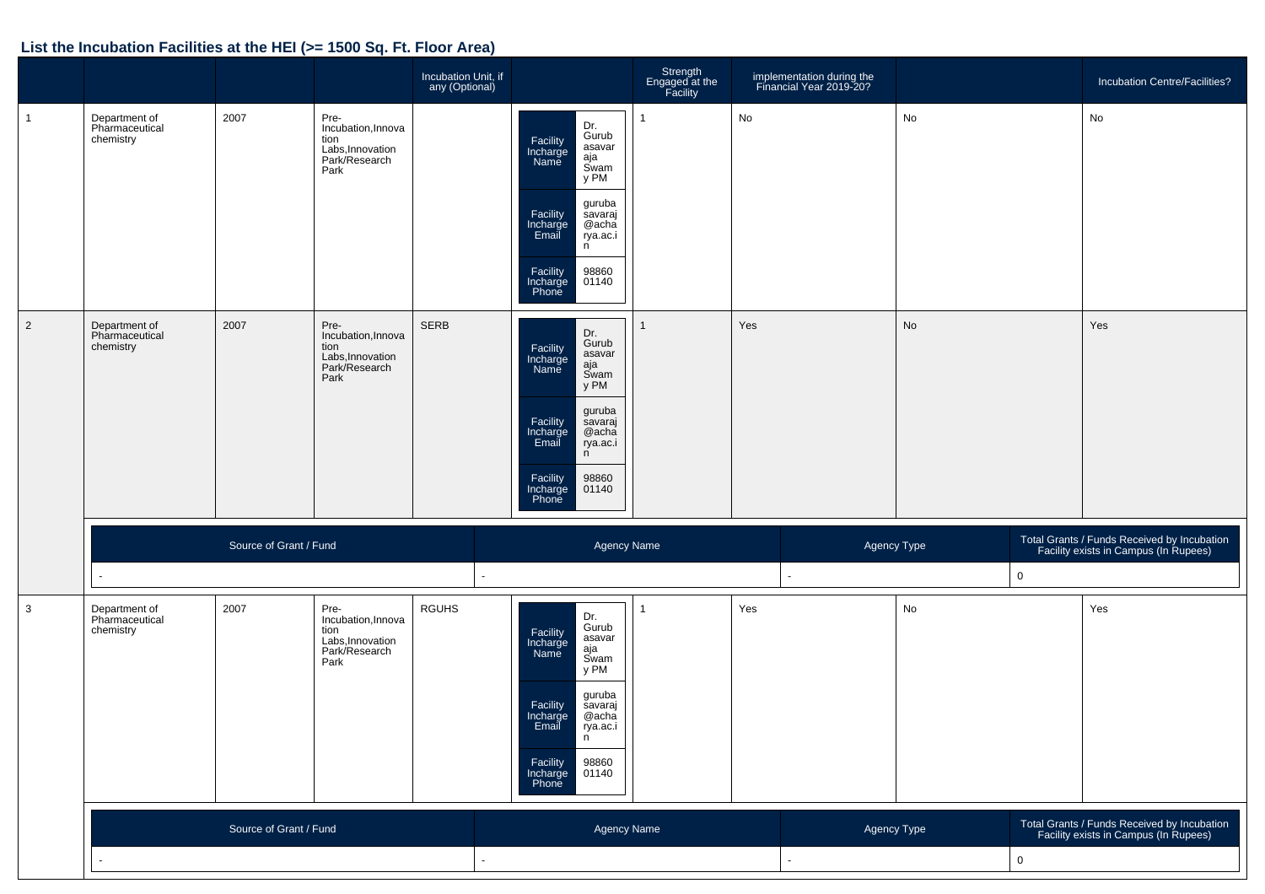|                |                                              |                        |                                                                                 | Incubation Unit, if<br>any (Optional) |                                                                                                                                                                                                                  | Strength<br>Engaged at the<br>Facility |     | implementation during the<br>Financial Year 2019-20? |           |             | Incubation Centre/Facilities?                                                        |
|----------------|----------------------------------------------|------------------------|---------------------------------------------------------------------------------|---------------------------------------|------------------------------------------------------------------------------------------------------------------------------------------------------------------------------------------------------------------|----------------------------------------|-----|------------------------------------------------------|-----------|-------------|--------------------------------------------------------------------------------------|
| $\overline{1}$ | Department of<br>Pharmaceutical<br>chemistry | 2007                   | Pre-<br>Incubation, Innova<br>tion<br>Labs, Innovation<br>Park/Research<br>Park |                                       | Dr.<br>Gurub<br>Facility<br>Incharge<br>asavar<br>aja<br>Name<br>Swam<br>y PM<br>guruba<br>Facility<br>Incharge<br>Email<br>savaraj<br>@acha<br>rya.ac.i<br>n<br>Facility<br>98860<br>01140<br>Incharge<br>Phone | $\mathbf{1}$                           | No  |                                                      | No        |             | No                                                                                   |
| $\overline{2}$ | Department of<br>Pharmaceutical<br>chemistry | 2007                   | Pre-<br>Incubation, Innova<br>tion<br>Labs, Innovation<br>Park/Research<br>Park | <b>SERB</b>                           | Dr.<br>Gurub<br>Facility<br>Incharge<br>asavar<br>aja<br>Swam<br>Name<br>y PM<br>guruba<br>Facility<br>Incharge<br>Email<br>savaraj<br>@acha<br>rya.ac.i<br>n<br>Facility<br>98860<br>01140<br>Incharge<br>Phone | $\mathbf{1}$                           | Yes |                                                      | <b>No</b> |             | Yes                                                                                  |
|                |                                              | Source of Grant / Fund |                                                                                 |                                       | Agency Name                                                                                                                                                                                                      |                                        |     | Agency Type                                          |           |             | Total Grants / Funds Received by Incubation<br>Facility exists in Campus (In Rupees) |
|                |                                              |                        |                                                                                 |                                       |                                                                                                                                                                                                                  |                                        |     |                                                      |           | $\mathsf 0$ |                                                                                      |
| $\mathbf{3}$   | Department of<br>Pharmaceutical<br>chemistry | 2007                   | Pre-<br>Incubation, Innova<br>tion<br>Labs, Innovation<br>Park/Research<br>Park | <b>RGUHS</b>                          | Dr.<br>Gurub<br>Facility<br>Incharge<br>asavar<br>aja<br>Swam<br>Name<br>y PM<br>guruba<br>Facility<br>savaraj<br>@acha<br>Incharge<br>Email<br>rya.ac.i<br>n<br>98860<br>Facility<br>Incharge<br>Phone<br>01140 | $\mathbf{1}$                           | Yes |                                                      | No        |             | Yes                                                                                  |
|                |                                              | Source of Grant / Fund |                                                                                 |                                       | Agency Name                                                                                                                                                                                                      |                                        |     | Agency Type                                          |           |             | Total Grants / Funds Received by Incubation<br>Facility exists in Campus (In Rupees) |
|                |                                              |                        |                                                                                 |                                       |                                                                                                                                                                                                                  |                                        |     | $\mathsf 0$                                          |           |             |                                                                                      |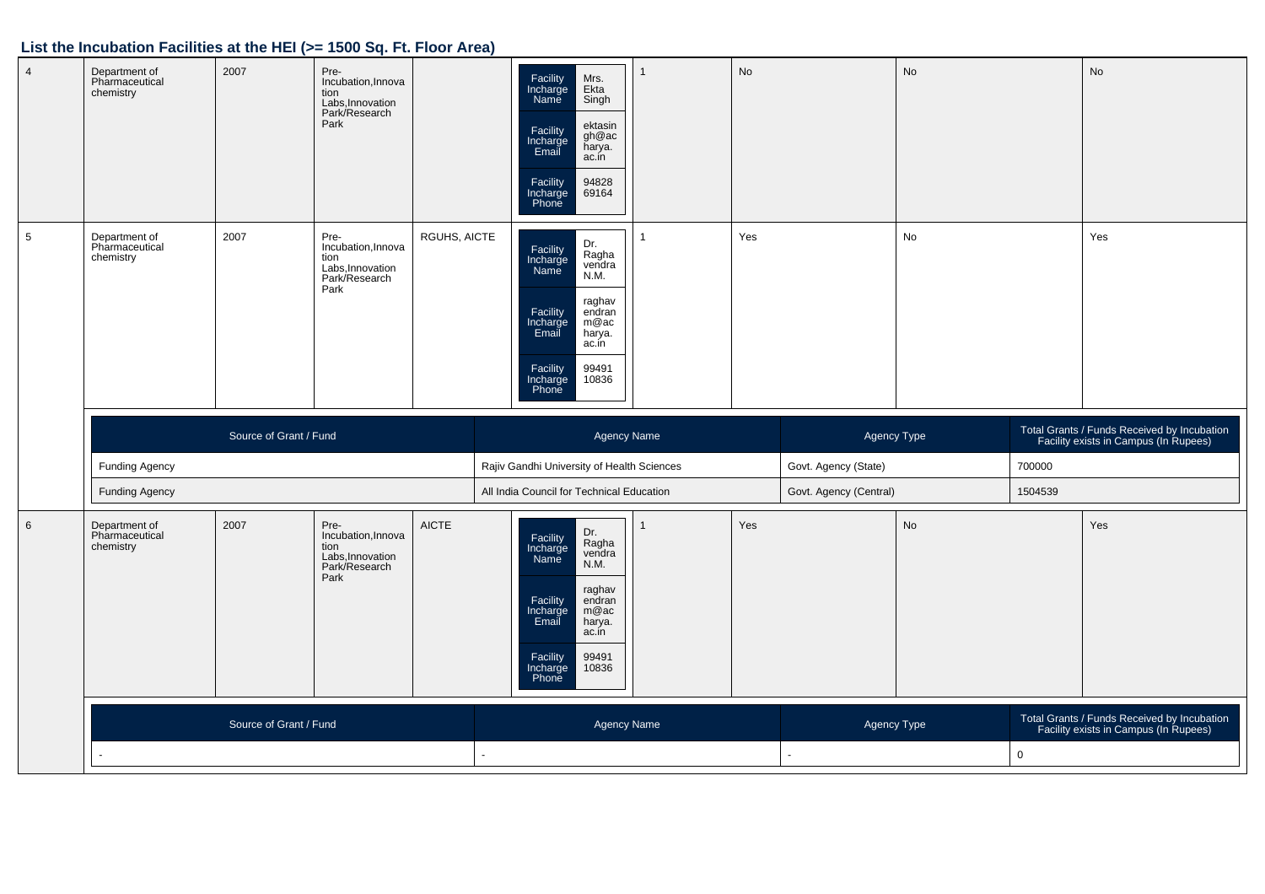| $\sqrt{4}$      | Department of<br>Pharmaceutical<br>chemistry | 2007                   | Pre-<br>Incubation, Innova<br>tion<br>Labs, Innovation<br>Park/Research<br>Park |              | Facility<br>Incharge<br>Name<br>Mrs.<br>Ekta<br>Singh<br>ektasin<br>Facility<br>Incharge<br>Email<br>gh@ac<br>harya.<br>ac.in<br>Facility<br>Incharge<br>Phone<br>94828<br>69164                  | $\mathbf{1}$       | <b>No</b> |                        | <b>No</b> |         | <b>No</b>                                                                            |
|-----------------|----------------------------------------------|------------------------|---------------------------------------------------------------------------------|--------------|---------------------------------------------------------------------------------------------------------------------------------------------------------------------------------------------------|--------------------|-----------|------------------------|-----------|---------|--------------------------------------------------------------------------------------|
| $\sqrt{5}$      | Department of<br>Pharmaceutical<br>chemistry | 2007                   | Pre-<br>Incubation, Innova<br>tion<br>Labs, Innovation<br>Park/Research<br>Park | RGUHS, AICTE | Dr.<br>Facility<br>Incharge<br>Name<br>Ragha<br>vendra<br>N.M.<br>raghav<br>Facility<br>Incharge<br>Email<br>endran<br>m@ac<br>harya.<br>ac.in<br>Facility<br>Incharge<br>Phone<br>99491<br>10836 | $\mathbf{1}$       | Yes       |                        | No        |         | Yes                                                                                  |
|                 |                                              | Source of Grant / Fund |                                                                                 |              |                                                                                                                                                                                                   | Agency Name        |           | Agency Type            |           |         | Total Grants / Funds Received by Incubation<br>Facility exists in Campus (In Rupees) |
|                 |                                              |                        |                                                                                 |              |                                                                                                                                                                                                   |                    |           |                        |           |         |                                                                                      |
|                 | <b>Funding Agency</b>                        |                        |                                                                                 |              | Rajiv Gandhi University of Health Sciences                                                                                                                                                        |                    |           | Govt. Agency (State)   |           | 700000  |                                                                                      |
|                 | <b>Funding Agency</b>                        |                        |                                                                                 |              | All India Council for Technical Education                                                                                                                                                         |                    |           | Govt. Agency (Central) |           | 1504539 |                                                                                      |
| $6\phantom{1}6$ | Department of<br>Pharmaceutical<br>chemistry | 2007                   | Pre-<br>Incubation, Innova<br>tion<br>Labs, Innovation<br>Park/Research<br>Park | <b>AICTE</b> | Dr.<br>Facility<br>Incharge<br>Name<br>Ragha<br>vendra<br>N.M.<br>raghav<br>endran<br>Facility<br>Incharge<br>Email<br>m@ac<br>harya.<br>ac.in<br>Facility<br>Incharge<br>99491<br>10836<br>Phone | $\mathbf{1}$       | Yes       |                        | <b>No</b> |         | Yes                                                                                  |
|                 |                                              | Source of Grant / Fund |                                                                                 |              |                                                                                                                                                                                                   | <b>Agency Name</b> |           | Agency Type            |           |         | Total Grants / Funds Received by Incubation<br>Facility exists in Campus (In Rupees) |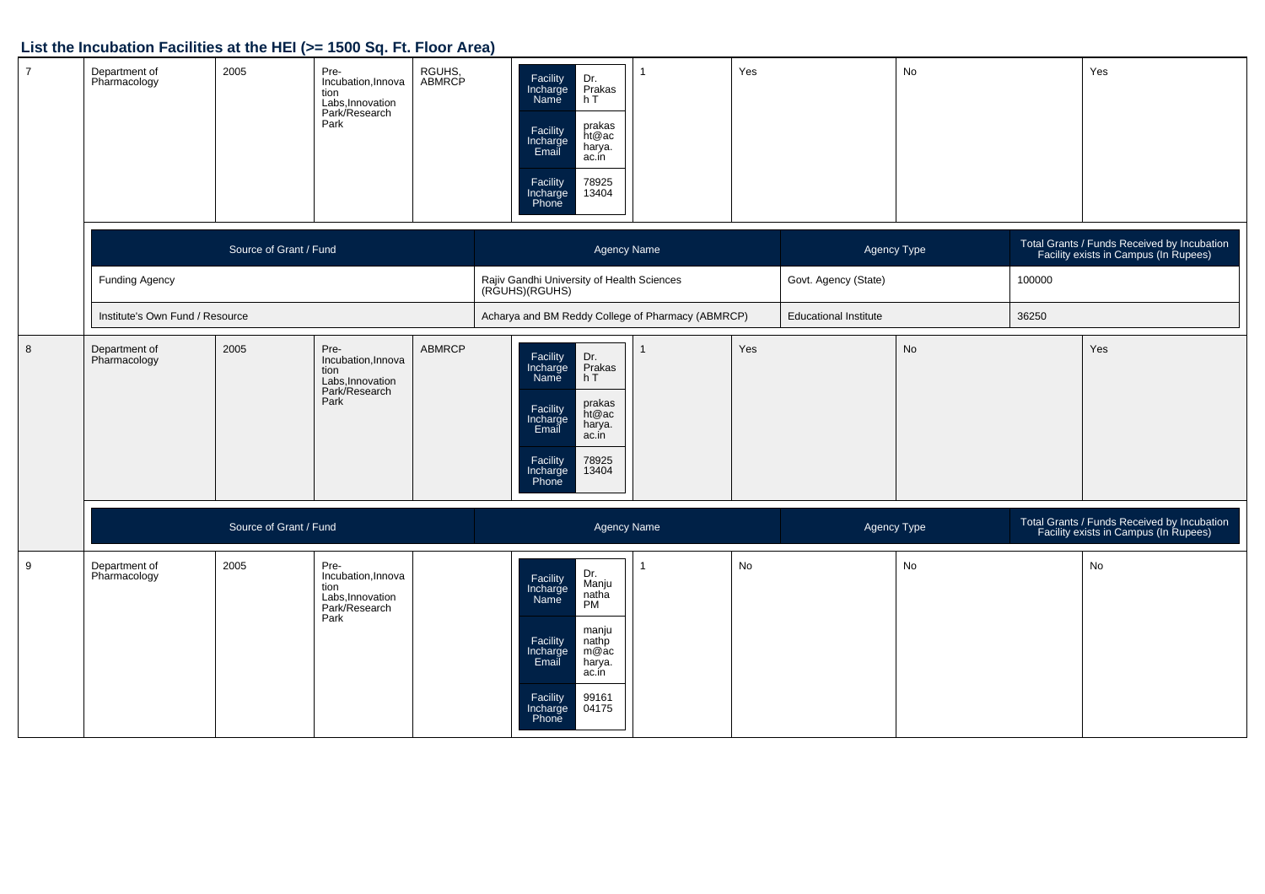| $\overline{7}$   | Department of<br>Pharmacology   | 2005                   | Pre-<br>Incubation, Innova<br>tion<br>Labs, Innovation<br>Park/Research<br>Park | RGUHS,<br>ABMRCP | Facility<br>Incharge<br>Name<br>Dr.<br>Prakas<br>h T<br>prakas<br>Facility<br>Incharge<br>Email<br>ht@ac<br>harya.<br>ac.in<br>78925<br>13404<br>Facility<br>Incharge<br>Phone               |              | Yes |                              | No        |        | Yes                                                                                  |
|------------------|---------------------------------|------------------------|---------------------------------------------------------------------------------|------------------|----------------------------------------------------------------------------------------------------------------------------------------------------------------------------------------------|--------------|-----|------------------------------|-----------|--------|--------------------------------------------------------------------------------------|
|                  |                                 | Source of Grant / Fund |                                                                                 |                  | Agency Name                                                                                                                                                                                  |              |     | Agency Type                  |           |        | Total Grants / Funds Received by Incubation<br>Facility exists in Campus (In Rupees) |
|                  | <b>Funding Agency</b>           |                        |                                                                                 |                  | Rajiv Gandhi University of Health Sciences<br>(RGUHS)(RGUHS)                                                                                                                                 |              |     | Govt. Agency (State)         |           | 100000 |                                                                                      |
|                  | Institute's Own Fund / Resource |                        |                                                                                 |                  | Acharya and BM Reddy College of Pharmacy (ABMRCP)                                                                                                                                            |              |     | <b>Educational Institute</b> |           | 36250  |                                                                                      |
| $\boldsymbol{8}$ | Department of<br>Pharmacology   | 2005                   | Pre-<br>Incubation, Innova<br>tion<br>Labs, Innovation<br>Park/Research<br>Park | <b>ABMRCP</b>    | Facility<br>Incharge<br>Name<br>Dr.<br>Prakas<br>h T<br>prakas<br>ht@ac<br>Facility<br>Incharge<br>Email<br>harya.<br>ac.in<br>78925<br>Facility<br>Incharge<br>13404<br>Phone               | $\mathbf{1}$ | Yes |                              | <b>No</b> |        | Yes                                                                                  |
|                  |                                 | Source of Grant / Fund |                                                                                 |                  | <b>Agency Name</b>                                                                                                                                                                           |              |     | Agency Type                  |           |        | Total Grants / Funds Received by Incubation<br>Facility exists in Campus (In Rupees) |
| 9                | Department of<br>Pharmacology   | 2005                   | Pre-<br>Incubation, Innova<br>tion<br>Labs, Innovation<br>Park/Research<br>Park |                  | Dr.<br>Facility<br>Incharge<br>Manju<br>natha<br>PM<br>Name<br>manju<br>Facility<br>nathp<br>Incharge<br>Email<br>m@ac<br>harya.<br>ac.in<br>Facility<br>99161<br>04175<br>Incharge<br>Phone | $\mathbf 1$  | No  |                              | No        |        | No                                                                                   |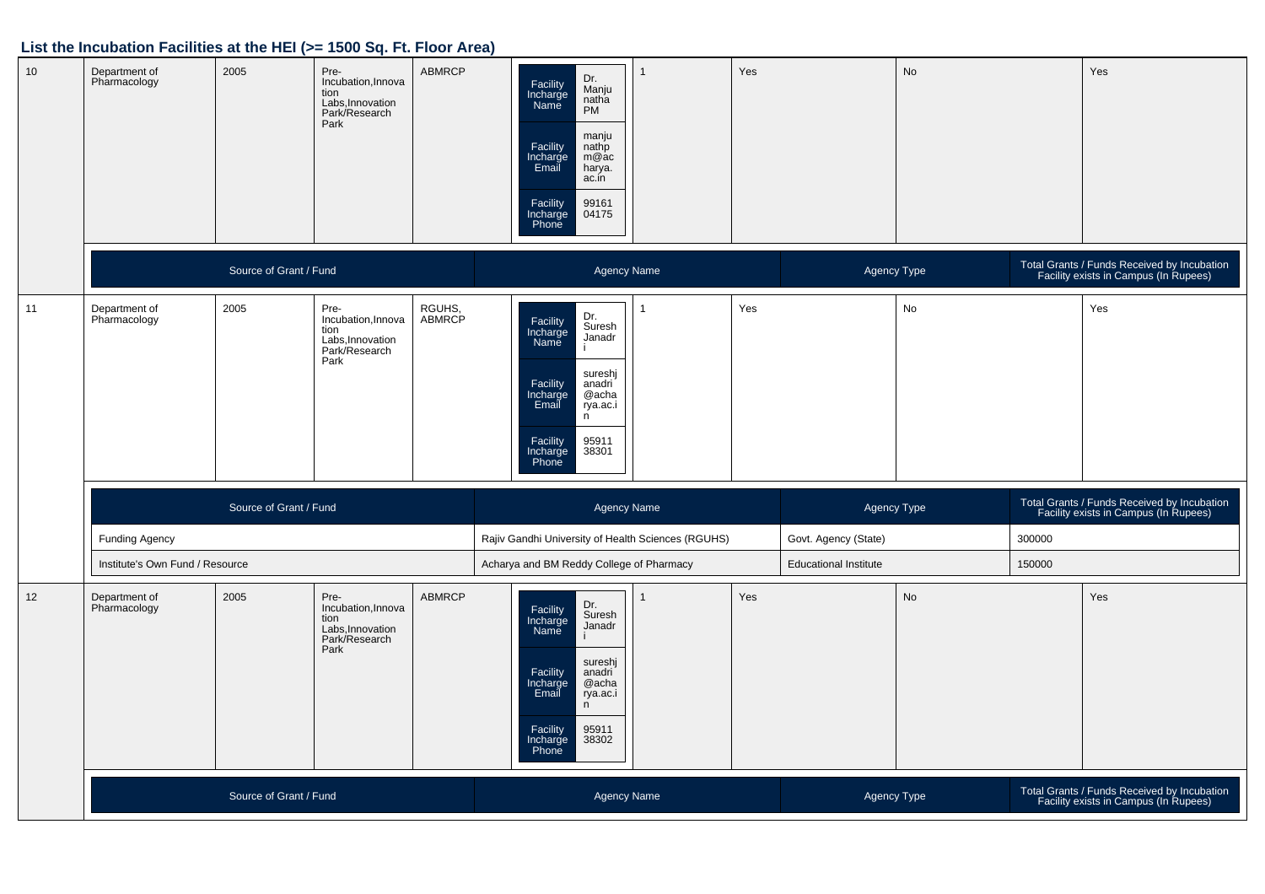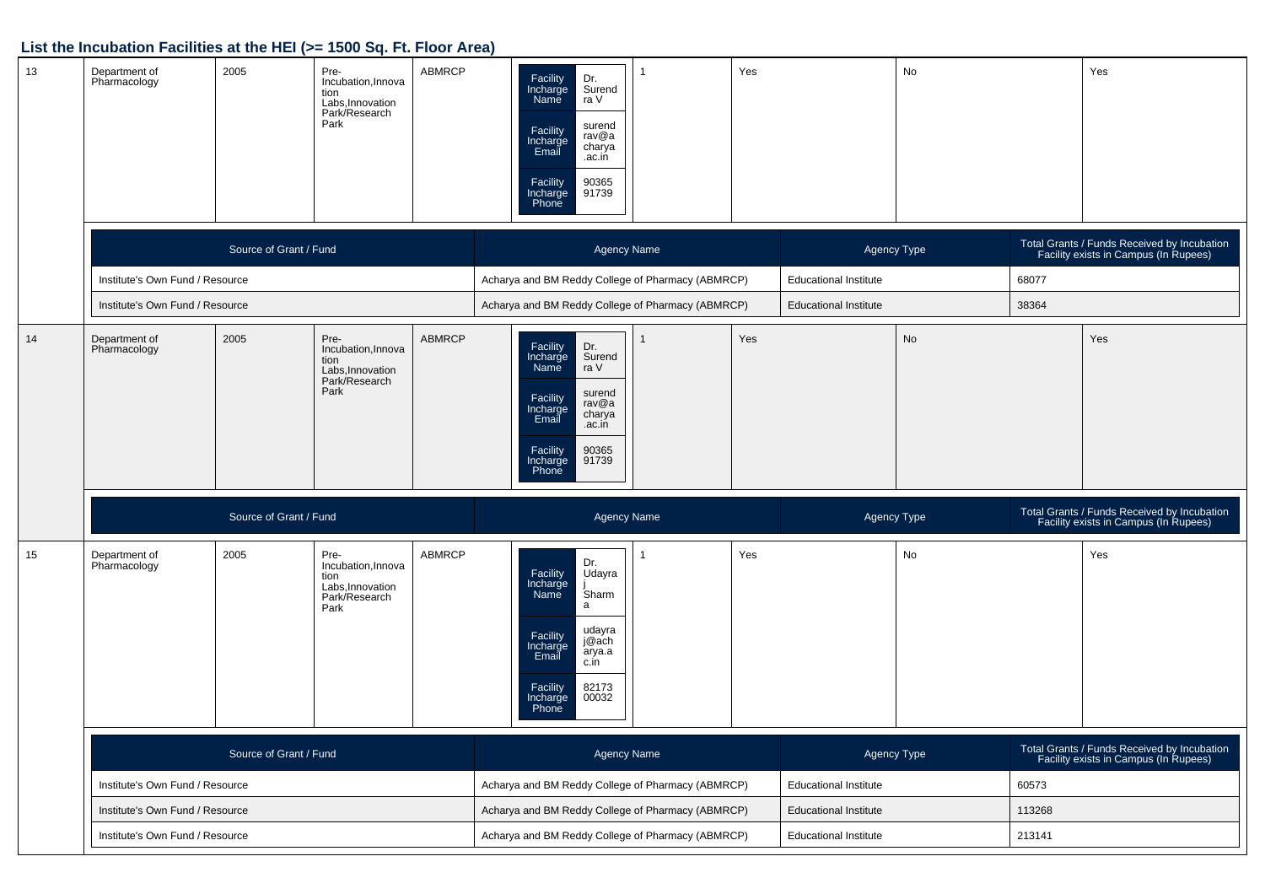| 13 | Department of<br>Pharmacology   | 2005                   | Pre-<br>Incubation, Innova<br>tion<br>Labs, Innovation<br>Park/Research<br>Park | <b>ABMRCP</b> |                                                   | Facility<br>Dr.<br>Incharge<br>Surend<br>Name<br>ra V<br>surend<br>Facility<br>Incharge<br>Email<br>rav@a<br>charya<br>.ac.in<br>90365<br>Facility<br>Incharge<br>91739<br>Phone     |  | Yes                          |                                        | No     |       | Yes                                                                                  |
|----|---------------------------------|------------------------|---------------------------------------------------------------------------------|---------------|---------------------------------------------------|--------------------------------------------------------------------------------------------------------------------------------------------------------------------------------------|--|------------------------------|----------------------------------------|--------|-------|--------------------------------------------------------------------------------------|
|    |                                 | Source of Grant / Fund |                                                                                 |               |                                                   | <b>Agency Name</b>                                                                                                                                                                   |  |                              | Agency Type                            |        |       | Total Grants / Funds Received by Incubation<br>Facility exists in Campus (In Rupees) |
|    | Institute's Own Fund / Resource |                        |                                                                                 |               | Acharya and BM Reddy College of Pharmacy (ABMRCP) |                                                                                                                                                                                      |  |                              | <b>Educational Institute</b>           |        | 68077 |                                                                                      |
|    | Institute's Own Fund / Resource |                        |                                                                                 |               | Acharya and BM Reddy College of Pharmacy (ABMRCP) |                                                                                                                                                                                      |  |                              | <b>Educational Institute</b>           |        | 38364 |                                                                                      |
| 14 | Department of<br>Pharmacology   | 2005                   | Pre-<br>Incubation, Innova<br>tion<br>Labs, Innovation<br>Park/Research<br>Park | <b>ABMRCP</b> |                                                   | Dr.<br>Facility<br>Surend<br>Incharge<br>Name<br>ra V<br>surend<br>Facility<br>rav@a<br>Incharge<br>charya<br>Email<br>.ac.in<br>Facility<br>90365<br>Incharge<br>91739<br>Phone     |  | Yes                          |                                        | No     |       | Yes                                                                                  |
|    |                                 | Source of Grant / Fund |                                                                                 |               |                                                   | <b>Agency Name</b>                                                                                                                                                                   |  |                              | Agency Type                            |        |       | Total Grants / Funds Received by Incubation<br>Facility exists in Campus (In Rupees) |
| 15 | Department of<br>Pharmacology   | 2005                   | Pre-<br>Incubation, Innova<br>tion<br>Labs, Innovation<br>Park/Research<br>Park | <b>ABMRCP</b> |                                                   | Dr.<br>Facility<br>Incharge<br>Udayra<br>Sharm<br>Name<br>a<br>udayra<br>Facility<br>j@ach<br>Incharge<br>Email<br>arya.a<br>c.in<br>82173<br>Facility<br>Incharge<br>00032<br>Phone |  | Yes                          |                                        | No     |       | Yes                                                                                  |
|    | Source of Grant / Fund          |                        |                                                                                 |               |                                                   | <b>Agency Name</b>                                                                                                                                                                   |  |                              | Agency Type                            |        |       | Total Grants / Funds Received by Incubation<br>Facility exists in Campus (In Rupees) |
|    | Institute's Own Fund / Resource |                        |                                                                                 |               |                                                   | Acharya and BM Reddy College of Pharmacy (ABMRCP)                                                                                                                                    |  |                              | <b>Educational Institute</b>           |        | 60573 |                                                                                      |
|    | Institute's Own Fund / Resource |                        |                                                                                 |               | Acharya and BM Reddy College of Pharmacy (ABMRCP) |                                                                                                                                                                                      |  | <b>Educational Institute</b> |                                        | 113268 |       |                                                                                      |
|    | Institute's Own Fund / Resource |                        |                                                                                 |               |                                                   | Acharya and BM Reddy College of Pharmacy (ABMRCP)                                                                                                                                    |  |                              | <b>Educational Institute</b><br>213141 |        |       |                                                                                      |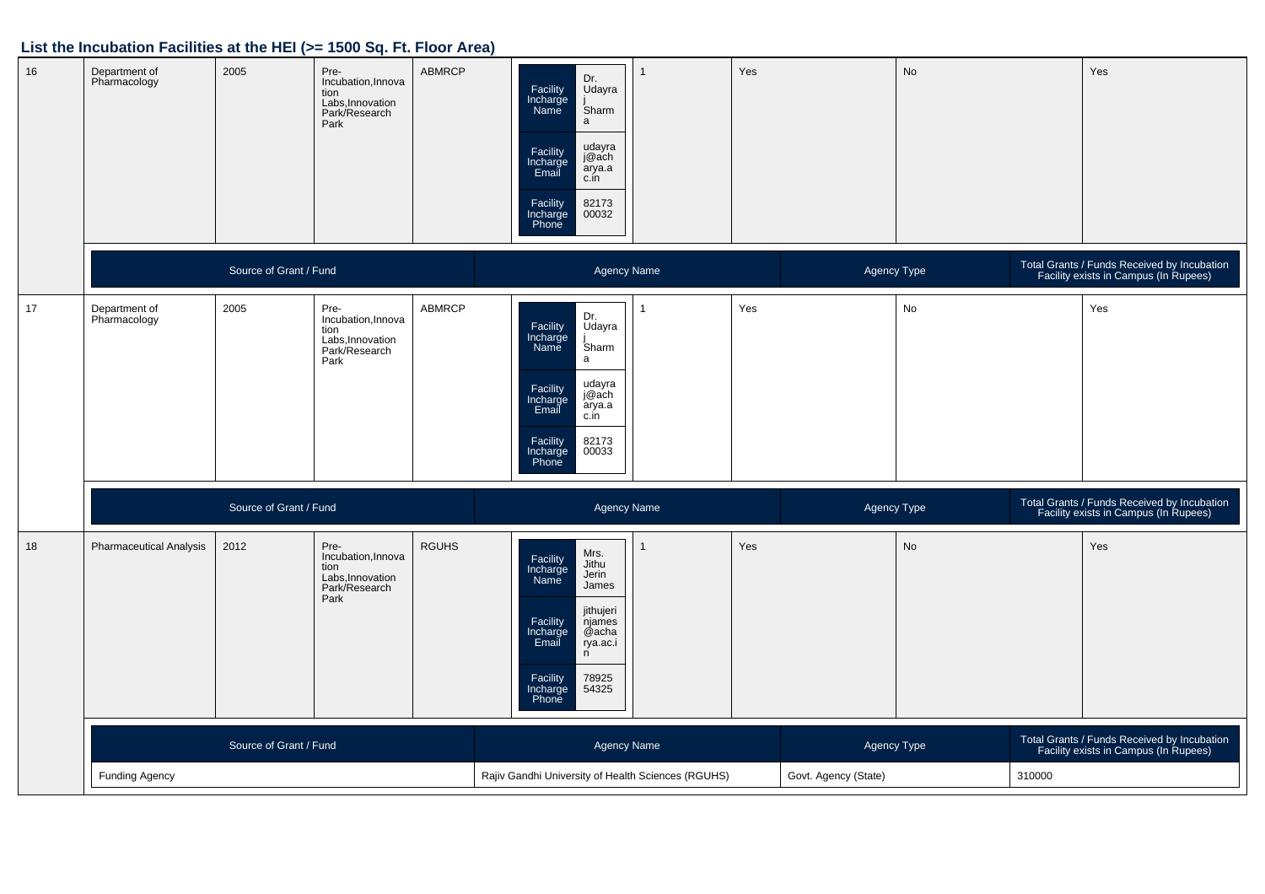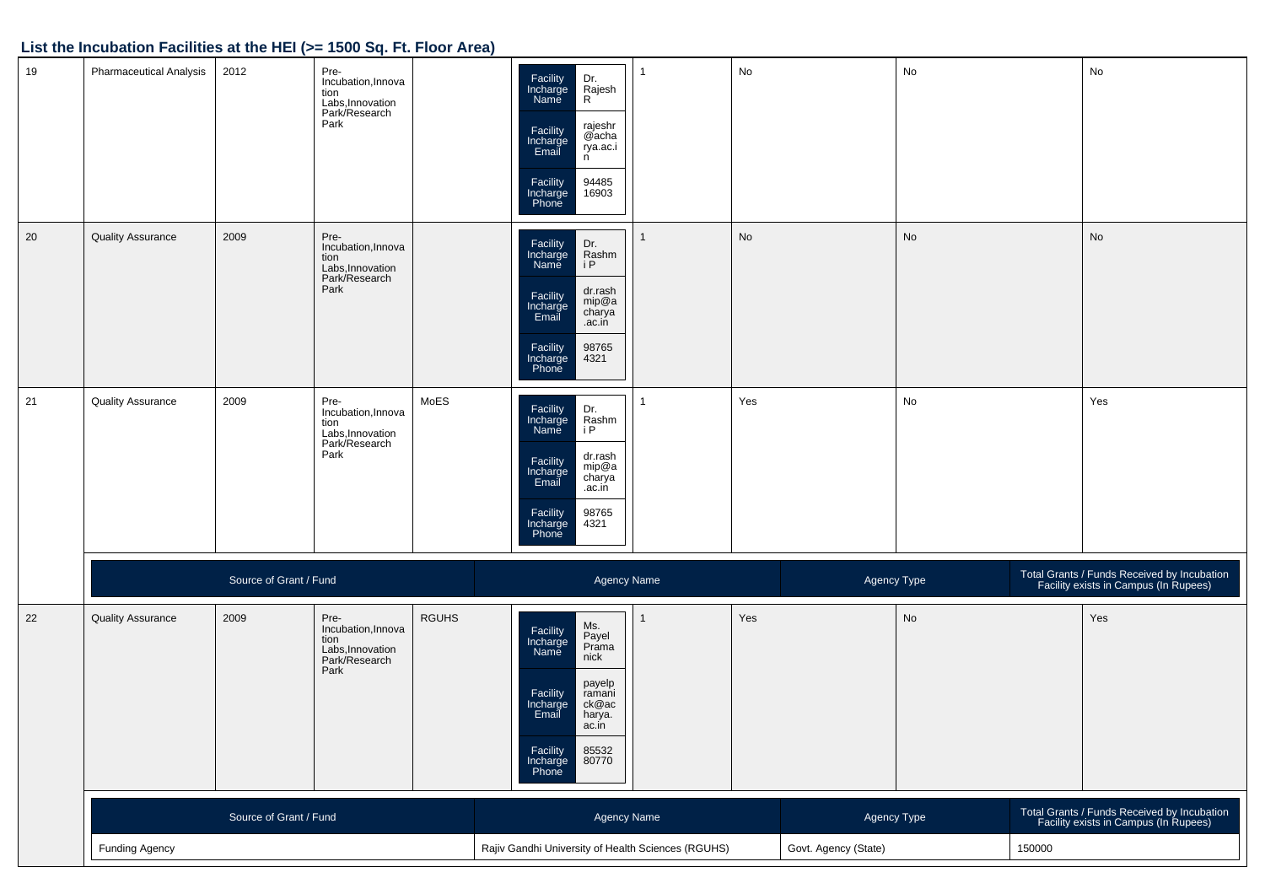| 19 | Pharmaceutical Analysis  | 2012                   | Pre-<br>Incubation, Innova<br>tion<br>Labs, Innovation<br>Park/Research<br>Park |              | Dr.<br>Rajesh<br>R<br>Facility<br>Incharge<br>Name<br>rajeshr<br>@acha<br>Facility<br>Incharge<br>Email<br>rya.ac.i<br>n<br>94485<br>16903<br>Facility<br>Incharge<br>Phone                       |  | No  |                      | No                           |                                                                                      | No                                                                                   |  |
|----|--------------------------|------------------------|---------------------------------------------------------------------------------|--------------|---------------------------------------------------------------------------------------------------------------------------------------------------------------------------------------------------|--|-----|----------------------|------------------------------|--------------------------------------------------------------------------------------|--------------------------------------------------------------------------------------|--|
| 20 | <b>Quality Assurance</b> | 2009                   | Pre-<br>Incubation, Innova<br>tion<br>Labs, Innovation<br>Park/Research<br>Park |              | Facility<br>Incharge<br>Name<br>Dr.<br>Rashm<br>i P<br>dr.rash<br>Facility<br>Incharge<br>Email<br>mip@a<br>charya<br>.ac.in<br>98765<br>Facility<br>Incharge<br>Phone<br>4321                    |  | No  |                      | $\operatorname{\mathsf{No}}$ |                                                                                      | No                                                                                   |  |
| 21 | <b>Quality Assurance</b> | 2009                   | Pre-<br>Incubation, Innova<br>tion<br>Labs, Innovation<br>Park/Research<br>Park | MoES         | Facility<br>Incharge<br>Name<br>Dr.<br>Rashm<br>i P<br>dr.rash<br>mip@a<br>charya<br>Facility<br>Incharge<br>Email<br>.ac.iń<br>98765<br>Facility<br>Incharge<br>Phone<br>4321                    |  | Yes |                      | No                           |                                                                                      | Yes                                                                                  |  |
|    |                          | Source of Grant / Fund |                                                                                 |              | <b>Agency Name</b>                                                                                                                                                                                |  |     | Agency Type          |                              |                                                                                      | Total Grants / Funds Received by Incubation<br>Facility exists in Campus (In Rupees) |  |
| 22 | <b>Quality Assurance</b> | 2009                   | Pre-<br>Incubation, Innova<br>tion<br>Labs, Innovation<br>Park/Research<br>Park | <b>RGUHS</b> | Ms.<br>Payel<br>Prama<br>Facility<br>Incharge<br>Name<br>nick<br>payelp<br>ramani<br>Facility<br>Incharge<br>Email<br>ck@ac<br>harya.<br>ac.in<br>Facility<br>85532<br>Incharge<br>Phone<br>80770 |  | Yes |                      | $\operatorname{\mathsf{No}}$ |                                                                                      | Yes                                                                                  |  |
|    | Source of Grant / Fund   |                        |                                                                                 |              | <b>Agency Name</b>                                                                                                                                                                                |  |     | Agency Type          |                              | Total Grants / Funds Received by Incubation<br>Facility exists in Campus (In Rupees) |                                                                                      |  |
|    | <b>Funding Agency</b>    |                        |                                                                                 |              | Rajiv Gandhi University of Health Sciences (RGUHS)                                                                                                                                                |  |     | Govt. Agency (State) |                              | 150000                                                                               |                                                                                      |  |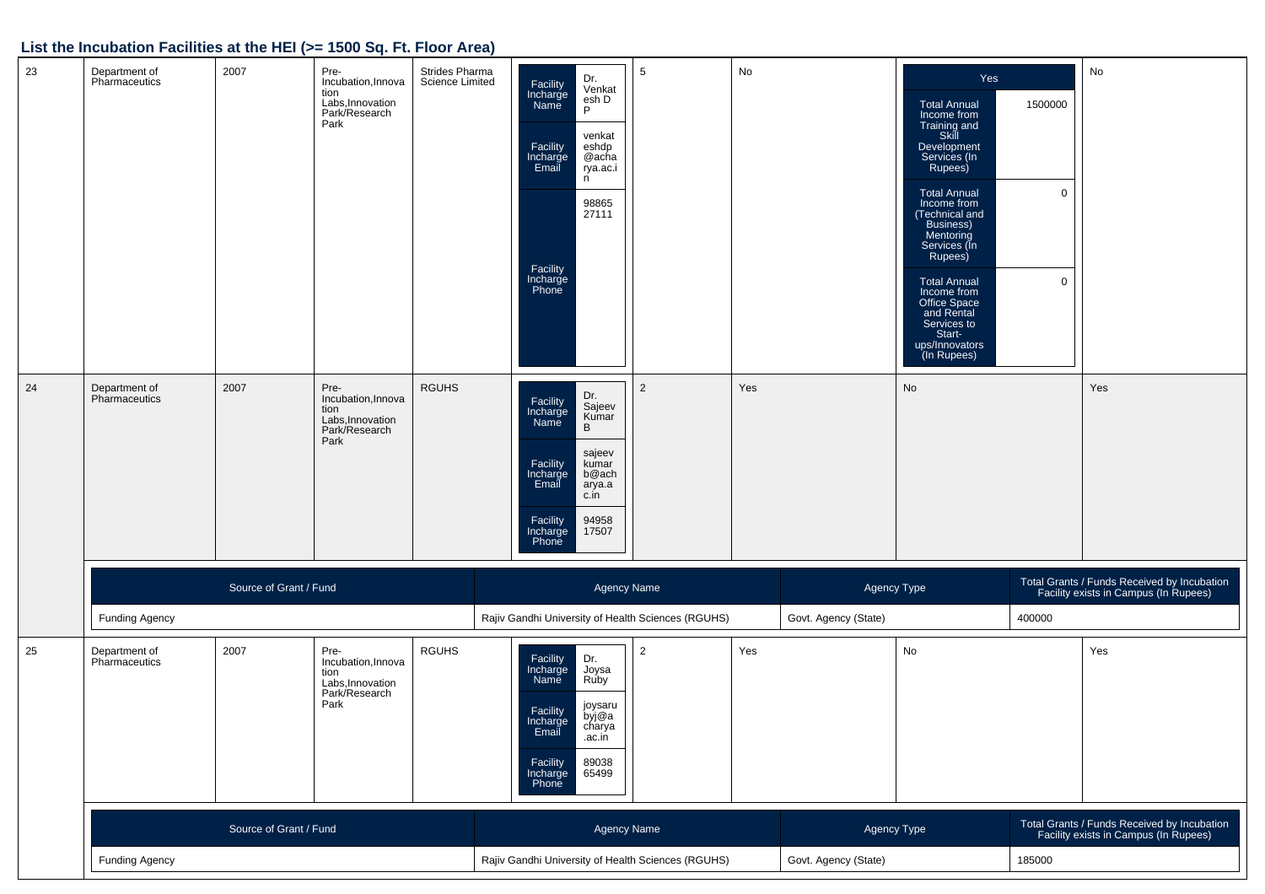| 23 | Department of<br>Pharmaceutics | 2007                   | Pre-<br>Incubation, Innova<br>tion<br>Labs, Innovation<br>Park/Research<br>Park | Strides Pharma<br><b>Science Limited</b> | Dr.<br>Venkat<br>Facility<br>Incharge<br>Name<br>esh D<br>P<br>venkat<br>eshdp<br>@acha<br>Facility<br>Incharge<br>Email<br>rya.ac.i<br>n<br>98865<br>27111<br>Facility<br>Incharge<br>Phone  | $\sqrt{5}$                                         | No  |                      | Yes<br><b>Total Annual</b><br>Income from<br>Training and<br>Skill<br>Development<br>Services (In<br>Rupees)<br><b>Total Annual</b><br>Income from<br>(Technical and<br>Business)<br>Mentoring<br>Services (In<br>Rupees)<br><b>Total Annual</b><br>Income from<br>Office Space<br>and Rental<br>Services to<br>Start-<br>ups/Innovators<br>(In Rupees) | 1500000<br>$\mathbf 0$<br>$\mathbf 0$ | No                                                                                   |
|----|--------------------------------|------------------------|---------------------------------------------------------------------------------|------------------------------------------|-----------------------------------------------------------------------------------------------------------------------------------------------------------------------------------------------|----------------------------------------------------|-----|----------------------|---------------------------------------------------------------------------------------------------------------------------------------------------------------------------------------------------------------------------------------------------------------------------------------------------------------------------------------------------------|---------------------------------------|--------------------------------------------------------------------------------------|
| 24 | Department of<br>Pharmaceutics | 2007                   | Pre-<br>Incubation, Innova<br>tion<br>Labs, Innovation<br>Park/Research<br>Park | <b>RGUHS</b>                             | Dr.<br>Facility<br>Incharge<br>Sajeev<br>Kumar<br>B<br>Name<br>sajeev<br>Facility<br>Incharge<br>Email<br>kumar<br>b@ach<br>arya.a<br>c.in<br>94958<br>Facility<br>Incharge<br>Phone<br>17507 | $\overline{2}$                                     | Yes |                      | No                                                                                                                                                                                                                                                                                                                                                      |                                       | Yes                                                                                  |
|    |                                | Source of Grant / Fund |                                                                                 |                                          | <b>Agency Name</b>                                                                                                                                                                            |                                                    |     | Agency Type          |                                                                                                                                                                                                                                                                                                                                                         |                                       | Total Grants / Funds Received by Incubation<br>Facility exists in Campus (In Rupees) |
|    | <b>Funding Agency</b>          |                        |                                                                                 |                                          | Rajiv Gandhi University of Health Sciences (RGUHS)                                                                                                                                            |                                                    |     | Govt. Agency (State) |                                                                                                                                                                                                                                                                                                                                                         | 400000                                |                                                                                      |
| 25 | Department of<br>Pharmaceutics | 2007                   | Pre-<br>Incubation, Innova<br>tion<br>Labs, Innovation<br>Park/Research<br>Park | <b>RGUHS</b>                             | Dr.<br>Facility<br>Incharge<br>Joysa<br>Name<br>Ruby<br>joysaru<br>Facility<br>byj@a<br>Incharge<br>charya<br>Email<br>.ac.in<br>89038<br>Facility<br>Incharge<br>Phone<br>65499              | $\overline{2}$                                     | Yes |                      | No                                                                                                                                                                                                                                                                                                                                                      |                                       | Yes                                                                                  |
|    |                                | Source of Grant / Fund |                                                                                 |                                          | Agency Name                                                                                                                                                                                   |                                                    |     | Agency Type          |                                                                                                                                                                                                                                                                                                                                                         |                                       | Total Grants / Funds Received by Incubation<br>Facility exists in Campus (In Rupees) |
|    | <b>Funding Agency</b>          |                        |                                                                                 |                                          |                                                                                                                                                                                               | Rajiv Gandhi University of Health Sciences (RGUHS) |     |                      | Govt. Agency (State)<br>185000                                                                                                                                                                                                                                                                                                                          |                                       |                                                                                      |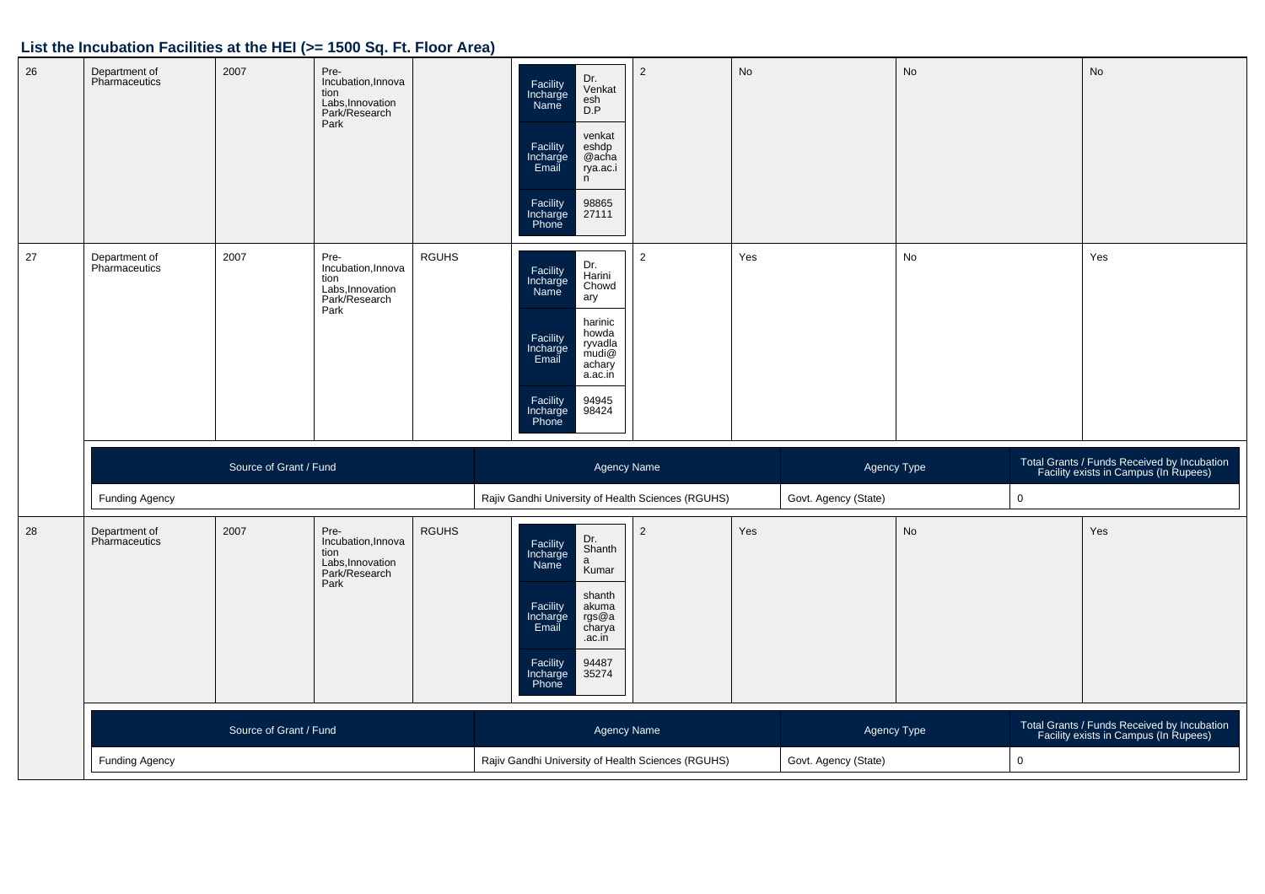| 26 | Department of<br>Pharmaceutics | 2007                   | Pre-<br>Incubation, Innova<br>tion<br>Labs, Innovation<br>Park/Research<br>Park |              | Dr.<br>Facility<br>Venkat<br>Incharge<br>Name<br>esh<br>D.P<br>venkat<br>Facility<br>Incharge<br>Email<br>eshdp<br>@acha<br>rya.ac.i<br>n<br>Facility<br>Incharge<br>Phone<br>98865<br>27111                   | $\overline{2}$ | No  |                      | $\mathsf{No}$ |             | No                                                                                   |
|----|--------------------------------|------------------------|---------------------------------------------------------------------------------|--------------|----------------------------------------------------------------------------------------------------------------------------------------------------------------------------------------------------------------|----------------|-----|----------------------|---------------|-------------|--------------------------------------------------------------------------------------|
| 27 | Department of<br>Pharmaceutics | 2007                   | Pre-<br>Incubation, Innova<br>tion<br>Labs, Innovation<br>Park/Research<br>Park | <b>RGUHS</b> | Dr.<br>Facility<br>Incharge<br>Name<br>Harini<br>Chowd<br>ary<br>harinic<br>howda<br>Facility<br>Incharge<br>Email<br>ryvadla<br>mudi@<br>achary<br>a.ac.in<br>94945<br>98424<br>Facility<br>Incharge<br>Phone | 2              | Yes |                      | No            |             | Yes                                                                                  |
|    |                                | Source of Grant / Fund |                                                                                 |              |                                                                                                                                                                                                                | Agency Name    |     | Agency Type          |               |             | Total Grants / Funds Received by Incubation<br>Facility exists in Campus (In Rupees) |
|    | <b>Funding Agency</b>          |                        |                                                                                 |              | Rajiv Gandhi University of Health Sciences (RGUHS)                                                                                                                                                             |                |     | Govt. Agency (State) |               | $\mathsf 0$ |                                                                                      |
| 28 |                                |                        |                                                                                 |              |                                                                                                                                                                                                                |                |     |                      |               |             |                                                                                      |
|    | Department of<br>Pharmaceutics | 2007                   | Pre-<br>Incubation, Innova<br>tion<br>Labs, Innovation<br>Park/Research<br>Park | <b>RGUHS</b> | Dr.<br>Facility<br>Incharge<br>Shanth<br>$\mathsf{a}$<br>Name<br>Kumar<br>shanth<br>Facility<br>akuma<br>Incharge<br>Email<br>rgs@a<br>charya<br>.ac.in<br>94487<br>Facility<br>35274<br>Incharge<br>Phone     | $\overline{2}$ | Yes |                      | No            |             | Yes                                                                                  |
|    |                                | Source of Grant / Fund |                                                                                 |              |                                                                                                                                                                                                                | Agency Name    |     | Agency Type          |               |             | Total Grants / Funds Received by Incubation<br>Facility exists in Campus (In Rupees) |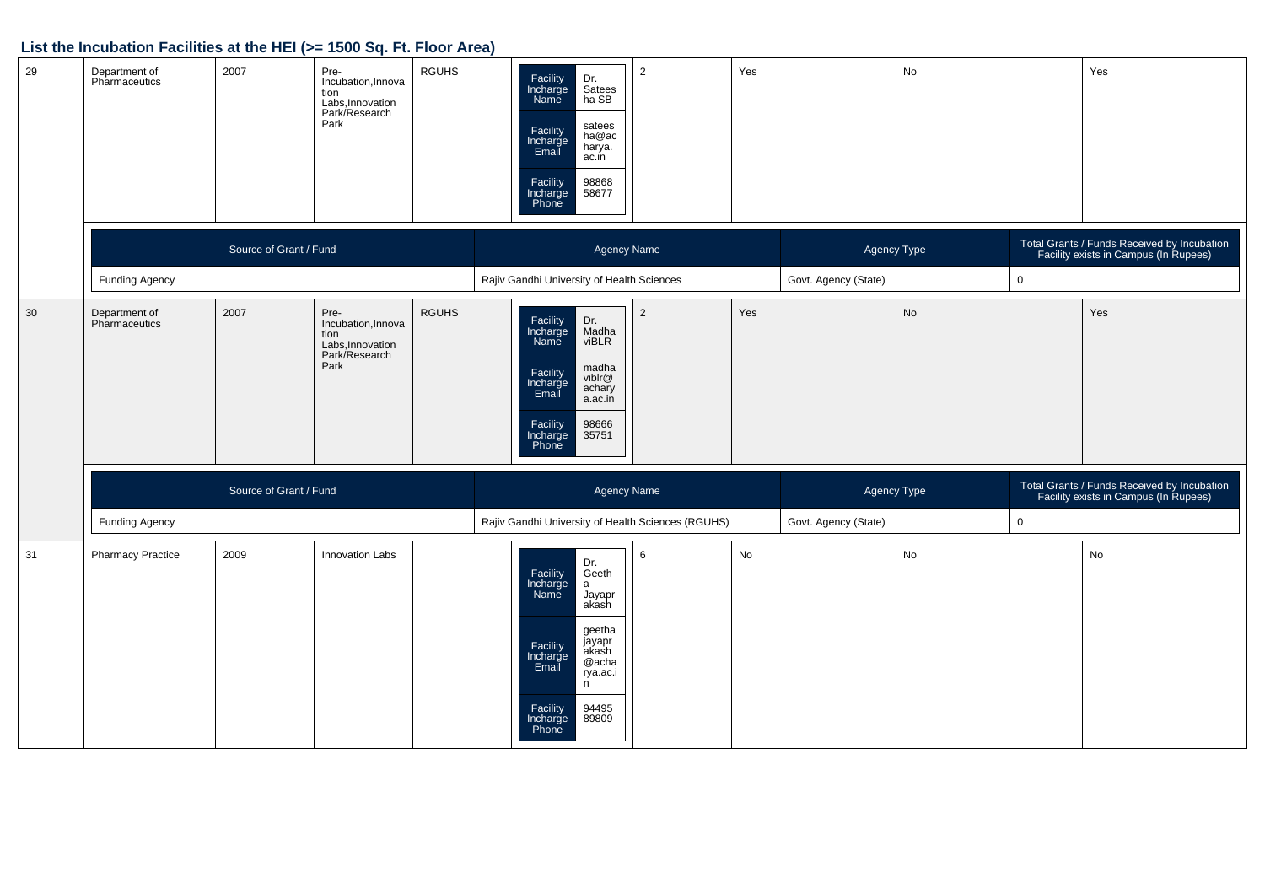| 29 | Department of<br>Pharmaceutics | 2007                   | Pre-<br><b>RGUHS</b><br>Incubation, Innova<br>tion<br>Labs, Innovation<br>Park/Research<br>Park | Facility<br>Incharge<br>Dr.<br>Satees<br>ha SB<br>Name<br>satees<br>Facility<br>Incharge<br>Email<br>ha@ac<br>harya.<br>ac.in<br>98868<br>Facility<br>Incharge<br>58677<br>Phone                                | $\overline{2}$ | Yes                  |                      | No          |             | Yes                                                                                  |
|----|--------------------------------|------------------------|-------------------------------------------------------------------------------------------------|-----------------------------------------------------------------------------------------------------------------------------------------------------------------------------------------------------------------|----------------|----------------------|----------------------|-------------|-------------|--------------------------------------------------------------------------------------|
|    |                                | Source of Grant / Fund |                                                                                                 | Agency Name                                                                                                                                                                                                     |                |                      | Agency Type          |             |             | Total Grants / Funds Received by Incubation<br>Facility exists in Campus (In Rupees) |
|    | Funding Agency                 |                        |                                                                                                 | Rajiv Gandhi University of Health Sciences                                                                                                                                                                      |                | Govt. Agency (State) |                      | $\mathbf 0$ |             |                                                                                      |
| 30 | Department of<br>Pharmaceutics | 2007                   | <b>RGUHS</b><br>Pre-<br>Incubation, Innova<br>tion<br>Labs, Innovation<br>Park/Research<br>Park | Facility<br>Incharge<br>Name<br>Dr.<br>Madha<br>viBLR<br>madha<br>Facility<br>Incharge<br>Email<br>viblr@<br>achary<br>a.ac.in<br>Facility<br>Incharge<br>98666<br>35751<br>Phone                               | $\overline{2}$ | Yes                  |                      | <b>No</b>   |             | Yes                                                                                  |
|    |                                | Source of Grant / Fund |                                                                                                 | Agency Name                                                                                                                                                                                                     |                |                      | Agency Type          |             |             | Total Grants / Funds Received by Incubation<br>Facility exists in Campus (In Rupees) |
|    | <b>Funding Agency</b>          |                        |                                                                                                 | Rajiv Gandhi University of Health Sciences (RGUHS)                                                                                                                                                              |                |                      | Govt. Agency (State) |             | $\mathbf 0$ |                                                                                      |
| 31 | <b>Pharmacy Practice</b>       | 2009                   | <b>Innovation Labs</b>                                                                          | Dr.<br>Geeth<br>Facility<br>Incharge<br>Name<br>a<br>Jayapr<br>akash<br>geetha<br>jayapr<br>Facility<br>Incharge<br>Email<br>akash<br>@acha<br>rya.ac.i<br>n<br>94495<br>Facility<br>Incharge<br>89809<br>Phone | 6              | No                   |                      | No          |             | No                                                                                   |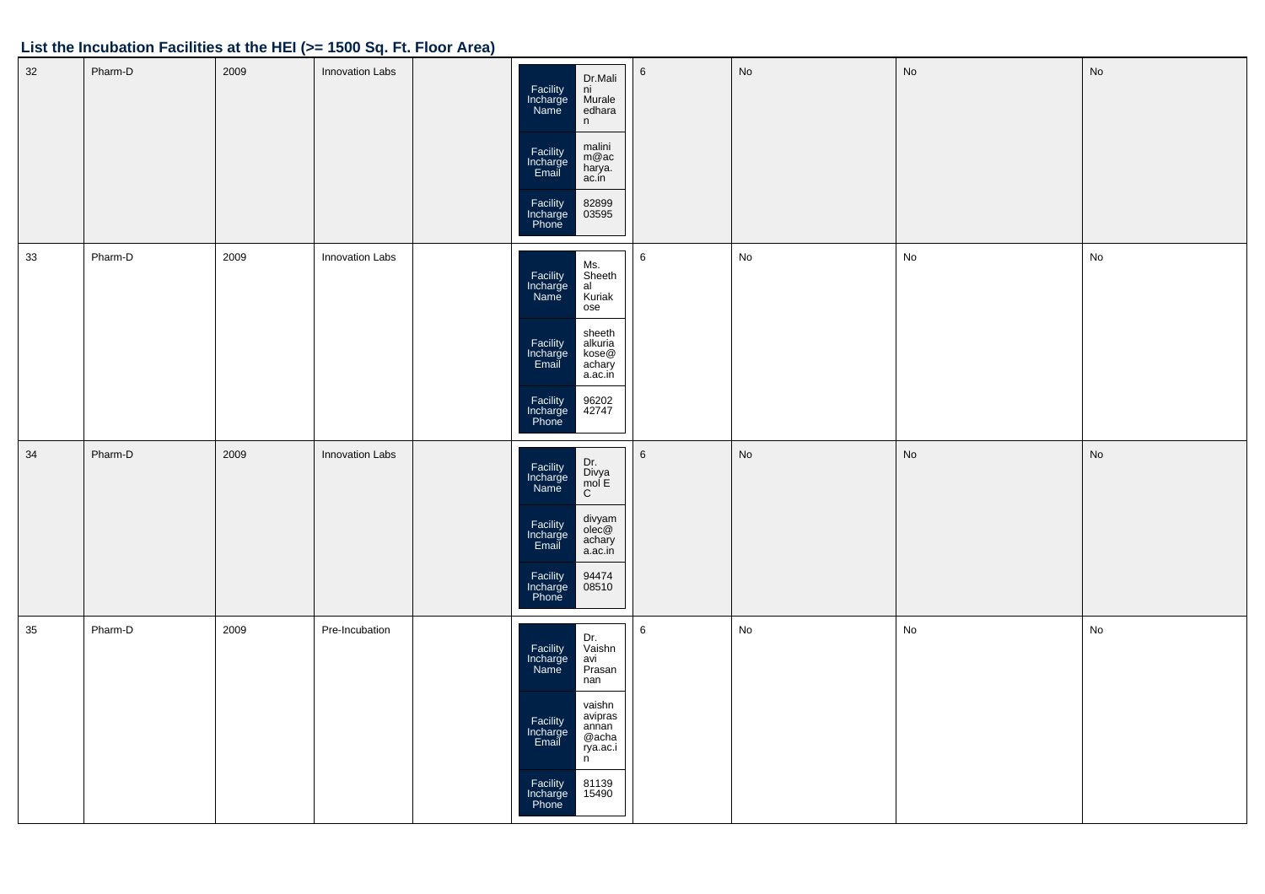| $32\,$ | Pharm-D | 2009 | <b>Innovation Labs</b> | Dr.Mali<br>Facility<br>Incharge<br>ni<br>Murale<br>Name<br>edhara<br>n<br>malini<br>m@ac<br>Facility<br>Incharge<br>Email<br>harya.<br>ac.in<br>Facility<br>Incharge<br>Phone<br>82899<br>03595                     | $\,6\,$ | No            | No            | No                           |
|--------|---------|------|------------------------|---------------------------------------------------------------------------------------------------------------------------------------------------------------------------------------------------------------------|---------|---------------|---------------|------------------------------|
| 33     | Pharm-D | 2009 | Innovation Labs        | Ms.<br>Facility<br>Incharge<br>Name<br>wis.<br>Sheeth<br>al<br>Kuriak<br>ose<br>sheeth<br>Facility<br>Incharge<br>Email<br>alkuria<br>kose@<br>achary<br>a.ac.in<br>Facility<br>Incharge<br>Phone<br>96202<br>42747 | 6       | $\mathsf{No}$ | $\mathsf{No}$ | $\operatorname{\mathsf{No}}$ |
| 34     | Pharm-D | 2009 | <b>Innovation Labs</b> | Dr.<br>Divya<br>mol E<br>C<br>Facility<br>Incharge<br>Name<br>divyam<br>olec@<br>Facility<br>Incharge<br>Email<br>achary<br>a.ac.in<br>Facility<br>Incharge<br>Phone<br>94474<br>08510                              | 6       | No            | No            | No                           |
| 35     | Pharm-D | 2009 | Pre-Incubation         | Dr.<br>Vaishn<br>avi<br>Facility<br>Incharge<br>Prasan<br>Name<br>nan<br>vaishn<br>avipras<br>annan<br>Facility<br>Incharge<br>Email<br>@acha<br>rya.ac.i<br>n.<br>Facility<br>Incharge<br>Phone<br>81139<br>15490  | 6       | No            | No            | No                           |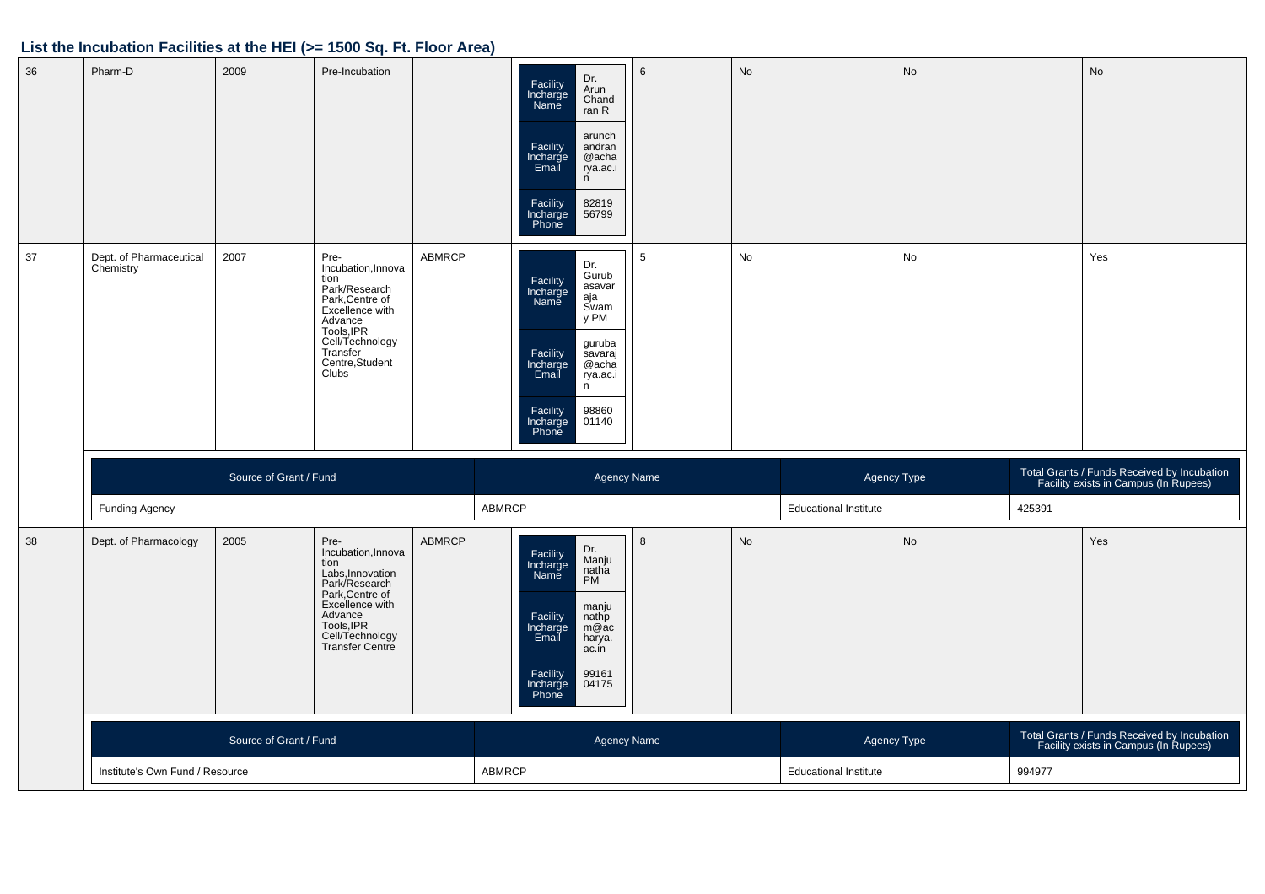| 36 | Pharm-D                              | 2009                   | Pre-Incubation                                                                                                                                                                |               | Dr.<br>Facility<br>Incharge<br>Name<br>Arun<br>Chand<br>ran R<br>arunch<br>Facility<br>Incharge<br>Email<br>andran<br>@acha<br>rya.ac.i<br>n<br>Facility<br>82819<br>Incharge<br>Phone<br>56799                  | 6 | <b>No</b> |                              | No |        | No                                                                                   |
|----|--------------------------------------|------------------------|-------------------------------------------------------------------------------------------------------------------------------------------------------------------------------|---------------|------------------------------------------------------------------------------------------------------------------------------------------------------------------------------------------------------------------|---|-----------|------------------------------|----|--------|--------------------------------------------------------------------------------------|
| 37 | Dept. of Pharmaceutical<br>Chemistry | 2007                   | Pre-<br>Incubation, Innova<br>tion<br>Park/Research<br>Park, Centre of<br>Excellence with<br>Advance<br>Tools, IPR<br>Cell/Technology<br>Transfer<br>Centre, Student<br>Clubs | ABMRCP        | Dr.<br>Gurub<br>Facility<br>Incharge<br>Name<br>asavar<br>aja<br>Swam<br>y PM<br>guruba<br>Facility<br>Incharge<br>Email<br>savaraj<br>@acha<br>rya.ac.i<br>n<br>Facility<br>Incharge<br>Phone<br>98860<br>01140 | 5 | No        |                              | No |        | Yes                                                                                  |
|    |                                      | Source of Grant / Fund |                                                                                                                                                                               |               | <b>Agency Name</b>                                                                                                                                                                                               |   |           | Agency Type                  |    |        | Total Grants / Funds Received by Incubation<br>Facility exists in Campus (In Rupees) |
|    |                                      |                        |                                                                                                                                                                               |               |                                                                                                                                                                                                                  |   |           |                              |    |        |                                                                                      |
|    | Funding Agency                       |                        |                                                                                                                                                                               |               | ABMRCP                                                                                                                                                                                                           |   |           | <b>Educational Institute</b> |    | 425391 |                                                                                      |
| 38 | Dept. of Pharmacology                | 2005                   | Pre-<br>Incubation, Innova<br>tion<br>Labs, Innovation<br>Park/Research<br>Park, Centre of<br>Excellence with<br>Advance<br>Tools, IPR<br>Cell/Technology<br>Transfer Centre  | <b>ABMRCP</b> | Dr.<br>Manju<br>Facility<br>Incharge<br>Name<br>natha<br>PM<br>manju<br>Facility<br>Incharge<br>Email<br>nathp<br>m@ac<br>harya.<br>ac.in<br>Facility<br>Incharge<br>Phone<br>99161<br>04175                     | 8 | <b>No</b> |                              | No |        | Yes                                                                                  |
|    |                                      | Source of Grant / Fund |                                                                                                                                                                               |               | <b>Agency Name</b>                                                                                                                                                                                               |   |           | Agency Type                  |    |        | Total Grants / Funds Received by Incubation<br>Facility exists in Campus (In Rupees) |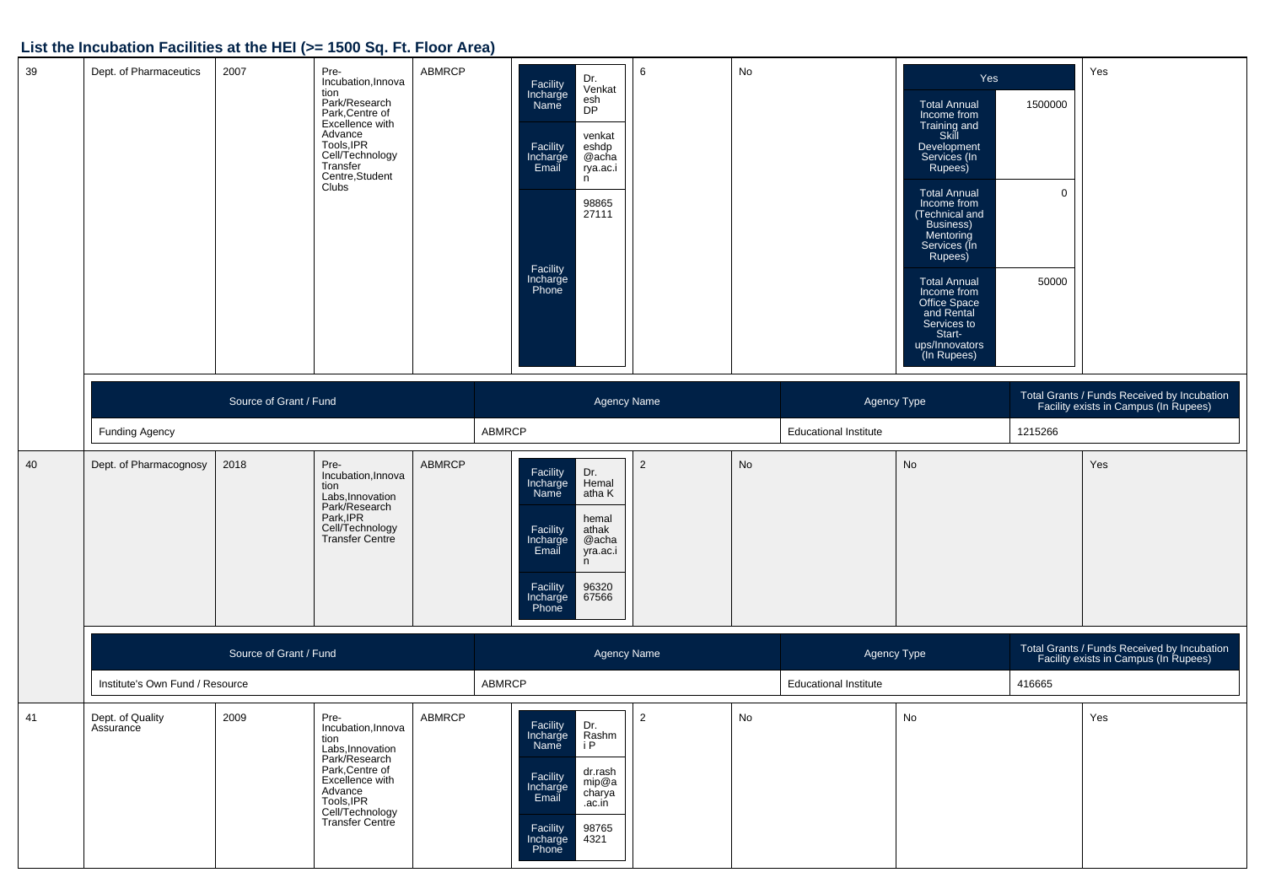| 39 | Dept. of Pharmaceutics          | 2007                   | Pre-<br>Incubation, Innova<br>tion<br>Park/Research<br>Park, Centre of<br>Excellence with<br>Advance<br>Tools, IPR<br>Cell/Technology<br>Transfer<br>Centre, Student<br>Clubs | ABMRCP        | Dr.<br>Facility<br>Incharge<br>Name<br>Venkat<br>esh<br>DP<br>venkat<br>Facility<br>Incharge<br>Email<br>eshdp<br>@acha<br>rya.ac.i<br>n<br>98865<br>27111<br>Facility<br>Incharge<br>Phone | 6                  | No        |                              | Yes<br><b>Total Annual</b><br>Income from<br>Training and<br>Skill<br>Development<br>Services (In<br>Rupees)<br><b>Total Annual</b><br>Income from<br>(Technical and<br>Business)<br>Mentoring<br>Services (In<br>Rupees)<br><b>Total Annual</b><br>Income from<br>Office Space<br>and Rental<br>Services to<br>Start-<br>ups/Innovators<br>(In Rupees) | 1500000<br>$\mathbf 0$<br>50000 | Yes                                                                                  |
|----|---------------------------------|------------------------|-------------------------------------------------------------------------------------------------------------------------------------------------------------------------------|---------------|---------------------------------------------------------------------------------------------------------------------------------------------------------------------------------------------|--------------------|-----------|------------------------------|---------------------------------------------------------------------------------------------------------------------------------------------------------------------------------------------------------------------------------------------------------------------------------------------------------------------------------------------------------|---------------------------------|--------------------------------------------------------------------------------------|
|    |                                 | Source of Grant / Fund |                                                                                                                                                                               |               |                                                                                                                                                                                             | <b>Agency Name</b> |           | Agency Type                  |                                                                                                                                                                                                                                                                                                                                                         |                                 | Total Grants / Funds Received by Incubation<br>Facility exists in Campus (In Rupees) |
|    | <b>Funding Agency</b>           |                        |                                                                                                                                                                               |               | ABMRCP                                                                                                                                                                                      |                    |           | <b>Educational Institute</b> |                                                                                                                                                                                                                                                                                                                                                         | 1215266                         |                                                                                      |
| 40 | Dept. of Pharmacognosy          | 2018                   | Pre-<br>Incubation, Innova<br>tion<br>Labs, Innovation<br>Park/Research<br>Park, IPR<br>Cell/Technology<br><b>Transfer Centre</b>                                             | <b>ABMRCP</b> | Facility<br>Incharge<br>Dr.<br>Hemal<br>Name<br>atha K<br>hemal<br>Facility<br>athak<br>Incharge<br>Email<br>@acha<br>yra.ac.i<br>n<br>96320<br>Facility<br>Incharge<br>67566<br>Phone      | $\overline{2}$     | <b>No</b> |                              | No                                                                                                                                                                                                                                                                                                                                                      |                                 | Yes                                                                                  |
|    |                                 | Source of Grant / Fund |                                                                                                                                                                               |               |                                                                                                                                                                                             | <b>Agency Name</b> |           | Agency Type                  |                                                                                                                                                                                                                                                                                                                                                         |                                 | Total Grants / Funds Received by Incubation<br>Facility exists in Campus (In Rupees) |
|    | Institute's Own Fund / Resource |                        |                                                                                                                                                                               |               | ABMRCP                                                                                                                                                                                      |                    |           | <b>Educational Institute</b> |                                                                                                                                                                                                                                                                                                                                                         | 416665                          |                                                                                      |
| 41 | Dept. of Quality<br>Assurance   | 2009                   | Pre-<br>Incubation, Innova<br>tion<br>Labs, Innovation<br>Park/Research<br>Park, Centre of<br>Excellence with<br>Advance<br>Tools, IPR<br>Cell/Technology<br>Transfer Centre  | <b>ABMRCP</b> | Facility<br>Dr.<br>Rashm<br>Incharge<br>i P<br>Name<br>dr.rash<br>Facility<br>mip@a<br>Incharge<br>Email<br>charya<br>.ac.in<br>98765<br>Facility<br>Incharge<br>Phone<br>4321              | $\overline{2}$     | No        |                              | No                                                                                                                                                                                                                                                                                                                                                      |                                 | Yes                                                                                  |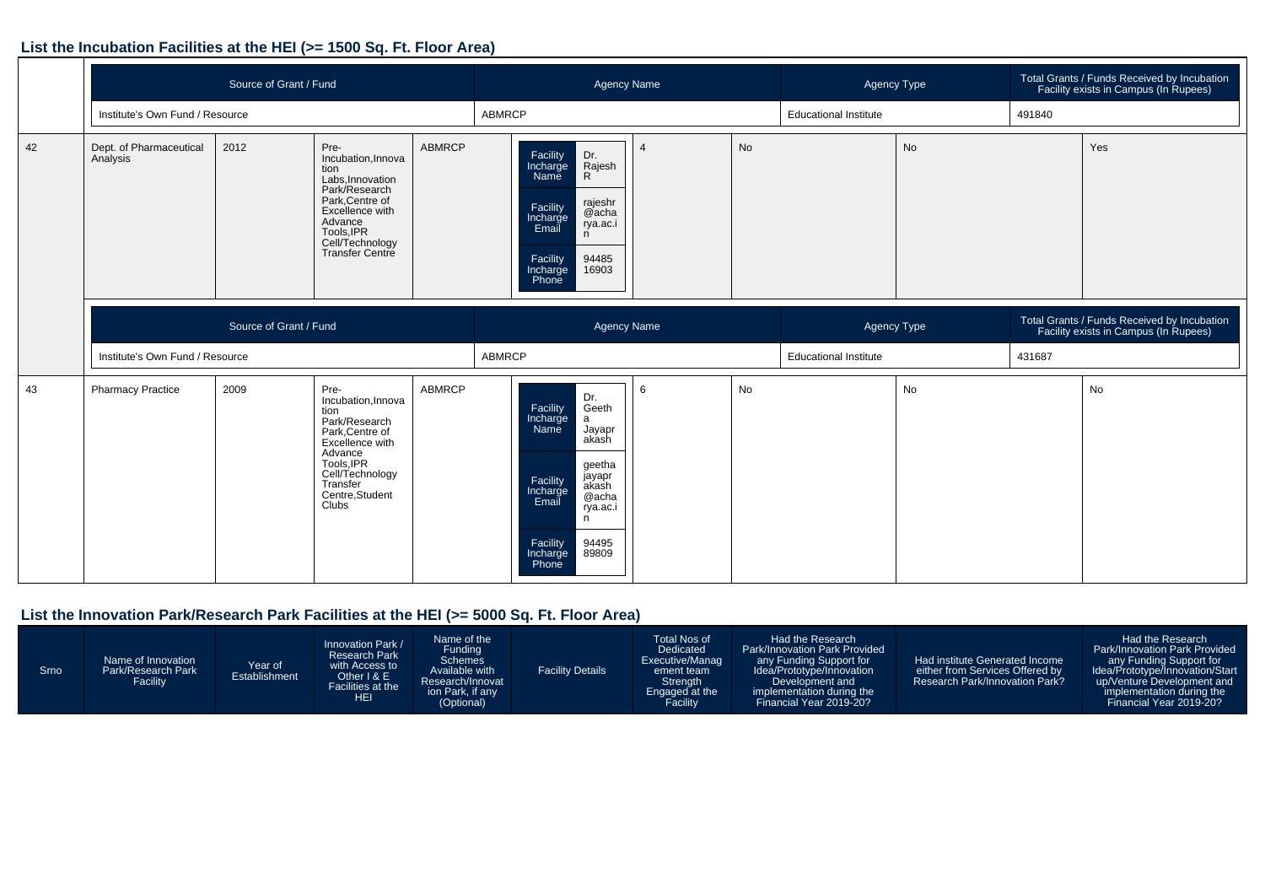|    |                                     | Source of Grant / Fund |                                                                                                                                                                               |               |               |                                                                                                                     | Agency Name                                                                                         |   |           | Agency Type                  |           | Total Grants / Funds Received by Incubation<br>Facility exists in Campus (In Rupees) |                                                                                      |
|----|-------------------------------------|------------------------|-------------------------------------------------------------------------------------------------------------------------------------------------------------------------------|---------------|---------------|---------------------------------------------------------------------------------------------------------------------|-----------------------------------------------------------------------------------------------------|---|-----------|------------------------------|-----------|--------------------------------------------------------------------------------------|--------------------------------------------------------------------------------------|
|    | Institute's Own Fund / Resource     |                        |                                                                                                                                                                               |               | ABMRCP        |                                                                                                                     |                                                                                                     |   |           | <b>Educational Institute</b> |           | 491840                                                                               |                                                                                      |
| 42 | Dept. of Pharmaceutical<br>Analysis | 2012                   | Pre-<br>Incubation, Innova<br>tion<br>Labs, Innovation<br>Park/Research<br>Park, Centre of<br>Excellence with<br>Advance<br>Tools, IPR<br>Cell/Technology<br>Transfer Centre  | <b>ABMRCP</b> |               | Facility<br>Incharge<br>$\mathsf{R}$<br>Name<br>Facility<br>Incharge<br>Email<br>n<br>Facility<br>Incharge<br>Phone | Dr.<br>Rajesh<br>rajeshr<br>$@a$ cha<br>rya.ac.i<br>94485<br>16903                                  |   | <b>No</b> |                              | <b>No</b> |                                                                                      | Yes                                                                                  |
|    |                                     | Source of Grant / Fund |                                                                                                                                                                               |               |               |                                                                                                                     | <b>Agency Name</b>                                                                                  |   |           | Agency Type                  |           |                                                                                      | Total Grants / Funds Received by Incubation<br>Facility exists in Campus (In Rupees) |
|    | Institute's Own Fund / Resource     |                        |                                                                                                                                                                               |               | <b>ABMRCP</b> |                                                                                                                     |                                                                                                     |   |           | <b>Educational Institute</b> |           | 431687                                                                               |                                                                                      |
| 43 | <b>Pharmacy Practice</b>            | 2009                   | Pre-<br>Incubation, Innova<br>tion<br>Park/Research<br>Park, Centre of<br>Excellence with<br>Advance<br>Tools, IPR<br>Cell/Technology<br>Transfer<br>Centre, Student<br>Clubs | <b>ABMRCP</b> |               | Facility<br>Incharge<br>a<br>Name<br>Facility<br>Incharge<br>Email<br>n<br>Facility<br>Incharge<br>Phone            | Dr.<br>Geeth<br>Jayapr<br>akash<br>geetha<br>jayapr<br>akash<br>@acha<br>rya.ac.i<br>94495<br>89809 | 6 | No        |                              | No        |                                                                                      | <b>No</b>                                                                            |

# **List the Innovation Park/Research Park Facilities at the HEI (>= 5000 Sq. Ft. Floor Area)**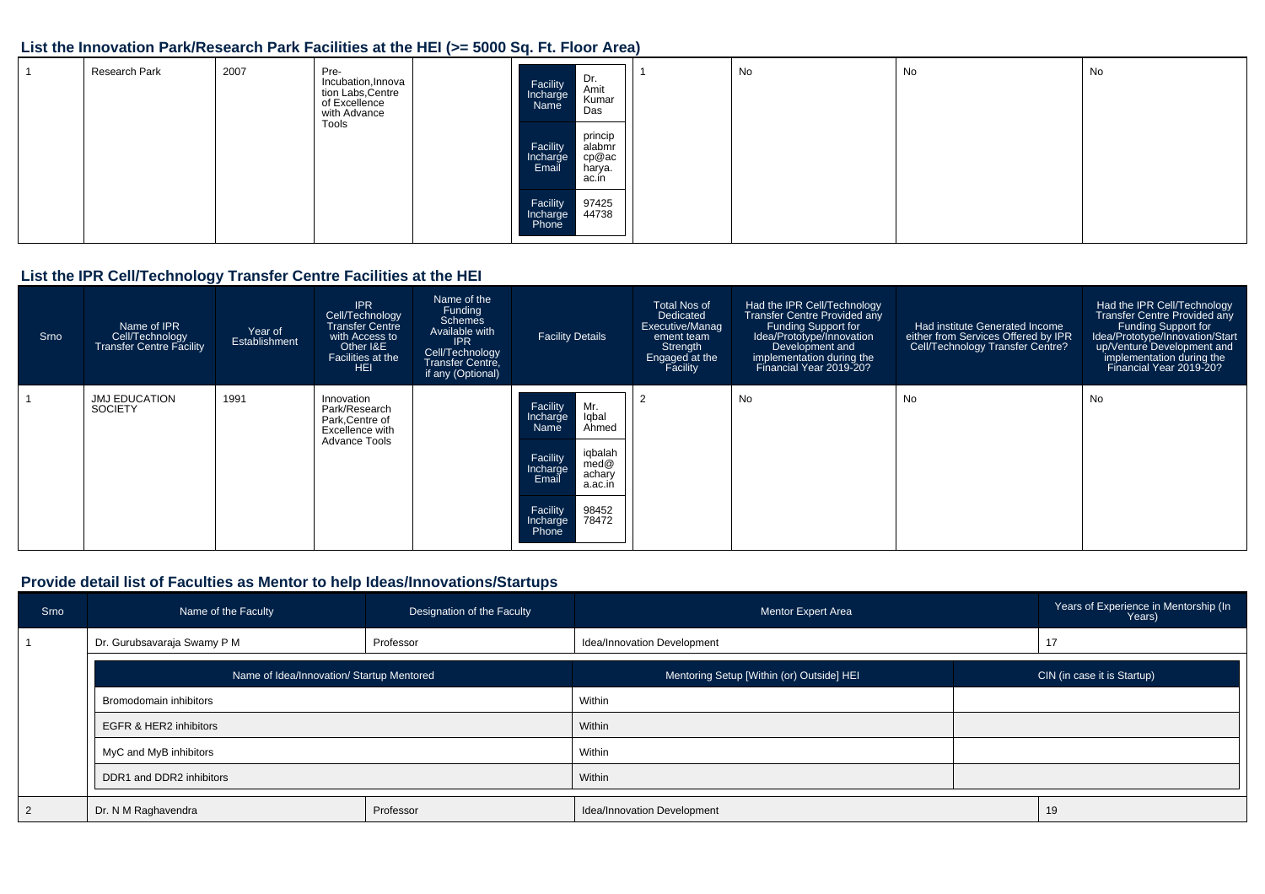#### **List the Innovation Park/Research Park Facilities at the HEI (>= 5000 Sq. Ft. Floor Area)**

| Research Park | 2007 | Pre-<br>Incubation, Innova<br>tion Labs, Centre<br>of Excellence<br>with Advance<br>Tools | Dr.<br>Amit<br>Facility<br>Incharge<br>Name<br>Kumar<br>Das                    | No | No | No |
|---------------|------|-------------------------------------------------------------------------------------------|--------------------------------------------------------------------------------|----|----|----|
|               |      |                                                                                           | princip<br>Facility<br>Incharge<br>alabmr<br>cp@ac<br>Email<br>harya.<br>ac.in |    |    |    |
|               |      |                                                                                           | 97425<br>Facility<br>44738<br>Incharge<br>Phone                                |    |    |    |

#### **List the IPR Cell/Technology Transfer Centre Facilities at the HEI**

| Srno | Name of IPR<br>Cell/Technology<br><b>Transfer Centre Facility</b> | Year of<br>Establishment | <b>IPR</b><br>Cell/Technology<br><b>Transfer Centre</b><br>with Access to<br>Other I&E<br>Facilities at the<br><b>HEL</b> | Name of the<br>Funding<br><b>Schemes</b><br>Available with<br><b>IPR</b><br>Cell/Technology<br>Transfer Centre,<br>if any (Optional) | <b>Facility Details</b>                                                                                                                                                           | Total Nos of<br>Dedicated<br>Executive/Manag<br>ement team<br>Strength<br>Engaged at the<br>Facility | Had the IPR Cell/Technology<br><b>Transfer Centre Provided any</b><br>Funding Support for<br>Idea/Prototype/Innovation<br>Development and<br>implementation during the<br>Financial Year 2019-20? | Had institute Generated Income<br>either from Services Offered by IPR<br>Cell/Technology Transfer Centre? | Had the IPR Cell/Technology<br>Transfer Centre Provided any<br><b>Funding Support for</b><br>Idea/Prototype/Innovation/Start<br>up/Venture Development and<br>implementation during the<br>Financial Year 2019-20? |
|------|-------------------------------------------------------------------|--------------------------|---------------------------------------------------------------------------------------------------------------------------|--------------------------------------------------------------------------------------------------------------------------------------|-----------------------------------------------------------------------------------------------------------------------------------------------------------------------------------|------------------------------------------------------------------------------------------------------|---------------------------------------------------------------------------------------------------------------------------------------------------------------------------------------------------|-----------------------------------------------------------------------------------------------------------|--------------------------------------------------------------------------------------------------------------------------------------------------------------------------------------------------------------------|
|      | <b>JMJ EDUCATION</b><br><b>SOCIETY</b>                            | 1991                     | Innovation<br>Park/Research<br>Park, Centre of<br>Excellence with<br>Advance Tools                                        |                                                                                                                                      | Facility<br>Mr.<br>Iqbal<br>Incharge<br>Name<br>Ahmed<br>iqbalah<br>Facility<br>med@<br>Incharge<br>achary<br>Email<br>a.ac.ir<br>Facility<br>98452<br>78472<br>Incharge<br>Phone |                                                                                                      | No                                                                                                                                                                                                | No                                                                                                        | No                                                                                                                                                                                                                 |

#### **Provide detail list of Faculties as Mentor to help Ideas/Innovations/Startups**

| Srno           | Designation of the Faculty<br>Name of the Faculty |           | Mentor Expert Area                        | Years of Experience in Mentorship (In<br>Years) |                             |  |
|----------------|---------------------------------------------------|-----------|-------------------------------------------|-------------------------------------------------|-----------------------------|--|
|                | Dr. Gurubsavaraja Swamy P M                       | Professor | Idea/Innovation Development               |                                                 | 17                          |  |
|                | Name of Idea/Innovation/ Startup Mentored         |           | Mentoring Setup [Within (or) Outside] HEI |                                                 | CIN (in case it is Startup) |  |
|                | Bromodomain inhibitors                            |           | Within                                    |                                                 |                             |  |
|                | EGFR & HER2 inhibitors                            |           | Within                                    |                                                 |                             |  |
|                | MyC and MyB inhibitors                            |           | Within                                    |                                                 |                             |  |
|                | DDR1 and DDR2 inhibitors                          |           | Within                                    |                                                 |                             |  |
| $\overline{2}$ | Professor<br>Dr. N M Raghavendra                  |           | Idea/Innovation Development               |                                                 | 19                          |  |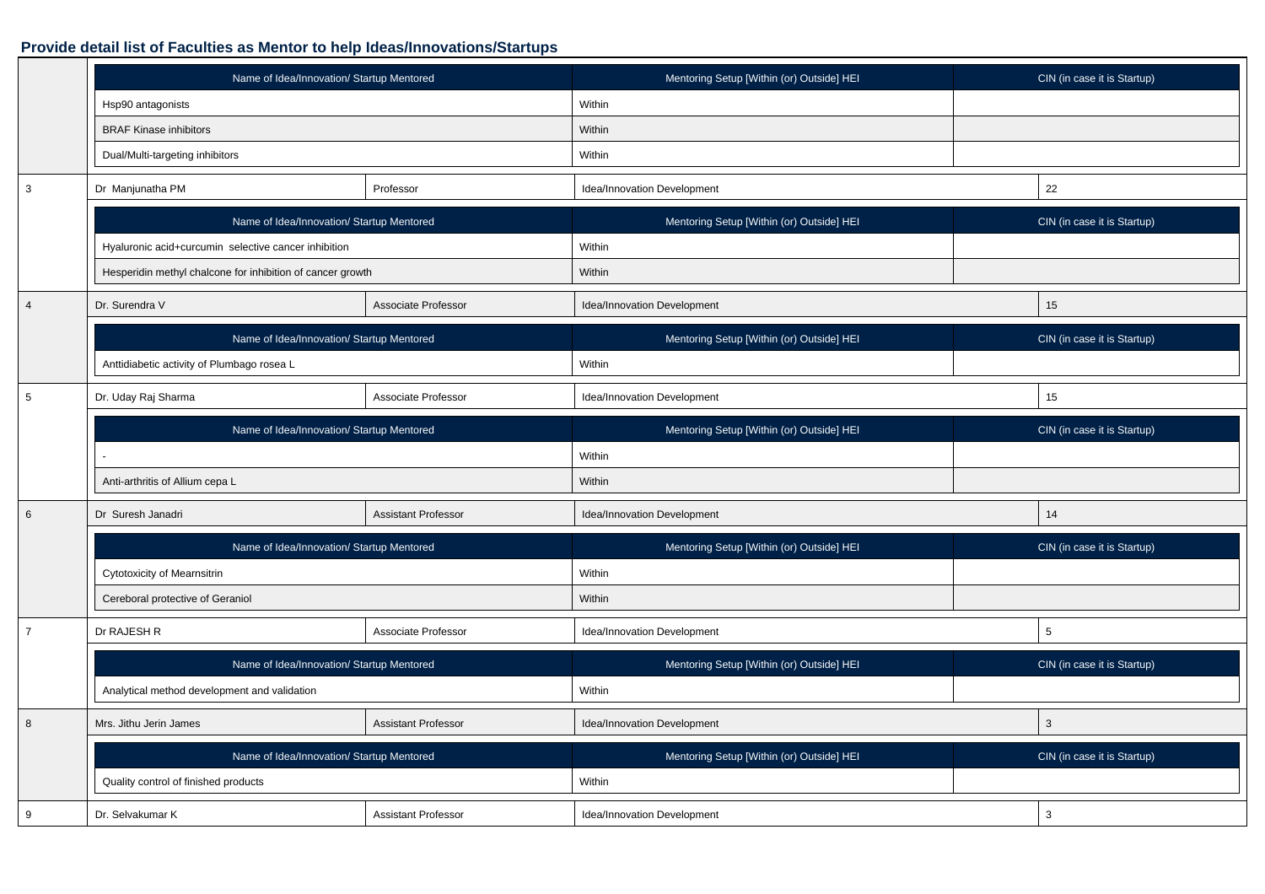#### **Provide detail list of Faculties as Mentor to help Ideas/Innovations/Startups**

|                 | Name of Idea/Innovation/ Startup Mentored                  |                            | Mentoring Setup [Within (or) Outside] HEI | CIN (in case it is Startup) |
|-----------------|------------------------------------------------------------|----------------------------|-------------------------------------------|-----------------------------|
|                 | Hsp90 antagonists                                          |                            | Within                                    |                             |
|                 | <b>BRAF Kinase inhibitors</b>                              |                            | Within                                    |                             |
|                 | Dual/Multi-targeting inhibitors                            |                            | Within                                    |                             |
| $\mathbf{3}$    | Dr Manjunatha PM                                           | Professor                  | Idea/Innovation Development               | 22                          |
|                 | Name of Idea/Innovation/ Startup Mentored                  |                            | Mentoring Setup [Within (or) Outside] HEI | CIN (in case it is Startup) |
|                 | Hyaluronic acid+curcumin selective cancer inhibition       |                            | Within                                    |                             |
|                 | Hesperidin methyl chalcone for inhibition of cancer growth |                            | Within                                    |                             |
| $\overline{4}$  | Dr. Surendra V                                             | Associate Professor        | Idea/Innovation Development               | 15                          |
|                 | Name of Idea/Innovation/ Startup Mentored                  |                            | Mentoring Setup [Within (or) Outside] HEI | CIN (in case it is Startup) |
|                 | Anttidiabetic activity of Plumbago rosea L                 |                            | Within                                    |                             |
| $\overline{5}$  | Dr. Uday Raj Sharma                                        | Associate Professor        | Idea/Innovation Development               | 15                          |
|                 | Name of Idea/Innovation/ Startup Mentored                  |                            | Mentoring Setup [Within (or) Outside] HEI | CIN (in case it is Startup) |
|                 |                                                            |                            | Within                                    |                             |
|                 | Anti-arthritis of Allium cepa L                            |                            | Within                                    |                             |
| $6\phantom{1}6$ | Dr Suresh Janadri                                          | <b>Assistant Professor</b> | Idea/Innovation Development               | 14                          |
|                 | Name of Idea/Innovation/ Startup Mentored                  |                            | Mentoring Setup [Within (or) Outside] HEI | CIN (in case it is Startup) |
|                 | Cytotoxicity of Mearnsitrin                                |                            | Within                                    |                             |
|                 | Cereboral protective of Geraniol                           |                            | Within                                    |                             |
| $\overline{7}$  | Dr RAJESH R                                                | Associate Professor        | Idea/Innovation Development               | 5                           |
|                 | Name of Idea/Innovation/ Startup Mentored                  |                            | Mentoring Setup [Within (or) Outside] HEI | CIN (in case it is Startup) |
|                 | Analytical method development and validation               |                            | Within                                    |                             |
| 8               | Mrs. Jithu Jerin James                                     | <b>Assistant Professor</b> | Idea/Innovation Development               | $\mathbf{3}$                |
|                 | Name of Idea/Innovation/ Startup Mentored                  |                            | Mentoring Setup [Within (or) Outside] HEI | CIN (in case it is Startup) |
|                 | Quality control of finished products                       |                            | Within                                    |                             |
| 9               | Dr. Selvakumar K                                           | <b>Assistant Professor</b> | Idea/Innovation Development               | 3                           |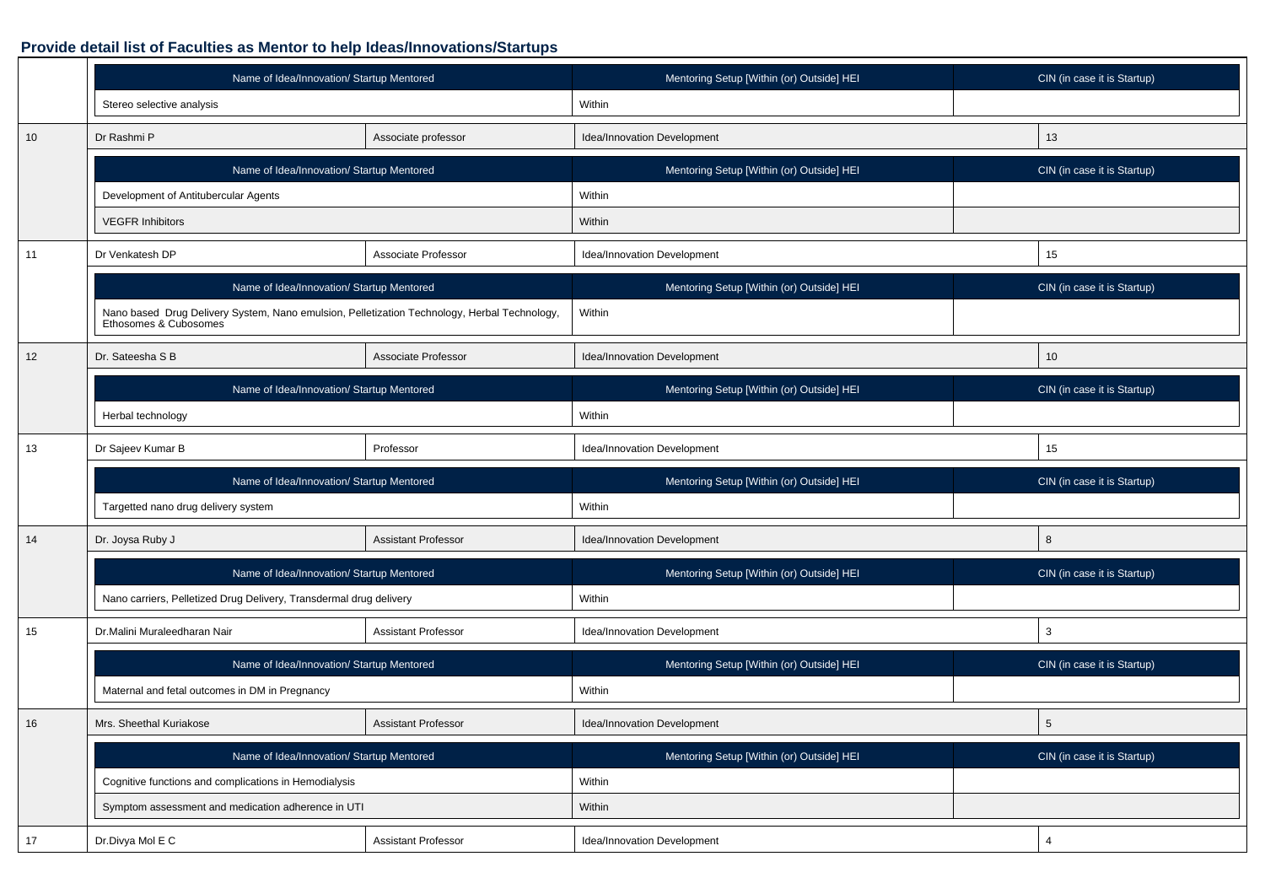# **Provide detail list of Faculties as Mentor to help Ideas/Innovations/Startups**

|    | Name of Idea/Innovation/ Startup Mentored                                                                          |                            | Mentoring Setup [Within (or) Outside] HEI | CIN (in case it is Startup) |
|----|--------------------------------------------------------------------------------------------------------------------|----------------------------|-------------------------------------------|-----------------------------|
|    | Stereo selective analysis                                                                                          |                            | Within                                    |                             |
| 10 | Dr Rashmi P                                                                                                        | Associate professor        | Idea/Innovation Development               | 13                          |
|    | Name of Idea/Innovation/ Startup Mentored                                                                          |                            | Mentoring Setup [Within (or) Outside] HEI | CIN (in case it is Startup) |
|    | Development of Antitubercular Agents                                                                               |                            | Within                                    |                             |
|    | <b>VEGFR Inhibitors</b>                                                                                            |                            | Within                                    |                             |
| 11 | Dr Venkatesh DP                                                                                                    | Associate Professor        | Idea/Innovation Development               | 15                          |
|    | Name of Idea/Innovation/ Startup Mentored                                                                          |                            | Mentoring Setup [Within (or) Outside] HEI | CIN (in case it is Startup) |
|    | Nano based Drug Delivery System, Nano emulsion, Pelletization Technology, Herbal Technology, Ethosomes & Cubosomes |                            | Within                                    |                             |
| 12 | Dr. Sateesha S B                                                                                                   | Associate Professor        | Idea/Innovation Development               | 10                          |
|    | Name of Idea/Innovation/ Startup Mentored                                                                          |                            | Mentoring Setup [Within (or) Outside] HEI | CIN (in case it is Startup) |
|    | Herbal technology                                                                                                  |                            | Within                                    |                             |
| 13 | Professor<br>Dr Sajeev Kumar B                                                                                     |                            | Idea/Innovation Development               | 15                          |
|    |                                                                                                                    |                            |                                           |                             |
|    | Name of Idea/Innovation/ Startup Mentored                                                                          |                            | Mentoring Setup [Within (or) Outside] HEI | CIN (in case it is Startup) |
|    | Targetted nano drug delivery system                                                                                |                            | Within                                    |                             |
| 14 | Dr. Joysa Ruby J                                                                                                   | <b>Assistant Professor</b> | Idea/Innovation Development               | 8                           |
|    | Name of Idea/Innovation/ Startup Mentored                                                                          |                            | Mentoring Setup [Within (or) Outside] HEI | CIN (in case it is Startup) |
|    | Nano carriers, Pelletized Drug Delivery, Transdermal drug delivery                                                 |                            | Within                                    |                             |
| 15 | Dr.Malini Muraleedharan Nair                                                                                       | <b>Assistant Professor</b> | Idea/Innovation Development               | 3                           |
|    | Name of Idea/Innovation/ Startup Mentored                                                                          |                            | Mentoring Setup [Within (or) Outside] HEI | CIN (in case it is Startup) |
|    | Maternal and fetal outcomes in DM in Pregnancy                                                                     |                            | Within                                    |                             |
| 16 | Mrs. Sheethal Kuriakose                                                                                            | <b>Assistant Professor</b> | Idea/Innovation Development               | 5                           |
|    | Name of Idea/Innovation/ Startup Mentored                                                                          |                            | Mentoring Setup [Within (or) Outside] HEI | CIN (in case it is Startup) |
|    | Cognitive functions and complications in Hemodialysis                                                              |                            | Within                                    |                             |
|    | Symptom assessment and medication adherence in UTI                                                                 |                            | Within                                    |                             |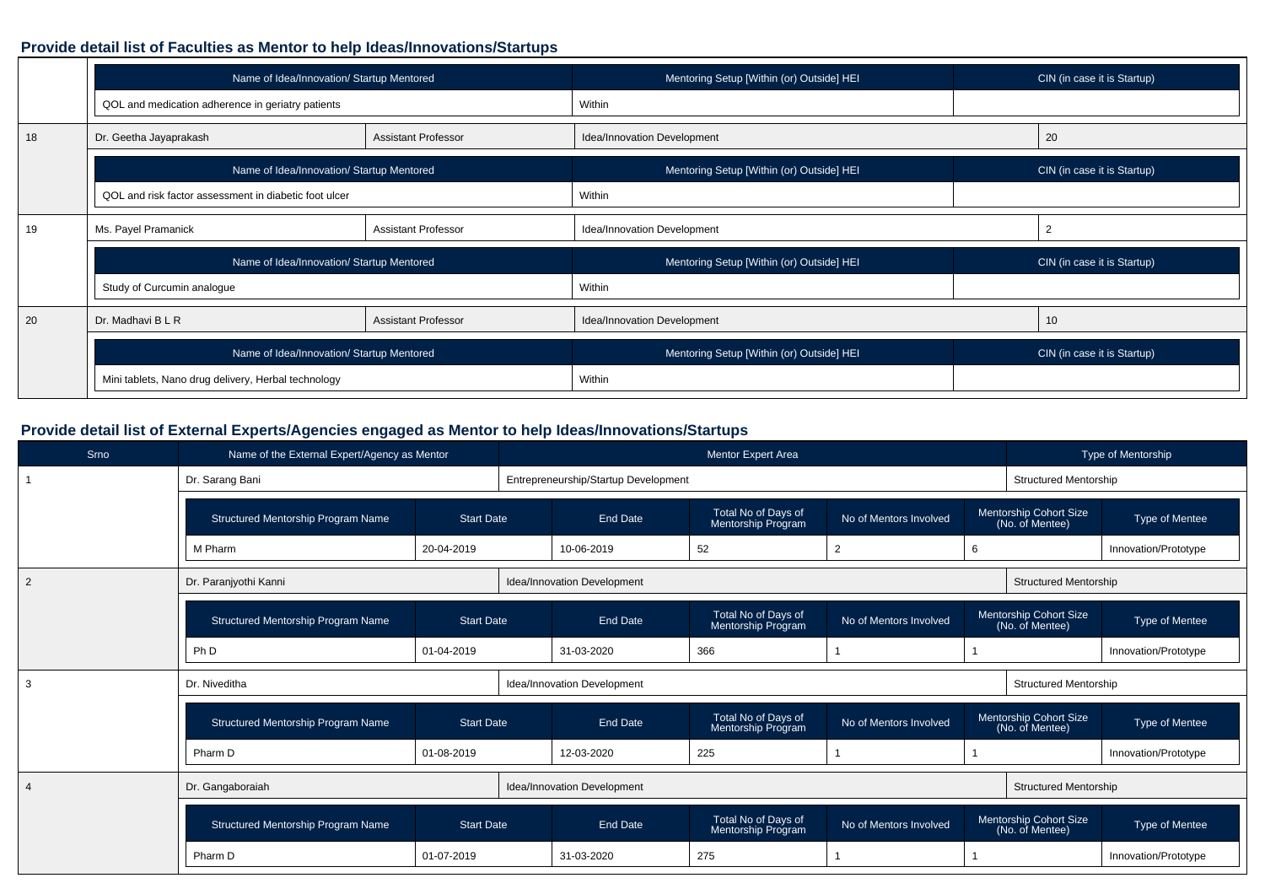#### **Provide detail list of Faculties as Mentor to help Ideas/Innovations/Startups**

|    | Name of Idea/Innovation/ Startup Mentored             |                            | Mentoring Setup [Within (or) Outside] HEI |    | CIN (in case it is Startup) |
|----|-------------------------------------------------------|----------------------------|-------------------------------------------|----|-----------------------------|
|    | QOL and medication adherence in geriatry patients     |                            | Within                                    |    |                             |
| 18 | Dr. Geetha Jayaprakash                                | <b>Assistant Professor</b> | Idea/Innovation Development               | 20 |                             |
|    | Name of Idea/Innovation/ Startup Mentored             |                            | Mentoring Setup [Within (or) Outside] HEI |    | CIN (in case it is Startup) |
|    | QOL and risk factor assessment in diabetic foot ulcer |                            | Within                                    |    |                             |
| 19 | Ms. Payel Pramanick                                   | <b>Assistant Professor</b> | Idea/Innovation Development               | 2  |                             |
|    | Name of Idea/Innovation/ Startup Mentored             |                            | Mentoring Setup [Within (or) Outside] HEI |    | CIN (in case it is Startup) |
|    | Study of Curcumin analogue                            |                            | Within                                    |    |                             |
| 20 | Dr. Madhavi B L R                                     | <b>Assistant Professor</b> | Idea/Innovation Development               | 10 |                             |
|    | Name of Idea/Innovation/ Startup Mentored             |                            | Mentoring Setup [Within (or) Outside] HEI |    | CIN (in case it is Startup) |
|    | Mini tablets, Nano drug delivery, Herbal technology   |                            | Within                                    |    |                             |

# **Provide detail list of External Experts/Agencies engaged as Mentor to help Ideas/Innovations/Startups**

| Srno           | Name of the External Expert/Agency as Mentor |                   |                                      | <b>Mentor Expert Area</b>                 |                        |   |                                           | Type of Mentorship    |
|----------------|----------------------------------------------|-------------------|--------------------------------------|-------------------------------------------|------------------------|---|-------------------------------------------|-----------------------|
|                | Dr. Sarang Bani                              |                   | Entrepreneurship/Startup Development |                                           |                        |   | <b>Structured Mentorship</b>              |                       |
|                | Structured Mentorship Program Name           | <b>Start Date</b> | <b>End Date</b>                      | Total No of Days of<br>Mentorship Program | No of Mentors Involved |   | Mentorship Cohort Size<br>(No. of Mentee) | Type of Mentee        |
|                | M Pharm                                      | 20-04-2019        | 10-06-2019                           | 52                                        | $\overline{2}$         | 6 |                                           | Innovation/Prototype  |
| $\overline{2}$ | Dr. Paranjyothi Kanni                        |                   | Idea/Innovation Development          |                                           |                        |   | <b>Structured Mentorship</b>              |                       |
|                | <b>Structured Mentorship Program Name</b>    | <b>Start Date</b> | <b>End Date</b>                      | Total No of Days of<br>Mentorship Program | No of Mentors Involved |   | Mentorship Cohort Size<br>(No. of Mentee) | <b>Type of Mentee</b> |
|                | Ph D                                         | 01-04-2019        | 31-03-2020                           | 366                                       |                        |   |                                           | Innovation/Prototype  |
| 3              | Dr. Niveditha                                |                   | Idea/Innovation Development          |                                           |                        |   | <b>Structured Mentorship</b>              |                       |
|                | <b>Structured Mentorship Program Name</b>    | <b>Start Date</b> | <b>End Date</b>                      | Total No of Days of<br>Mentorship Program | No of Mentors Involved |   | Mentorship Cohort Size<br>(No. of Mentee) | <b>Type of Mentee</b> |
|                | Pharm D                                      | 01-08-2019        | 12-03-2020                           | 225                                       |                        |   |                                           | Innovation/Prototype  |
| $\overline{4}$ | Dr. Gangaboraiah                             |                   | Idea/Innovation Development          |                                           |                        |   | <b>Structured Mentorship</b>              |                       |
|                | Structured Mentorship Program Name           | <b>Start Date</b> | <b>End Date</b>                      | Total No of Days of<br>Mentorship Program | No of Mentors Involved |   | Mentorship Cohort Size<br>(No. of Mentee) | Type of Mentee        |
|                | Pharm D                                      | 01-07-2019        | 31-03-2020                           | 275                                       |                        |   |                                           | Innovation/Prototype  |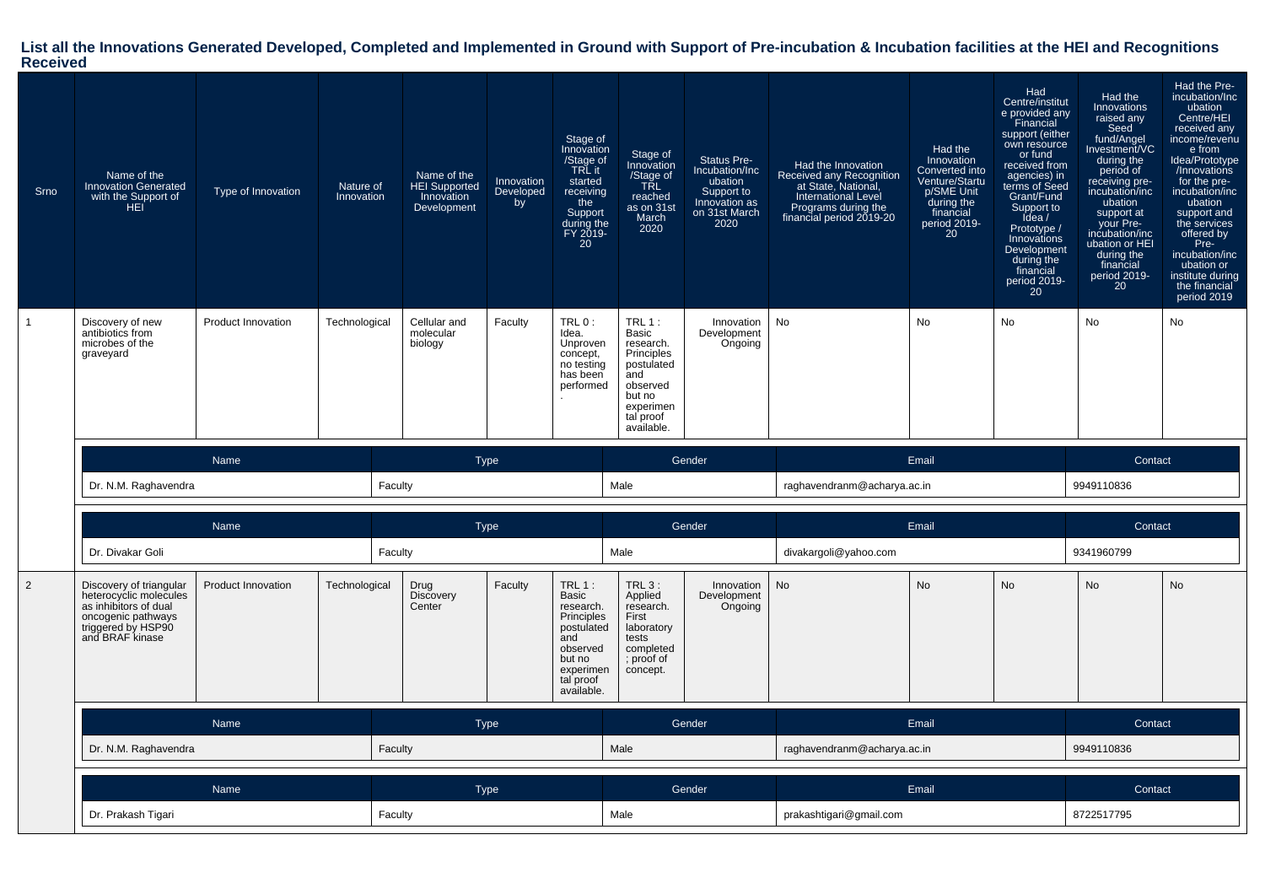# **List all the Innovations Generated Developed, Completed and Implemented in Ground with Support of Pre-incubation & Incubation facilities at the HEI and Recognitions Received**

| Srno           | Name of the<br><b>Innovation Generated</b><br>with the Support of<br>HEI.                                                                 | Type of Innovation        | Nature of<br>Innovation | Name of the<br>HEI Supported<br>Innovation<br>Development | Innovation<br>Developed<br>by | Stage of<br>Innovation<br>/Stage of<br>TRL it<br>started<br>receiving<br>the<br>Support<br>during the<br>FY 2019-<br>20         | Stage of<br>Innovation<br>/Stage of<br>TRL<br>reached<br>as on 31st<br>March<br>2020                                            | Status Pre-<br>Incubation/Inc<br>ubation<br>Support to<br>Innovation as<br>on 31st March<br>2020 | Had the Innovation<br>Received any Recognition<br>at State, National,<br><b>International Level</b><br>Programs during the<br>financial period 2019-20 | Had the<br>Innovation<br>Converted into<br>Venture/Startu<br>p/SME Unit<br>during the<br>financial<br>period 2019-<br><b>20</b> | Had<br>Centre/institut<br>e provided any<br>Financial<br>support (either<br>own resource<br>or fund<br>received from<br>agencies) in<br>terms of Seed<br>Grant/Fund<br>Support to<br>Idea /<br>Prototype /<br>Innovations<br>Development<br>during the<br>financial<br>period 2019-<br>20 | Had the<br>Innovations<br>raised any<br>Seed<br>fund/Angel<br>Investment/VC<br>during the<br>period of<br>receiving pre-<br>incubation/inc<br>ubation<br>support at<br>your Pre-<br>incubation/inc<br>ubation or HEI<br>during the<br>financial<br>period 2019-<br>20 | Had the Pre-<br>incubation/Inc<br>ubation<br>Centre/HEI<br>received any<br>income/revenu<br>e from<br>Idea/Prototype<br>/Innovations<br>for the pre-<br>incubation/inc<br>ubation<br>support and<br>the services<br>offered by<br>Pre-<br>incubation/inc<br>ubation or<br>institute during<br>the financial<br>period 2019 |
|----------------|-------------------------------------------------------------------------------------------------------------------------------------------|---------------------------|-------------------------|-----------------------------------------------------------|-------------------------------|---------------------------------------------------------------------------------------------------------------------------------|---------------------------------------------------------------------------------------------------------------------------------|--------------------------------------------------------------------------------------------------|--------------------------------------------------------------------------------------------------------------------------------------------------------|---------------------------------------------------------------------------------------------------------------------------------|-------------------------------------------------------------------------------------------------------------------------------------------------------------------------------------------------------------------------------------------------------------------------------------------|-----------------------------------------------------------------------------------------------------------------------------------------------------------------------------------------------------------------------------------------------------------------------|----------------------------------------------------------------------------------------------------------------------------------------------------------------------------------------------------------------------------------------------------------------------------------------------------------------------------|
| $\mathbf{1}$   | Discovery of new<br>antibiotics from<br>microbes of the<br>graveyard                                                                      | <b>Product Innovation</b> | Technological           | Cellular and<br>molecular<br>biology                      | Faculty                       | TRL 0:<br>Idea.<br>Unproven<br>concept,<br>no testing<br>has been<br>performed                                                  | TRL $1:$<br>Basic<br>research.<br>Principles<br>postulated<br>and<br>observed<br>but no<br>experimen<br>tal proof<br>available. | Innovation<br>Development<br>Ongoing                                                             | No                                                                                                                                                     | <b>No</b>                                                                                                                       | No                                                                                                                                                                                                                                                                                        | No                                                                                                                                                                                                                                                                    | No                                                                                                                                                                                                                                                                                                                         |
|                |                                                                                                                                           | Name                      |                         |                                                           | <b>Type</b>                   |                                                                                                                                 |                                                                                                                                 | Gender                                                                                           |                                                                                                                                                        | Email                                                                                                                           |                                                                                                                                                                                                                                                                                           | Contact                                                                                                                                                                                                                                                               |                                                                                                                                                                                                                                                                                                                            |
|                | Dr. N.M. Raghavendra                                                                                                                      |                           |                         | Faculty                                                   |                               |                                                                                                                                 | Male                                                                                                                            |                                                                                                  | raghavendranm@acharya.ac.in                                                                                                                            |                                                                                                                                 |                                                                                                                                                                                                                                                                                           | 9949110836                                                                                                                                                                                                                                                            |                                                                                                                                                                                                                                                                                                                            |
|                |                                                                                                                                           |                           |                         |                                                           |                               |                                                                                                                                 |                                                                                                                                 |                                                                                                  |                                                                                                                                                        |                                                                                                                                 |                                                                                                                                                                                                                                                                                           |                                                                                                                                                                                                                                                                       |                                                                                                                                                                                                                                                                                                                            |
|                |                                                                                                                                           | Name                      |                         |                                                           | <b>Type</b>                   |                                                                                                                                 |                                                                                                                                 | Gender                                                                                           |                                                                                                                                                        | Email                                                                                                                           |                                                                                                                                                                                                                                                                                           | Contact                                                                                                                                                                                                                                                               |                                                                                                                                                                                                                                                                                                                            |
|                | Dr. Divakar Goli                                                                                                                          |                           |                         | Faculty                                                   |                               |                                                                                                                                 | Male                                                                                                                            |                                                                                                  | divakargoli@yahoo.com                                                                                                                                  |                                                                                                                                 |                                                                                                                                                                                                                                                                                           | 9341960799                                                                                                                                                                                                                                                            |                                                                                                                                                                                                                                                                                                                            |
| $\overline{2}$ | Discovery of triangular<br>heterocyclic molecules<br>as inhibitors of dual<br>oncogenic pathways<br>triggered by HSP90<br>and BRAF kinase | <b>Product Innovation</b> | Technological           | Drug<br><b>Discovery</b><br>Center                        | Faculty                       | $TRL1$ :<br>Basic<br>research.<br>Principles<br>postulated<br>and<br>observed<br>but no<br>experimen<br>tal proof<br>available. | TRL 3:<br>Applied<br>research.<br>First<br>laboratory<br>tests<br>completed<br>; proof of<br>concept.                           | Innovation<br>Development<br>Ongoing                                                             | <b>No</b>                                                                                                                                              | <b>No</b>                                                                                                                       | <b>No</b>                                                                                                                                                                                                                                                                                 | <b>No</b>                                                                                                                                                                                                                                                             | No                                                                                                                                                                                                                                                                                                                         |
|                |                                                                                                                                           | <b>Name</b>               |                         |                                                           | <b>Type</b>                   |                                                                                                                                 |                                                                                                                                 | Gender                                                                                           |                                                                                                                                                        | Email                                                                                                                           |                                                                                                                                                                                                                                                                                           | Contact                                                                                                                                                                                                                                                               |                                                                                                                                                                                                                                                                                                                            |
|                | Dr. N.M. Raghavendra                                                                                                                      |                           |                         | Faculty                                                   |                               |                                                                                                                                 | Male                                                                                                                            |                                                                                                  | raghavendranm@acharya.ac.in                                                                                                                            |                                                                                                                                 |                                                                                                                                                                                                                                                                                           | 9949110836                                                                                                                                                                                                                                                            |                                                                                                                                                                                                                                                                                                                            |
|                |                                                                                                                                           | Name                      |                         |                                                           | <b>Type</b>                   |                                                                                                                                 |                                                                                                                                 | Gender                                                                                           |                                                                                                                                                        | Email                                                                                                                           |                                                                                                                                                                                                                                                                                           | Contact                                                                                                                                                                                                                                                               |                                                                                                                                                                                                                                                                                                                            |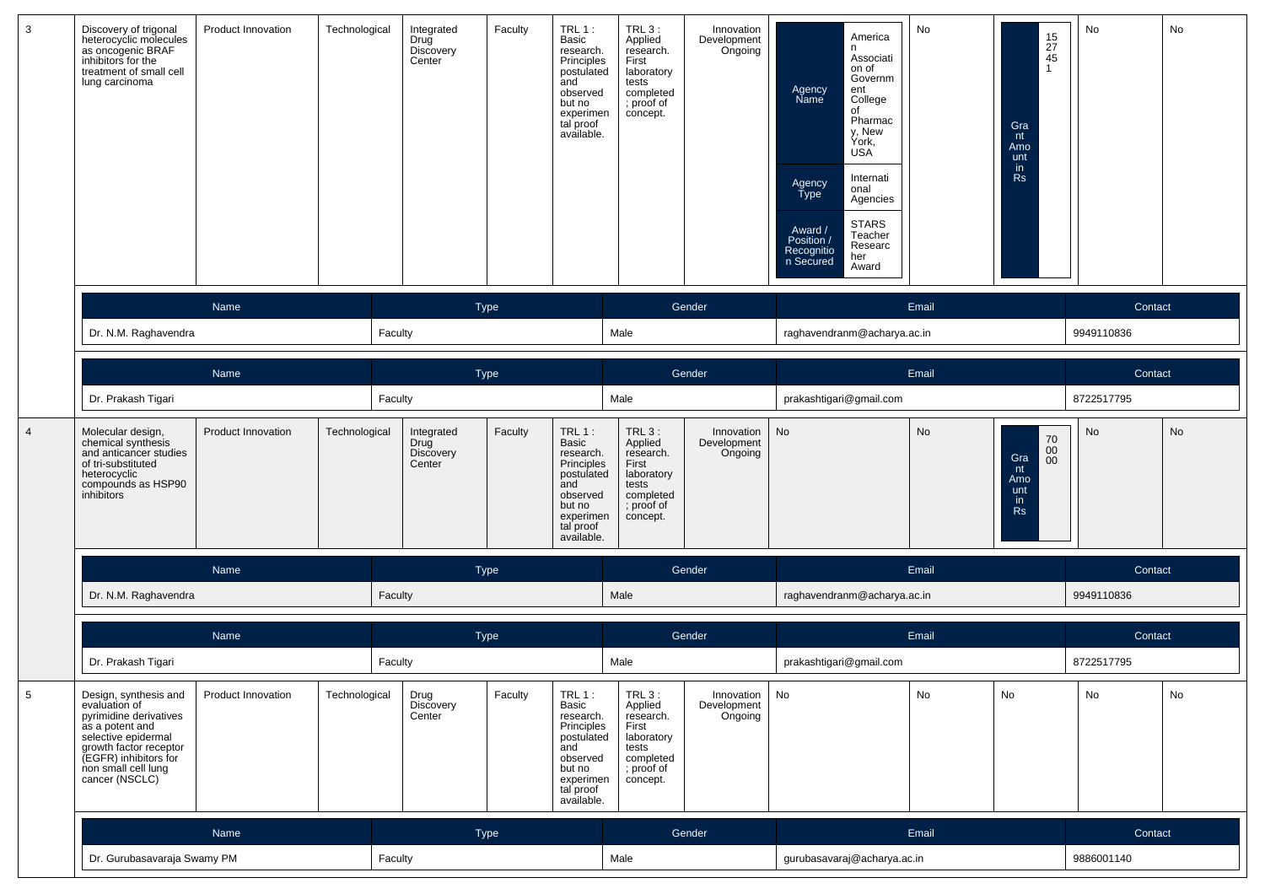| 3 | Discovery of trigonal<br>heterocyclic molecules<br>as oncogenic BRAF<br>inhibitors for the<br>treatment of small cell<br>lung carcinoma                                                                | <b>Product Innovation</b> | Technological | Integrated<br>Drug<br>Discovery<br>Center        | Faculty     | TRL 1:<br>Basic<br>research.<br>Principles<br>postulated<br>and<br>observed<br>but no<br>experimen<br>tal proof<br>available.        | TRL 3:<br>Applied<br>research.<br>First<br>laboratory<br>tests<br>completed<br>; proof of<br>concept.        | Innovation<br>Development<br>Ongoing            | America<br>n<br>Associati<br>on of<br>Governm<br>Agency<br>Name<br>ent<br>College<br>of<br>Pharmac<br>y, New<br>York,<br><b>USA</b><br>Internati<br>Agency<br>Type<br>onal<br>Agencies<br><b>STARS</b><br>Award /<br>Position /<br>Teacher<br>Researc<br>Recognitio<br>n Secured<br>her<br>Award | No    | $\begin{array}{c} 15 \\ 27 \\ 45 \end{array}$<br>$\overline{1}$<br>Gra<br>nt<br>Amo<br>unt<br>in<br>Rs | No         | No |
|---|--------------------------------------------------------------------------------------------------------------------------------------------------------------------------------------------------------|---------------------------|---------------|--------------------------------------------------|-------------|--------------------------------------------------------------------------------------------------------------------------------------|--------------------------------------------------------------------------------------------------------------|-------------------------------------------------|--------------------------------------------------------------------------------------------------------------------------------------------------------------------------------------------------------------------------------------------------------------------------------------------------|-------|--------------------------------------------------------------------------------------------------------|------------|----|
|   |                                                                                                                                                                                                        | Name                      |               |                                                  | Type        |                                                                                                                                      |                                                                                                              | Gender                                          |                                                                                                                                                                                                                                                                                                  | Email |                                                                                                        | Contact    |    |
|   | Dr. N.M. Raghavendra                                                                                                                                                                                   |                           |               | Faculty                                          |             |                                                                                                                                      | Male                                                                                                         |                                                 | raghavendranm@acharya.ac.in                                                                                                                                                                                                                                                                      |       |                                                                                                        | 9949110836 |    |
|   |                                                                                                                                                                                                        | Name                      |               |                                                  | Type        |                                                                                                                                      |                                                                                                              | Gender                                          |                                                                                                                                                                                                                                                                                                  | Email |                                                                                                        | Contact    |    |
|   | Dr. Prakash Tigari                                                                                                                                                                                     |                           |               | Faculty                                          |             |                                                                                                                                      | Male                                                                                                         |                                                 | prakashtigari@gmail.com                                                                                                                                                                                                                                                                          |       |                                                                                                        | 8722517795 |    |
| 4 | Molecular design,<br>chemical synthesis<br>and anticancer studies<br>of tri-substituted<br>heterocyclic<br>compounds as HSP90<br>inhibitors                                                            | <b>Product Innovation</b> | Technological | Integrated<br>Drug<br><b>Discovery</b><br>Center | Faculty     | <b>TRL 1:</b><br>Basic<br>research.<br>Principles<br>postulated<br>and<br>observed<br>but no<br>experimen<br>tal proof<br>available. | <b>TRL 3:</b><br>Applied<br>research.<br>First<br>laboratory<br>tests<br>completed<br>; proof of<br>concept. | Innovation<br>Development<br>Ongoing            | No                                                                                                                                                                                                                                                                                               | No    | $\mathop{70}\limits_{00}$<br>Gra<br>00<br>nt<br>Amo<br>unt<br>in<br><b>Rs</b>                          | No         | No |
|   |                                                                                                                                                                                                        | Name                      |               |                                                  | <b>Type</b> |                                                                                                                                      |                                                                                                              | Gender                                          |                                                                                                                                                                                                                                                                                                  | Email |                                                                                                        | Contact    |    |
|   | Dr. N.M. Raghavendra                                                                                                                                                                                   |                           |               | Faculty                                          |             |                                                                                                                                      | Male                                                                                                         |                                                 | raghavendranm@acharya.ac.in                                                                                                                                                                                                                                                                      |       |                                                                                                        | 9949110836 |    |
|   |                                                                                                                                                                                                        | Name                      |               |                                                  | Type        |                                                                                                                                      |                                                                                                              | Gender                                          |                                                                                                                                                                                                                                                                                                  | Email |                                                                                                        | Contact    |    |
|   | Dr. Prakash Tigari                                                                                                                                                                                     |                           |               | Faculty                                          |             |                                                                                                                                      | Male                                                                                                         |                                                 | prakashtigari@gmail.com                                                                                                                                                                                                                                                                          |       |                                                                                                        | 8722517795 |    |
| 5 | Design, synthesis and<br>evaluation of<br>pyrimidine derivatives<br>as a potent and<br>selective epidermal<br>growth factor receptor<br>(EGFR) inhibitors for<br>non small cell lung<br>cancer (NSCLC) | Product Innovation        | Technological | Drug<br>Discovery<br>Center                      | Faculty     | $TRL1$ :<br>Basic<br>research.<br>Principles<br>postulated<br>and<br>observed<br>but no<br>experimen<br>tal proof<br>available.      | <b>TRL 3:</b><br>Applied<br>research.<br>First<br>laboratory<br>tests<br>completed<br>; proof of<br>concept. | Innovation $\vert$ No<br>Development<br>Ongoing |                                                                                                                                                                                                                                                                                                  | No    | No                                                                                                     | No         | No |
|   |                                                                                                                                                                                                        | Name                      |               |                                                  | Type        |                                                                                                                                      |                                                                                                              | Gender                                          |                                                                                                                                                                                                                                                                                                  | Email |                                                                                                        | Contact    |    |
|   | Dr. Gurubasavaraja Swamy PM                                                                                                                                                                            |                           |               | Faculty                                          |             |                                                                                                                                      | Male                                                                                                         |                                                 | gurubasavaraj@acharya.ac.in                                                                                                                                                                                                                                                                      |       |                                                                                                        | 9886001140 |    |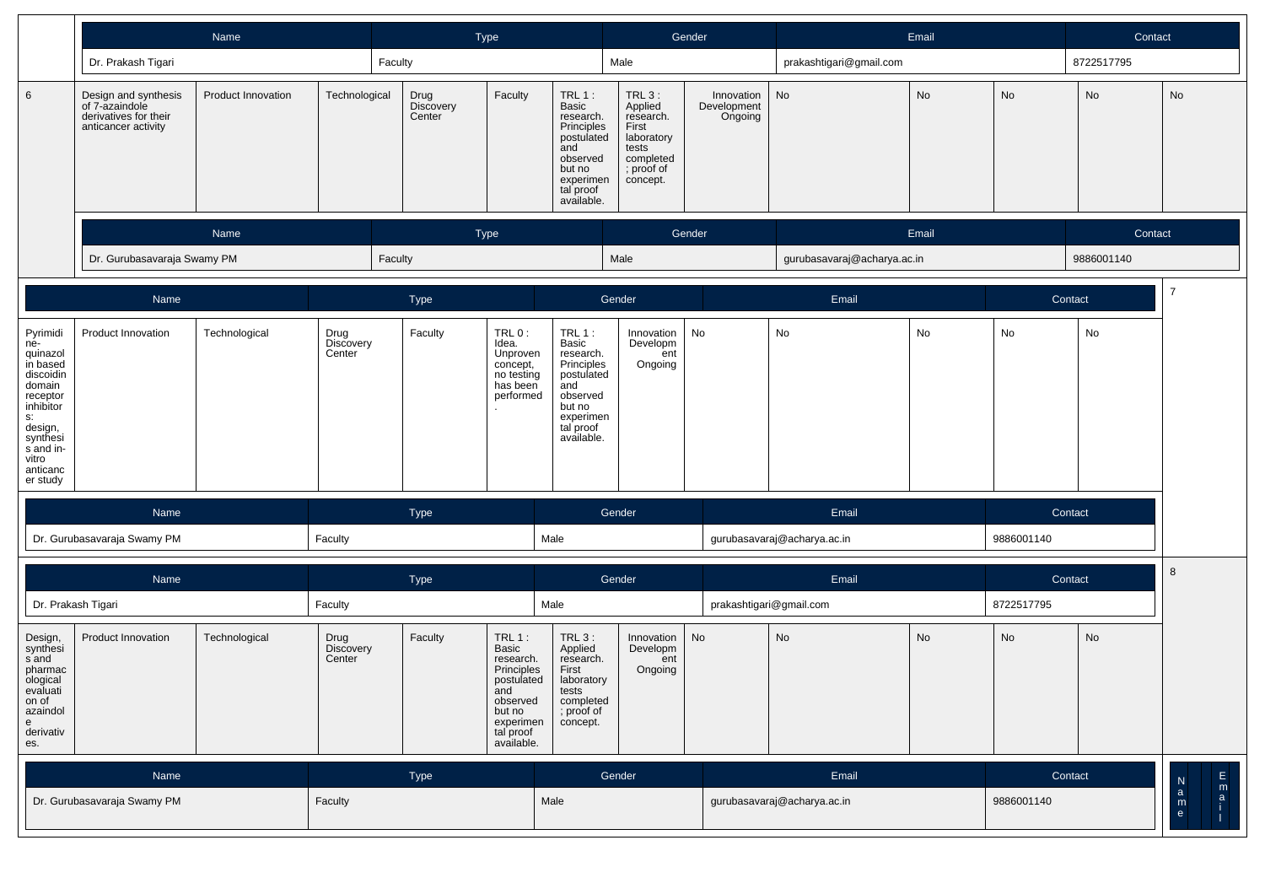|                                                                                                                                                                    | Name                                                                                   |                           |                             |                             | Type                                                                                                                            |                                                                                                                                  |                                                                                                         | Gender                               |                             | Email     |            | Contact    |                                                          |
|--------------------------------------------------------------------------------------------------------------------------------------------------------------------|----------------------------------------------------------------------------------------|---------------------------|-----------------------------|-----------------------------|---------------------------------------------------------------------------------------------------------------------------------|----------------------------------------------------------------------------------------------------------------------------------|---------------------------------------------------------------------------------------------------------|--------------------------------------|-----------------------------|-----------|------------|------------|----------------------------------------------------------|
|                                                                                                                                                                    | Dr. Prakash Tigari                                                                     |                           |                             | Faculty                     |                                                                                                                                 |                                                                                                                                  | Male                                                                                                    |                                      | prakashtigari@gmail.com     |           |            | 8722517795 |                                                          |
| 6                                                                                                                                                                  | Design and synthesis<br>of 7-azaindole<br>derivatives for their<br>anticancer activity | <b>Product Innovation</b> | Technological               | Drug<br>Discovery<br>Center | Faculty                                                                                                                         | TRL $1$ :<br>Basic<br>research.<br>Principles<br>postulated<br>and<br>observed<br>but no<br>experimen<br>tal proof<br>available. | $TRL3$ :<br>Applied<br>research.<br>First<br>laboratory<br>tests<br>completed<br>; proof of<br>concept. | Innovation<br>Development<br>Ongoing | No                          | <b>No</b> | No         | No         | No                                                       |
|                                                                                                                                                                    | Name<br>Dr. Gurubasavaraja Swamy PM                                                    |                           |                             |                             | Type                                                                                                                            |                                                                                                                                  |                                                                                                         | Gender                               |                             | Email     |            | Contact    |                                                          |
|                                                                                                                                                                    |                                                                                        |                           |                             | Faculty                     |                                                                                                                                 |                                                                                                                                  | Male                                                                                                    |                                      | gurubasavaraj@acharya.ac.in |           |            | 9886001140 |                                                          |
|                                                                                                                                                                    | Name                                                                                   |                           |                             | Type                        |                                                                                                                                 |                                                                                                                                  | Gender                                                                                                  |                                      | Email                       |           | Contact    |            | $\overline{7}$                                           |
| Pyrimidi<br>ne-<br>quinazol<br>in based<br>discoidin<br>domain<br>receptor<br>inhibitor<br>s:<br>design,<br>synthesi<br>s and in-<br>vitro<br>anticanc<br>er study | Product Innovation                                                                     | Technological             | Drug<br>Discovery<br>Center | Faculty                     | TRL0:<br>Idea.<br>Unproven<br>concept,<br>no testing<br>has been<br>performed                                                   | $TRL1$ :<br>Basic<br>research.<br>Principles<br>postulated<br>and<br>observed<br>but no<br>experimen<br>tal proof<br>available.  | Innovation<br>Developm<br>ent<br>Ongoing                                                                | No                                   | No                          | No        | No         | No         |                                                          |
|                                                                                                                                                                    | Name                                                                                   |                           |                             | Type                        |                                                                                                                                 |                                                                                                                                  | Gender                                                                                                  |                                      | Email                       |           | Contact    |            |                                                          |
|                                                                                                                                                                    | Dr. Gurubasavaraja Swamy PM                                                            |                           | Faculty                     |                             |                                                                                                                                 | Male                                                                                                                             |                                                                                                         |                                      | gurubasavaraj@acharya.ac.in |           | 9886001140 |            |                                                          |
|                                                                                                                                                                    | Name                                                                                   |                           |                             | Type                        |                                                                                                                                 |                                                                                                                                  | Gender                                                                                                  |                                      | Email                       |           | Contact    |            | 8                                                        |
|                                                                                                                                                                    | Dr. Prakash Tigari                                                                     |                           | Faculty                     |                             |                                                                                                                                 | Male                                                                                                                             |                                                                                                         |                                      | prakashtigari@gmail.com     |           | 8722517795 |            |                                                          |
| Design,<br>synthesi<br>s and<br>pharmac<br>ological<br>evaluati<br>on of<br>azaindol<br>e<br>derivativ<br>es.                                                      | Product Innovation                                                                     | Technological             | Drug<br>Discovery<br>Center | Faculty                     | $TRL1$ :<br>Basic<br>research.<br>Principles<br>postulated<br>and<br>observed<br>but no<br>experimen<br>tal proof<br>available. | $TRL3$ :<br>Applied<br>research.<br>First<br>laboratory<br>tests<br>completed<br>; proof of<br>concept.                          | Innovation<br>Developm<br>ent<br>Ongoing                                                                | No                                   | No                          | <b>No</b> | No         | No         |                                                          |
|                                                                                                                                                                    | Name                                                                                   |                           |                             | Type                        |                                                                                                                                 |                                                                                                                                  | Gender                                                                                                  |                                      | Email                       |           | Contact    |            |                                                          |
|                                                                                                                                                                    | Dr. Gurubasavaraja Swamy PM                                                            |                           | Faculty                     |                             |                                                                                                                                 | Male                                                                                                                             |                                                                                                         |                                      | gurubasavaraj@acharya.ac.in |           | 9886001140 |            | E<br>A<br>i<br>a<br>i<br>$\frac{1}{2}$ and $\frac{1}{2}$ |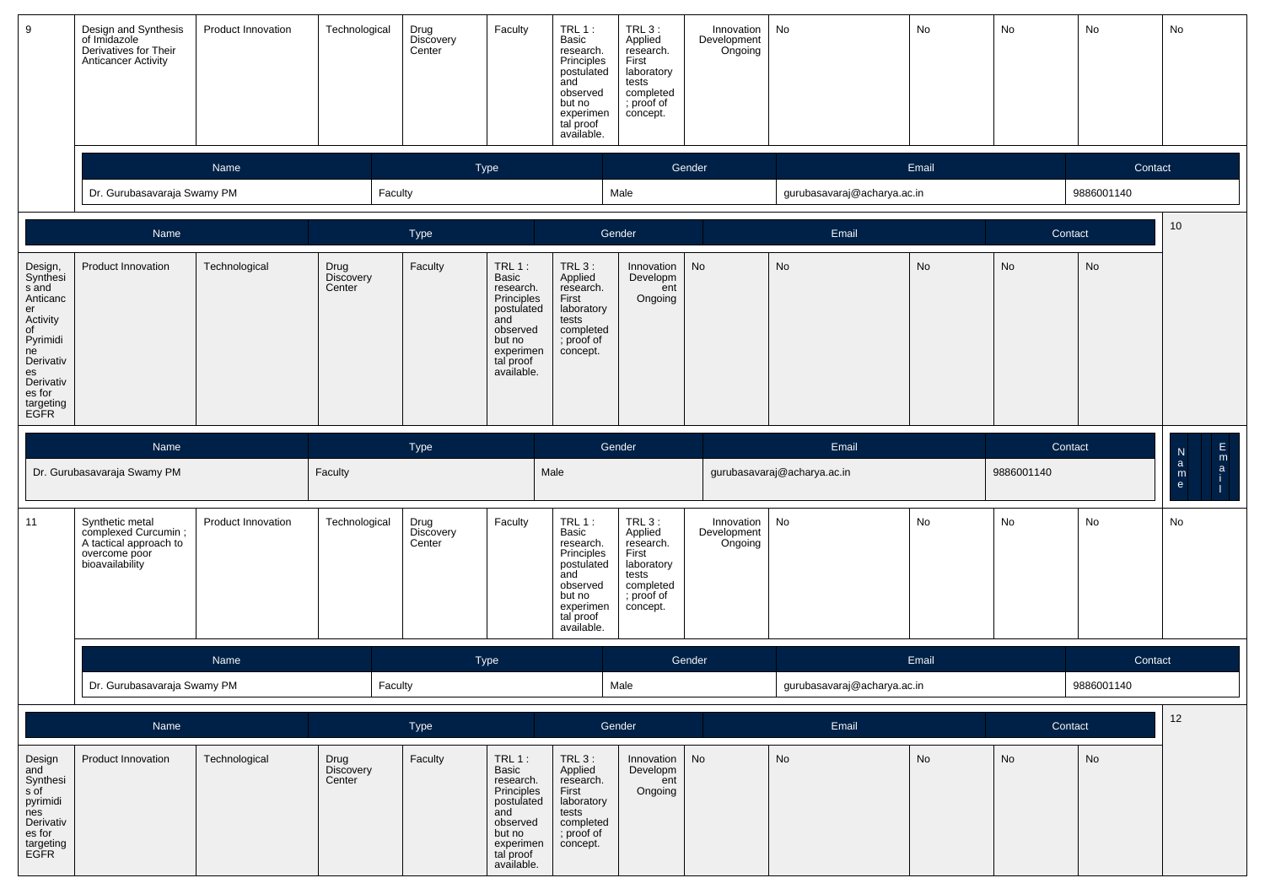| 9                                                                                                                                                 | Design and Synthesis<br>of Imidazole<br>Derivatives for Their<br><b>Anticancer Activity</b>          | Product Innovation | Technological                      | Drug<br>Discovery<br>Center | Faculty                                                                                                                         | TRL 1:<br>Basic<br>research.<br>Principles<br>postulated<br>and<br>observed<br>but no<br>experimen<br>tal proof<br>available.        | TRL 3:<br>Applied<br>research.<br>First<br>laboratory<br>tests<br>completed<br>; proof of<br>concept.   | Innovation<br>Development<br>Ongoing | No                          | No    | No         | No         | No                                         |
|---------------------------------------------------------------------------------------------------------------------------------------------------|------------------------------------------------------------------------------------------------------|--------------------|------------------------------------|-----------------------------|---------------------------------------------------------------------------------------------------------------------------------|--------------------------------------------------------------------------------------------------------------------------------------|---------------------------------------------------------------------------------------------------------|--------------------------------------|-----------------------------|-------|------------|------------|--------------------------------------------|
|                                                                                                                                                   |                                                                                                      | Name               |                                    |                             | Type                                                                                                                            |                                                                                                                                      |                                                                                                         | Gender                               |                             | Email |            | Contact    |                                            |
|                                                                                                                                                   | Dr. Gurubasavaraja Swamy PM                                                                          |                    | Faculty                            |                             |                                                                                                                                 |                                                                                                                                      | Male                                                                                                    |                                      | gurubasavaraj@acharya.ac.in |       |            | 9886001140 |                                            |
|                                                                                                                                                   | Name                                                                                                 |                    |                                    | Type                        |                                                                                                                                 |                                                                                                                                      | Gender                                                                                                  |                                      | Email                       |       | Contact    |            | 10                                         |
| Design,<br>Synthesi<br>s and<br>Anticanc<br>er<br>Activity<br>of<br>Pyrimidi<br>ne<br>Derivativ<br>es<br>Derivativ<br>es for<br>targeting<br>EGFR | Product Innovation                                                                                   | Technological      | Drug<br><b>Discovery</b><br>Center | Faculty                     | $TRL1$ :<br>Basic<br>research.<br>Principles<br>postulated<br>and<br>observed<br>but no<br>experimen<br>tal proof<br>available. | $TRL3$ :<br>Applied<br>research.<br>First<br>laboratory<br>tests<br>completed<br>; proof of<br>concept.                              | Innovation<br>Developm<br>ent<br>Ongoing                                                                | No                                   | No                          | No    | <b>No</b>  | No         |                                            |
|                                                                                                                                                   | Name                                                                                                 |                    |                                    | Type                        |                                                                                                                                 |                                                                                                                                      | Gender                                                                                                  |                                      | Email                       |       |            | Contact    | $\frac{E}{i}$<br>${\sf N}$<br>$\mathbf{a}$ |
|                                                                                                                                                   | Dr. Gurubasavaraja Swamy PM                                                                          |                    | Faculty                            |                             |                                                                                                                                 | Male                                                                                                                                 |                                                                                                         |                                      | gurubasavaraj@acharya.ac.in |       | 9886001140 |            | m<br>$\mathbf{e}$                          |
| 11                                                                                                                                                | Synthetic metal<br>complexed Curcumin;<br>A tactical approach to<br>overcome poor<br>bioavailability | Product Innovation | Technological                      | Drug<br>Discovery<br>Center | Faculty                                                                                                                         | <b>TRL 1:</b><br>Basic<br>research.<br>Principles<br>postulated<br>and<br>observed<br>but no<br>experimen<br>tal proof<br>available. | $TRL3$ :<br>Applied<br>research.<br>First<br>laboratory<br>tests<br>completed<br>; proof of<br>concept. | Innovation<br>Development<br>Ongoing | No                          | No    | <b>No</b>  | No         | No                                         |
|                                                                                                                                                   |                                                                                                      | Name               |                                    |                             | Type                                                                                                                            |                                                                                                                                      |                                                                                                         | Gender                               |                             | Email |            | Contact    |                                            |
|                                                                                                                                                   | Dr. Gurubasavaraja Swamy PM                                                                          |                    | Faculty                            |                             |                                                                                                                                 |                                                                                                                                      | Male                                                                                                    |                                      | gurubasavaraj@acharya.ac.in |       |            | 9886001140 |                                            |
|                                                                                                                                                   | Name                                                                                                 |                    |                                    | Type                        |                                                                                                                                 |                                                                                                                                      | Gender                                                                                                  |                                      | Email                       |       |            | Contact    | 12                                         |
| Design<br>and<br>Synthesi<br>s of<br>pyrimidi<br>nes<br>Derivativ<br>es for<br>targeting<br>EGFR                                                  | Product Innovation                                                                                   | Technological      | Drug<br>Discovery<br>Center        | Faculty                     | TRL1:<br>Basic<br>research.<br>Principles<br>postulated<br>and<br>observed<br>but no<br>experimen<br>tal proof<br>available.    | $TRL3$ :<br>Applied<br>research.<br>First<br>laboratory<br>tests<br>completed<br>; proof of<br>concept.                              | Innovation<br>Developm<br>ent<br>Ongoing                                                                | No                                   | No                          | No    | No         | No         |                                            |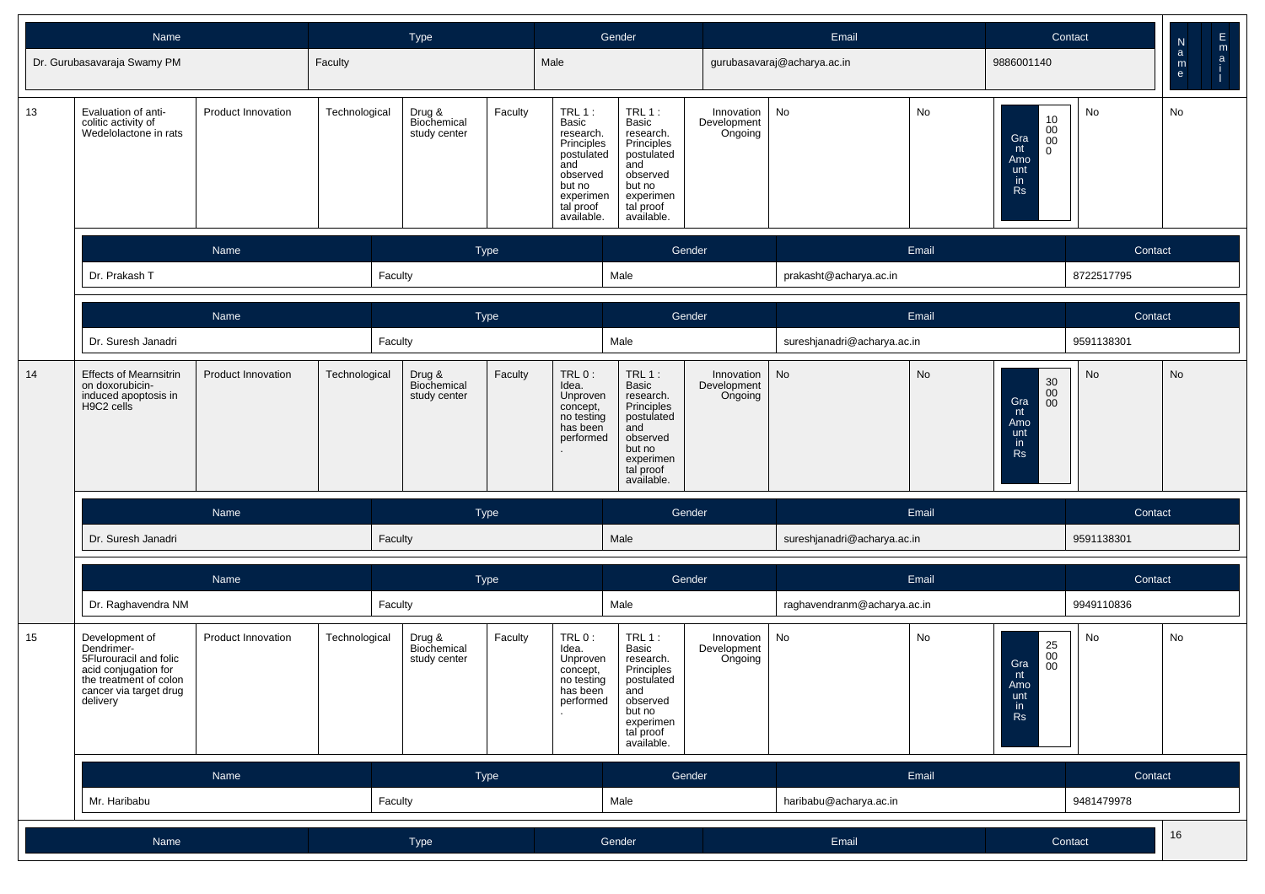|    | Name                                                                                                                                           |                    |               | <b>Type</b>                           |                                                                                                                                          | Gender                                                                                                                          |                        |                                      | Email                       |            |                                                                                                             | Contact    | E<br>${\sf N}$                                      |
|----|------------------------------------------------------------------------------------------------------------------------------------------------|--------------------|---------------|---------------------------------------|------------------------------------------------------------------------------------------------------------------------------------------|---------------------------------------------------------------------------------------------------------------------------------|------------------------|--------------------------------------|-----------------------------|------------|-------------------------------------------------------------------------------------------------------------|------------|-----------------------------------------------------|
|    | Dr. Gurubasavaraja Swamy PM                                                                                                                    |                    | Faculty       |                                       | Male                                                                                                                                     |                                                                                                                                 |                        |                                      | gurubasavaraj@acharya.ac.in |            | 9886001140                                                                                                  |            | m<br>$\mathsf{a}$<br>$\mathsf{a}$<br>${\sf m}$<br>e |
| 13 | Evaluation of anti-<br>colitic activity of<br>Wedelolactone in rats                                                                            | Product Innovation | Technological | Drug &<br>Biochemical<br>study center | TRL 1:<br>Faculty<br>Basic<br>research.<br>Principles<br>postulated<br>and<br>observed<br>but no<br>experimen<br>tal proof<br>available. | TRL $1:$<br>Basic<br>research.<br>Principles<br>postulated<br>and<br>observed<br>but no<br>experimen<br>tal proof<br>available. |                        | Innovation<br>Development<br>Ongoing | No                          | No         | $\begin{array}{c} 10 \\ 00 \\ 00 \end{array}$<br>Gra<br>nt<br>$\mathbf 0$<br>Amo<br>unt<br>in.<br><b>Rs</b> | No         | No                                                  |
|    |                                                                                                                                                | Name<br>Type       |               |                                       |                                                                                                                                          | Gender                                                                                                                          |                        |                                      | Email                       |            | Contact                                                                                                     |            |                                                     |
|    | Dr. Prakash T<br>Faculty                                                                                                                       |                    |               | Male                                  |                                                                                                                                          |                                                                                                                                 | prakasht@acharya.ac.in |                                      |                             | 8722517795 |                                                                                                             |            |                                                     |
|    | Name<br><b>Type</b>                                                                                                                            |                    |               |                                       |                                                                                                                                          | Gender                                                                                                                          |                        |                                      | Email                       |            | Contact                                                                                                     |            |                                                     |
|    | Faculty<br>Dr. Suresh Janadri                                                                                                                  |                    |               |                                       |                                                                                                                                          | Male                                                                                                                            |                        |                                      | sureshjanadri@acharya.ac.in |            |                                                                                                             | 9591138301 |                                                     |
| 14 | <b>Effects of Mearnsitrin</b><br>on doxorubicin-<br>induced apoptosis in<br>H9C2 cells                                                         | Product Innovation | Technological | Drug &<br>Biochemical<br>study center | Faculty<br>TRL 0:<br>Idea.<br>Unproven<br>concept,<br>no testing<br>has been<br>performed<br>$\sim$                                      | TRL $1:$<br>Basic<br>research.<br>Principles<br>postulated<br>and<br>observed<br>but no<br>experimen<br>tal proof<br>available. |                        | Innovation<br>Development<br>Ongoing | No                          | No         | $\mathbf{30} \\ \mathbf{00}$<br>Gra<br>$00\,$<br>nt<br>Amo<br>unt<br>in<br><b>Rs</b>                        | <b>No</b>  | No                                                  |
|    |                                                                                                                                                | Name               |               | <b>Type</b>                           |                                                                                                                                          |                                                                                                                                 | Gender                 |                                      |                             | Email      |                                                                                                             | Contact    |                                                     |
|    | Dr. Suresh Janadri                                                                                                                             |                    | Faculty       |                                       |                                                                                                                                          | Male                                                                                                                            |                        |                                      | sureshjanadri@acharya.ac.in |            |                                                                                                             | 9591138301 |                                                     |
|    |                                                                                                                                                | Name               |               | Type                                  |                                                                                                                                          |                                                                                                                                 | Gender                 |                                      |                             | Email      |                                                                                                             | Contact    |                                                     |
|    | Dr. Raghavendra NM                                                                                                                             |                    | Faculty       |                                       |                                                                                                                                          | Male                                                                                                                            |                        |                                      | raghavendranm@acharya.ac.in |            |                                                                                                             | 9949110836 |                                                     |
| 15 | Development of<br>Dendrimer-<br>5Flurouracil and folic<br>acid conjugation for<br>the treatment of colon<br>cancer via target drug<br>delivery | Product Innovation | Technological | Drug &<br>Biochemical<br>study center | TRL 0:<br>Faculty<br>Idea.<br>Unproven<br>concept,<br>no testing<br>has been<br>performed                                                | $TRL1$ :<br>Basic<br>research.<br>Principles<br>postulated<br>and<br>observed<br>but no<br>experimen<br>tal proof<br>available. |                        | Innovation<br>Development<br>Ongoing | No                          | No         | $25\,$<br>$00\,$<br>Gra<br>00<br>nt<br>Amo<br>$\frac{unt}{in}$<br>Rs                                        | No         | No                                                  |
|    |                                                                                                                                                | Name               |               | Type                                  |                                                                                                                                          |                                                                                                                                 | Gender                 |                                      |                             | Email      |                                                                                                             | Contact    |                                                     |
|    | Mr. Haribabu                                                                                                                                   |                    | Faculty       |                                       |                                                                                                                                          | Male                                                                                                                            |                        |                                      | haribabu@acharya.ac.in      |            |                                                                                                             | 9481479978 |                                                     |
|    | Name                                                                                                                                           |                    |               | Type                                  |                                                                                                                                          | Gender                                                                                                                          |                        |                                      | Email                       |            |                                                                                                             | Contact    | 16                                                  |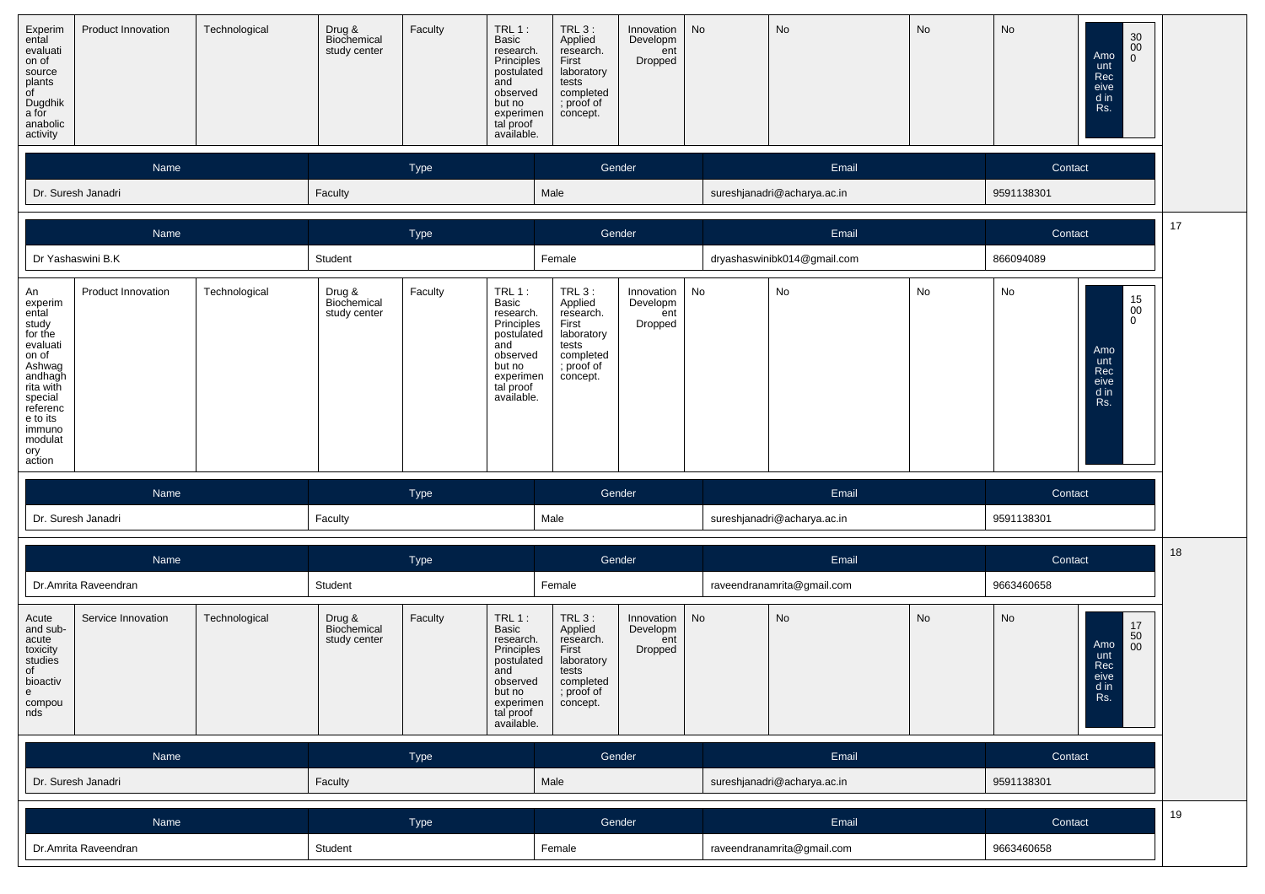| Experim<br>ental<br>evaluati<br>on of<br>source<br>plants<br>of<br>Dugdhik<br>a for<br>anabolic<br>activity                                                                | Product Innovation            | Technological | Drug &<br>Biochemical<br>study center | Faculty | $TRL$ 1:<br>Basic<br>research.<br>Principles<br>postulated<br>and<br>observed<br>but no<br>experimen<br>tal proof<br>available. | $TRL_3$ :<br>Applied<br>research.<br>First<br>laboratory<br>tests<br>completed<br>; proof of<br>concept. | Innovation<br>Developm<br>ent<br>Dropped | No                          | No                          | No         | No         | 30<br>$00\,$<br>Amo<br>$\overline{0}$<br>unt<br>Rec<br>eive<br>d in<br>Rs. |    |
|----------------------------------------------------------------------------------------------------------------------------------------------------------------------------|-------------------------------|---------------|---------------------------------------|---------|---------------------------------------------------------------------------------------------------------------------------------|----------------------------------------------------------------------------------------------------------|------------------------------------------|-----------------------------|-----------------------------|------------|------------|----------------------------------------------------------------------------|----|
|                                                                                                                                                                            | Name                          |               |                                       | Type    |                                                                                                                                 |                                                                                                          | Gender                                   |                             | Email                       |            | Contact    |                                                                            |    |
|                                                                                                                                                                            | Dr. Suresh Janadri            |               | Faculty                               |         |                                                                                                                                 | Male                                                                                                     |                                          |                             | sureshjanadri@acharya.ac.in |            | 9591138301 |                                                                            |    |
|                                                                                                                                                                            | Name                          |               |                                       | Type    |                                                                                                                                 |                                                                                                          | Gender                                   |                             | Email                       |            | Contact    |                                                                            | 17 |
|                                                                                                                                                                            | Dr Yashaswini B.K             |               | Student                               |         |                                                                                                                                 | Female                                                                                                   |                                          |                             | dryashaswinibk014@gmail.com |            | 866094089  |                                                                            |    |
| An<br>experim<br>ental<br>study<br>for the<br>evaluati<br>on of<br>Ashwag<br>andhagh<br>rita with<br>special<br>referenc<br>e to its<br>immuno<br>modulat<br>ory<br>action | Product Innovation            | Technological | Drug &<br>Biochemical<br>study center | Faculty | TRL 1 :<br>Basic<br>research.<br>Principles<br>postulated<br>and<br>observed<br>but no<br>experimen<br>tal proof<br>available.  | TRL 3:<br>Applied<br>research.<br>First<br>laboratory<br>tests<br>completed<br>; proof of<br>concept.    | Innovation<br>Developm<br>ent<br>Dropped | No                          | No                          | No         | No         | $\substack{15 \\ 00}$<br>0<br>Amo<br>unt<br>Rec<br>eive<br>d in<br>Rs.     |    |
|                                                                                                                                                                            | Name                          |               |                                       | Type    |                                                                                                                                 |                                                                                                          | Gender                                   |                             | Email                       |            | Contact    |                                                                            |    |
|                                                                                                                                                                            | Dr. Suresh Janadri            |               | Faculty                               |         |                                                                                                                                 | Male                                                                                                     |                                          |                             | sureshjanadri@acharya.ac.in |            | 9591138301 |                                                                            |    |
|                                                                                                                                                                            | Name                          |               |                                       | Type    |                                                                                                                                 |                                                                                                          | Gender                                   |                             | Email                       |            | Contact    |                                                                            | 18 |
|                                                                                                                                                                            | Dr.Amrita Raveendran          |               | Student                               |         |                                                                                                                                 | Female                                                                                                   |                                          |                             | raveendranamrita@gmail.com  |            | 9663460658 |                                                                            |    |
| Acute<br>and sub-<br>acute<br>toxicity<br>studies<br>of<br>bioactiv<br>$\mathsf{e}% _{0}\left( \mathsf{e}\right)$<br>compou<br>nds                                         | Service Innovation            | Technological | Drug &<br>Biochemical<br>study center | Faculty | $TRL1$ :<br>Basic<br>research.<br>Principles<br>postulated<br>and<br>observed<br>but no<br>experimen<br>tal proof<br>available. | $TRL3$ :<br>Applied<br>research.<br>First<br>laboratory<br>tests<br>completed<br>; proof of<br>concept.  | Innovation<br>Developm<br>ent<br>Dropped | No                          | No                          | No         | No         | 17<br>50<br>Amo<br>00<br>unt<br>Rec<br>eive<br>a in<br>Rs.                 |    |
|                                                                                                                                                                            | Name                          |               |                                       | Type    |                                                                                                                                 |                                                                                                          | Gender                                   |                             | Email                       |            | Contact    |                                                                            |    |
|                                                                                                                                                                            | Dr. Suresh Janadri<br>Faculty |               |                                       |         | Male                                                                                                                            |                                                                                                          |                                          | sureshjanadri@acharya.ac.in |                             | 9591138301 |            |                                                                            |    |
|                                                                                                                                                                            | Type<br>Name                  |               |                                       |         |                                                                                                                                 |                                                                                                          | Gender                                   |                             | Email                       |            | Contact    |                                                                            | 19 |
|                                                                                                                                                                            | Dr.Amrita Raveendran          |               | Student                               |         |                                                                                                                                 | Female                                                                                                   |                                          |                             | raveendranamrita@gmail.com  |            | 9663460658 |                                                                            |    |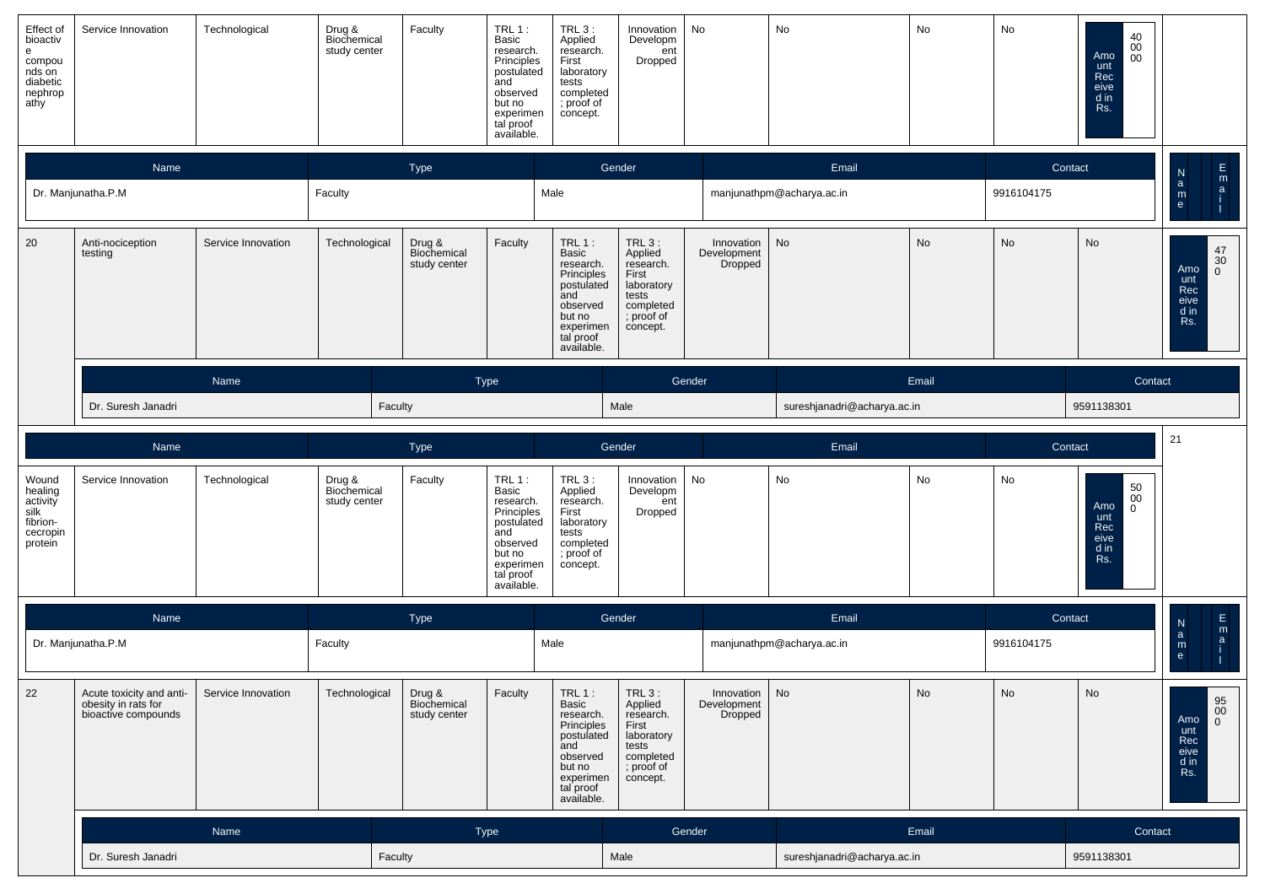| Effect of<br>bioactiv<br>e<br>compou<br>nds on<br>diabetic<br>nephrop<br>athy | Service Innovation                                                     | Technological      | Drug &<br>Biochemical<br>study center | Faculty                               | TRL 1:<br>Basic<br>research.<br>Principles<br>postulated<br>and<br>observed<br>but no<br>experimen<br>tal proof<br>available.    | <b>TRL 3:</b><br>Applied<br>research.<br>First<br>laboratory<br>tests<br>completed<br>; proof of<br>concept.                    | Innovation<br>Developm<br>ent<br>Dropped                                                                 | No                                              | No                          | No        | No         | 40<br>0 <sup>0</sup><br>Amo<br>00<br>unt<br>Rec<br>eive<br>d in<br>Rs.       |                                                                                                     |
|-------------------------------------------------------------------------------|------------------------------------------------------------------------|--------------------|---------------------------------------|---------------------------------------|----------------------------------------------------------------------------------------------------------------------------------|---------------------------------------------------------------------------------------------------------------------------------|----------------------------------------------------------------------------------------------------------|-------------------------------------------------|-----------------------------|-----------|------------|------------------------------------------------------------------------------|-----------------------------------------------------------------------------------------------------|
|                                                                               | Name                                                                   |                    |                                       | Type                                  |                                                                                                                                  |                                                                                                                                 | Gender                                                                                                   |                                                 | Email                       |           | Contact    |                                                                              | $\frac{E}{2}$                                                                                       |
|                                                                               | Dr. Manjunatha.P.M                                                     |                    | Faculty                               |                                       |                                                                                                                                  | Male                                                                                                                            |                                                                                                          |                                                 | manjunathpm@acharya.ac.in   |           | 9916104175 |                                                                              | $\frac{N}{a}$<br>$\mathsf{m}_{\mathsf{e}}$                                                          |
| 20                                                                            | Anti-nociception<br>testing                                            | Service Innovation | Technological                         | Drug &<br>Biochemical<br>study center | Faculty                                                                                                                          | $TRL1$ :<br>Basic<br>research.<br>Principles<br>postulated<br>and<br>observed<br>but no<br>experimen<br>tal proof<br>available. | TRL 3 :<br>Applied<br>research.<br>First<br>laboratory<br>tests<br>completed<br>; proof of<br>concept.   | Innovation<br>Development<br>Dropped            | No                          | <b>No</b> | No         | <b>No</b>                                                                    | $\begin{array}{c} 47 \\ 30 \end{array}$<br>Amo<br>$\mathbf{0}$<br>unt<br>Rec<br>eive<br>d in<br>Rs. |
|                                                                               |                                                                        | Name               |                                       |                                       | Type                                                                                                                             |                                                                                                                                 |                                                                                                          | Gender                                          |                             | Email     |            | Contact                                                                      |                                                                                                     |
|                                                                               | Dr. Suresh Janadri                                                     |                    |                                       | Faculty                               |                                                                                                                                  |                                                                                                                                 | Male                                                                                                     |                                                 | sureshjanadri@acharya.ac.in |           |            | 9591138301                                                                   |                                                                                                     |
|                                                                               | Name                                                                   |                    |                                       | Type                                  |                                                                                                                                  |                                                                                                                                 | Gender                                                                                                   |                                                 | Email                       |           | Contact    |                                                                              | 21                                                                                                  |
| Wound<br>healing<br>activity<br>silk<br>fibrion-<br>cecropin<br>protein       | Service Innovation                                                     | Technological      | Drug &<br>Biochemical<br>study center | Faculty                               | TRL $1$ :<br>Basic<br>research.<br>Principles<br>postulated<br>and<br>observed<br>but no<br>experimen<br>tal proof<br>available. | TRL 3 :<br>Applied<br>research.<br>First<br>laboratory<br>tests<br>completed<br>; proof of<br>concept.                          | Innovation<br>Developm<br>ent<br>Dropped                                                                 | No                                              | No                          | No        | No         | $\mathbf{50} \00$<br>Amo<br>$\mathbf 0$<br>unt<br>Rec<br>eive<br>d in<br>Rs. |                                                                                                     |
|                                                                               | Name                                                                   |                    |                                       | Type                                  |                                                                                                                                  |                                                                                                                                 | Gender                                                                                                   |                                                 | Email                       |           | Contact    |                                                                              | $\frac{\mathsf{E}}{\mathsf{m}}$                                                                     |
|                                                                               | Dr. Manjunatha.P.M                                                     |                    | Faculty                               |                                       |                                                                                                                                  | Male                                                                                                                            |                                                                                                          |                                                 | manjunathpm@acharya.ac.in   |           | 9916104175 |                                                                              | $\frac{\mathsf{N}}{\mathsf{a}}$<br>$\mathbf{a}$<br>$\mathsf{m}_{\mathsf{e}}$                        |
| 22                                                                            | Acute toxicity and anti-<br>obesity in rats for<br>bioactive compounds | Service Innovation | Technological                         | Drug &<br>Biochemical<br>study center | Faculty                                                                                                                          | $TRL$ 1:<br>Basic<br>research.<br>Principles<br>postulated<br>and<br>observed<br>but no<br>experimen<br>tal proof<br>available. | $TRL_3$ :<br>Applied<br>research.<br>First<br>laboratory<br>tests<br>completed<br>; proof of<br>concept. | Innovation $\vert$ No<br>Development<br>Dropped |                             | No        | No         | No                                                                           | $\begin{array}{c} 95 \\ 00 \\ 0 \end{array}$<br>Amo<br>unt<br>Rec<br>eive<br>$d$ in<br>Rs.          |
|                                                                               | Name                                                                   |                    |                                       |                                       | Type                                                                                                                             |                                                                                                                                 |                                                                                                          | Gender                                          |                             | Email     |            | Contact                                                                      |                                                                                                     |
|                                                                               | Dr. Suresh Janadri                                                     |                    | Faculty                               |                                       |                                                                                                                                  | Male                                                                                                                            |                                                                                                          | sureshjanadri@acharya.ac.in                     |                             |           | 9591138301 |                                                                              |                                                                                                     |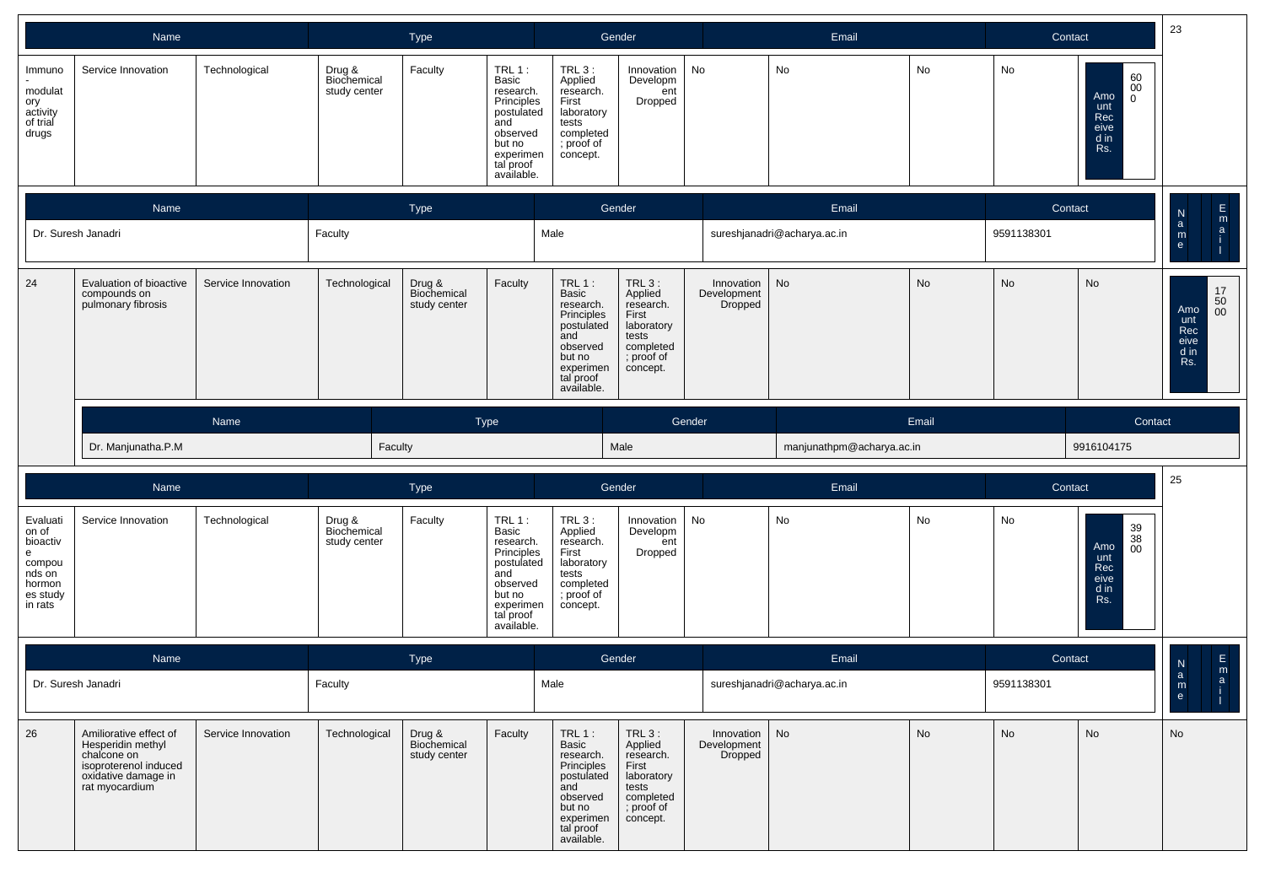|                                                                                         | Name                                                                                                                         |                    |                                       | Type                                  |                                                                                                                               |                                                                                                                                      | Gender                                                                                                  |                                      | Email                       |           |            | 23<br>Contact                                                                                         |                                                                                           |
|-----------------------------------------------------------------------------------------|------------------------------------------------------------------------------------------------------------------------------|--------------------|---------------------------------------|---------------------------------------|-------------------------------------------------------------------------------------------------------------------------------|--------------------------------------------------------------------------------------------------------------------------------------|---------------------------------------------------------------------------------------------------------|--------------------------------------|-----------------------------|-----------|------------|-------------------------------------------------------------------------------------------------------|-------------------------------------------------------------------------------------------|
| Immuno<br>modulat<br>ory<br>activity<br>of trial<br>drugs                               | Service Innovation                                                                                                           | Technological      | Drug &<br>Biochemical<br>study center | Faculty                               | TRL 1:<br>Basic<br>research.<br>Principles<br>postulated<br>and<br>observed<br>but no<br>experimen<br>tal proof<br>available. | $TRL3$ :<br>Applied<br>research.<br>First<br>laboratory<br>tests<br>completed<br>; proof of<br>concept.                              | Innovation<br>Developm<br>ent<br>Dropped                                                                | No                                   | No                          | No        | No         | $\begin{array}{c} 60 \\ 00 \end{array}$<br>Amo<br>$\overline{0}$<br>unt<br>Rec<br>eive<br>d in<br>Rs. |                                                                                           |
|                                                                                         | Name                                                                                                                         |                    |                                       | Type                                  |                                                                                                                               |                                                                                                                                      | Gender                                                                                                  |                                      | Email                       |           | Contact    |                                                                                                       | $\mathsf{E}\!\!\!\!/$<br>N                                                                |
|                                                                                         | Dr. Suresh Janadri                                                                                                           |                    | Faculty                               |                                       |                                                                                                                               | Male                                                                                                                                 |                                                                                                         |                                      | sureshjanadri@acharya.ac.in |           | 9591138301 |                                                                                                       | $\mathop{{\sf m}}\limits_{\mathop{{\sf a}}}$<br>$\mathbf{a}$<br>$\mathsf{m}_{\mathsf{e}}$ |
| 24                                                                                      | Evaluation of bioactive<br>compounds on<br>pulmonary fibrosis                                                                | Service Innovation | Technological                         | Drug &<br>Biochemical<br>study center | Faculty                                                                                                                       | $TRL1$ :<br>Basic<br>research.<br>Principles<br>postulated<br>and<br>observed<br>but no<br>experimen<br>tal proof<br>available.      | $TRL3$ :<br>Applied<br>research.<br>First<br>laboratory<br>tests<br>completed<br>; proof of<br>concept. | Innovation<br>Development<br>Dropped | No                          | No        | <b>No</b>  | No                                                                                                    | $\begin{array}{c} 17 \\ 50 \\ 00 \end{array}$<br>Amo<br>unt<br>Rec<br>eive<br>d in<br>Rs. |
|                                                                                         |                                                                                                                              | Name               |                                       |                                       | Type                                                                                                                          |                                                                                                                                      |                                                                                                         | Gender                               |                             | Email     |            | Contact                                                                                               |                                                                                           |
|                                                                                         | Dr. Manjunatha.P.M                                                                                                           |                    | Faculty                               |                                       |                                                                                                                               |                                                                                                                                      | Male                                                                                                    |                                      | manjunathpm@acharya.ac.in   |           |            | 9916104175                                                                                            |                                                                                           |
|                                                                                         | Name                                                                                                                         |                    |                                       | Type                                  |                                                                                                                               |                                                                                                                                      | Gender                                                                                                  |                                      | Email                       |           | Contact    |                                                                                                       | 25                                                                                        |
| Evaluati<br>on of<br>bioactiv<br>e<br>compou<br>nds on<br>hormon<br>es study<br>in rats | Service Innovation                                                                                                           | Technological      | Drug &<br>Biochemical<br>study center | Faculty                               | TRL 1:<br>Basic<br>research.<br>Principles<br>postulated<br>and<br>observed<br>but no<br>experimen<br>tal proof<br>available. | $TRL3$ :<br>Applied<br>research.<br>First<br>laboratory<br>tests<br>completed<br>; proof of<br>concept.                              | Innovation<br>Developm<br>ent<br>Dropped                                                                | No                                   | No                          | No        | No         | 39<br>38<br>00<br>Amo<br>unt<br>Rec<br>eive<br>d in<br>Rs.                                            |                                                                                           |
|                                                                                         | Name                                                                                                                         |                    |                                       | Type                                  |                                                                                                                               |                                                                                                                                      | Gender                                                                                                  |                                      | Email                       |           | Contact    |                                                                                                       | $\mathsf{E}\!\!\restriction$<br>${\sf N}$                                                 |
|                                                                                         | Dr. Suresh Janadri                                                                                                           |                    | Faculty                               |                                       |                                                                                                                               | Male                                                                                                                                 |                                                                                                         |                                      | sureshjanadri@acharya.ac.in |           | 9591138301 |                                                                                                       | $\mathop{{\sf m}}\limits_{\mathop{{\sf a}}}$<br>$\alpha$<br>m<br>H<br>e                   |
| 26                                                                                      | Amiliorative effect of<br>Hesperidin methyl<br>chalcone on<br>isoproterenol induced<br>oxidative damage in<br>rat myocardium | Service Innovation | Technological                         | Drug &<br>Biochemical<br>study center | Faculty                                                                                                                       | <b>TRL 1:</b><br>Basic<br>research.<br>Principles<br>postulated<br>and<br>observed<br>but no<br>experimen<br>tal proof<br>available. | $TRL3$ :<br>Applied<br>research.<br>First<br>laboratory<br>tests<br>completed<br>; proof of<br>concept. | Innovation<br>Development<br>Dropped | No                          | <b>No</b> | No         | <b>No</b>                                                                                             | No                                                                                        |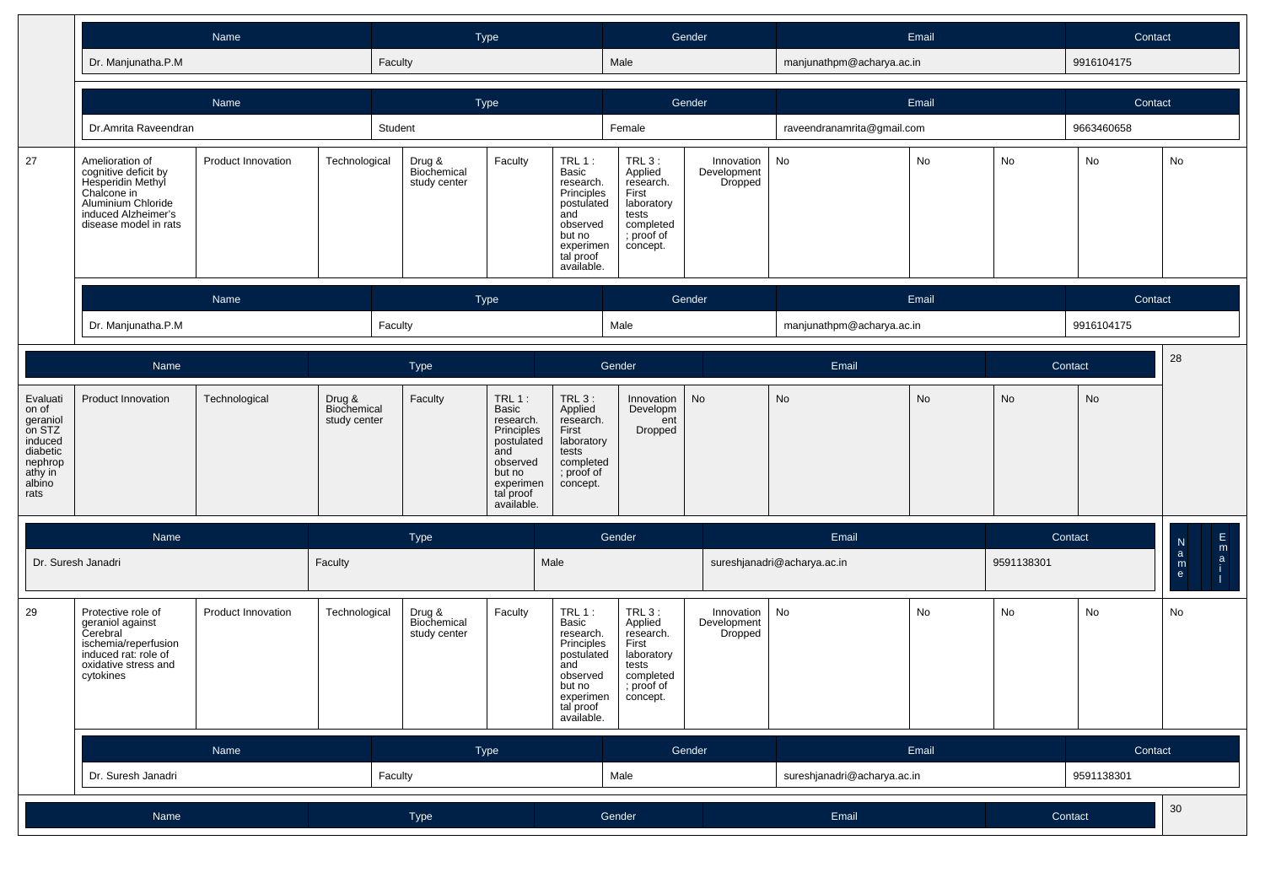|                                                                                              | Name                                                                                                                                              |                           |                                       | Type                                  |                                                                                                                               |                                                                                                                                 | Gender                                                                                                  |                                      |                             | Email     |            | Contact    |                                                                        |
|----------------------------------------------------------------------------------------------|---------------------------------------------------------------------------------------------------------------------------------------------------|---------------------------|---------------------------------------|---------------------------------------|-------------------------------------------------------------------------------------------------------------------------------|---------------------------------------------------------------------------------------------------------------------------------|---------------------------------------------------------------------------------------------------------|--------------------------------------|-----------------------------|-----------|------------|------------|------------------------------------------------------------------------|
|                                                                                              | Dr. Manjunatha.P.M                                                                                                                                |                           |                                       | Faculty                               |                                                                                                                               |                                                                                                                                 | Male                                                                                                    |                                      | manjunathpm@acharya.ac.in   |           |            | 9916104175 |                                                                        |
|                                                                                              |                                                                                                                                                   | Name                      |                                       | Type                                  |                                                                                                                               |                                                                                                                                 |                                                                                                         | Gender                               |                             | Email     |            | Contact    |                                                                        |
|                                                                                              | Dr.Amrita Raveendran                                                                                                                              |                           |                                       | Student                               |                                                                                                                               |                                                                                                                                 | Female                                                                                                  |                                      | raveendranamrita@gmail.com  |           |            | 9663460658 |                                                                        |
| 27                                                                                           | Amelioration of<br>cognitive deficit by<br>Hesperidin Methyl<br>Chalcone in<br>Aluminium Chloride<br>induced Alzheimer's<br>disease model in rats | Product Innovation        | Technological                         | Drug &<br>Biochemical<br>study center | Faculty                                                                                                                       | $TRL1$ :<br>Basic<br>research.<br>Principles<br>postulated<br>and<br>observed<br>but no<br>experimen<br>tal proof<br>available. | TRL 3:<br>Applied<br>research.<br>First<br>laboratory<br>tests<br>completed<br>; proof of<br>concept.   | Innovation<br>Development<br>Dropped | No                          | No        | No         | No         | No                                                                     |
|                                                                                              |                                                                                                                                                   | Name                      |                                       | Type                                  |                                                                                                                               |                                                                                                                                 |                                                                                                         | Gender                               |                             | Email     |            | Contact    |                                                                        |
|                                                                                              | Dr. Manjunatha.P.M                                                                                                                                |                           |                                       | Faculty                               |                                                                                                                               |                                                                                                                                 | Male                                                                                                    |                                      | manjunathpm@acharya.ac.in   |           |            | 9916104175 |                                                                        |
|                                                                                              | Name                                                                                                                                              |                           |                                       | Type                                  |                                                                                                                               |                                                                                                                                 | Gender                                                                                                  |                                      | Email                       |           |            | Contact    | 28                                                                     |
| Evaluati<br>on of<br>geraniol<br>on STZ<br>induced<br>diabetic<br>nephrop<br>athy in<br>rats | Product Innovation                                                                                                                                | Technological             | Drug &<br>Biochemical<br>study center | Faculty                               | TRL 1:<br>Basic<br>research.<br>Principles<br>postulated<br>and<br>observed<br>but no<br>experimen<br>tal proof<br>available. | TRL $3:$<br>Applied<br>research.<br>First<br>laboratory<br>tests<br>completed<br>; proof of<br>concept.                         | Innovation<br>Developm<br>ent<br>Dropped                                                                | No                                   | <b>No</b>                   | <b>No</b> | No         | No         |                                                                        |
|                                                                                              | Name                                                                                                                                              |                           |                                       | Type                                  |                                                                                                                               |                                                                                                                                 | Gender                                                                                                  |                                      | Email                       |           |            | Contact    | E                                                                      |
| Dr. Suresh Janadri                                                                           |                                                                                                                                                   |                           | Faculty                               |                                       | Male                                                                                                                          |                                                                                                                                 |                                                                                                         |                                      | sureshjanadri@acharya.ac.in |           | 9591138301 |            | $\frac{\mathsf{N}}{\mathsf{a}}$<br>m<br>a<br>$\mathsf{m}_{\mathsf{e}}$ |
| 29                                                                                           | Protective role of<br>geraniol against<br>Cerebral<br>ischemia/reperfusion<br>induced rat: role of<br>oxidative stress and<br>cytokines           | <b>Product Innovation</b> | Technological                         | Drug &<br>Biochemical<br>study center | Faculty                                                                                                                       | $TRL1$ :<br>Basic<br>research.<br>Principles<br>postulated<br>and<br>observed<br>but no<br>experimen<br>tal proof<br>available. | $TRL3$ :<br>Applied<br>research.<br>First<br>laboratory<br>tests<br>completed<br>; proof of<br>concept. | Innovation<br>Development<br>Dropped | No                          | <b>No</b> | No         | No         | No                                                                     |
|                                                                                              |                                                                                                                                                   | Name                      |                                       | Type                                  |                                                                                                                               |                                                                                                                                 | Gender                                                                                                  |                                      |                             | Email     |            | Contact    |                                                                        |
|                                                                                              | Dr. Suresh Janadri                                                                                                                                |                           |                                       | Faculty                               |                                                                                                                               |                                                                                                                                 | Male                                                                                                    |                                      | sureshjanadri@acharya.ac.in |           |            | 9591138301 |                                                                        |
|                                                                                              | Name                                                                                                                                              |                           | Type                                  |                                       |                                                                                                                               | Gender                                                                                                                          |                                                                                                         | Email                                |                             |           | Contact    | $30\,$     |                                                                        |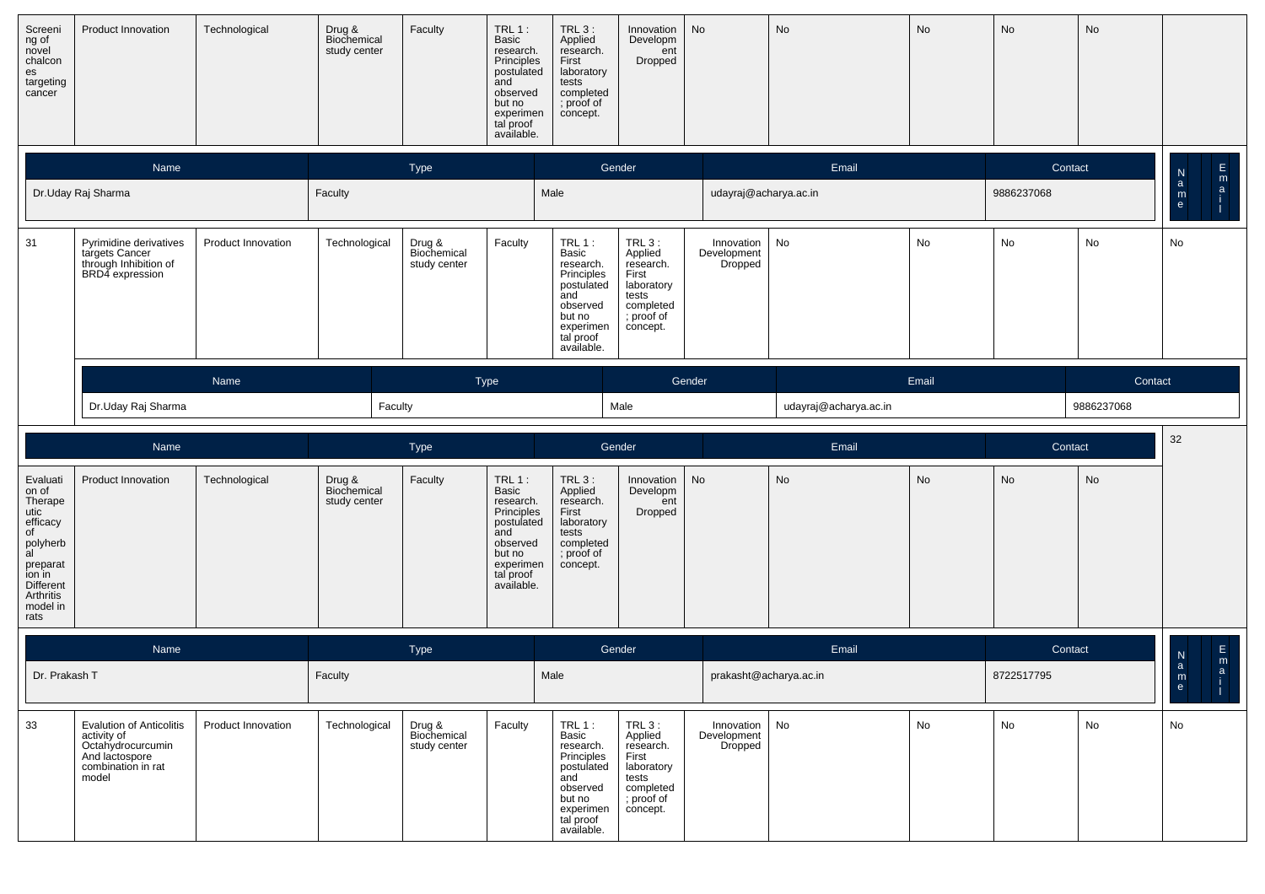| Screeni<br>ng of<br>novel<br>chalcon<br>es<br>targeting<br>cancer                                                       | Product Innovation                                                                   | Technological             | Drug &<br>Biochemical<br>study center | Faculty                               | TRL1:<br>Basic<br>research.<br>Principles<br>postulated<br>and<br>observed<br>but no<br>experimen<br>tal proof<br>available. | $TRL3$ :<br>Applied<br>research.<br>First<br>laboratory<br>tests<br>completed<br>; proof of<br>concept.                          | Innovation<br>Developm<br>ent<br>Dropped                                                              | No                                   | No                    | No    | No         | No         |                                                                    |
|-------------------------------------------------------------------------------------------------------------------------|--------------------------------------------------------------------------------------|---------------------------|---------------------------------------|---------------------------------------|------------------------------------------------------------------------------------------------------------------------------|----------------------------------------------------------------------------------------------------------------------------------|-------------------------------------------------------------------------------------------------------|--------------------------------------|-----------------------|-------|------------|------------|--------------------------------------------------------------------|
|                                                                                                                         | Name                                                                                 |                           |                                       | Type                                  |                                                                                                                              |                                                                                                                                  | Gender                                                                                                |                                      | Email                 |       | Contact    |            | $\frac{E}{2}$<br>$\frac{\mathsf{N}}{\mathsf{a}}$                   |
|                                                                                                                         | Dr.Uday Raj Sharma                                                                   |                           | Faculty                               |                                       |                                                                                                                              | Male                                                                                                                             |                                                                                                       | udayraj@acharya.ac.in                |                       |       | 9886237068 |            | $_{\rm e}^{\rm m}$                                                 |
| 31                                                                                                                      | Pyrimidine derivatives<br>targets Cancer<br>through Inhibition of<br>BRD4 expression | <b>Product Innovation</b> | Technological                         | Drug &<br>Biochemical<br>study center | Faculty                                                                                                                      | $TRL 1$ :<br>Basic<br>research.<br>Principles<br>postulated<br>and<br>observed<br>but no<br>experimen<br>tal proof<br>available. | TRL 3:<br>Applied<br>research.<br>First<br>laboratory<br>tests<br>completed<br>; proof of<br>concept. | Innovation<br>Development<br>Dropped | No                    | No    | No         | No         | No                                                                 |
|                                                                                                                         |                                                                                      | Name                      |                                       |                                       | <b>Type</b>                                                                                                                  |                                                                                                                                  |                                                                                                       | Gender                               |                       | Email |            | Contact    |                                                                    |
|                                                                                                                         | Dr.Uday Raj Sharma                                                                   |                           | Faculty                               |                                       |                                                                                                                              |                                                                                                                                  | Male                                                                                                  |                                      | udayraj@acharya.ac.in |       |            | 9886237068 |                                                                    |
|                                                                                                                         | Name                                                                                 |                           |                                       | Type                                  |                                                                                                                              |                                                                                                                                  | Gender                                                                                                |                                      | Email                 |       | Contact    |            | 32                                                                 |
| Evaluati<br>on of                                                                                                       | <b>Product Innovation</b>                                                            |                           |                                       |                                       |                                                                                                                              | <b>TRL 3:</b>                                                                                                                    |                                                                                                       |                                      |                       |       |            |            |                                                                    |
| Therape<br>utic<br>efficacy<br>of<br>polyherb<br>al<br>preparat<br>ion in<br>Different<br>Arthritis<br>model in<br>rats |                                                                                      | Technological             | Drug &<br>Biochemical<br>study center | Faculty                               | TRL1:<br>Basic<br>research.<br>Principles<br>postulated<br>and<br>observed<br>but no<br>experimen<br>tal proof<br>available. | Applied<br>research.<br>First<br>laboratory<br>tests<br>completed<br>; proof of<br>concept.                                      | Innovation<br>Developm<br>ent<br>Dropped                                                              | No                                   | No                    | No    | No         | No         |                                                                    |
|                                                                                                                         | Name                                                                                 |                           |                                       | Type                                  |                                                                                                                              |                                                                                                                                  | Gender                                                                                                |                                      | Email                 |       | Contact    |            | $\mathsf E$                                                        |
| Dr. Prakash T                                                                                                           |                                                                                      |                           | Faculty                               |                                       |                                                                                                                              | Male                                                                                                                             |                                                                                                       | prakasht@acharya.ac.in               |                       |       | 8722517795 |            | N<br>m<br>$\mathsf a$<br>$\mathsf{a}$<br>${\sf m}$<br>$\mathbf{e}$ |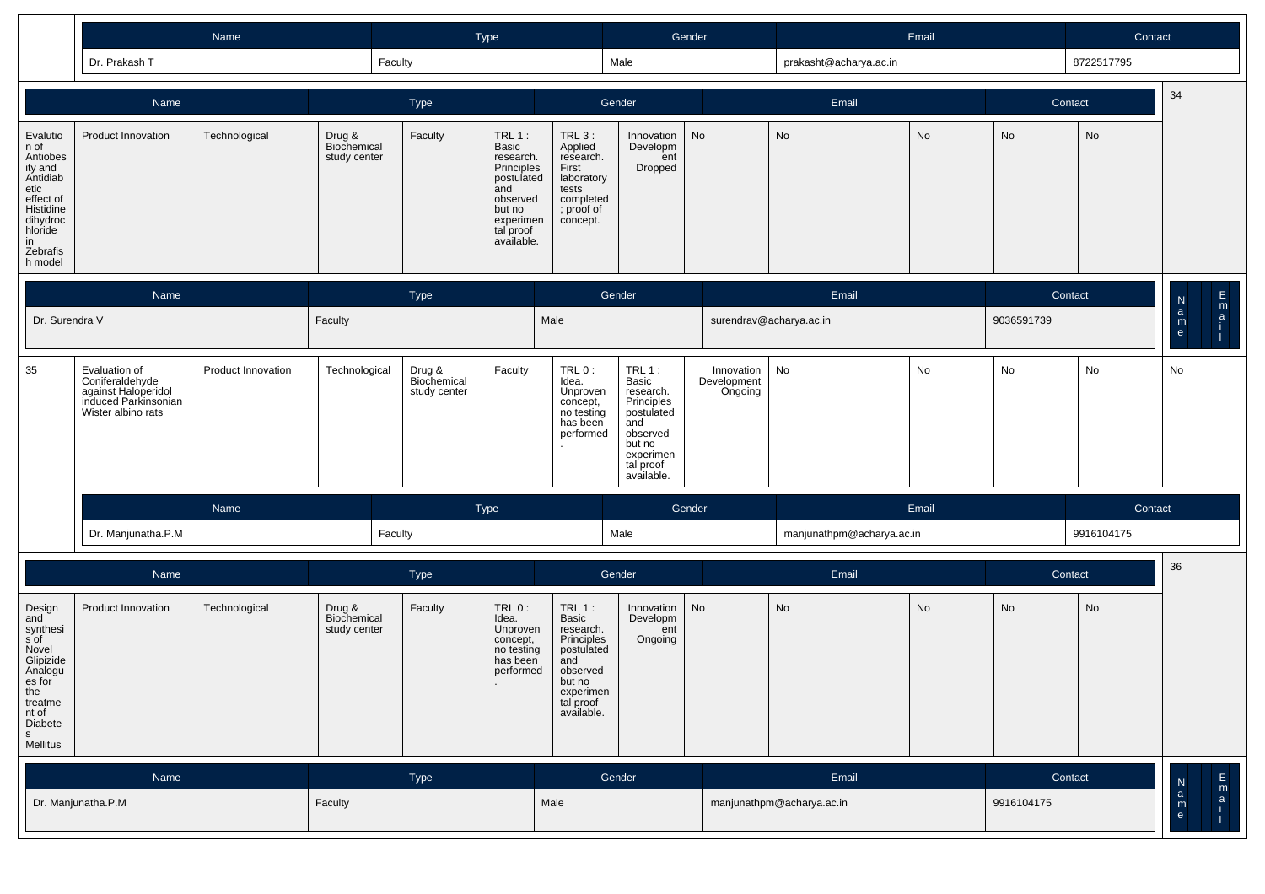|                                                                                                                                           |                                                                                                       | Name               |                                       |                                       | Type                                                                                                                                   |                                                                                                                                  |                                                                                                                               | Gender                               |                           | Email |            | Contact    |                                                  |
|-------------------------------------------------------------------------------------------------------------------------------------------|-------------------------------------------------------------------------------------------------------|--------------------|---------------------------------------|---------------------------------------|----------------------------------------------------------------------------------------------------------------------------------------|----------------------------------------------------------------------------------------------------------------------------------|-------------------------------------------------------------------------------------------------------------------------------|--------------------------------------|---------------------------|-------|------------|------------|--------------------------------------------------|
|                                                                                                                                           | Dr. Prakash T                                                                                         |                    | Faculty                               |                                       |                                                                                                                                        |                                                                                                                                  | Male                                                                                                                          |                                      | prakasht@acharya.ac.in    |       |            | 8722517795 |                                                  |
|                                                                                                                                           | Name                                                                                                  |                    |                                       | Type                                  |                                                                                                                                        |                                                                                                                                  | Gender                                                                                                                        |                                      | Email                     |       |            | Contact    | 34                                               |
| Evalutio<br>n of<br>Antiobes<br>ity and<br>Antidiab<br>etic<br>effect of<br>Histidine<br>dihydroc<br>hloride<br>in<br>Zebrafis<br>h model | Product Innovation                                                                                    | Technological      | Drug &<br>Biochemical<br>study center | Faculty                               | $TRL1$ :<br><b>Basic</b><br>research.<br>Principles<br>postulated<br>and<br>observed<br>but no<br>experimen<br>tal proof<br>available. | <b>TRL 3:</b><br>Applied<br>research.<br>First<br>laboratory<br>tests<br>completed<br>; proof of<br>concept.                     | Innovation<br>Developm<br>ent<br>Dropped                                                                                      | <b>No</b>                            | No                        | No    | No         | No         |                                                  |
|                                                                                                                                           | <b>Name</b>                                                                                           |                    |                                       | Type                                  |                                                                                                                                        |                                                                                                                                  | Gender                                                                                                                        |                                      | Email                     |       |            | Contact    | $\frac{\mathsf{E}}{\mathsf{n}}$<br>$\frac{N}{a}$ |
| Dr. Surendra V                                                                                                                            |                                                                                                       |                    | Faculty                               |                                       |                                                                                                                                        | Male                                                                                                                             |                                                                                                                               |                                      | surendrav@acharya.ac.in   |       | 9036591739 |            | ${\sf m}$<br>e                                   |
| 35                                                                                                                                        | Evaluation of<br>Coniferaldehyde<br>against Haloperidol<br>induced Parkinsonian<br>Wister albino rats | Product Innovation | Technological                         | Drug &<br>Biochemical<br>study center | Faculty                                                                                                                                | TRL $0$ :<br>Idea.<br>Unproven<br>concept,<br>no testing<br>has been<br>performed                                                | TRL 1:<br>Basic<br>research.<br>Principles<br>postulated<br>and<br>observed<br>but no<br>experimen<br>tal proof<br>available. | Innovation<br>Development<br>Ongoing | No                        | No    | No         | No         | No                                               |
|                                                                                                                                           |                                                                                                       | Name               |                                       |                                       | <b>Type</b>                                                                                                                            |                                                                                                                                  |                                                                                                                               | Gender                               |                           | Email |            | Contact    |                                                  |
|                                                                                                                                           | Dr. Manjunatha.P.M                                                                                    |                    | Faculty                               |                                       |                                                                                                                                        |                                                                                                                                  | Male                                                                                                                          |                                      | manjunathpm@acharya.ac.in |       |            | 9916104175 |                                                  |
|                                                                                                                                           | Name                                                                                                  |                    |                                       | Type                                  |                                                                                                                                        |                                                                                                                                  | Gender                                                                                                                        |                                      | Email                     |       |            | Contact    | 36                                               |
| Design<br>and<br>synthesi<br>s of<br>Novel<br>Glipizide<br>Analogu<br>es for<br>the<br>treatme<br>nt of<br>Diabete<br>S<br>Mellitus       | Product Innovation                                                                                    | Technological      | Drug &<br>Biochemical<br>study center | Faculty                               | $TRL0$ :<br>Idea.<br>Unproven<br>concept,<br>no testing<br>has been<br>performed                                                       | $TRL 1$ :<br>Basic<br>research.<br>Principles<br>postulated<br>and<br>observed<br>but no<br>experimen<br>tal proof<br>available. | Innovation<br>Developm<br>ent<br>Ongoing                                                                                      | No                                   | <b>No</b>                 | No    | No         | <b>No</b>  |                                                  |

| Name               | <b>Type</b> | Gender | Email                     | Contact    | $\overline{N}$<br>m |
|--------------------|-------------|--------|---------------------------|------------|---------------------|
| Dr. Manjunatha.P.M | Faculty     | Male   | manjunathpm@acharya.ac.in | 9916104175 | $\mathsf{m}$        |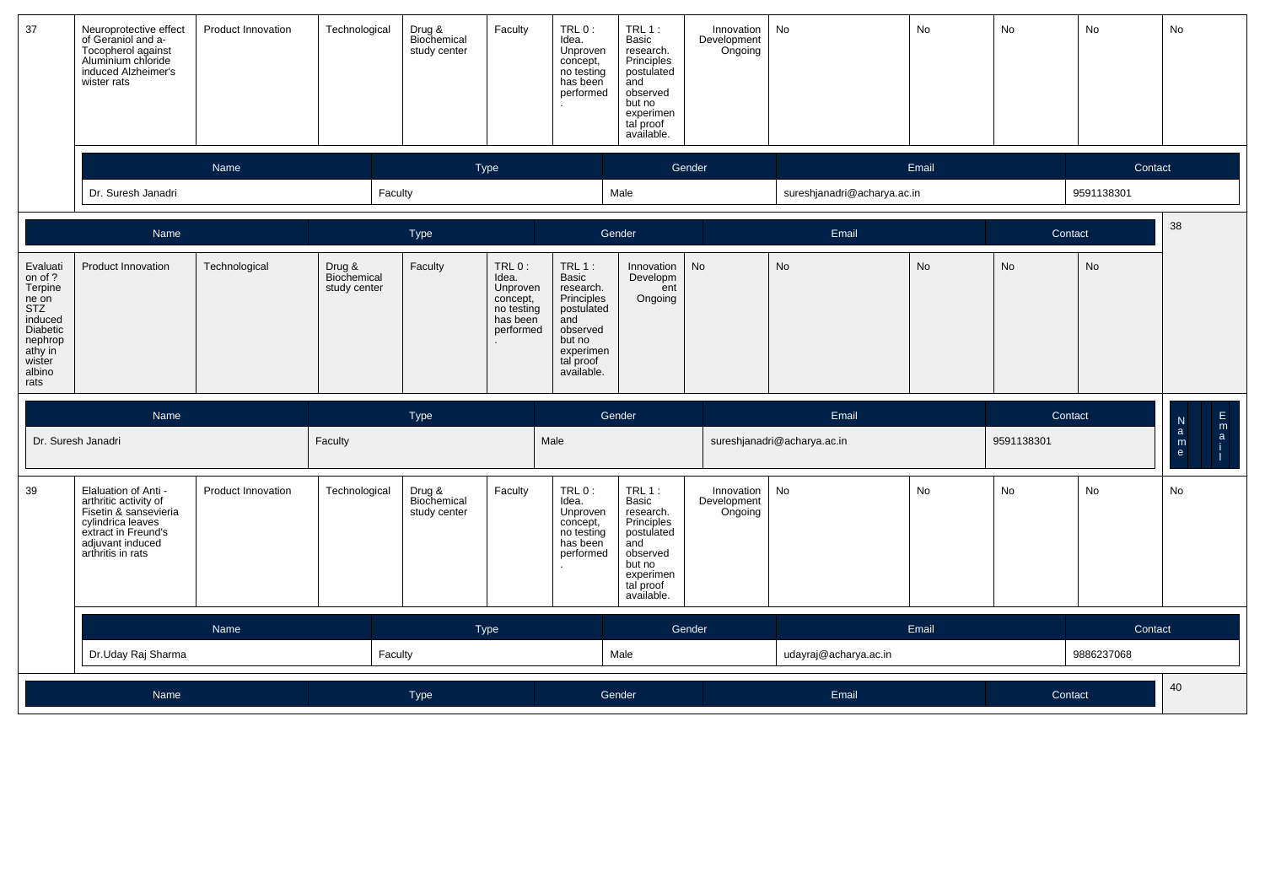| 37                                                                                                                             | Neuroprotective effect<br>of Geraniol and a-<br>Tocopherol against<br>Aluminium chloride<br>induced Alzheimer's<br>wister rats                              | Product Innovation | Technological                         | Drug &<br>Biochemical<br>study center | Faculty                                                                          | TRL 0:<br>Idea.<br>Unproven<br>concept,<br>no testing<br>has been<br>performed                                                       | $TRL1$ :<br>Basic<br>research.<br>Principles<br>postulated<br>and<br>observed<br>but no<br>experimen<br>tal proof<br>available. | Innovation<br>Development<br>Ongoing | No                          | No        | No         | No         | No                                                                               |
|--------------------------------------------------------------------------------------------------------------------------------|-------------------------------------------------------------------------------------------------------------------------------------------------------------|--------------------|---------------------------------------|---------------------------------------|----------------------------------------------------------------------------------|--------------------------------------------------------------------------------------------------------------------------------------|---------------------------------------------------------------------------------------------------------------------------------|--------------------------------------|-----------------------------|-----------|------------|------------|----------------------------------------------------------------------------------|
|                                                                                                                                |                                                                                                                                                             | Name               |                                       |                                       | Type                                                                             |                                                                                                                                      |                                                                                                                                 | Gender                               |                             | Email     |            | Contact    |                                                                                  |
|                                                                                                                                | Dr. Suresh Janadri                                                                                                                                          |                    | Faculty                               |                                       |                                                                                  |                                                                                                                                      | Male                                                                                                                            |                                      | sureshjanadri@acharya.ac.in |           |            | 9591138301 |                                                                                  |
|                                                                                                                                | Name                                                                                                                                                        |                    |                                       | Type                                  |                                                                                  |                                                                                                                                      | Gender                                                                                                                          |                                      | Email                       |           | Contact    |            | 38                                                                               |
| Evaluati<br>on of ?<br>Terpine<br>ne on<br><b>STZ</b><br>induced<br>Diabetic<br>nephrop<br>athy in<br>wister<br>albino<br>rats | Product Innovation                                                                                                                                          | Technological      | Drug &<br>Biochemical<br>study center | Faculty                               | $TRL0$ :<br>Idea.<br>Unproven<br>concept,<br>no testing<br>has been<br>performed | TRL 1:<br><b>Basic</b><br>research.<br>Principles<br>postulated<br>and<br>observed<br>but no<br>experimen<br>tal proof<br>available. | Innovation<br>Developm<br>ent<br>Ongoing                                                                                        | No                                   | No                          | <b>No</b> | <b>No</b>  | <b>No</b>  |                                                                                  |
|                                                                                                                                | Name                                                                                                                                                        |                    |                                       | Type                                  |                                                                                  |                                                                                                                                      | Gender                                                                                                                          |                                      | Email                       |           | Contact    |            | E<br>${\sf N}$                                                                   |
|                                                                                                                                | Dr. Suresh Janadri                                                                                                                                          |                    | Faculty                               |                                       |                                                                                  | Male                                                                                                                                 |                                                                                                                                 |                                      | sureshjanadri@acharya.ac.in |           | 9591138301 |            | $\begin{bmatrix} m \\ a \\ i \end{bmatrix}$<br>$\mathbf{a}$<br>m<br>$\mathsf{e}$ |
| 39                                                                                                                             | Elaluation of Anti -<br>arthritic activity of<br>Fisetin & sansevieria<br>cylindrica leaves<br>extract in Freund's<br>adjuvant induced<br>arthritis in rats | Product Innovation | Technological                         | Drug &<br>Biochemical<br>study center | Faculty                                                                          | TRL 0:<br>Idea.<br>Unproven<br>concept,<br>no testing<br>has been<br>performed                                                       | TRL 1:<br>Basic<br>research.<br>Principles<br>postulated<br>and<br>observed<br>but no<br>experimen<br>tal proof<br>available.   | Innovation<br>Development<br>Ongoing | No                          | No        | No         | <b>No</b>  | No                                                                               |
|                                                                                                                                |                                                                                                                                                             | Name               |                                       |                                       | Type                                                                             |                                                                                                                                      |                                                                                                                                 | Gender                               |                             | Email     |            | Contact    |                                                                                  |
|                                                                                                                                | Dr.Uday Raj Sharma                                                                                                                                          |                    | Faculty                               |                                       |                                                                                  |                                                                                                                                      | Male                                                                                                                            |                                      | udayraj@acharya.ac.in       |           |            | 9886237068 |                                                                                  |
|                                                                                                                                | Name                                                                                                                                                        |                    |                                       |                                       |                                                                                  |                                                                                                                                      |                                                                                                                                 |                                      |                             |           |            |            | 40                                                                               |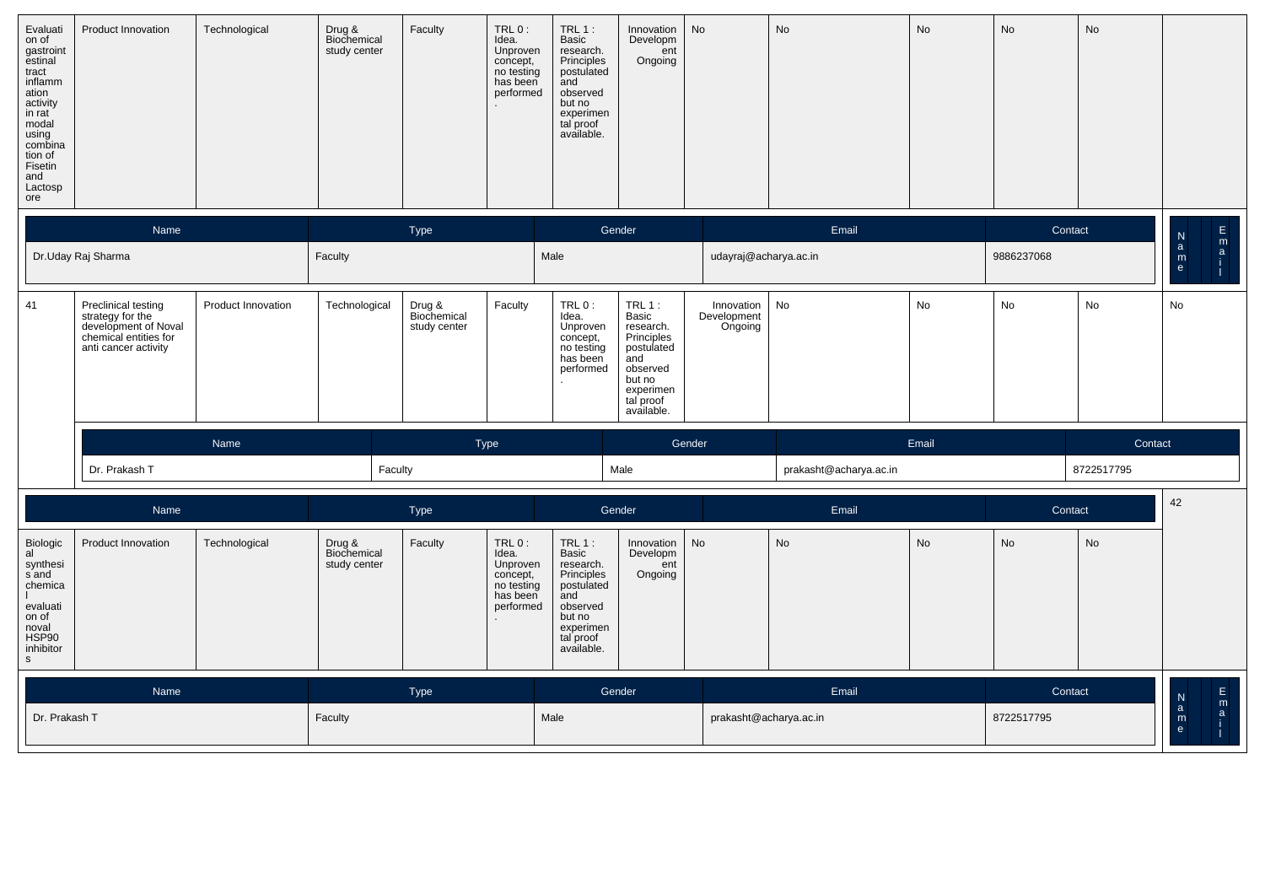| Evaluati<br>on of<br>gastroint<br>estinal<br>tract<br>inflamm<br>ation<br>activity<br>in rat<br>modal<br>using<br>combina<br>tion of<br>Fisetin<br>and<br>Lactosp<br>ore | Product Innovation | Technological | Drug &<br>Biochemical<br>study center | Faculty | $TRL0$ :<br>Idea.<br>Unproven<br>concept,<br>no testing<br>has been<br>performed<br>$\sim$ | $TRL1$ :<br>Basic<br>research.<br>Principles<br>postulated<br>and<br>observed<br>but no<br>experimen<br>tal proof<br>available. | Innovation<br>Developm<br>ent<br>Ongoing | No | No | No | No | No |  |
|--------------------------------------------------------------------------------------------------------------------------------------------------------------------------|--------------------|---------------|---------------------------------------|---------|--------------------------------------------------------------------------------------------|---------------------------------------------------------------------------------------------------------------------------------|------------------------------------------|----|----|----|----|----|--|
|--------------------------------------------------------------------------------------------------------------------------------------------------------------------------|--------------------|---------------|---------------------------------------|---------|--------------------------------------------------------------------------------------------|---------------------------------------------------------------------------------------------------------------------------------|------------------------------------------|----|----|----|----|----|--|

|                                               | Name                                                                                                                    |                           |                                       | <b>Type</b>                           |                                                                  |                                                                                   | Gender                                                                                                                           |                                      | Email                  |           | Contact    |            | $\frac{E}{1}$<br>N<br>a |
|-----------------------------------------------|-------------------------------------------------------------------------------------------------------------------------|---------------------------|---------------------------------------|---------------------------------------|------------------------------------------------------------------|-----------------------------------------------------------------------------------|----------------------------------------------------------------------------------------------------------------------------------|--------------------------------------|------------------------|-----------|------------|------------|-------------------------|
|                                               | Dr.Uday Raj Sharma                                                                                                      |                           | Faculty                               |                                       |                                                                  | Male                                                                              |                                                                                                                                  | udayraj@acharya.ac.in                |                        |           | 9886237068 |            | ${\sf m}$<br>e          |
| 41                                            | <b>Preclinical testing</b><br>strategy for the<br>development of Noval<br>chemical entities for<br>anti cancer activity | <b>Product Innovation</b> | Technological                         | Drug &<br>Biochemical<br>study center | Faculty                                                          | TRL $0$ :<br>Idea.<br>Unproven<br>concept,<br>no testing<br>has been<br>performed | $TRL 1$ :<br>Basic<br>research.<br>Principles<br>postulated<br>and<br>observed<br>but no<br>experimen<br>tal proof<br>available. | Innovation<br>Development<br>Ongoing | No                     | <b>No</b> | No         | <b>No</b>  | <b>No</b>               |
|                                               |                                                                                                                         | Name                      |                                       |                                       | Type                                                             |                                                                                   |                                                                                                                                  | Gender                               |                        | Email     |            | Contact    |                         |
|                                               | Dr. Prakash T                                                                                                           |                           |                                       | Faculty                               |                                                                  |                                                                                   | Male                                                                                                                             |                                      | prakasht@acharya.ac.in |           |            | 8722517795 |                         |
|                                               | Name                                                                                                                    |                           |                                       | Type                                  |                                                                  |                                                                                   | Gender                                                                                                                           |                                      | Email                  |           | Contact    |            | 42                      |
| Biologic<br>al<br>synthesi<br>sand<br>chemica | Product Innovation                                                                                                      | Technological             | Drug &<br>Biochemical<br>study center | Faculty                               | TRL0:<br>Idea.<br>Unproven<br>concept,<br>no testing<br>has been | TRL $1:$<br>Basic<br>research.<br>Principles<br>postulated<br>and                 | Innovation<br>Developm<br>ent<br>Ongoing                                                                                         | No                                   | No                     | <b>No</b> | <b>No</b>  | No         |                         |

| Biologic<br>al<br>synthesi<br>s and<br>chemica<br>evaluati<br>on of<br>noval<br>HSP90<br>inhibitor<br>s | <b>Product Innovation</b> | Technological | Drug &<br>Biochemical<br>study center | Faculty | TRL 0 :<br>Idea.<br>Unproven<br>concept,<br>no testing<br>has been<br>performed | TRL 1 :<br>Basic<br>research.<br>Principles<br>postulated<br>and<br>observed<br>but no<br>experimen<br>tal proof<br>available. | Innovation   No<br>Developm<br>ent<br>Ongoing | No                     | No. | No         | No. |   |  |
|---------------------------------------------------------------------------------------------------------|---------------------------|---------------|---------------------------------------|---------|---------------------------------------------------------------------------------|--------------------------------------------------------------------------------------------------------------------------------|-----------------------------------------------|------------------------|-----|------------|-----|---|--|
|                                                                                                         | Name                      |               |                                       | Type    |                                                                                 | Gender                                                                                                                         |                                               | Email                  |     | Contact    |     | N |  |
| Dr. Prakash T                                                                                           |                           |               | Faculty                               |         |                                                                                 | Male                                                                                                                           |                                               | prakasht@acharya.ac.in |     | 8722517795 |     | m |  |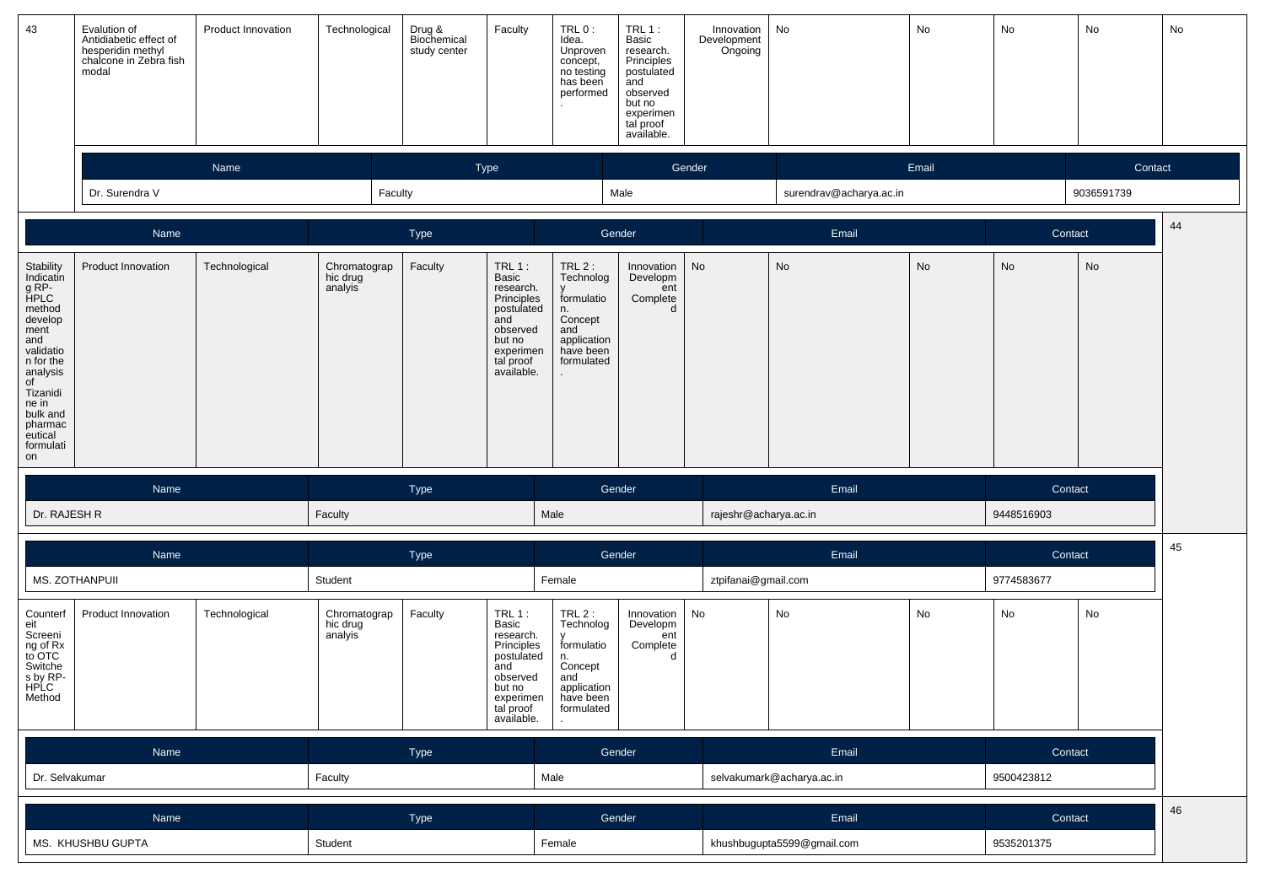| 43                                                                                                                                                                                                | Evalution of<br>Antidiabetic effect of<br>hesperidin methyl<br>chalcone in Zebra fish<br>modal | <b>Product Innovation</b> | Technological                       | Drug &<br>Biochemical<br>study center | Faculty                                                                                                                         | TRL 0:<br>Idea.<br>Unproven<br>concept,<br>no testing<br>has been<br>performed                              | $TRL1$ :<br>Basic<br>research.<br>Principles<br>postulated<br>and<br>observed<br>but no<br>experimen<br>tal proof<br>available. | Innovation<br>Development<br>Ongoing | No                         | No    | No         | No         | No |
|---------------------------------------------------------------------------------------------------------------------------------------------------------------------------------------------------|------------------------------------------------------------------------------------------------|---------------------------|-------------------------------------|---------------------------------------|---------------------------------------------------------------------------------------------------------------------------------|-------------------------------------------------------------------------------------------------------------|---------------------------------------------------------------------------------------------------------------------------------|--------------------------------------|----------------------------|-------|------------|------------|----|
|                                                                                                                                                                                                   |                                                                                                | Name                      |                                     | Type                                  |                                                                                                                                 |                                                                                                             |                                                                                                                                 | Gender                               |                            | Email |            | Contact    |    |
|                                                                                                                                                                                                   | Dr. Surendra V                                                                                 |                           | Faculty                             |                                       |                                                                                                                                 |                                                                                                             | Male                                                                                                                            |                                      | surendrav@acharya.ac.in    |       |            | 9036591739 |    |
|                                                                                                                                                                                                   |                                                                                                |                           |                                     |                                       |                                                                                                                                 |                                                                                                             |                                                                                                                                 |                                      |                            |       |            |            |    |
|                                                                                                                                                                                                   | Name                                                                                           |                           |                                     | Type                                  |                                                                                                                                 |                                                                                                             | Gender                                                                                                                          |                                      | Email                      |       | Contact    |            | 44 |
| Stability<br>Indicatin<br>g RP-<br>HPLC<br>method<br>develop<br>ment<br>and<br>validatio<br>n for the<br>analysis<br>of<br>Tizanidi<br>ne in<br>bulk and<br>pharmac<br>eutical<br>formulati<br>on | Product Innovation                                                                             | Technological             | Chromatograp<br>hic drug<br>analyis | Faculty                               | $TRL1$ :<br>Basic<br>research.<br>Principles<br>postulated<br>and<br>observed<br>but no<br>experimen<br>tal proof<br>available. | $TRL2$ :<br>Technolog<br>formulatio<br>n.<br>Concept<br>and<br>application<br>have been<br>formulated<br>ä, | Innovation<br>Developm<br>ent<br>Complete<br>d                                                                                  | No                                   | No                         | No    | No         | No         |    |
|                                                                                                                                                                                                   | Name                                                                                           |                           |                                     | Type                                  |                                                                                                                                 |                                                                                                             | Gender                                                                                                                          |                                      | Email                      |       | Contact    |            |    |
| Dr. RAJESH R                                                                                                                                                                                      |                                                                                                |                           | Faculty                             |                                       |                                                                                                                                 | Male                                                                                                        |                                                                                                                                 | rajeshr@acharya.ac.in                |                            |       | 9448516903 |            |    |
|                                                                                                                                                                                                   |                                                                                                |                           |                                     |                                       |                                                                                                                                 |                                                                                                             |                                                                                                                                 |                                      |                            |       |            |            | 45 |
|                                                                                                                                                                                                   | Name                                                                                           |                           |                                     | Type                                  |                                                                                                                                 |                                                                                                             | Gender                                                                                                                          |                                      | Email                      |       | Contact    |            |    |
|                                                                                                                                                                                                   | MS. ZOTHANPUII                                                                                 |                           | Student                             |                                       |                                                                                                                                 | Female                                                                                                      |                                                                                                                                 | ztpifanai@gmail.com                  |                            |       | 9774583677 |            |    |
| Counterf<br>eit<br>Screeni<br>ng of Rx<br>to OTC<br>Switche<br>s by RP-<br>HPLC<br>Method                                                                                                         | Product Innovation                                                                             | Technological             | Chromatograp<br>hic drug<br>analyis | Faculty                               | $TRL1$ :<br>Basic<br>research.<br>Principles<br>postulated<br>and<br>observed<br>but no<br>experimen<br>tal proof<br>available. | $TRL2$ :<br>Technolog<br>formulatio<br>n.<br>Concept<br>and<br>application<br>have been<br>formulated       | Innovation<br>Developm<br>ent<br>Complete<br>d                                                                                  | No                                   | No                         | No    | No         | No         |    |
|                                                                                                                                                                                                   | Name                                                                                           |                           |                                     | Type                                  |                                                                                                                                 |                                                                                                             | Gender                                                                                                                          |                                      | Email                      |       | Contact    |            |    |
| Dr. Selvakumar                                                                                                                                                                                    |                                                                                                |                           | Faculty                             |                                       |                                                                                                                                 | Male                                                                                                        |                                                                                                                                 |                                      | selvakumark@acharya.ac.in  |       | 9500423812 |            |    |
|                                                                                                                                                                                                   |                                                                                                |                           |                                     |                                       |                                                                                                                                 |                                                                                                             |                                                                                                                                 |                                      |                            |       |            |            | 46 |
|                                                                                                                                                                                                   | Name                                                                                           |                           |                                     | Type                                  |                                                                                                                                 |                                                                                                             | Gender                                                                                                                          |                                      | Email                      |       | Contact    |            |    |
|                                                                                                                                                                                                   | MS. KHUSHBU GUPTA                                                                              |                           |                                     |                                       |                                                                                                                                 |                                                                                                             |                                                                                                                                 |                                      | khushbugupta5599@gmail.com |       |            |            |    |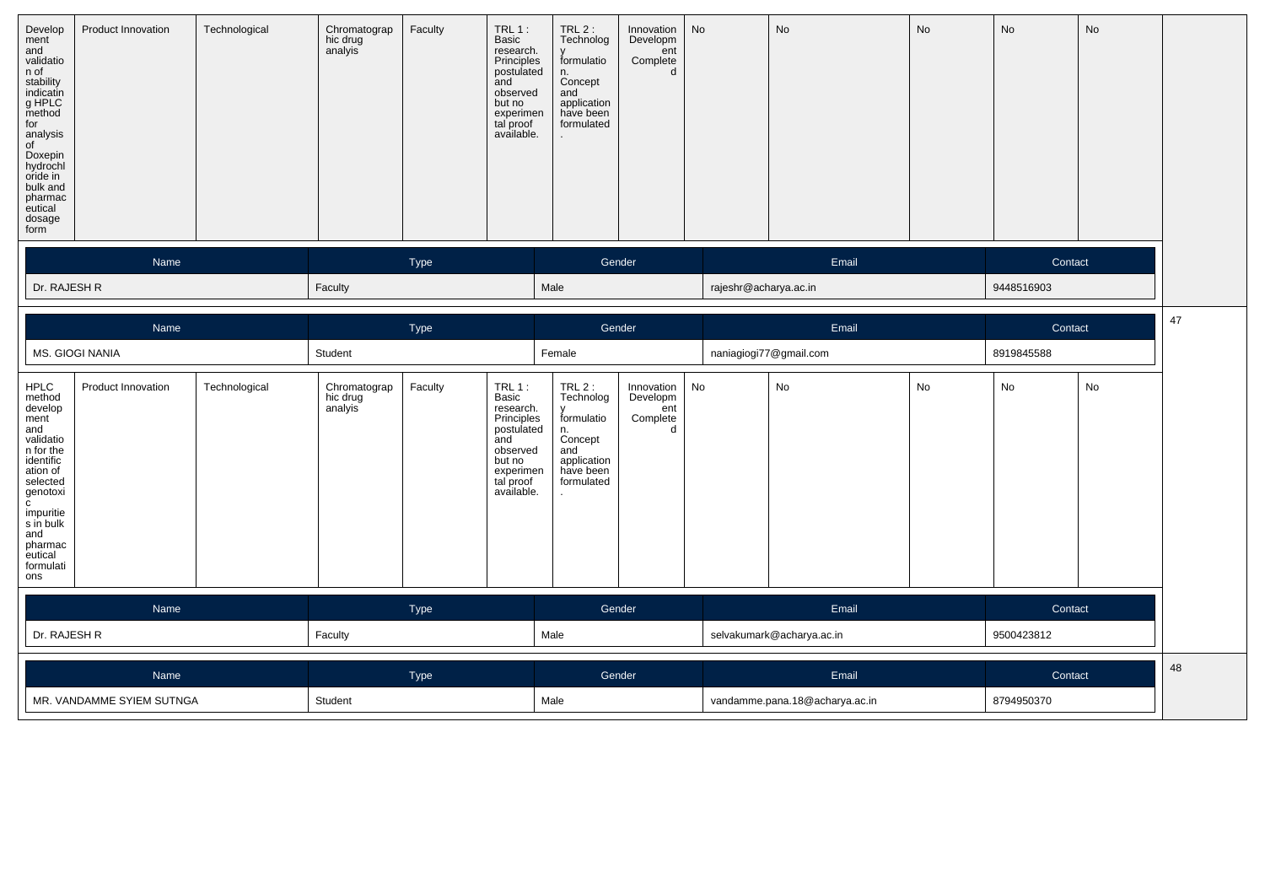| Develop<br>ment<br>and<br>validatio<br>n of<br>stability<br>indicatin<br>g HPLC<br>method<br>for<br>analysis<br>of<br>Doxepin<br>hydrochl<br>oride in<br>bulk and<br>pharmac<br>eutical<br>dosage<br>form | Product Innovation | Technological | Chromatograp<br>hic drug<br>analyis | Faculty | $TRL1$ :<br>Basic<br>research.<br>Principles<br>postulated<br>and<br>observed<br>but no<br>experimen<br>tal proof<br>available. | $TRL2$ :<br>Technolog<br>formulatio<br>n.<br>Concept<br>and<br>application<br>have been<br>formulated | Innovation   No<br>Developm<br>ent<br>Complete |                       | No    | No | No         | No |  |
|-----------------------------------------------------------------------------------------------------------------------------------------------------------------------------------------------------------|--------------------|---------------|-------------------------------------|---------|---------------------------------------------------------------------------------------------------------------------------------|-------------------------------------------------------------------------------------------------------|------------------------------------------------|-----------------------|-------|----|------------|----|--|
|                                                                                                                                                                                                           | Name               |               |                                     | Type    |                                                                                                                                 |                                                                                                       | Gender                                         |                       | Email |    | Contact    |    |  |
| Dr. RAJESH R                                                                                                                                                                                              |                    |               | Faculty                             |         |                                                                                                                                 | Male                                                                                                  |                                                | rajeshr@acharya.ac.in |       |    | 9448516903 |    |  |

|                                                                                                                                                                                                                       | Name                      |               | Type                                |         |                                                                                                                                 | Gender                                                                                                |                                                | Email |                                | Contact |            |    |
|-----------------------------------------------------------------------------------------------------------------------------------------------------------------------------------------------------------------------|---------------------------|---------------|-------------------------------------|---------|---------------------------------------------------------------------------------------------------------------------------------|-------------------------------------------------------------------------------------------------------|------------------------------------------------|-------|--------------------------------|---------|------------|----|
|                                                                                                                                                                                                                       | MS. GIOGI NANIA           |               | Student                             |         |                                                                                                                                 | Female                                                                                                |                                                |       | naniagiogi77@gmail.com         |         | 8919845588 |    |
| <b>HPLC</b><br>method<br>develop<br>ment<br>and<br>validatio<br>n for the<br>identific<br>ation of<br>selected<br>genotoxi<br>$\mathbf{C}$<br>impuritie<br>s in bulk<br>and<br>pharmac<br>eutical<br>formulati<br>ons | Product Innovation        | Technological | Chromatograp<br>hic drug<br>analyis | Faculty | $TRL1$ :<br>Basic<br>research.<br>Principles<br>postulated<br>and<br>observed<br>but no<br>experimen<br>tal proof<br>available. | $TRL2$ :<br>Technolog<br>formulatio<br>n.<br>Concept<br>and<br>application<br>have been<br>formulated | Innovation<br>Developm<br>ent<br>Complete<br>d | No    | No                             | No      | No         | No |
|                                                                                                                                                                                                                       | Name                      |               | Type                                |         |                                                                                                                                 |                                                                                                       | Gender                                         |       | Email                          |         | Contact    |    |
| Dr. RAJESH R                                                                                                                                                                                                          | Faculty                   |               |                                     | Male    |                                                                                                                                 |                                                                                                       | selvakumark@acharya.ac.in                      |       | 9500423812                     |         |            |    |
|                                                                                                                                                                                                                       | Name<br>Type              |               |                                     |         |                                                                                                                                 | Gender                                                                                                |                                                | Email |                                | Contact |            |    |
|                                                                                                                                                                                                                       | MR. VANDAMME SYIEM SUTNGA |               | Student                             |         |                                                                                                                                 | Male                                                                                                  |                                                |       | vandamme.pana.18@acharya.ac.in |         | 8794950370 |    |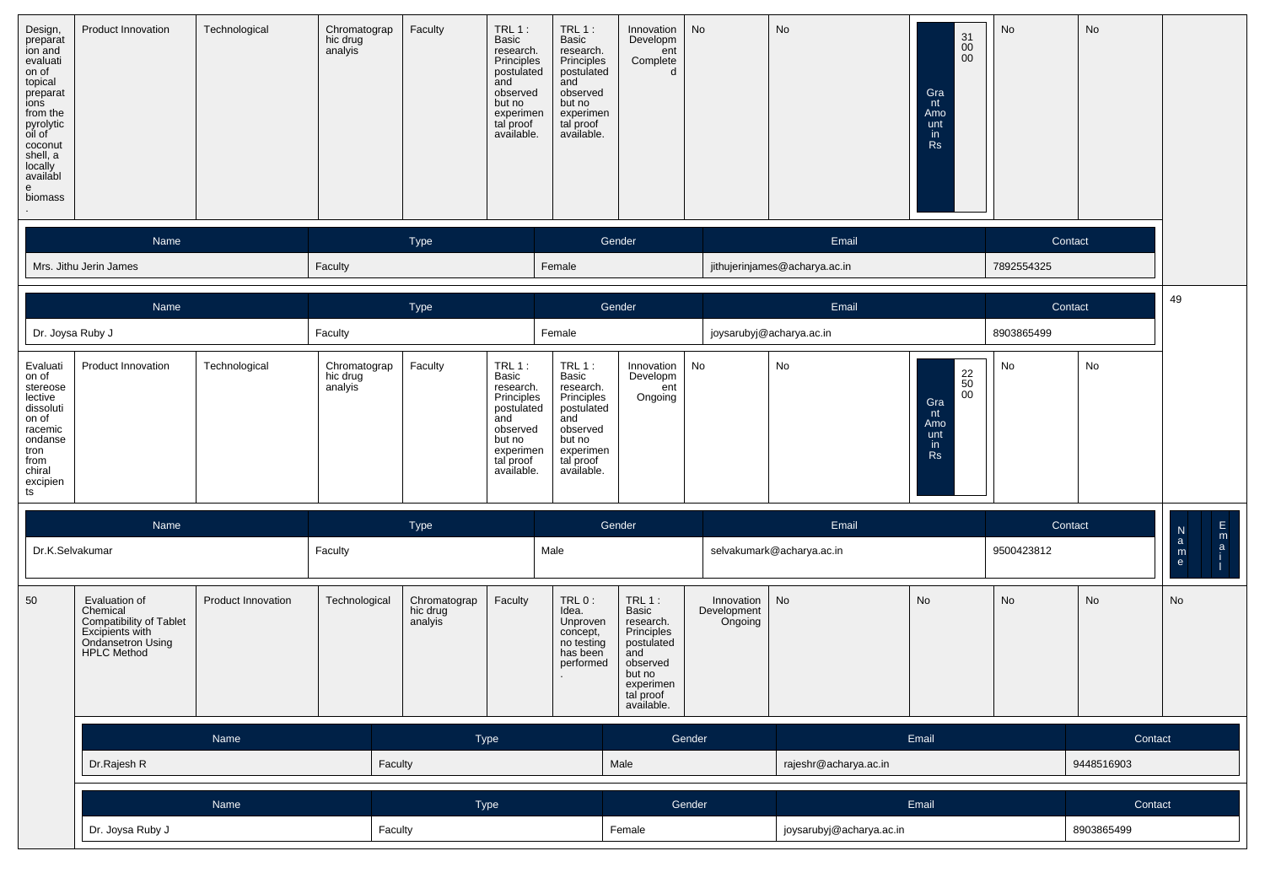| Design,<br>preparat<br>ion and<br>evaluati<br>on of<br>topical<br>preparat<br>ions<br>from the<br>pyrolytic<br>oil of<br>coconut<br>shell, a<br>locally<br>availabl<br>e<br>biomass | Product Innovation                                                                                                 | Technological      | Chromatograp<br>hic drug<br>analyis | Faculty                             | <b>TRL 1:</b><br>Basic<br>research.<br>Principles<br>postulated<br>and<br>observed<br>but no<br>experimen<br>tal proof<br>available. | $TRL1$ :<br>Basic<br>research.<br>Principles<br>postulated<br>and<br>observed<br>but no<br>experimen<br>tal proof<br>available. | Innovation<br>Developm<br>ent<br>Complete<br>d                                                                                | No                                   | No                            | $\begin{array}{c} 31 \\ 00 \end{array}$<br>00<br>Gra<br>nt<br>Amo<br>unt<br>in<br><b>Rs</b> | No                    | No         |                                                                           |
|-------------------------------------------------------------------------------------------------------------------------------------------------------------------------------------|--------------------------------------------------------------------------------------------------------------------|--------------------|-------------------------------------|-------------------------------------|--------------------------------------------------------------------------------------------------------------------------------------|---------------------------------------------------------------------------------------------------------------------------------|-------------------------------------------------------------------------------------------------------------------------------|--------------------------------------|-------------------------------|---------------------------------------------------------------------------------------------|-----------------------|------------|---------------------------------------------------------------------------|
|                                                                                                                                                                                     | Name                                                                                                               |                    |                                     | Type                                |                                                                                                                                      | Female                                                                                                                          | Gender                                                                                                                        |                                      | Email                         |                                                                                             | Contact<br>7892554325 |            |                                                                           |
|                                                                                                                                                                                     | Mrs. Jithu Jerin James                                                                                             |                    | Faculty                             |                                     |                                                                                                                                      |                                                                                                                                 |                                                                                                                               |                                      | jithujerinjames@acharya.ac.in |                                                                                             |                       |            |                                                                           |
|                                                                                                                                                                                     | Name                                                                                                               |                    |                                     | Type                                |                                                                                                                                      |                                                                                                                                 | Gender                                                                                                                        |                                      | Email                         |                                                                                             | Contact               |            | 49                                                                        |
| Dr. Joysa Ruby J                                                                                                                                                                    |                                                                                                                    |                    | Faculty                             |                                     |                                                                                                                                      | Female                                                                                                                          |                                                                                                                               |                                      | joysarubyj@acharya.ac.in      |                                                                                             | 8903865499            |            |                                                                           |
| Evaluati<br>on of<br>stereose<br>lective<br>dissoluti<br>on of<br>racemic<br>ondanse<br>tron<br>from<br>chiral<br>excipien<br>ts                                                    | Product Innovation                                                                                                 | Technological      | Chromatograp<br>hic drug<br>analyis | Faculty                             | TRL1:<br>Basic<br>research.<br>Principles<br>postulated<br>and<br>observed<br>but no<br>experimen<br>tal proof<br>available.         | TRL 1:<br>Basic<br>research.<br>Principles<br>postulated<br>and<br>observed<br>but no<br>experimen<br>tal proof<br>available.   | Innovation<br>Developm<br>ent<br>Ongoing                                                                                      | No                                   | No                            | $\substack{22 \ 50}$<br>$00\,$<br>Gra<br>nt<br>Amo<br>unt<br>in<br><b>Rs</b>                | No                    | No         |                                                                           |
|                                                                                                                                                                                     | Name                                                                                                               |                    |                                     | <b>Type</b>                         |                                                                                                                                      |                                                                                                                                 | Gender                                                                                                                        |                                      | Email                         |                                                                                             | Contact               |            | $\frac{N}{a}$                                                             |
| Dr.K.Selvakumar                                                                                                                                                                     |                                                                                                                    |                    | Faculty                             |                                     |                                                                                                                                      | Male                                                                                                                            |                                                                                                                               |                                      | selvakumark@acharya.ac.in     |                                                                                             | 9500423812            |            | $\begin{array}{c}\nE \\ I \\ I\n\end{array}$<br>$\mathsf{m}_{\mathsf{e}}$ |
| 50                                                                                                                                                                                  | Evaluation of<br>Chemical<br>Compatibility of Tablet<br>Excipients with<br>Ondansetron Using<br><b>HPLC Method</b> | Product Innovation | Technological                       | Chromatograp<br>hic drug<br>analyis | Faculty                                                                                                                              | TRL 0:<br>Idea.<br>Unproven<br>concept,<br>no testing<br>has been<br>performed                                                  | TRL 1:<br>Basic<br>research.<br>Principles<br>postulated<br>and<br>observed<br>but no<br>experimen<br>tal proof<br>available. | Innovation<br>Development<br>Ongoing | No                            | $\mathsf{No}$                                                                               | No                    | No         | No                                                                        |
|                                                                                                                                                                                     |                                                                                                                    | Name               |                                     |                                     | Type                                                                                                                                 |                                                                                                                                 |                                                                                                                               | Gender                               |                               | Email                                                                                       |                       | Contact    |                                                                           |
|                                                                                                                                                                                     | Dr.Rajesh R                                                                                                        |                    |                                     | Faculty                             |                                                                                                                                      |                                                                                                                                 | Male                                                                                                                          |                                      | rajeshr@acharya.ac.in         |                                                                                             |                       | 9448516903 |                                                                           |
|                                                                                                                                                                                     |                                                                                                                    | Name               |                                     |                                     | Type                                                                                                                                 |                                                                                                                                 |                                                                                                                               | Gender                               |                               | Email                                                                                       |                       | Contact    |                                                                           |
|                                                                                                                                                                                     | Dr. Joysa Ruby J                                                                                                   |                    |                                     | Faculty                             |                                                                                                                                      |                                                                                                                                 | Female                                                                                                                        |                                      | joysarubyj@acharya.ac.in      |                                                                                             |                       | 8903865499 |                                                                           |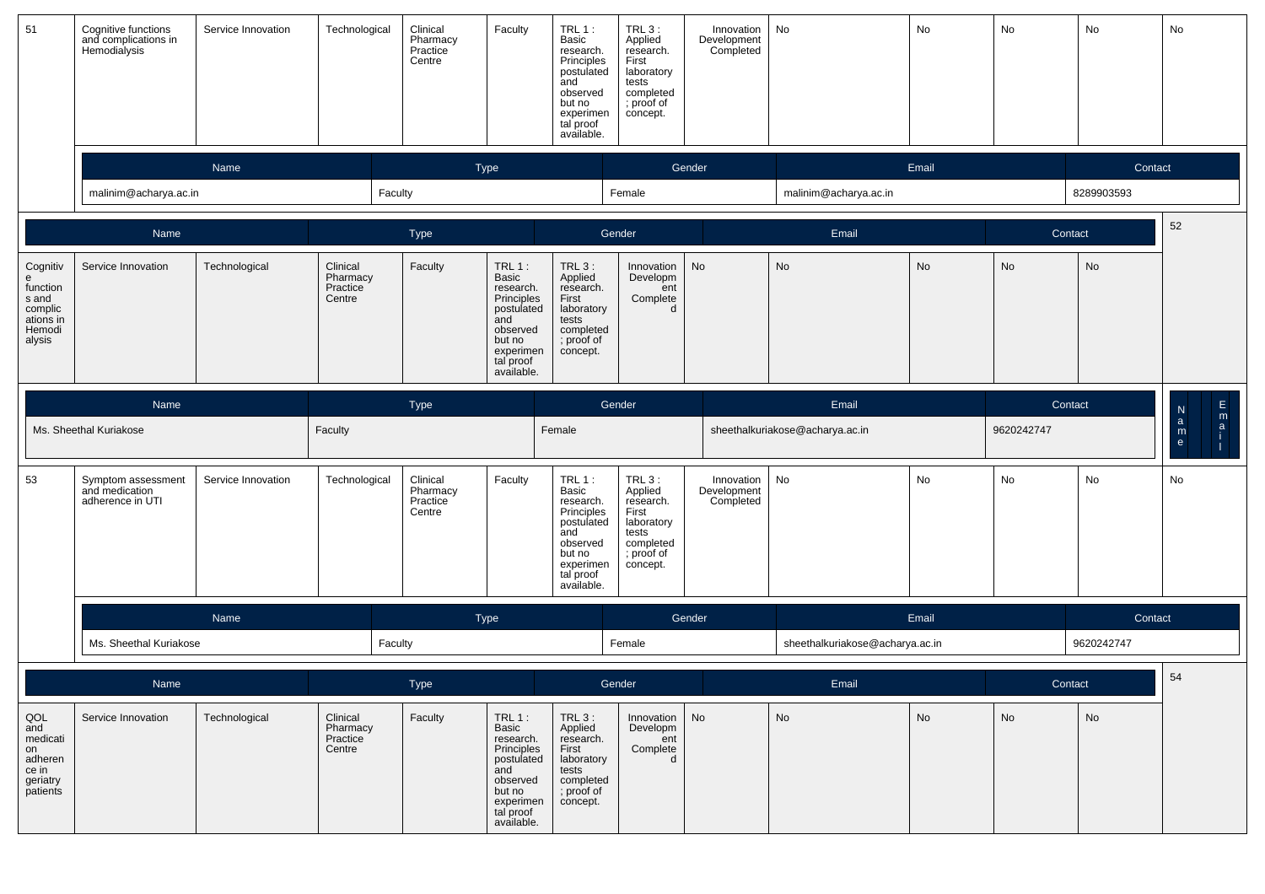| 51                                                                             | Cognitive functions<br>and complications in<br>Hemodialysis | Service Innovation | Technological                              | Clinical<br>Pharmacy<br>Practice<br>Centre | Faculty                                                                                                                      | $TRL1$ :<br>Basic<br>research.<br>Principles<br>postulated<br>and<br>observed<br>but no<br>experimen<br>tal proof<br>available. | $TRL_3$ :<br>Applied<br>research.<br>First<br>laboratory<br>tests<br>completed<br>; proof of<br>concept. | Innovation<br>Development<br>Completed | No                              | No         | No      | No                                                              | No |
|--------------------------------------------------------------------------------|-------------------------------------------------------------|--------------------|--------------------------------------------|--------------------------------------------|------------------------------------------------------------------------------------------------------------------------------|---------------------------------------------------------------------------------------------------------------------------------|----------------------------------------------------------------------------------------------------------|----------------------------------------|---------------------------------|------------|---------|-----------------------------------------------------------------|----|
|                                                                                |                                                             | Name               |                                            |                                            | Type                                                                                                                         |                                                                                                                                 |                                                                                                          | Gender                                 |                                 | Email      |         | Contact                                                         |    |
|                                                                                | malinim@acharya.ac.in                                       |                    | Faculty                                    |                                            |                                                                                                                              |                                                                                                                                 | Female                                                                                                   |                                        | malinim@acharya.ac.in           |            |         | 8289903593                                                      |    |
|                                                                                | Name                                                        |                    |                                            | Type                                       |                                                                                                                              |                                                                                                                                 | Gender                                                                                                   |                                        | Email                           |            | Contact |                                                                 | 52 |
| Cognitiv<br>e<br>function<br>s and<br>complic<br>ations in<br>Hemodi<br>alysis | Service Innovation                                          | Technological      | Clinical<br>Pharmacy<br>Practice<br>Centre | Faculty                                    | TRL1:<br>Basic<br>research.<br>Principles<br>postulated<br>and<br>observed<br>but no<br>experimen<br>tal proof<br>available. | TRL 3:<br>Applied<br>research.<br>First<br>laboratory<br>tests<br>completed<br>; proof of<br>concept.                           | Innovation<br>Developm<br>ent<br>Complete<br>d                                                           | No                                     | No                              | No         | No      | No                                                              |    |
|                                                                                | Name                                                        | <b>Type</b>        |                                            |                                            |                                                                                                                              |                                                                                                                                 | Gender                                                                                                   |                                        | Email                           |            | Contact |                                                                 |    |
|                                                                                | Ms. Sheethal Kuriakose                                      | Faculty            |                                            |                                            | Female                                                                                                                       |                                                                                                                                 |                                                                                                          | sheethalkuriakose@acharya.ac.in        |                                 | 9620242747 |         | $F = 1$<br>$\begin{array}{c} \n 2 \\  \hline\n 0\n \end{array}$ |    |
| 53                                                                             | Symptom assessment<br>and medication<br>adherence in UTI    | Service Innovation | Technological                              | Clinical<br>Pharmacy<br>Practice<br>Centre | Faculty                                                                                                                      | $TRL1$ :<br>Basic<br>research.<br>Principles<br>postulated<br>and<br>observed<br>but no<br>experimen<br>tal proof<br>available. | $TRL3$ :<br>Applied<br>research.<br>First<br>laboratory<br>tests<br>completed<br>; proof of<br>concept.  | Innovation<br>Development<br>Completed | No                              | No         | No      | No                                                              | No |
|                                                                                |                                                             | Name               |                                            |                                            | Type                                                                                                                         |                                                                                                                                 |                                                                                                          | Gender                                 |                                 | Email      |         | Contact                                                         |    |
|                                                                                | Ms. Sheethal Kuriakose                                      |                    | Faculty                                    |                                            |                                                                                                                              |                                                                                                                                 | Female                                                                                                   |                                        | sheethalkuriakose@acharya.ac.in |            |         | 9620242747                                                      |    |
|                                                                                | Name<br>Type                                                |                    |                                            |                                            |                                                                                                                              | Gender                                                                                                                          |                                                                                                          | Email                                  |                                 | Contact    |         | 54                                                              |    |
| QOL<br>and<br>medicati<br>on<br>adheren<br>ce in<br>geriatry<br>patients       | Service Innovation                                          | Technological      | Clinical<br>Pharmacy<br>Practice<br>Centre | Faculty                                    | TRL1:<br>Basic<br>research.<br>Principles<br>postulated<br>and<br>observed<br>but no<br>experimen<br>tal proof<br>available. | $TRL_3$ :<br>Applied<br>research.<br>First<br>laboratory<br>tests<br>completed<br>; proof of<br>concept.                        | Innovation<br>Developm<br>ent<br>Complete<br>d                                                           | No                                     | No                              | No         | No      | No                                                              |    |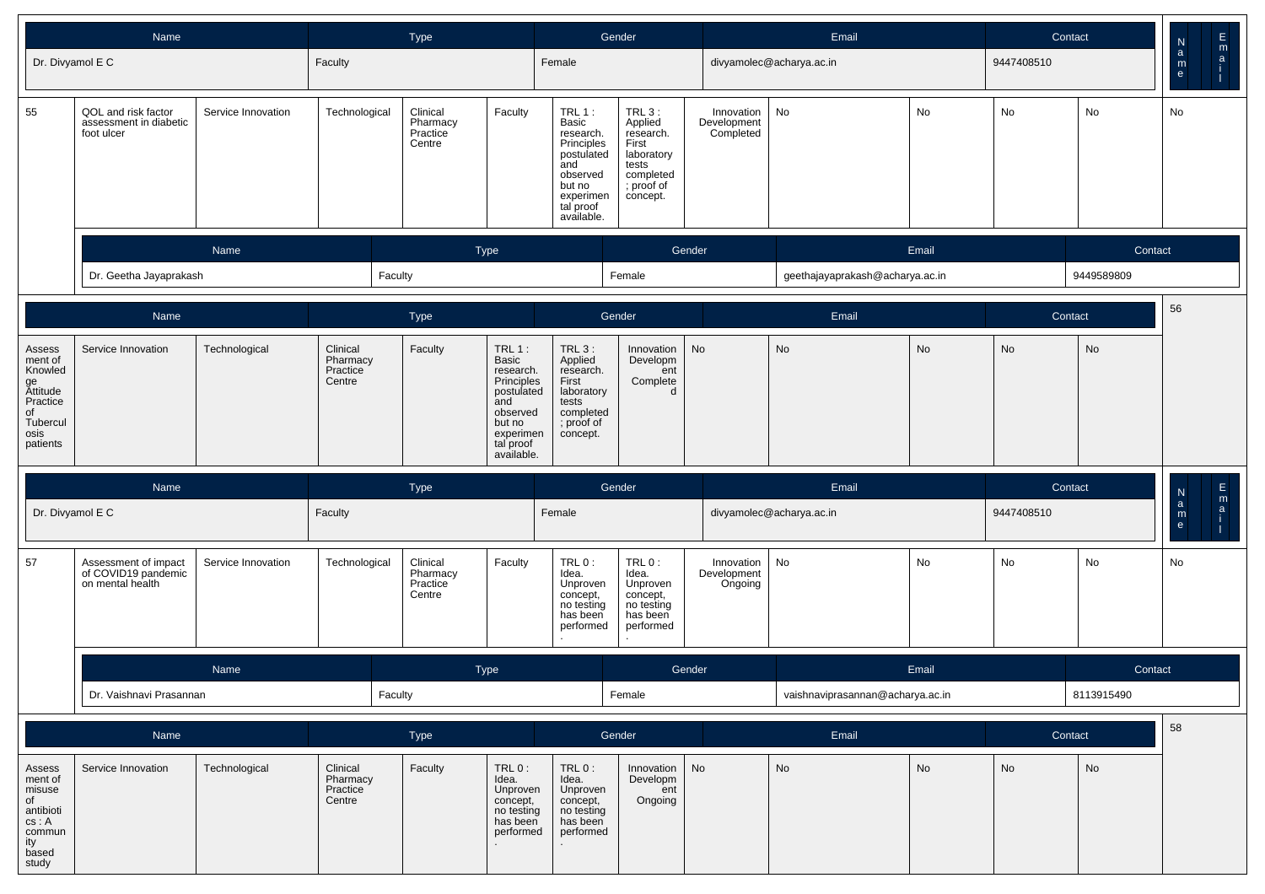|                                                                                                  | <b>Name</b>                                                     |                    |                                            | Type                                       |                                                                                                                               |                                                                                                                               | Gender                                                                                                |                                        | Email                            |       | Contact    |               | ${\sf N}$                                | $\frac{E}{a}$ |
|--------------------------------------------------------------------------------------------------|-----------------------------------------------------------------|--------------------|--------------------------------------------|--------------------------------------------|-------------------------------------------------------------------------------------------------------------------------------|-------------------------------------------------------------------------------------------------------------------------------|-------------------------------------------------------------------------------------------------------|----------------------------------------|----------------------------------|-------|------------|---------------|------------------------------------------|---------------|
| Dr. Divyamol E C                                                                                 |                                                                 |                    | Faculty                                    |                                            |                                                                                                                               | Female                                                                                                                        |                                                                                                       |                                        | divyamolec@acharya.ac.in         |       | 9447408510 | No<br>Contact | $\mathsf a$<br>$\mathsf{m}_{\mathsf{e}}$ |               |
| 55                                                                                               | QOL and risk factor<br>assessment in diabetic<br>foot ulcer     | Service Innovation | Technological                              | Clinical<br>Pharmacy<br>Practice<br>Centre | Faculty                                                                                                                       | TRL 1:<br>Basic<br>research.<br>Principles<br>postulated<br>and<br>observed<br>but no<br>experimen<br>tal proof<br>available. | TRL 3:<br>Applied<br>research.<br>First<br>laboratory<br>tests<br>completed<br>; proof of<br>concept. | Innovation<br>Development<br>Completed | No                               | No    | No         |               | No                                       |               |
|                                                                                                  |                                                                 | Name               |                                            | <b>Type</b>                                |                                                                                                                               |                                                                                                                               |                                                                                                       | Gender                                 |                                  | Email |            |               |                                          |               |
|                                                                                                  | Dr. Geetha Jayaprakash                                          |                    | Faculty                                    |                                            |                                                                                                                               |                                                                                                                               | Female                                                                                                |                                        | geethajayaprakash@acharya.ac.in  |       |            | 9449589809    |                                          |               |
|                                                                                                  | Name                                                            |                    |                                            | Type                                       |                                                                                                                               |                                                                                                                               | Gender                                                                                                |                                        | Email                            |       | Contact    |               | 56                                       |               |
| Assess<br>ment of<br>Knowled<br>ge<br>Attitude<br>Practice<br>of<br>Tubercul<br>osis<br>patients | Service Innovation                                              | Technological      | Clinical<br>Pharmacy<br>Practice<br>Centre | Faculty                                    | TRL 1:<br>Basic<br>research.<br>Principles<br>postulated<br>and<br>observed<br>but no<br>experimen<br>tal proof<br>available. | <b>TRL 3:</b><br>Applied<br>research.<br>First<br>laboratory<br>tests<br>completed<br>; proof of<br>concept.                  | Innovation<br>Developm<br>ent<br>Complete<br>d                                                        | No                                     | <b>No</b>                        | No    | No         | No            |                                          |               |
|                                                                                                  | Name                                                            |                    |                                            | <b>Type</b>                                |                                                                                                                               |                                                                                                                               | Gender                                                                                                |                                        | Email                            |       | Contact    |               | $\frac{\mathsf{N}}{\mathsf{a}}$          | m             |
| Dr. Divyamol E C                                                                                 |                                                                 |                    | Faculty                                    |                                            |                                                                                                                               | Female                                                                                                                        |                                                                                                       |                                        | divyamolec@acharya.ac.in         |       | 9447408510 |               | $\mathsf{m}_{\mathsf{e}}$                | $\mathsf{a}$  |
| 57                                                                                               | Assessment of impact<br>of COVID19 pandemic<br>on mental health | Service Innovation | Technological                              | Clinical<br>Pharmacy<br>Practice<br>Centre | Faculty                                                                                                                       | TRL 0:<br>Idea.<br>Unproven<br>concept,<br>no testing<br>has been<br>performed                                                | TRL 0:<br>Idea.<br>Unproven<br>concept,<br>no testing<br>has been<br>performed                        | Innovation<br>Development<br>Ongoing   | No                               | No    | No         | No            | No                                       |               |
|                                                                                                  |                                                                 | Name               |                                            | Type                                       |                                                                                                                               |                                                                                                                               |                                                                                                       | Gender                                 |                                  | Email |            | Contact       |                                          |               |
|                                                                                                  | Dr. Vaishnavi Prasannan                                         |                    | Faculty                                    |                                            |                                                                                                                               |                                                                                                                               | Female                                                                                                |                                        | vaishnaviprasannan@acharya.ac.in |       |            | 8113915490    |                                          |               |
|                                                                                                  | Name                                                            |                    |                                            | Type                                       |                                                                                                                               |                                                                                                                               | Gender                                                                                                |                                        | Email                            |       | Contact    |               | 58                                       |               |
| Assess<br>ment of<br>misuse<br>of<br>antibioti<br>cs: A<br>commun<br>ity<br>based<br>study       | Service Innovation                                              | Technological      | Clinical<br>Pharmacy<br>Practice<br>Centre | Faculty                                    | $TRL0$ :<br>Idea.<br>Unproven<br>concept,<br>no testing<br>has been<br>performed                                              | $TRL0$ :<br>Idea.<br>Unproven<br>concept,<br>no testing<br>has been<br>performed                                              | Innovation<br>Developm<br>ent<br>Ongoing                                                              | No                                     | <b>No</b>                        | No    | No         | No            |                                          |               |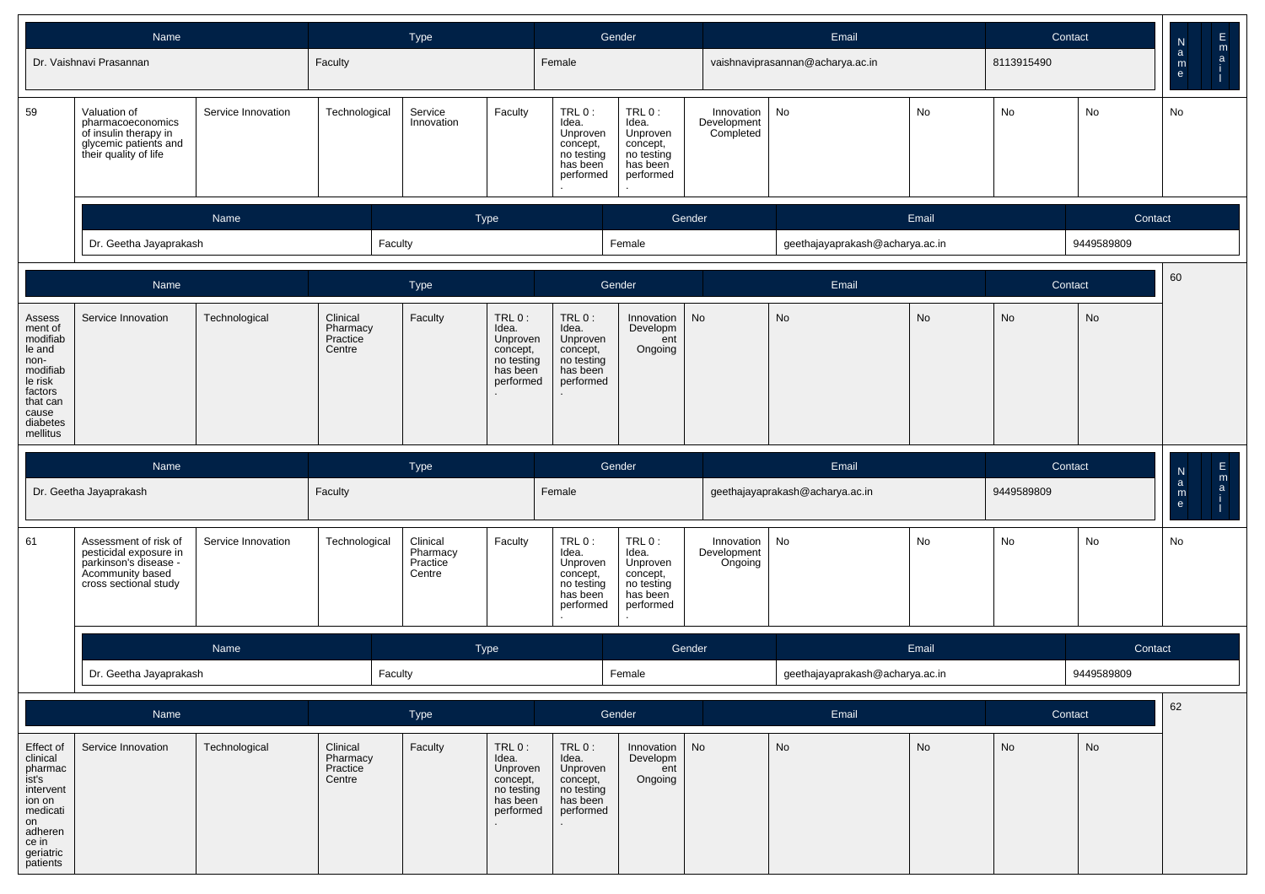|                                                                                                                                | Name                                                                                                                  |                    |                                            | <b>Type</b>                                |                                                                               |                                                                                  | Gender                                                                           |                                        | Email                            |       | Contact    |            |                                                                |
|--------------------------------------------------------------------------------------------------------------------------------|-----------------------------------------------------------------------------------------------------------------------|--------------------|--------------------------------------------|--------------------------------------------|-------------------------------------------------------------------------------|----------------------------------------------------------------------------------|----------------------------------------------------------------------------------|----------------------------------------|----------------------------------|-------|------------|------------|----------------------------------------------------------------|
|                                                                                                                                | Dr. Vaishnavi Prasannan                                                                                               |                    | Faculty                                    |                                            |                                                                               | Female                                                                           |                                                                                  |                                        | vaishnaviprasannan@acharya.ac.in |       | 8113915490 |            | E<br>a<br>i<br>i<br>$\frac{N}{a}$<br>$\mathsf{m}_{\mathsf{e}}$ |
| 59                                                                                                                             | Valuation of<br>pharmacoeconomics<br>of insulin therapy in<br>glycemic patients and<br>their quality of life          | Service Innovation | Technological                              | Service<br>Innovation                      | Faculty                                                                       | $TRL0$ :<br>Idea.<br>Unproven<br>concept,<br>no testing<br>has been<br>performed | TRL 0:<br>Idea.<br>Unproven<br>concept,<br>no testing<br>has been<br>performed   | Innovation<br>Development<br>Completed | No                               | No    | No         | No         | No                                                             |
|                                                                                                                                |                                                                                                                       | Name               |                                            |                                            | <b>Type</b>                                                                   |                                                                                  | Gender                                                                           |                                        |                                  | Email |            | Contact    |                                                                |
|                                                                                                                                | Dr. Geetha Jayaprakash                                                                                                |                    | Faculty                                    |                                            |                                                                               |                                                                                  | Female                                                                           |                                        | geethajayaprakash@acharya.ac.in  |       |            | 9449589809 |                                                                |
|                                                                                                                                | Name                                                                                                                  |                    |                                            | <b>Type</b>                                |                                                                               |                                                                                  | Gender                                                                           |                                        | Email                            |       | Contact    |            | 60                                                             |
| Assess<br>ment of<br>modifiab<br>le and<br>non-<br>modifiab<br>le risk<br>factors<br>that can<br>cause<br>diabetes<br>mellitus | Service Innovation                                                                                                    | Technological      | Clinical<br>Pharmacy<br>Practice<br>Centre | Faculty                                    | TRL0:<br>Idea.<br>Unproven<br>concept,<br>no testing<br>has been<br>performed | TRL 0:<br>Idea.<br>Unproven<br>concept,<br>no testing<br>has been<br>performed   | Innovation<br>Developm<br>ent<br>Ongoing                                         | No                                     | No                               | No    | No         | <b>No</b>  |                                                                |
|                                                                                                                                | Name                                                                                                                  |                    |                                            | <b>Type</b>                                |                                                                               |                                                                                  | Gender                                                                           |                                        | Email                            |       | Contact    |            |                                                                |
|                                                                                                                                | Dr. Geetha Jayaprakash                                                                                                |                    | Faculty                                    |                                            |                                                                               | Female                                                                           |                                                                                  |                                        | geethajayaprakash@acharya.ac.in  |       | 9449589809 |            | $\frac{N}{a}$                                                  |
|                                                                                                                                |                                                                                                                       |                    |                                            |                                            |                                                                               |                                                                                  |                                                                                  |                                        |                                  |       |            |            |                                                                |
| 61                                                                                                                             | Assessment of risk of<br>pesticidal exposure in<br>parkinson's disease -<br>Acommunity based<br>cross sectional study | Service Innovation | Technological                              | Clinical<br>Pharmacy<br>Practice<br>Centre | Faculty                                                                       | TRL 0:<br>Idea.<br>Unproven<br>concept,<br>no testing<br>has been<br>performed   | $TRL0$ :<br>Idea.<br>Unproven<br>concept,<br>no testing<br>has been<br>performed | Innovation<br>Development<br>Ongoing   | No                               | No    | No         | No         | No                                                             |
|                                                                                                                                |                                                                                                                       | Name               |                                            |                                            | Type                                                                          |                                                                                  | Gender                                                                           |                                        |                                  | Email |            | Contact    |                                                                |
|                                                                                                                                | Dr. Geetha Jayaprakash                                                                                                |                    | Faculty                                    |                                            |                                                                               |                                                                                  | Female                                                                           |                                        | geethajayaprakash@acharya.ac.in  |       |            | 9449589809 |                                                                |
|                                                                                                                                | Name                                                                                                                  |                    |                                            | Type                                       |                                                                               |                                                                                  | Gender                                                                           |                                        | Email                            |       | Contact    |            | 62                                                             |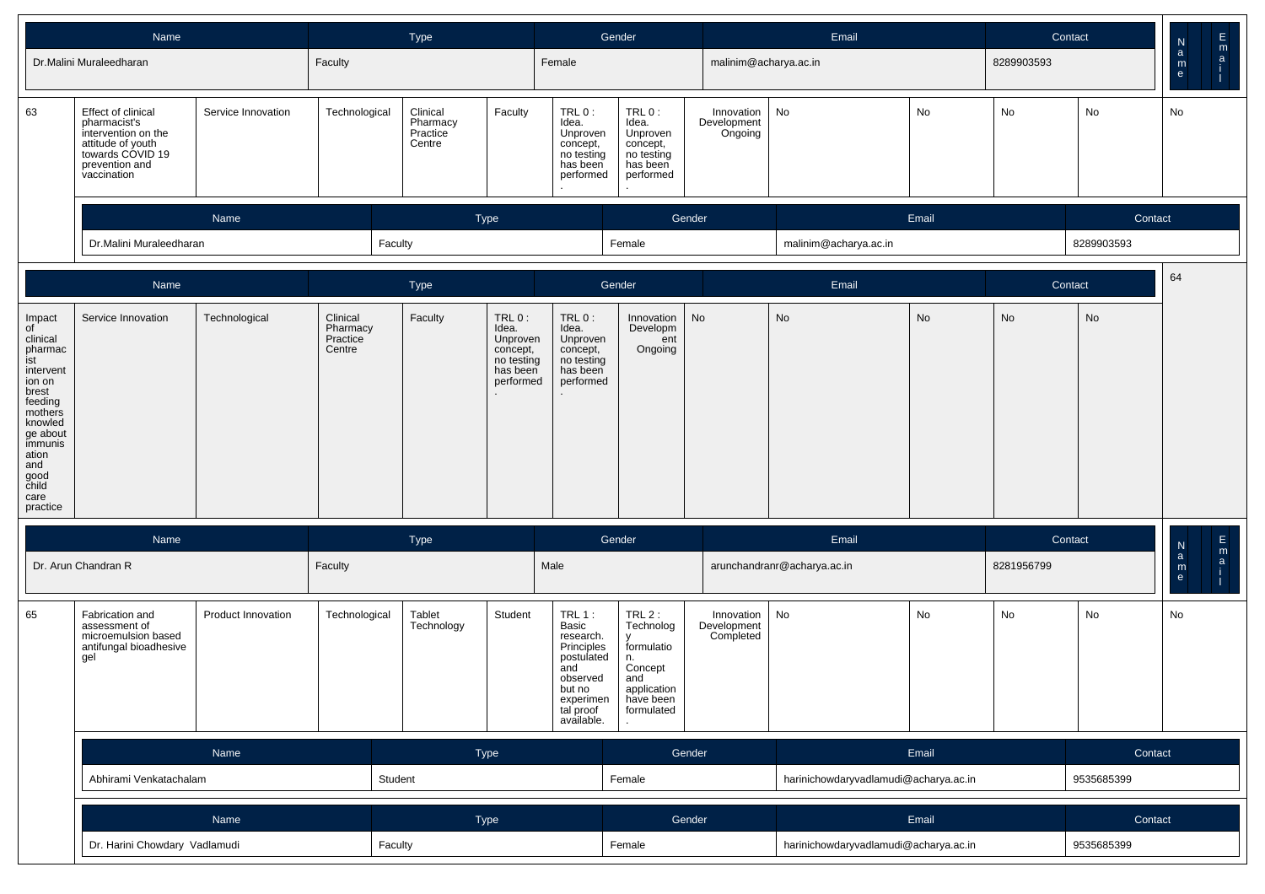|                                                                                                                                                                                         | Name                                                                                                                                |                    |                                            | Type                                       |                                                                               |                                                                                                                               | Gender                                                                                             |                                        | Email                                 |       |            | Contact    | $\mathsf E$<br>N                                                   |
|-----------------------------------------------------------------------------------------------------------------------------------------------------------------------------------------|-------------------------------------------------------------------------------------------------------------------------------------|--------------------|--------------------------------------------|--------------------------------------------|-------------------------------------------------------------------------------|-------------------------------------------------------------------------------------------------------------------------------|----------------------------------------------------------------------------------------------------|----------------------------------------|---------------------------------------|-------|------------|------------|--------------------------------------------------------------------|
|                                                                                                                                                                                         | Dr.Malini Muraleedharan                                                                                                             |                    | Faculty                                    |                                            |                                                                               | Female                                                                                                                        |                                                                                                    | malinim@acharya.ac.in                  |                                       |       | 8289903593 |            | $\mathop{{\sf a}}\limits^{\sf m}$<br>$\mathbf{a}$<br>$\frac{m}{e}$ |
| 63                                                                                                                                                                                      | Effect of clinical<br>pharmacist's<br>intervention on the<br>attitude of youth<br>towards COVID 19<br>prevention and<br>vaccination | Service Innovation | Technological                              | Clinical<br>Pharmacy<br>Practice<br>Centre | Faculty                                                                       | TRL 0:<br>Idea.<br>Unproven<br>concept,<br>no testing<br>has been<br>performed                                                | TRL 0:<br>Idea.<br>Unproven<br>concept,<br>no testing<br>has been<br>performed                     | Innovation<br>Development<br>Ongoing   | No                                    | No    | No         | No         | No                                                                 |
|                                                                                                                                                                                         |                                                                                                                                     | Name               |                                            |                                            | <b>Type</b>                                                                   |                                                                                                                               |                                                                                                    | Gender                                 |                                       | Email |            | Contact    |                                                                    |
|                                                                                                                                                                                         | Dr.Malini Muraleedharan                                                                                                             |                    |                                            | Faculty                                    |                                                                               |                                                                                                                               | Female                                                                                             |                                        | malinim@acharya.ac.in                 |       |            | 8289903593 |                                                                    |
|                                                                                                                                                                                         | Name                                                                                                                                |                    |                                            | Type                                       |                                                                               |                                                                                                                               | Gender                                                                                             |                                        | Email                                 |       |            | Contact    | 64                                                                 |
| Impact<br>of<br>clinical<br>pharmac<br>ist<br>intervent<br>ion on<br>brest<br>feeding<br>mothers<br>knowled<br>ge about<br>immunis<br>ation<br>and<br>good<br>child<br>care<br>practice | Service Innovation                                                                                                                  | Technological      | Clinical<br>Pharmacy<br>Practice<br>Centre | Faculty                                    | TRL0:<br>Idea.<br>Unproven<br>concept,<br>no testing<br>has been<br>performed | $TRL0$ :<br>Idea.<br>Unproven<br>concept,<br>no testing<br>has been<br>performed                                              | Innovation<br>Developm<br>ent<br>Ongoing                                                           | No                                     | No                                    | No    | No         | No         |                                                                    |
|                                                                                                                                                                                         | Name                                                                                                                                |                    |                                            | Type                                       |                                                                               |                                                                                                                               | Gender                                                                                             |                                        | Email                                 |       |            | Contact    | $\frac{\mathsf{E}}{\mathsf{m}}$<br>${\sf N}$                       |
|                                                                                                                                                                                         | Dr. Arun Chandran R                                                                                                                 |                    | Faculty                                    |                                            |                                                                               | Male                                                                                                                          |                                                                                                    |                                        | arunchandranr@acharya.ac.in           |       | 8281956799 |            | $\mathbf{a}$<br>a<br>${\sf m}$<br>e                                |
| 65                                                                                                                                                                                      | Fabrication and<br>assessment of<br>microemulsion based<br>antifungal bioadhesive<br>gel                                            | Product Innovation | Technological                              | Tablet<br>Technology                       | Student                                                                       | TRL 1:<br>Basic<br>research.<br>Principles<br>postulated<br>and<br>observed<br>but no<br>experimen<br>tal proof<br>available. | TRL2:<br>Technolog<br>formulatio<br>n.<br>Concept<br>and<br>application<br>have been<br>formulated | Innovation<br>Development<br>Completed | No                                    | No    | No         | No         | No                                                                 |
|                                                                                                                                                                                         |                                                                                                                                     | Name               |                                            |                                            | Type                                                                          |                                                                                                                               |                                                                                                    | Gender                                 |                                       | Email |            | Contact    |                                                                    |
|                                                                                                                                                                                         | Abhirami Venkatachalam                                                                                                              |                    |                                            | Student                                    |                                                                               |                                                                                                                               | Female                                                                                             |                                        | harinichowdaryvadlamudi@acharya.ac.in |       |            | 9535685399 |                                                                    |
|                                                                                                                                                                                         |                                                                                                                                     | Name               |                                            |                                            | Type                                                                          |                                                                                                                               |                                                                                                    | Gender                                 |                                       | Email |            | Contact    |                                                                    |
|                                                                                                                                                                                         | Dr. Harini Chowdary Vadlamudi                                                                                                       |                    |                                            | Faculty                                    |                                                                               |                                                                                                                               | Female                                                                                             |                                        | harinichowdaryvadlamudi@acharya.ac.in |       |            | 9535685399 |                                                                    |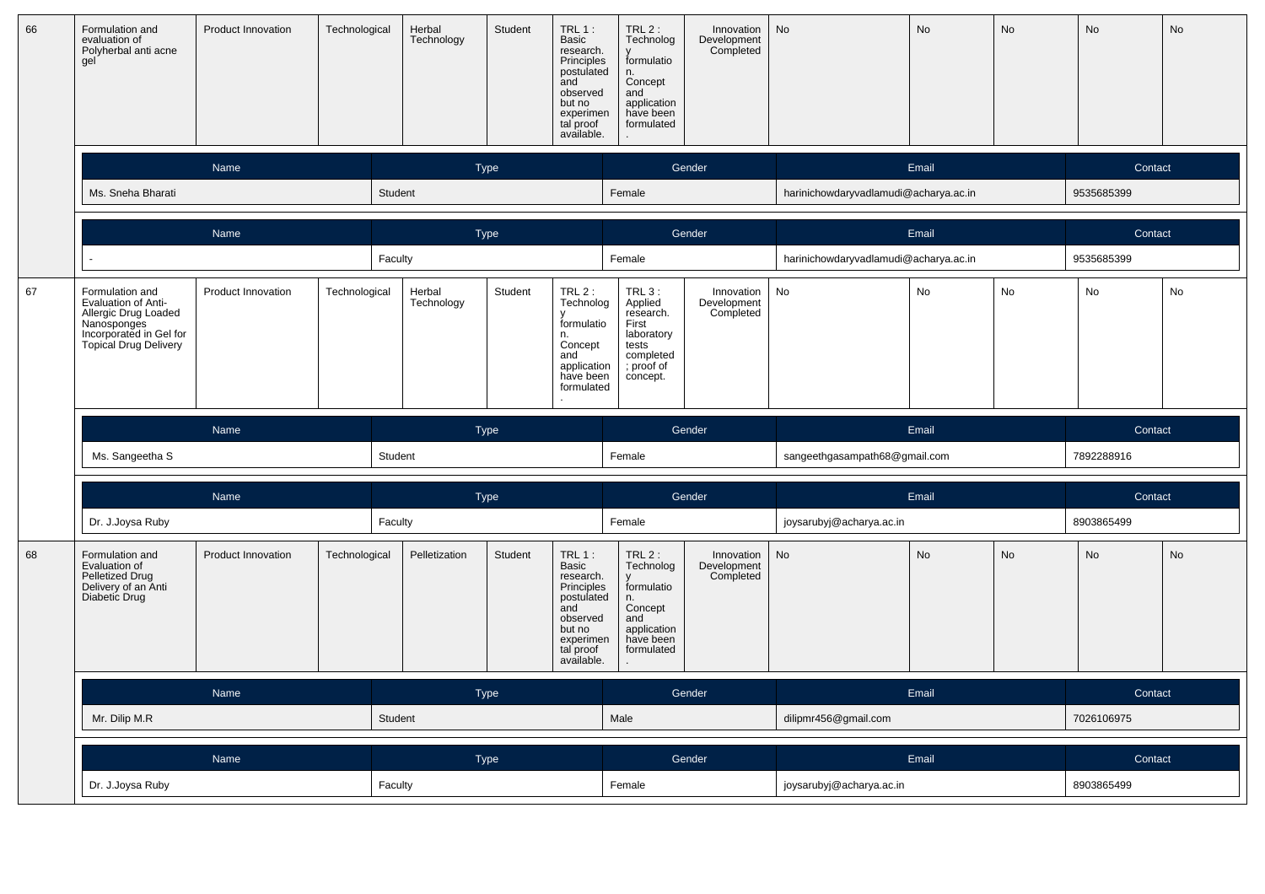| 66 | Formulation and<br>Product Innovation<br>evaluation of<br>Polyherbal anti acne<br>gel<br>Name                                            |                           | Technological | Herbal<br>Technology | Student     | $TRL 1$ :<br>Basic<br>research.<br>Principles<br>postulated<br>and<br>observed<br>but no<br>experimen<br>tal proof<br>available. | TRL 2 :<br>Technolog<br>formulatio<br>n.<br>Concept<br>and<br>application<br>have been<br>formulated         | Innovation<br>Development<br>Completed | <b>No</b>                             | No        | <b>No</b> | <b>No</b>  | No |
|----|------------------------------------------------------------------------------------------------------------------------------------------|---------------------------|---------------|----------------------|-------------|----------------------------------------------------------------------------------------------------------------------------------|--------------------------------------------------------------------------------------------------------------|----------------------------------------|---------------------------------------|-----------|-----------|------------|----|
|    |                                                                                                                                          |                           |               |                      | <b>Type</b> |                                                                                                                                  |                                                                                                              | Gender                                 |                                       | Email     |           | Contact    |    |
|    | Ms. Sneha Bharati                                                                                                                        |                           | Student       |                      |             |                                                                                                                                  | Female                                                                                                       |                                        | harinichowdaryvadlamudi@acharya.ac.in |           |           | 9535685399 |    |
|    |                                                                                                                                          | Name                      |               |                      | <b>Type</b> |                                                                                                                                  |                                                                                                              | Gender                                 |                                       | Email     |           | Contact    |    |
|    |                                                                                                                                          |                           | Faculty       |                      |             |                                                                                                                                  | Female                                                                                                       |                                        | harinichowdaryvadlamudi@acharya.ac.in |           |           | 9535685399 |    |
| 67 | Formulation and<br>Evaluation of Anti-<br>Allergic Drug Loaded<br>Nanosponges<br>Incorporated in Gel for<br><b>Topical Drug Delivery</b> | Product Innovation        | Technological | Herbal<br>Technology | Student     | $TRL2$ :<br>Technolog<br>formulatio<br>n.<br>Concept<br>and<br>application<br>have been<br>formulated                            | <b>TRL 3:</b><br>Applied<br>research.<br>First<br>laboratory<br>tests<br>completed<br>; proof of<br>concept. | Innovation<br>Development<br>Completed | No                                    | No        | No        | No         | No |
|    |                                                                                                                                          |                           |               |                      |             |                                                                                                                                  |                                                                                                              |                                        |                                       |           |           |            |    |
|    |                                                                                                                                          | Name                      |               |                      | <b>Type</b> |                                                                                                                                  |                                                                                                              | Gender                                 |                                       | Email     |           | Contact    |    |
|    | Ms. Sangeetha S                                                                                                                          |                           | Student       |                      |             |                                                                                                                                  | Female                                                                                                       |                                        | sangeethgasampath68@gmail.com         |           |           | 7892288916 |    |
|    |                                                                                                                                          | Name                      |               |                      | <b>Type</b> |                                                                                                                                  |                                                                                                              | Gender                                 |                                       | Email     |           | Contact    |    |
|    | Dr. J.Joysa Ruby                                                                                                                         |                           | Faculty       |                      |             |                                                                                                                                  | Female                                                                                                       |                                        | joysarubyj@acharya.ac.in              |           |           | 8903865499 |    |
| 68 | Formulation and<br>Evaluation of<br>Pelletized Drug<br>Delivery of an Anti<br>Diabetic Drug                                              | <b>Product Innovation</b> | Technological | Pelletization        | Student     | $TRL1$ :<br>Basic<br>research.<br>Principles<br>postulated<br>and<br>observed<br>but no<br>experimen<br>tal proof<br>available.  | $TRL2$ :<br>Technolog<br>y<br>formulatio<br>n.<br>Concept<br>and<br>application<br>have been<br>formulated   | Innovation<br>Development<br>Completed | <b>No</b>                             | <b>No</b> | <b>No</b> | <b>No</b>  | No |
|    |                                                                                                                                          | Name                      |               |                      | Type        |                                                                                                                                  |                                                                                                              | Gender                                 |                                       | Email     |           | Contact    |    |
|    | Mr. Dilip M.R                                                                                                                            |                           | Student       |                      |             |                                                                                                                                  | Male                                                                                                         |                                        | dilipmr456@gmail.com                  |           |           | 7026106975 |    |
|    |                                                                                                                                          | Name                      |               |                      | <b>Type</b> |                                                                                                                                  |                                                                                                              | Gender                                 |                                       | Email     |           | Contact    |    |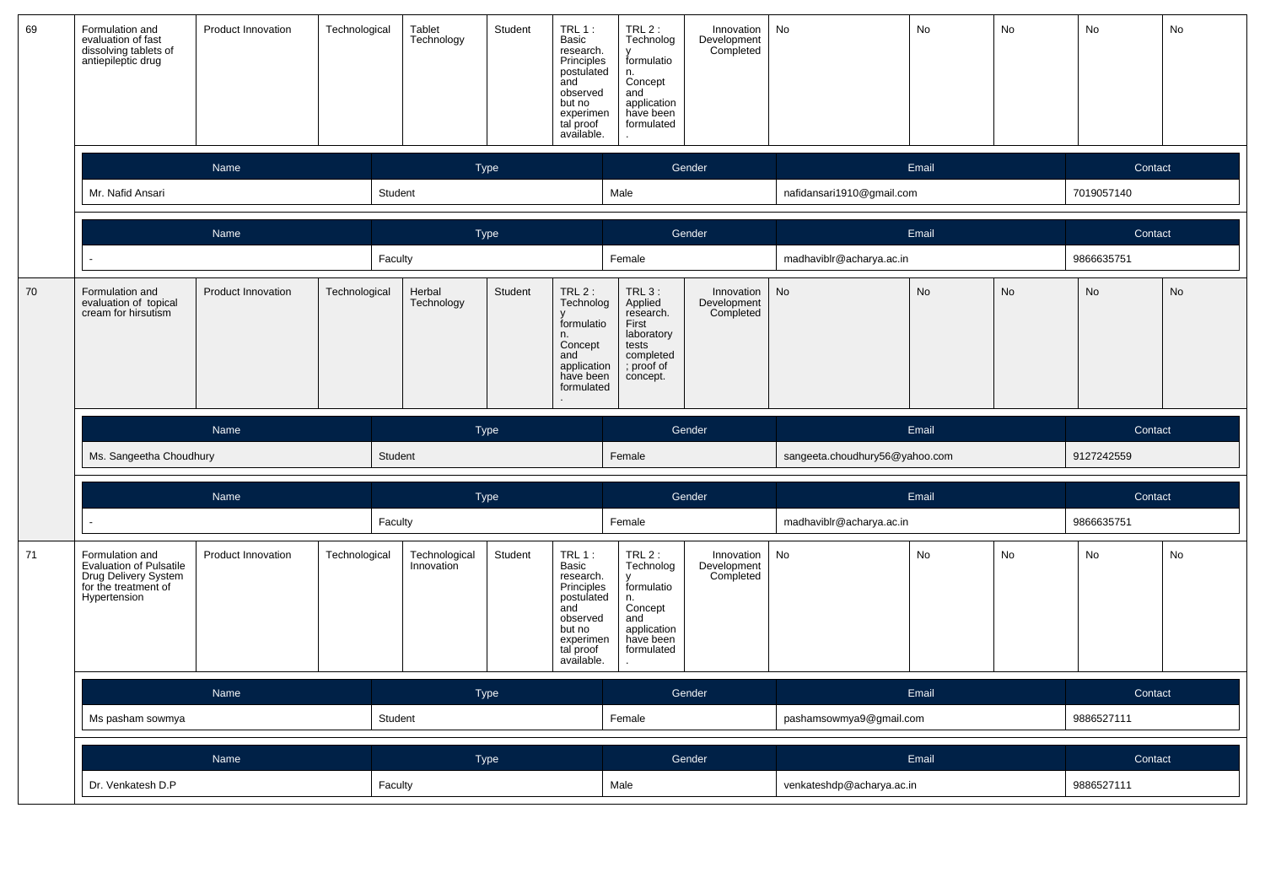| 69 | Formulation and<br>evaluation of fast<br>Product Innovation<br>dissolving tablets of<br>antiepileptic drug<br>Name |                           | Technological | Tablet<br>Technology        | Student     | $TRL1$ :<br>Basic<br>research.<br>Principles<br>postulated<br>and<br>observed<br>but no<br>experimen<br>tal proof<br>available.      | IRL <sub>2</sub> :<br>Technolog<br>formulatio<br>n.<br>Concept<br>and<br>application<br>have been<br>formulated | Innovation<br>Development<br>Completed | No                             | No        | No | No         | No |
|----|--------------------------------------------------------------------------------------------------------------------|---------------------------|---------------|-----------------------------|-------------|--------------------------------------------------------------------------------------------------------------------------------------|-----------------------------------------------------------------------------------------------------------------|----------------------------------------|--------------------------------|-----------|----|------------|----|
|    |                                                                                                                    |                           |               |                             | <b>Type</b> |                                                                                                                                      |                                                                                                                 | Gender                                 |                                | Email     |    | Contact    |    |
|    | Mr. Nafid Ansari                                                                                                   |                           |               | Student                     |             |                                                                                                                                      | Male                                                                                                            |                                        | nafidansari1910@gmail.com      |           |    | 7019057140 |    |
|    |                                                                                                                    | Name                      |               |                             | <b>Type</b> |                                                                                                                                      |                                                                                                                 | Gender                                 |                                | Email     |    | Contact    |    |
|    |                                                                                                                    |                           |               | Faculty                     |             |                                                                                                                                      | Female                                                                                                          |                                        | madhaviblr@acharya.ac.in       |           |    | 9866635751 |    |
| 70 | Formulation and<br>evaluation of topical<br>cream for hirsutism                                                    | <b>Product Innovation</b> | Technological | Herbal<br>Technology        | Student     | $TRL2$ :<br>Technolog<br>formulatio<br>n.<br>Concept<br>and<br>application<br>have been<br>formulated                                | <b>TRL 3:</b><br>Applied<br>research.<br>First<br>laboratory<br>tests<br>completed<br>; proof of<br>concept.    | Innovation<br>Development<br>Completed | No                             | <b>No</b> | No | <b>No</b>  | No |
|    |                                                                                                                    |                           |               |                             |             |                                                                                                                                      |                                                                                                                 |                                        |                                |           |    |            |    |
|    |                                                                                                                    | Name                      |               |                             | Type        |                                                                                                                                      |                                                                                                                 | Gender                                 |                                | Email     |    | Contact    |    |
|    | Ms. Sangeetha Choudhury                                                                                            |                           |               | Student                     |             |                                                                                                                                      | Female                                                                                                          |                                        | sangeeta.choudhury56@yahoo.com |           |    | 9127242559 |    |
|    |                                                                                                                    | Name                      |               |                             | Type        |                                                                                                                                      |                                                                                                                 | Gender                                 |                                | Email     |    | Contact    |    |
|    |                                                                                                                    |                           |               | Faculty                     |             |                                                                                                                                      | Female                                                                                                          |                                        | madhaviblr@acharya.ac.in       |           |    | 9866635751 |    |
| 71 | Formulation and<br><b>Evaluation of Pulsatile</b><br>Drug Delivery System<br>for the treatment of<br>Hypertension  | Product Innovation        | Technological | Technological<br>Innovation | Student     | <b>TRL 1:</b><br>Basic<br>research.<br>Principles<br>postulated<br>and<br>observed<br>but no<br>experimen<br>tal proof<br>available. | TRL $2$ :<br>Technolog<br>formulatio<br>n.<br>Concept<br>and<br>application<br>have been<br>formulated          | Innovation<br>Development<br>Completed | No                             | No        | No | No         | No |
|    |                                                                                                                    | Name                      |               |                             | <b>Type</b> |                                                                                                                                      |                                                                                                                 | Gender                                 |                                | Email     |    | Contact    |    |
|    | Ms pasham sowmya                                                                                                   |                           |               | Student                     |             |                                                                                                                                      | Female                                                                                                          |                                        | pashamsowmya9@gmail.com        |           |    | 9886527111 |    |
|    |                                                                                                                    | Name                      |               |                             | <b>Type</b> |                                                                                                                                      |                                                                                                                 | Gender                                 |                                | Email     |    | Contact    |    |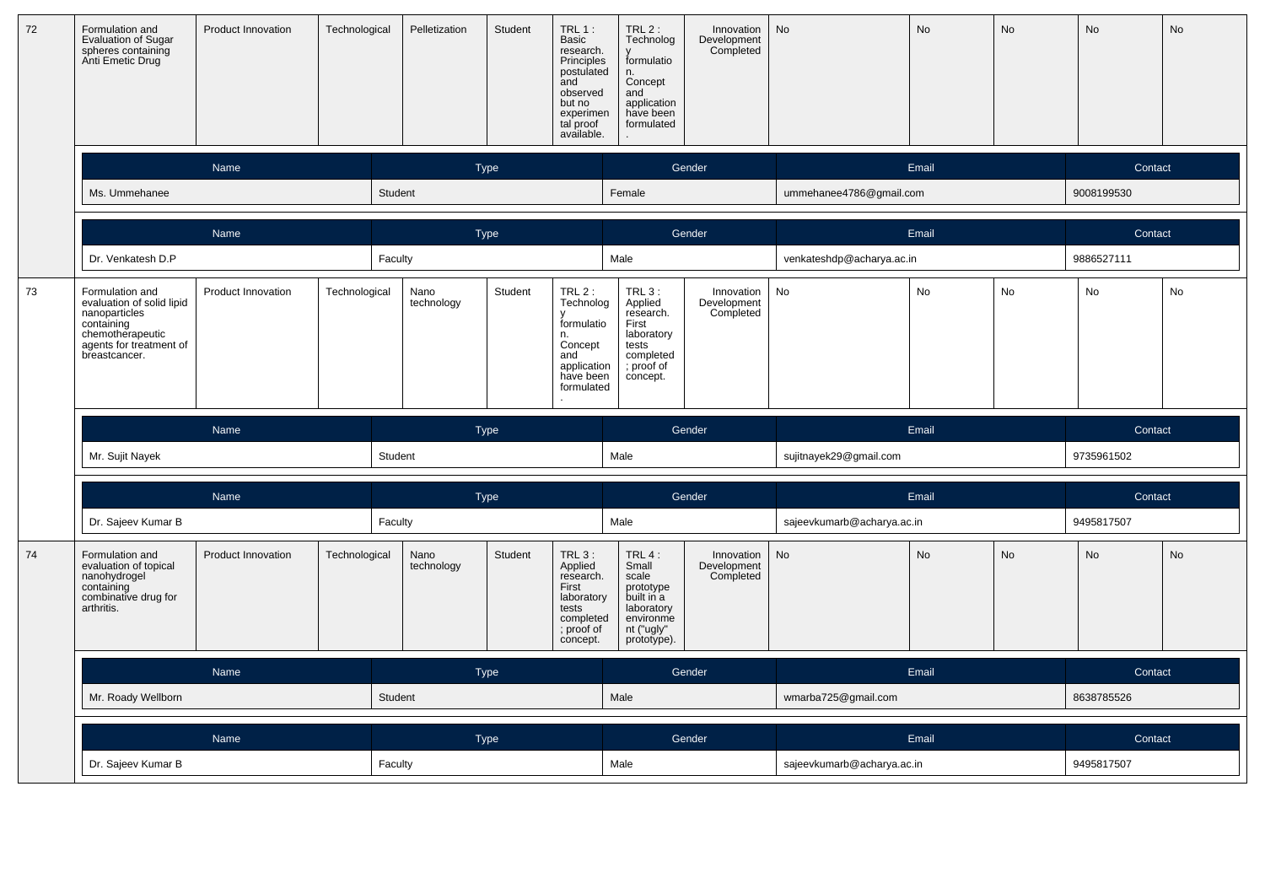| 72 | Formulation and<br><b>Product Innovation</b><br><b>Evaluation of Sugar</b><br>spheres containing<br>Anti Emetic Drug<br>Name                |                           | Technological | Pelletization      | Student     | <b>TRL 1:</b><br>Basic<br>research.<br>Principles<br>postulated<br>and<br>observed<br>but no<br>experimen<br>tal proof<br>available. | $TRL2$ :<br>Technolog<br>formulatio<br>n.<br>Concept<br>and<br>application<br>have been<br>formulated         | Innovation<br>Development<br>Completed | No                         | No<br>No |           |            | No |
|----|---------------------------------------------------------------------------------------------------------------------------------------------|---------------------------|---------------|--------------------|-------------|--------------------------------------------------------------------------------------------------------------------------------------|---------------------------------------------------------------------------------------------------------------|----------------------------------------|----------------------------|----------|-----------|------------|----|
|    |                                                                                                                                             |                           |               |                    | Type        |                                                                                                                                      |                                                                                                               | Gender                                 |                            | Email    |           | Contact    |    |
|    | Ms. Ummehanee                                                                                                                               |                           |               | Student            |             |                                                                                                                                      | Female                                                                                                        |                                        | ummehanee4786@gmail.com    |          |           | 9008199530 |    |
|    |                                                                                                                                             | Name                      |               |                    | Type        |                                                                                                                                      |                                                                                                               | Gender                                 |                            | Email    |           | Contact    |    |
|    | Dr. Venkatesh D.P                                                                                                                           |                           |               | Faculty            |             |                                                                                                                                      | Male                                                                                                          |                                        | venkateshdp@acharya.ac.in  |          |           | 9886527111 |    |
| 73 | Formulation and<br>evaluation of solid lipid<br>nanoparticles<br>containing<br>chemotherapeutic<br>agents for treatment of<br>breastcancer. | Product Innovation        | Technological | Nano<br>technology | Student     | $TRL2$ :<br>Technolog<br>formulatio<br>n.<br>Concept<br>and<br>application<br>have been<br>formulated                                | TRL 3:<br>Applied<br>research.<br>First<br>laboratory<br>tests<br>completed<br>; proof of<br>concept.         | Innovation<br>Development<br>Completed | No                         | No       | No        | No         | No |
|    |                                                                                                                                             | Name                      |               |                    | <b>Type</b> |                                                                                                                                      |                                                                                                               | Gender                                 |                            | Email    |           | Contact    |    |
|    | Mr. Sujit Nayek                                                                                                                             |                           |               | Student            |             |                                                                                                                                      | Male                                                                                                          |                                        | sujitnayek29@gmail.com     |          |           | 9735961502 |    |
|    |                                                                                                                                             | Name                      |               |                    | Type        |                                                                                                                                      |                                                                                                               | Gender                                 |                            | Email    |           | Contact    |    |
|    | Dr. Sajeev Kumar B                                                                                                                          |                           |               | Faculty            |             |                                                                                                                                      | Male                                                                                                          |                                        | sajeevkumarb@acharya.ac.in |          |           | 9495817507 |    |
| 74 | Formulation and<br>evaluation of topical<br>nanohydrogel<br>containing<br>combinative drug for<br>arthritis.                                | <b>Product Innovation</b> | Technological | Nano<br>technology | Student     | TRL $3:$<br>Applied<br>research.<br>First<br>laboratory<br>tests<br>completed<br>; proof of<br>concept.                              | $TRL4$ :<br>Small<br>scale<br>prototype<br>built in a<br>laboratory<br>environme<br>nt ("ugly"<br>prototype). | Innovation<br>Development<br>Completed | No                         | No       | <b>No</b> | No         | No |
|    |                                                                                                                                             | Name                      |               |                    | Type        |                                                                                                                                      |                                                                                                               | Gender                                 |                            | Email    |           | Contact    |    |
|    | Mr. Roady Wellborn                                                                                                                          |                           |               | Student            |             |                                                                                                                                      | Male                                                                                                          |                                        | wmarba725@gmail.com        |          |           | 8638785526 |    |
|    |                                                                                                                                             | Name                      |               |                    | <b>Type</b> |                                                                                                                                      |                                                                                                               | Gender                                 |                            | Email    |           | Contact    |    |
|    | Dr. Sajeev Kumar B                                                                                                                          |                           |               | Faculty            |             |                                                                                                                                      | Male                                                                                                          |                                        | sajeevkumarb@acharya.ac.in |          |           | 9495817507 |    |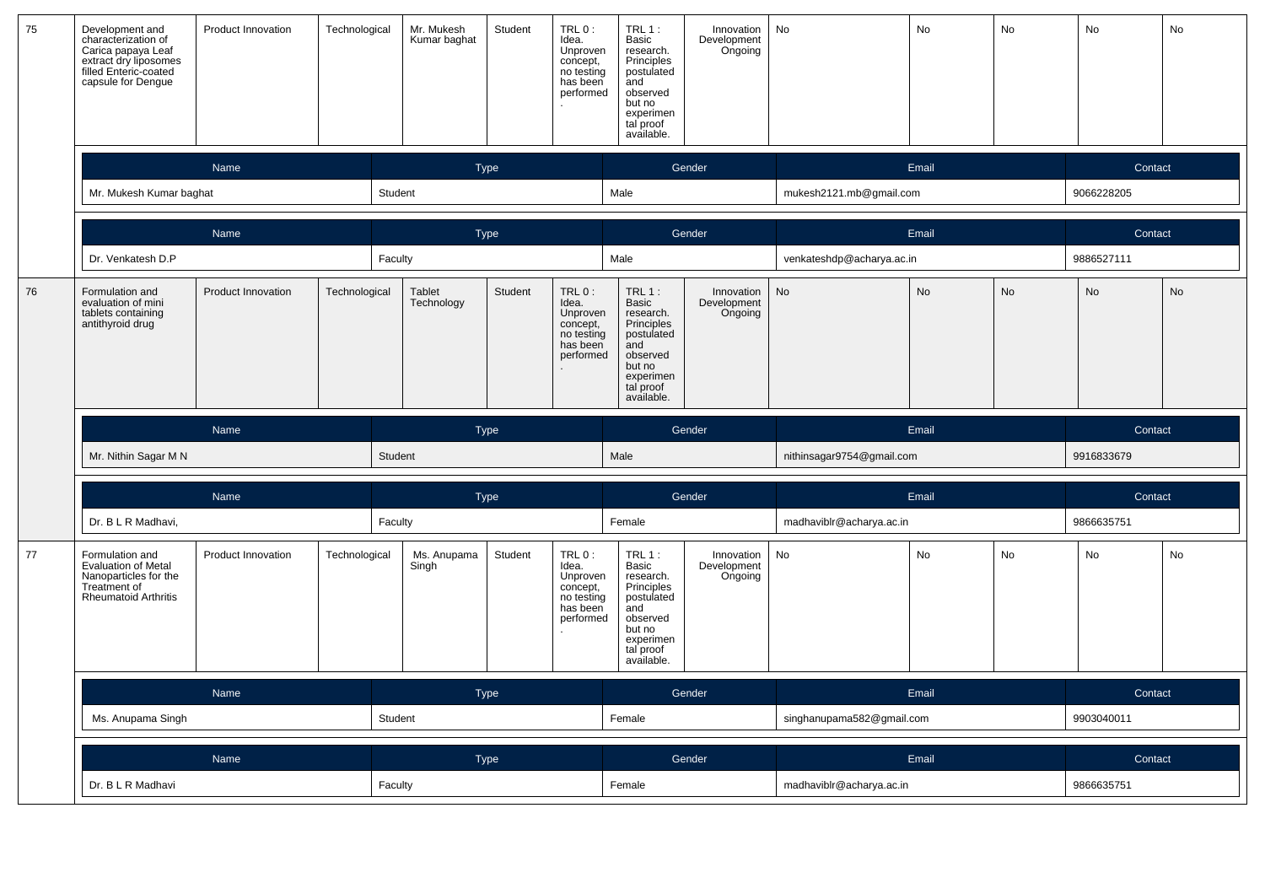| 75 | Development and<br>characterization of<br><b>Product Innovation</b><br>Carica papaya Leaf<br>extract dry liposomes<br>filled Enteric-coated<br>capsule for Dengue<br>Name |                           | Technological | Mr. Mukesh<br>Kumar baghat | Student     | TRL 0:<br>Idea.<br>Unproven<br>concept,<br>no testing<br>has been<br>performed | <b>TRL 1:</b><br>Basic<br>research.<br>Principles<br>postulated<br>and<br>observed<br>but no<br>experimen<br>tal proof<br>available. | Innovation<br>Development<br>Ongoing | No<br>No<br>No            |           |           | No         | No        |
|----|---------------------------------------------------------------------------------------------------------------------------------------------------------------------------|---------------------------|---------------|----------------------------|-------------|--------------------------------------------------------------------------------|--------------------------------------------------------------------------------------------------------------------------------------|--------------------------------------|---------------------------|-----------|-----------|------------|-----------|
|    |                                                                                                                                                                           |                           |               |                            | Type        |                                                                                |                                                                                                                                      | Gender                               |                           | Email     |           | Contact    |           |
|    | Mr. Mukesh Kumar baghat                                                                                                                                                   |                           | Student       |                            |             |                                                                                | Male                                                                                                                                 |                                      | mukesh2121.mb@gmail.com   |           |           | 9066228205 |           |
|    |                                                                                                                                                                           | Name                      |               |                            | <b>Type</b> |                                                                                |                                                                                                                                      | Gender                               |                           | Email     |           | Contact    |           |
|    | Dr. Venkatesh D.P                                                                                                                                                         |                           | Faculty       |                            |             |                                                                                | Male                                                                                                                                 |                                      | venkateshdp@acharya.ac.in |           |           | 9886527111 |           |
| 76 | Formulation and<br>evaluation of mini<br>tablets containing<br>antithyroid drug                                                                                           | <b>Product Innovation</b> | Technological | Tablet<br>Technology       | Student     | TRL 0:<br>Idea.<br>Unproven<br>concept,<br>no testing<br>has been<br>performed | <b>TRL 1:</b><br>Basic<br>research.<br>Principles<br>postulated<br>and<br>observed<br>but no<br>experimen<br>tal proof<br>available. | Innovation<br>Development<br>Ongoing | <b>No</b>                 | <b>No</b> | No        | <b>No</b>  | No        |
|    |                                                                                                                                                                           |                           |               |                            |             |                                                                                |                                                                                                                                      |                                      |                           |           |           |            |           |
|    |                                                                                                                                                                           | Name                      |               |                            | Type        |                                                                                |                                                                                                                                      | Gender                               |                           | Email     |           | Contact    |           |
|    | Mr. Nithin Sagar M N                                                                                                                                                      |                           | Student       |                            |             |                                                                                | Male                                                                                                                                 |                                      | nithinsagar9754@gmail.com |           |           | 9916833679 |           |
|    |                                                                                                                                                                           | Name                      |               |                            | Type        |                                                                                |                                                                                                                                      | Gender                               |                           | Email     |           | Contact    |           |
|    | Dr. B L R Madhavi,                                                                                                                                                        |                           | Faculty       |                            |             |                                                                                | Female                                                                                                                               |                                      | madhaviblr@acharya.ac.in  |           |           | 9866635751 |           |
| 77 | Formulation and<br>Evaluation of Metal<br>Nanoparticles for the<br>Treatment of<br><b>Rheumatoid Arthritis</b>                                                            | Product Innovation        | Technological | Ms. Anupama<br>Singh       | Student     | TRL 0:<br>Idea.<br>Unproven<br>concept,<br>no testing<br>has been<br>performed | $TRL$ 1:<br>Basic<br>research.<br>Principles<br>postulated<br>and<br>observed<br>but no<br>experimen<br>tal proof<br>available.      | Innovation<br>Development<br>Ongoing | <b>No</b>                 | <b>No</b> | <b>No</b> | <b>No</b>  | <b>No</b> |
|    |                                                                                                                                                                           | Name                      |               |                            | Type        |                                                                                |                                                                                                                                      | Gender                               |                           | Email     |           | Contact    |           |
|    | Ms. Anupama Singh                                                                                                                                                         |                           | Student       |                            |             |                                                                                | Female                                                                                                                               |                                      | singhanupama582@gmail.com |           |           | 9903040011 |           |
|    |                                                                                                                                                                           | Name                      |               |                            | Type        |                                                                                |                                                                                                                                      | Gender                               |                           | Email     |           | Contact    |           |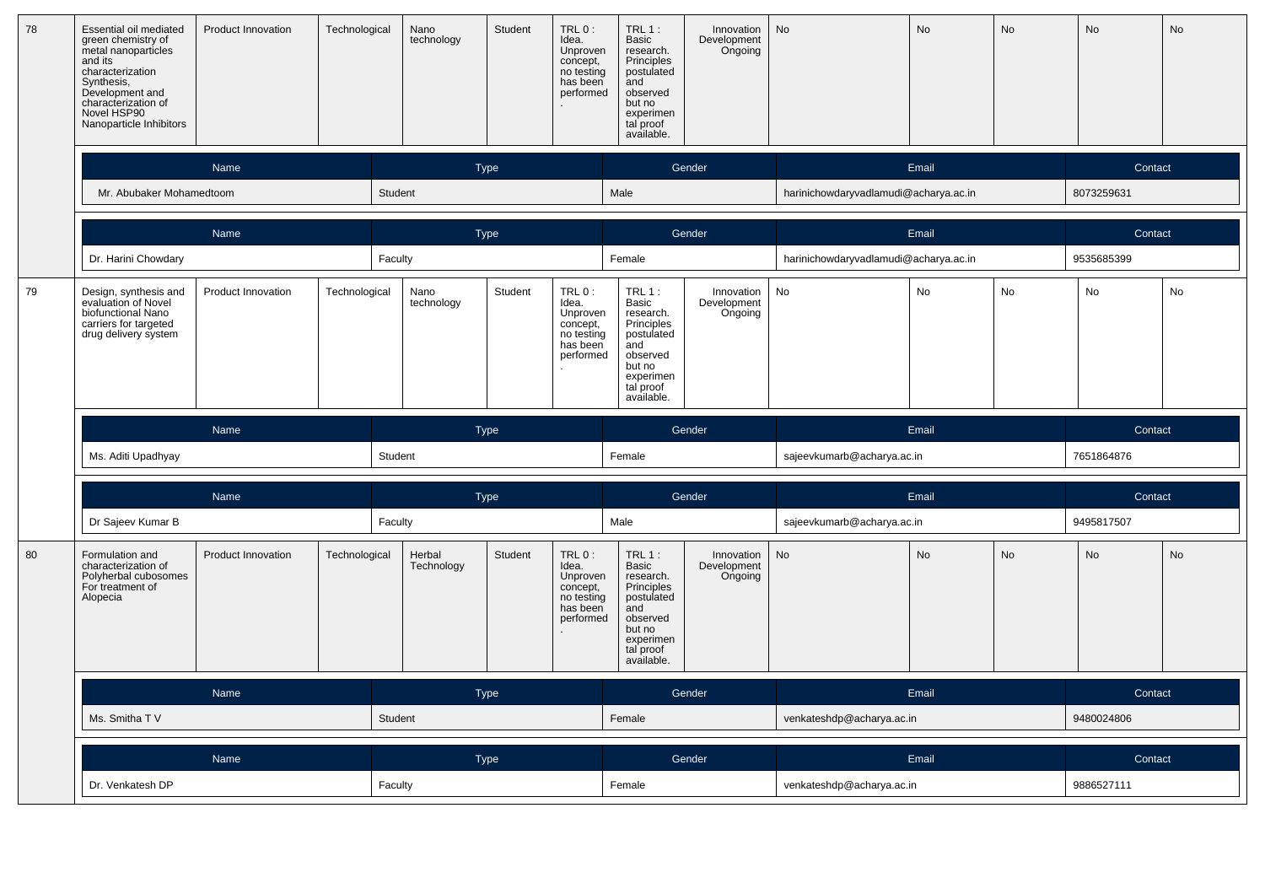| 78 | Essential oil mediated<br>Product Innovation<br>green chemistry of<br>metal nanoparticles<br>and its<br>characterization<br>Synthesis,<br>Development and<br>characterization of<br>Novel HSP90<br>Nanoparticle Inhibitors<br>Name |                           | Technological | Nano<br>technology   | Student     | TRL 0:<br>Idea.<br>Unproven<br>concept,<br>no testing<br>has been<br>performed | TRL 1:<br><b>Basic</b><br>research.<br>Principles<br>postulated<br>and<br>observed<br>but no<br>experimen<br>tal proof<br>available. | Innovation<br>Development<br>Ongoing | <b>No</b>                             | <b>No</b><br>No |           | <b>No</b>  | No |
|----|------------------------------------------------------------------------------------------------------------------------------------------------------------------------------------------------------------------------------------|---------------------------|---------------|----------------------|-------------|--------------------------------------------------------------------------------|--------------------------------------------------------------------------------------------------------------------------------------|--------------------------------------|---------------------------------------|-----------------|-----------|------------|----|
|    |                                                                                                                                                                                                                                    |                           |               |                      | Type        |                                                                                |                                                                                                                                      | Gender                               |                                       | Email           |           | Contact    |    |
|    | Mr. Abubaker Mohamedtoom                                                                                                                                                                                                           |                           |               | Student              |             |                                                                                | Male                                                                                                                                 |                                      | harinichowdaryvadlamudi@acharya.ac.in |                 |           | 8073259631 |    |
|    |                                                                                                                                                                                                                                    | Name                      |               |                      | Type        |                                                                                |                                                                                                                                      | Gender                               |                                       | Email           |           | Contact    |    |
|    | Dr. Harini Chowdary                                                                                                                                                                                                                |                           |               | Faculty              |             |                                                                                | Female                                                                                                                               |                                      | harinichowdaryvadlamudi@acharya.ac.in |                 |           | 9535685399 |    |
| 79 | Design, synthesis and<br>evaluation of Novel<br>biofunctional Nano<br>carriers for targeted<br>drug delivery system                                                                                                                | Product Innovation        | Technological | Nano<br>technology   | Student     | TRL 0:<br>Idea.<br>Unproven<br>concept,<br>no testing<br>has been<br>performed | <b>TRL 1:</b><br>Basic<br>research.<br>Principles<br>postulated<br>and<br>observed<br>but no<br>experimen<br>tal proof<br>available. | Innovation<br>Development<br>Ongoing | No                                    | No              | No        | <b>No</b>  | No |
|    |                                                                                                                                                                                                                                    |                           |               |                      |             |                                                                                |                                                                                                                                      |                                      |                                       |                 |           |            |    |
|    |                                                                                                                                                                                                                                    | Name                      |               |                      | <b>Type</b> |                                                                                |                                                                                                                                      | Gender                               |                                       | Email           |           | Contact    |    |
|    | Ms. Aditi Upadhyay                                                                                                                                                                                                                 |                           |               | Student              |             |                                                                                | Female                                                                                                                               |                                      | sajeevkumarb@acharya.ac.in            |                 |           | 7651864876 |    |
|    |                                                                                                                                                                                                                                    | Name                      |               |                      | <b>Type</b> |                                                                                |                                                                                                                                      | Gender                               |                                       | Email           |           | Contact    |    |
|    | Dr Sajeev Kumar B                                                                                                                                                                                                                  |                           |               | Faculty              |             |                                                                                | Male                                                                                                                                 |                                      | sajeevkumarb@acharya.ac.in            |                 |           | 9495817507 |    |
| 80 | Formulation and<br>characterization of<br>Polyherbal cubosomes<br>For treatment of<br>Alopecia                                                                                                                                     | <b>Product Innovation</b> | Technological | Herbal<br>Technology | Student     | TRL 0:<br>Idea.<br>Unproven<br>concept,<br>no testing<br>has been<br>performed | $TRL1$ :<br>Basic<br>research.<br>Principles<br>postulated<br>and<br>observed<br>but no<br>experimen<br>tal proof<br>available.      | Innovation<br>Development<br>Ongoing | No                                    | <b>No</b>       | <b>No</b> | <b>No</b>  | No |
|    |                                                                                                                                                                                                                                    | Name                      |               |                      | <b>Type</b> |                                                                                |                                                                                                                                      | Gender                               |                                       | Email           |           | Contact    |    |
|    | Ms. Smitha TV                                                                                                                                                                                                                      |                           |               | Student              |             |                                                                                | Female                                                                                                                               |                                      | venkateshdp@acharya.ac.in             |                 |           | 9480024806 |    |
|    |                                                                                                                                                                                                                                    | Name                      |               |                      | <b>Type</b> |                                                                                |                                                                                                                                      | Gender                               |                                       | Email           |           | Contact    |    |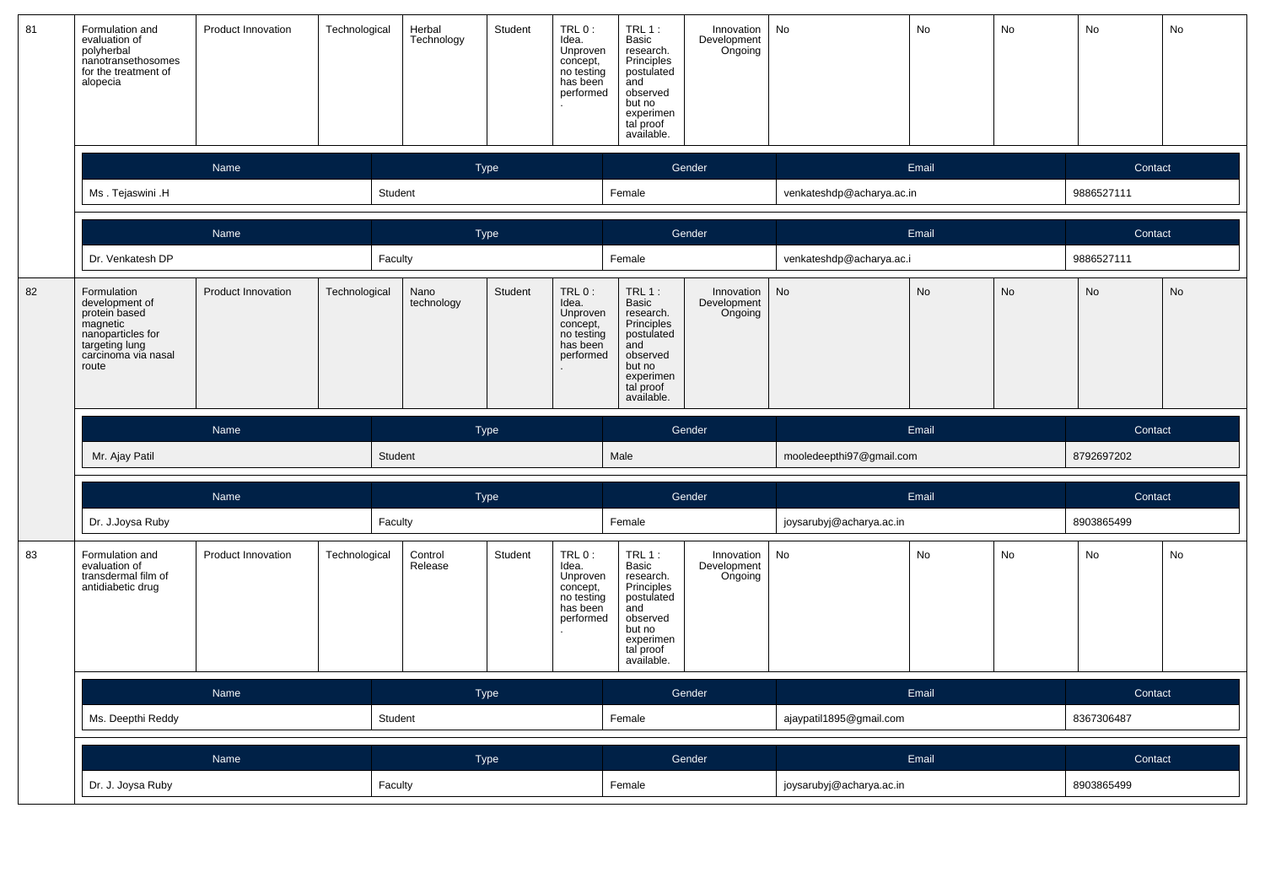| 81 | Formulation and<br>evaluation of<br>polyherbal<br>nanotransethosomes<br>for the treatment of<br>alopecia                                             | Product Innovation                  | Technological | Herbal<br>Technology | Student     | TRL 0:<br>Idea.<br>Unproven<br>concept,<br>no testing<br>has been<br>performed | $TRL 1$ :<br>Basic<br>research.<br>Principles<br>postulated<br>and<br>observed<br>but no<br>experimen<br>tal proof<br>available.     | Innovation<br>Development<br>Ongoing | No                        | No        | No        | No         | No |
|----|------------------------------------------------------------------------------------------------------------------------------------------------------|-------------------------------------|---------------|----------------------|-------------|--------------------------------------------------------------------------------|--------------------------------------------------------------------------------------------------------------------------------------|--------------------------------------|---------------------------|-----------|-----------|------------|----|
|    |                                                                                                                                                      | Name                                |               |                      | <b>Type</b> |                                                                                |                                                                                                                                      | Gender                               |                           | Email     |           | Contact    |    |
|    | Ms. Tejaswini .H                                                                                                                                     |                                     |               | Student              |             |                                                                                | Female                                                                                                                               |                                      | venkateshdp@acharya.ac.in |           |           | 9886527111 |    |
|    |                                                                                                                                                      | <b>Name</b>                         |               |                      | Type        |                                                                                |                                                                                                                                      | Gender                               |                           | Email     |           | Contact    |    |
|    | Dr. Venkatesh DP                                                                                                                                     |                                     | Faculty       |                      |             |                                                                                | Female                                                                                                                               |                                      | venkateshdp@acharya.ac.i  |           |           | 9886527111 |    |
| 82 | Formulation<br>development of<br>protein based<br>magnetic<br>nanoparticles for<br>taneparasion of<br>targeting lung<br>carcinoma via nasal<br>route | Product Innovation<br>Technological |               | Nano<br>technology   | Student     | TRL 0:<br>Idea.<br>Unproven<br>concept,<br>no testing<br>has been<br>performed | <b>TRL 1:</b><br>Basic<br>research.<br>Principles<br>postulated<br>and<br>observed<br>but no<br>experimen<br>tal proof<br>available. | Innovation<br>Development<br>Ongoing | No                        | <b>No</b> | <b>No</b> | No         | No |
|    |                                                                                                                                                      |                                     |               |                      |             |                                                                                |                                                                                                                                      |                                      |                           |           |           |            |    |
|    |                                                                                                                                                      | Name                                |               |                      | Type        |                                                                                |                                                                                                                                      | Gender                               |                           | Email     |           | Contact    |    |
|    | Mr. Ajay Patil                                                                                                                                       |                                     |               | Student              |             |                                                                                | Male                                                                                                                                 |                                      | mooledeepthi97@gmail.com  |           |           | 8792697202 |    |
|    |                                                                                                                                                      | Name                                |               |                      | Type        |                                                                                |                                                                                                                                      | Gender                               |                           | Email     |           | Contact    |    |
|    | Dr. J.Joysa Ruby                                                                                                                                     |                                     | Faculty       |                      |             |                                                                                | Female                                                                                                                               |                                      | joysarubyj@acharya.ac.in  |           |           | 8903865499 |    |
| 83 | Formulation and<br>evaluation of<br>transdermal film of<br>antidiabetic drug                                                                         | Product Innovation                  | Technological | Control<br>Release   | Student     | TRL 0:<br>Idea.<br>Unproven<br>concept,<br>no testing<br>has been<br>performed | $TRL 1$ :<br>Basic<br>research.<br>Principles<br>postulated<br>and<br>observed<br>but no<br>experimen<br>tal proof<br>available.     | Innovation<br>Development<br>Ongoing | No                        | <b>No</b> | <b>No</b> | <b>No</b>  | No |
|    |                                                                                                                                                      | Name                                |               |                      | <b>Type</b> |                                                                                |                                                                                                                                      | Gender                               |                           | Email     |           | Contact    |    |
|    | Ms. Deepthi Reddy                                                                                                                                    |                                     |               | Student              |             |                                                                                | Female                                                                                                                               |                                      | ajaypatil1895@gmail.com   |           |           | 8367306487 |    |
|    |                                                                                                                                                      | Name                                |               |                      | <b>Type</b> |                                                                                |                                                                                                                                      | Gender                               |                           | Email     |           | Contact    |    |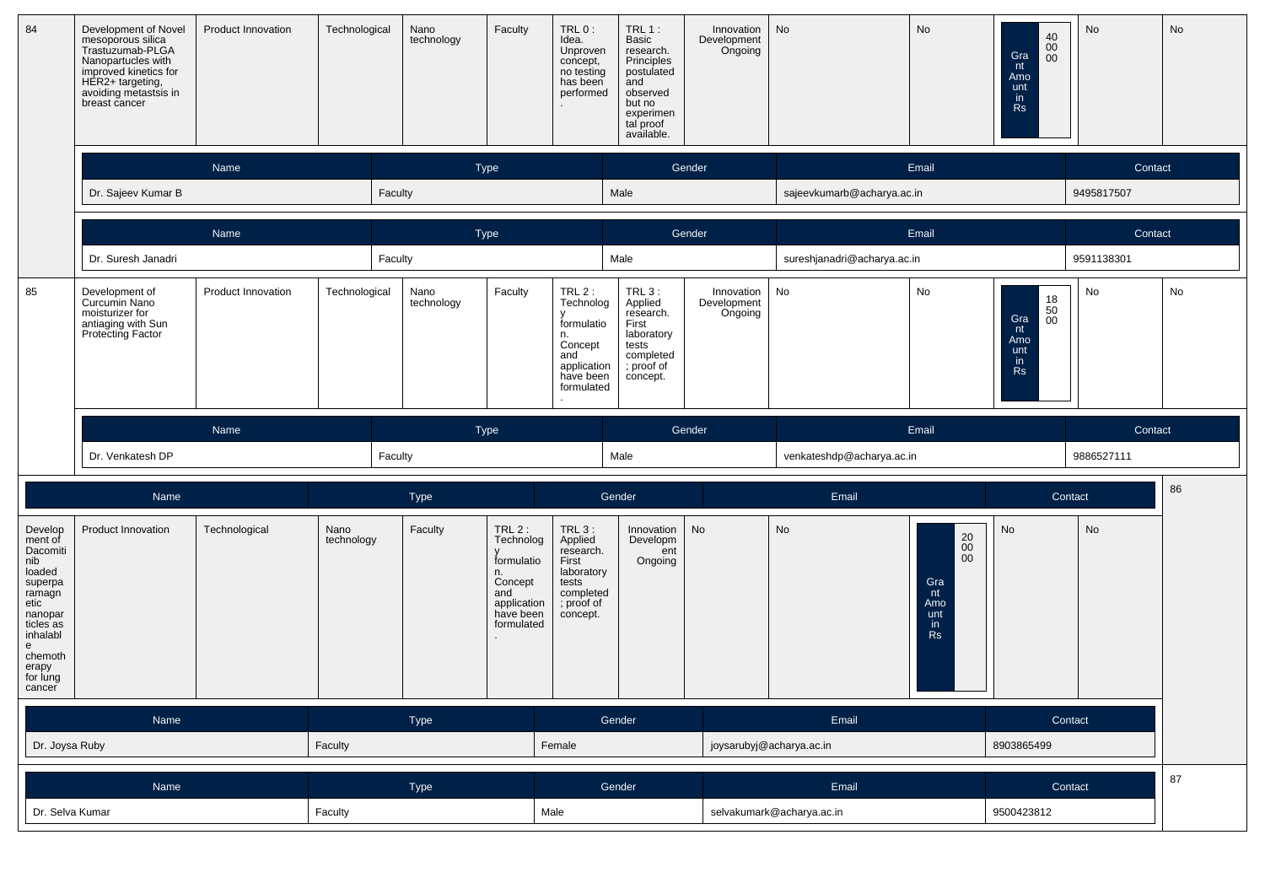| 84      | Development of Novel<br>mesoporous silica<br>Trastuzumab-PLGA<br>Nanopartucles with<br>improved kinetics for<br>HER2+ targeting,<br>avoiding metastsis in<br>breast cancer | <b>Product Innovation</b> | Technological | Nano<br>technology | Faculty | TRL 0:<br>Idea.<br>Unproven<br>concept,<br>no testing<br>has been<br>performed                         | <b>TRL 1:</b><br><b>Basic</b><br>research.<br>Principles<br>postulated<br>and<br>observed<br>but no<br>experimen<br>tal proof<br>available. | Innovation<br>Development<br>Ongoing | No                          | No     | $\begin{array}{c} 40 \\ 00 \\ 00 \end{array}$<br>Gra<br>nt<br>Amo<br>unt<br>in.<br><b>Rs</b> | <b>No</b>  | <b>No</b> |
|---------|----------------------------------------------------------------------------------------------------------------------------------------------------------------------------|---------------------------|---------------|--------------------|---------|--------------------------------------------------------------------------------------------------------|---------------------------------------------------------------------------------------------------------------------------------------------|--------------------------------------|-----------------------------|--------|----------------------------------------------------------------------------------------------|------------|-----------|
|         |                                                                                                                                                                            | Name                      |               | Type               |         |                                                                                                        | Gender                                                                                                                                      |                                      |                             | Email  |                                                                                              | Contact    |           |
|         | Dr. Sajeev Kumar B                                                                                                                                                         |                           |               | Faculty            |         |                                                                                                        | Male                                                                                                                                        |                                      | sajeevkumarb@acharya.ac.in  |        |                                                                                              | 9495817507 |           |
|         |                                                                                                                                                                            | Name                      |               |                    | Type    |                                                                                                        |                                                                                                                                             | Gender                               | Email                       |        |                                                                                              |            | Contact   |
|         | Dr. Suresh Janadri                                                                                                                                                         |                           |               | Faculty            |         |                                                                                                        | Male                                                                                                                                        |                                      | sureshjanadri@acharya.ac.in |        |                                                                                              | 9591138301 |           |
| 85      | Development of<br>Curcumin Nano<br>moisturizer for<br>antiaging with Sun<br>Protecting Factor                                                                              | <b>Product Innovation</b> | Technological | Nano<br>technology | Faculty | TRL $2$ :<br>Technolog<br>formulatio<br>n.<br>Concept<br>and<br>application<br>have been<br>formulated | $TRL3$ :<br>Applied<br>research.<br>First<br>laboratory<br>tests<br>completed<br>; proof of<br>concept.                                     | Innovation<br>Development<br>Ongoing | No                          | No     | $\substack{18 \ 50}$<br>Gra<br>00<br>nt<br>Amo<br>unt<br>in<br><b>Rs</b>                     | No         | No        |
|         |                                                                                                                                                                            | Name                      |               | Type               |         |                                                                                                        |                                                                                                                                             | Gender                               | Email                       |        | Contact                                                                                      |            |           |
|         | Dr. Venkatesh DP                                                                                                                                                           |                           |               | Faculty            |         |                                                                                                        | Male                                                                                                                                        |                                      | venkateshdp@acharya.ac.in   |        |                                                                                              | 9886527111 |           |
|         | Name                                                                                                                                                                       |                           |               | Type               |         |                                                                                                        | Gender                                                                                                                                      |                                      | Email                       |        |                                                                                              | Contact    | 86        |
| Develop | <b>Product Innovation</b>                                                                                                                                                  | Technological             | Nano          | Faculty            | TRL2:   | $TRL3$ :                                                                                               | Innovation                                                                                                                                  | <b>No</b>                            | <b>No</b>                   | $\sim$ | No                                                                                           | <b>No</b>  |           |

| 8903865499<br>joysarubyj@acharya.ac.in<br>Female<br>Faculty | Name           | T | Gender | Email | Contact |
|-------------------------------------------------------------|----------------|---|--------|-------|---------|
|                                                             | Dr. Joysa Ruby |   |        |       |         |

| Name <sup>1</sup> | <b>Type</b> | Gender | Email                     | Contact    |  |
|-------------------|-------------|--------|---------------------------|------------|--|
| Dr. Selva Kumar   | Faculty     | Male   | selvakumark@acharya.ac.in | 9500423812 |  |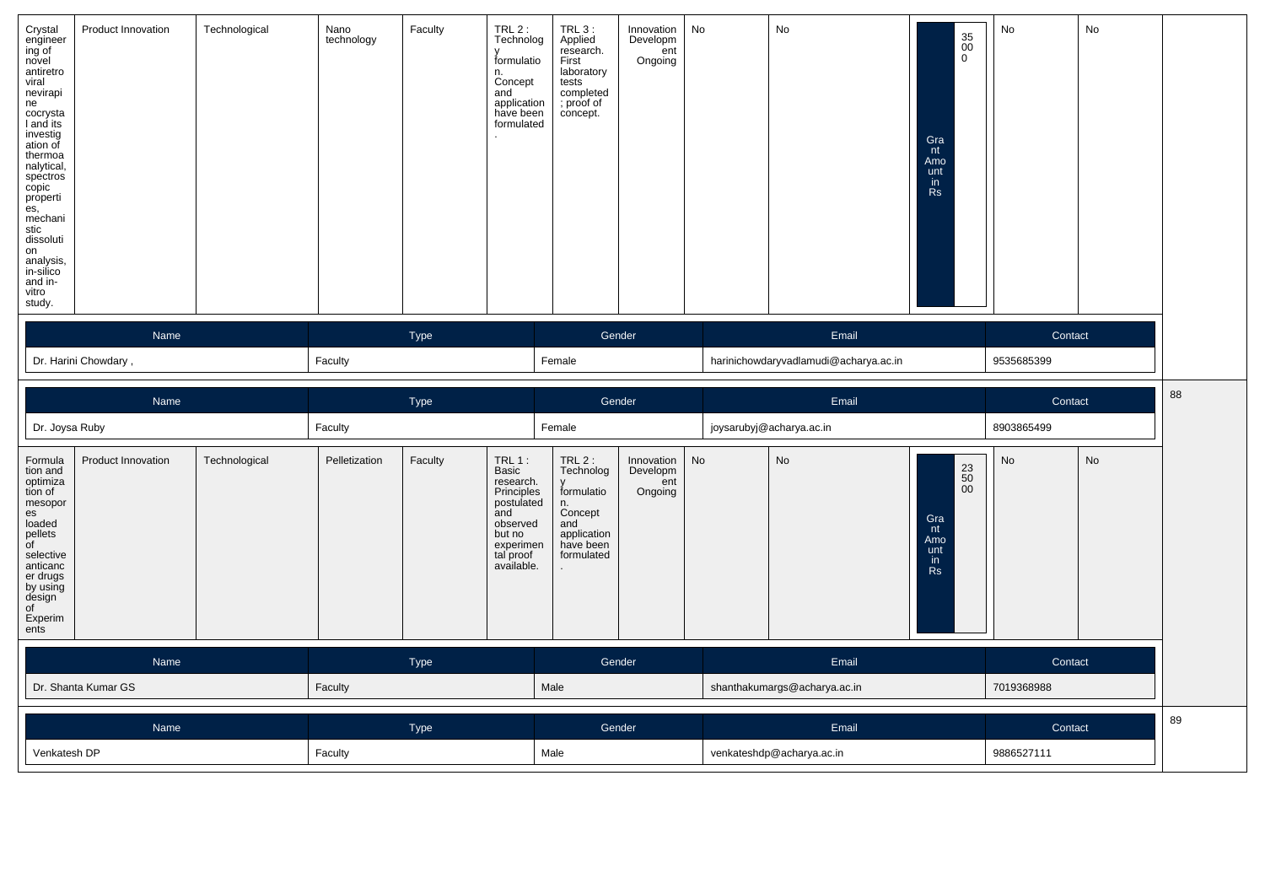| Crystal<br>engineer<br>ing of<br>novel<br>antiretro<br>viral<br>nevirapi<br>ne<br>cocrysta<br>I and its<br>investig<br>ation of<br>thermoa<br>nalytical,<br>rarytear,<br>spectros<br>copic<br>properti<br>es,<br>mechani<br>stic<br>dissoluti<br>on<br>analysis,<br>in-silico<br>and in-<br>vitro<br>study. | Product Innovation   | Technological | Nano<br>technology | Faculty | $TRL2$ :<br>Technolog<br>formulatio<br>n.<br>Concept<br>and<br>application<br>have been<br>formulated | $TRL3$ :<br>Applied<br>research.<br>First<br>laboratory<br>tests<br>completed<br>; proof of<br>concept. | Innovation<br>Developm<br>ent<br>Ongoing | No | No                                    | $\begin{array}{c} 35 \\ 00 \end{array}$<br>$\overline{0}$<br>Gra<br>nt<br>Amo<br>unt<br>in<br>Rs | No         | No |  |
|-------------------------------------------------------------------------------------------------------------------------------------------------------------------------------------------------------------------------------------------------------------------------------------------------------------|----------------------|---------------|--------------------|---------|-------------------------------------------------------------------------------------------------------|---------------------------------------------------------------------------------------------------------|------------------------------------------|----|---------------------------------------|--------------------------------------------------------------------------------------------------|------------|----|--|
|                                                                                                                                                                                                                                                                                                             | Name                 |               |                    | Type    |                                                                                                       |                                                                                                         | Gender                                   |    | Email                                 |                                                                                                  | Contact    |    |  |
|                                                                                                                                                                                                                                                                                                             | Dr. Harini Chowdary, |               | Faculty            |         |                                                                                                       | Female                                                                                                  |                                          |    | harinichowdaryvadlamudi@acharya.ac.in |                                                                                                  | 9535685399 |    |  |

|                                                                                                                                                                            | Name                |                                                  |         | Type                                                                                                                     |                                                                                                       |                                          | Gender                       |    | Email                                                                                     |            | Contact    |  |
|----------------------------------------------------------------------------------------------------------------------------------------------------------------------------|---------------------|--------------------------------------------------|---------|--------------------------------------------------------------------------------------------------------------------------|-------------------------------------------------------------------------------------------------------|------------------------------------------|------------------------------|----|-------------------------------------------------------------------------------------------|------------|------------|--|
| Dr. Joysa Ruby                                                                                                                                                             |                     |                                                  | Faculty |                                                                                                                          |                                                                                                       | Female                                   |                              |    | joysarubyj@acharya.ac.in                                                                  |            | 8903865499 |  |
| Formula<br>tion and<br>optimiza<br>tion of<br>mesopor<br>es<br>loaded<br>pellets<br>of<br>selective<br>anticanc<br>er drugs<br>by using<br>design<br>of<br>Experim<br>ents | Product Innovation  | Faculty<br>Technological<br>Pelletization<br>and |         | $TRL1$ :<br>Basic<br>research.<br>Principles<br>postulated<br>observed<br>but no<br>experimen<br>tal proof<br>available. | TRL $2:$<br>Technolog<br>formulatio<br>n.<br>Concept<br>and<br>application<br>have been<br>formulated | Innovation<br>Developm<br>ent<br>Ongoing | No                           | No | ${\underset{50}{\rm 23}}$<br>Gra<br>nt<br>Amo<br>unt<br>$\frac{\mathsf{in}}{\mathsf{Rs}}$ | No         | No         |  |
|                                                                                                                                                                            | Name                |                                                  | Type    |                                                                                                                          | Gender                                                                                                |                                          | Email                        |    | Contact                                                                                   |            |            |  |
|                                                                                                                                                                            | Dr. Shanta Kumar GS |                                                  | Faculty |                                                                                                                          | Male                                                                                                  |                                          | shanthakumargs@acharya.ac.in |    | 7019368988                                                                                |            |            |  |
|                                                                                                                                                                            | Name                |                                                  |         | Type                                                                                                                     |                                                                                                       |                                          | Gender                       |    | Email                                                                                     |            | Contact    |  |
|                                                                                                                                                                            | Venkatesh DP        |                                                  | Faculty |                                                                                                                          | Male                                                                                                  |                                          | venkateshdp@acharya.ac.in    |    |                                                                                           | 9886527111 |            |  |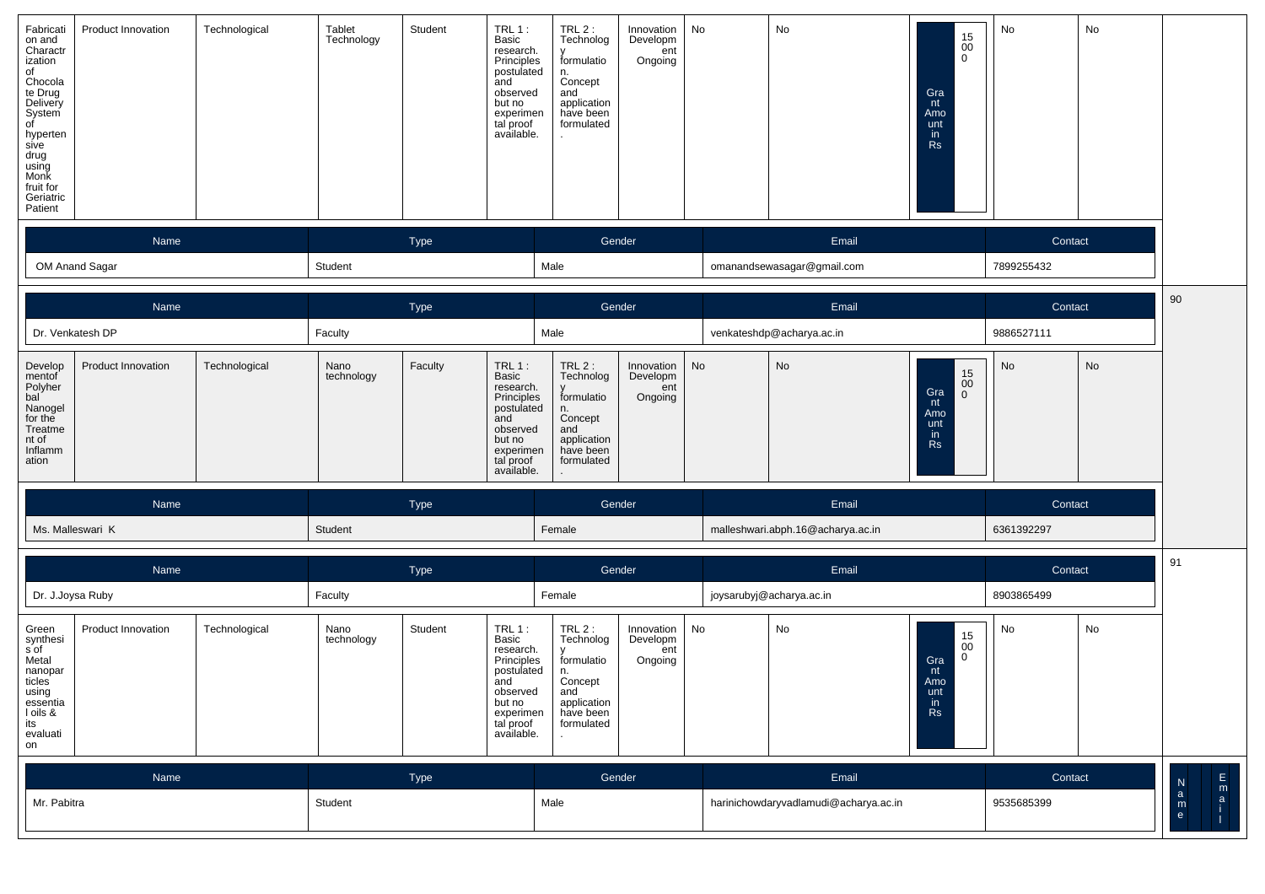| Fabricati<br>on and<br>Charactr<br>ization<br>of<br>Chocola<br>te Drug<br>Delivery<br>System<br>01<br>hyperten<br>sive<br>drug<br>using<br>Monk<br>fruit for<br>Geriatric<br>Patient | <b>Product Innovation</b> | Technological | Tablet<br>Technology | Student | $TRL1$ :<br>Basic<br>research.<br>Principles<br>postulated<br>and<br>observed<br>but no<br>experimen<br>tal proof<br>available. | TRL2:<br>Technolog<br>formulatio<br>n.<br>Concept<br>and<br>application<br>have been<br>formulated | Innovation<br>Developm<br>ent<br>Ongoing | No | No                         | $\begin{array}{c} 15 \\00 \\0 \end{array}$<br>Gra<br>nt<br>Amo<br>unt<br>in<br><b>Rs</b> | No         | No |  |
|--------------------------------------------------------------------------------------------------------------------------------------------------------------------------------------|---------------------------|---------------|----------------------|---------|---------------------------------------------------------------------------------------------------------------------------------|----------------------------------------------------------------------------------------------------|------------------------------------------|----|----------------------------|------------------------------------------------------------------------------------------|------------|----|--|
|                                                                                                                                                                                      | Name                      |               | Type                 |         |                                                                                                                                 | Gender                                                                                             |                                          |    | Email                      |                                                                                          | Contact    |    |  |
| OM Anand Sagar                                                                                                                                                                       |                           |               | Student              |         |                                                                                                                                 | Male                                                                                               |                                          |    | omanandsewasagar@gmail.com |                                                                                          | 7899255432 |    |  |

|                                                                                                   | Name                      |               |                    | <b>Type</b> |                                                                                                                                 | Gender                                                                                       |                                            | Email     |                                   |                                                         | Contact    |         |
|---------------------------------------------------------------------------------------------------|---------------------------|---------------|--------------------|-------------|---------------------------------------------------------------------------------------------------------------------------------|----------------------------------------------------------------------------------------------|--------------------------------------------|-----------|-----------------------------------|---------------------------------------------------------|------------|---------|
|                                                                                                   | Dr. Venkatesh DP          |               | Faculty            |             |                                                                                                                                 | Male                                                                                         |                                            |           | venkateshdp@acharya.ac.in         |                                                         | 9886527111 |         |
| Develop<br>mentof<br>Polyher<br>bal<br>Nanogel<br>for the<br>Treatme<br>nt of<br>Inflamm<br>ation | <b>Product Innovation</b> | Technological | Nano<br>technology | Faculty     | TRL $1:$<br>Basic<br>research.<br>Principles<br>postulated<br>and<br>observed<br>but no<br>experimen<br>tal proof<br>available. | TRL2:<br>Technolog<br>formulatio<br>Concept<br>and<br>application<br>have been<br>formulated | Innovation  <br>Developm<br>ent<br>Ongoing | <b>No</b> | No                                | 15<br>00<br>Gra<br>nt<br>Amo<br>unt<br>in.<br><b>Rs</b> | No         | No      |
|                                                                                                   | Name                      |               |                    | <b>Type</b> |                                                                                                                                 |                                                                                              | Gender                                     |           | Email                             |                                                         |            | Contact |
|                                                                                                   | Ms. Malleswari K          |               | Student            |             |                                                                                                                                 | Female                                                                                       |                                            |           | malleshwari.abph.16@acharya.ac.in |                                                         | 6361392297 |         |

|                                                                                                                   | Name               |               |                    | Type    |                                                                                                                                 |                                                                                              | Gender                                   |    | Email                                 |                                                                                | Contact    |    | 91               |
|-------------------------------------------------------------------------------------------------------------------|--------------------|---------------|--------------------|---------|---------------------------------------------------------------------------------------------------------------------------------|----------------------------------------------------------------------------------------------|------------------------------------------|----|---------------------------------------|--------------------------------------------------------------------------------|------------|----|------------------|
|                                                                                                                   | Dr. J.Joysa Ruby   |               | Faculty            |         |                                                                                                                                 | Female                                                                                       |                                          |    | joysarubyj@acharya.ac.in              |                                                                                | 8903865499 |    |                  |
| Green<br>synthesi<br>s of<br>Metal<br>nanopar<br>ticles<br>using<br>essentia<br>I oils &<br>its<br>evaluati<br>on | Product Innovation | Technological | Nano<br>technology | Student | $TRL1$ :<br>Basic<br>research.<br>Principles<br>postulated<br>and<br>observed<br>but no<br>experimen<br>tal proof<br>available. | TRL2:<br>Technolog<br>formulatio<br>Concept<br>and<br>application<br>have been<br>formulated | Innovation<br>Developm<br>ent<br>Ongoing | No | No                                    | $\substack{15 \\ 00}$<br>$\overline{0}$<br>Gra<br>nt<br>Amo<br>unt<br>in<br>Rs | No         | No |                  |
|                                                                                                                   | Name               |               |                    | Type    |                                                                                                                                 |                                                                                              | Gender                                   |    | Email                                 |                                                                                | Contact    |    | Ε<br>N<br>m      |
| Mr. Pabitra                                                                                                       |                    |               | Student            |         |                                                                                                                                 | Male                                                                                         |                                          |    | harinichowdaryvadlamudi@acharya.ac.in |                                                                                | 9535685399 |    | a<br>a<br>m<br>e |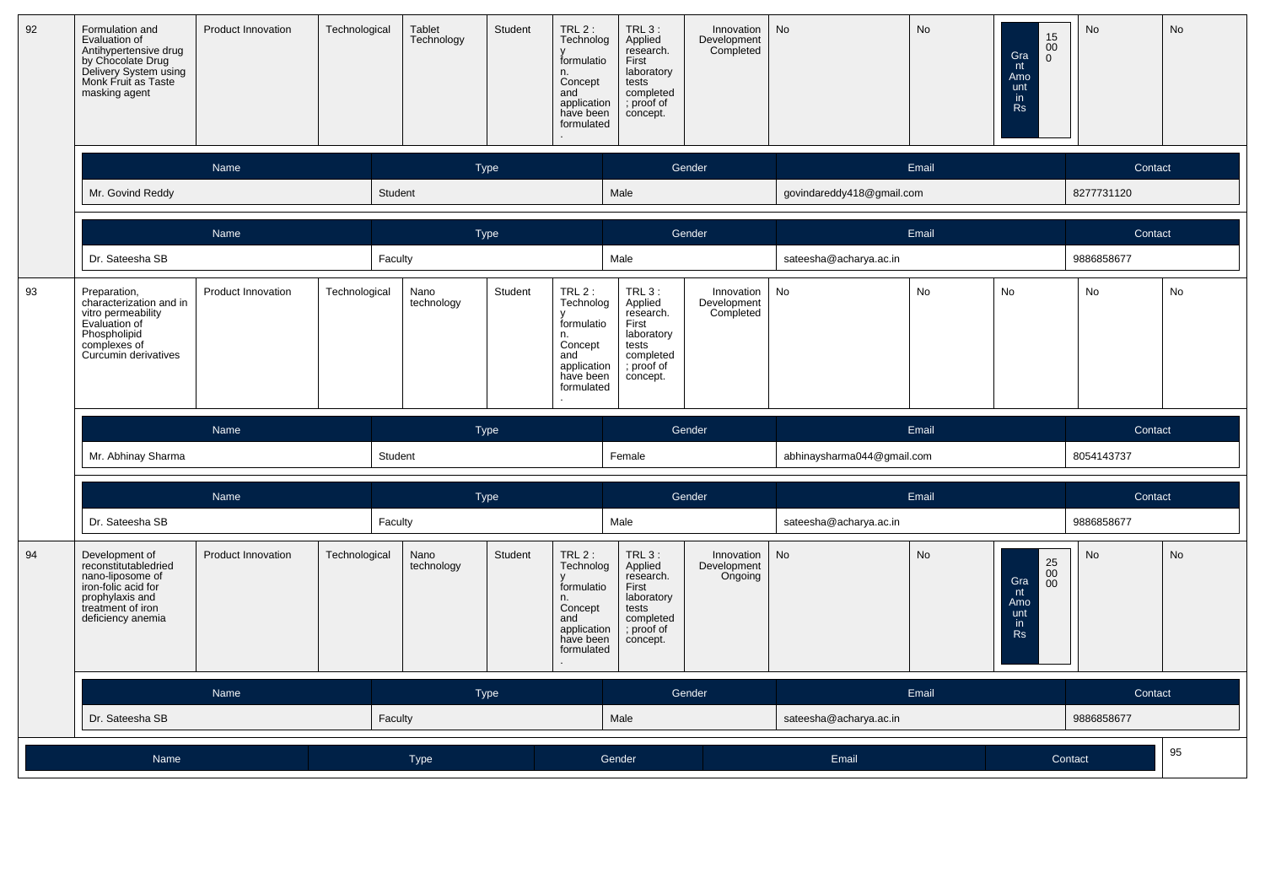| 92 | Formulation and<br>Evaluation of<br>Antihypertensive drug<br>by Chocolate Drug<br>Delivery System using<br>Monk Fruit as Taste<br>masking agent | Product Innovation | Technological | Tablet<br>Technology | Student     | TRL 2 :<br>Technolog<br>formulatio<br>n.<br>Concept<br>and<br>application<br>have been<br>formulated  | TRL 3:<br>Applied<br>research.<br>First<br>laboratory<br>tests<br>completed<br>; proof of<br>concept. | Innovation<br>Development<br>Completed | <b>No</b>                  | No    | 15<br>$00\,$<br>Gra<br>$\Omega$<br>nt<br>Amo<br>unt<br>in.<br><b>Rs</b>                      | <b>No</b>  | <b>No</b> |  |
|----|-------------------------------------------------------------------------------------------------------------------------------------------------|--------------------|---------------|----------------------|-------------|-------------------------------------------------------------------------------------------------------|-------------------------------------------------------------------------------------------------------|----------------------------------------|----------------------------|-------|----------------------------------------------------------------------------------------------|------------|-----------|--|
|    |                                                                                                                                                 | Name               |               |                      | <b>Type</b> |                                                                                                       |                                                                                                       | Gender                                 |                            | Email |                                                                                              | Contact    |           |  |
|    | Mr. Govind Reddy                                                                                                                                |                    |               | Student              |             |                                                                                                       | Male                                                                                                  |                                        | govindareddy418@gmail.com  |       |                                                                                              | 8277731120 |           |  |
|    |                                                                                                                                                 | Name               |               |                      | Type        |                                                                                                       |                                                                                                       | Gender                                 |                            | Email |                                                                                              | Contact    |           |  |
|    | Dr. Sateesha SB                                                                                                                                 |                    |               | Faculty              |             |                                                                                                       | Male                                                                                                  |                                        | sateesha@acharya.ac.in     |       |                                                                                              | 9886858677 |           |  |
| 93 | Preparation,<br>characterization and in<br>vitro permeability<br>Evaluation of<br>Phospholipid<br>complexes of<br>Curcumin derivatives          | Product Innovation | Technological | Nano<br>technology   | Student     | $TRL2$ :<br>Technolog<br>formulatio<br>n.<br>Concept<br>and<br>application<br>have been<br>formulated | TRL 3:<br>Applied<br>research.<br>First<br>laboratory<br>tests<br>completed<br>; proof of<br>concept. | Innovation<br>Development<br>Completed | No                         | No    | No                                                                                           | No         | No        |  |
|    |                                                                                                                                                 | Name               |               |                      | <b>Type</b> |                                                                                                       |                                                                                                       | Gender                                 |                            | Email |                                                                                              | Contact    |           |  |
|    | Mr. Abhinay Sharma                                                                                                                              |                    |               | Student              |             |                                                                                                       | Female                                                                                                |                                        | abhinaysharma044@gmail.com |       |                                                                                              | 8054143737 |           |  |
|    |                                                                                                                                                 | Name               |               |                      | <b>Type</b> |                                                                                                       | Gender                                                                                                |                                        | Email                      |       |                                                                                              | Contact    |           |  |
|    | Dr. Sateesha SB                                                                                                                                 |                    |               | Faculty              |             |                                                                                                       | Male                                                                                                  |                                        | sateesha@acharya.ac.in     |       |                                                                                              | 9886858677 |           |  |
| 94 | Development of<br>reconstitutabledried<br>nano-liposome of<br>iron-folic acid for<br>prophylaxis and<br>treatment of iron<br>deficiency anemia  | Product Innovation | Technological | Nano<br>technology   | Student     | TRL 2 :<br>Technolog<br>formulatio<br>n.<br>Concept<br>and<br>application<br>have been<br>formulated  | TRL 3:<br>Applied<br>research.<br>First<br>laboratory<br>tests<br>completed<br>; proof of<br>concept. | Innovation<br>Development<br>Ongoing   | <b>No</b>                  | No    | $\begin{array}{c} 25 \\ 00 \\ 00 \end{array}$<br>Gra<br>nt<br>Amo<br>unt<br>in.<br><b>Rs</b> | <b>No</b>  | No        |  |
|    |                                                                                                                                                 | Name               |               |                      | <b>Type</b> |                                                                                                       |                                                                                                       | Gender                                 |                            | Email |                                                                                              | Contact    |           |  |
|    | Dr. Sateesha SB                                                                                                                                 |                    |               | Faculty              |             |                                                                                                       | Male                                                                                                  |                                        | sateesha@acharya.ac.in     |       |                                                                                              | 9886858677 |           |  |
|    | Name                                                                                                                                            | <b>Type</b>        |               |                      |             |                                                                                                       | Gender                                                                                                | Email                                  |                            |       | Contact                                                                                      | 95         |           |  |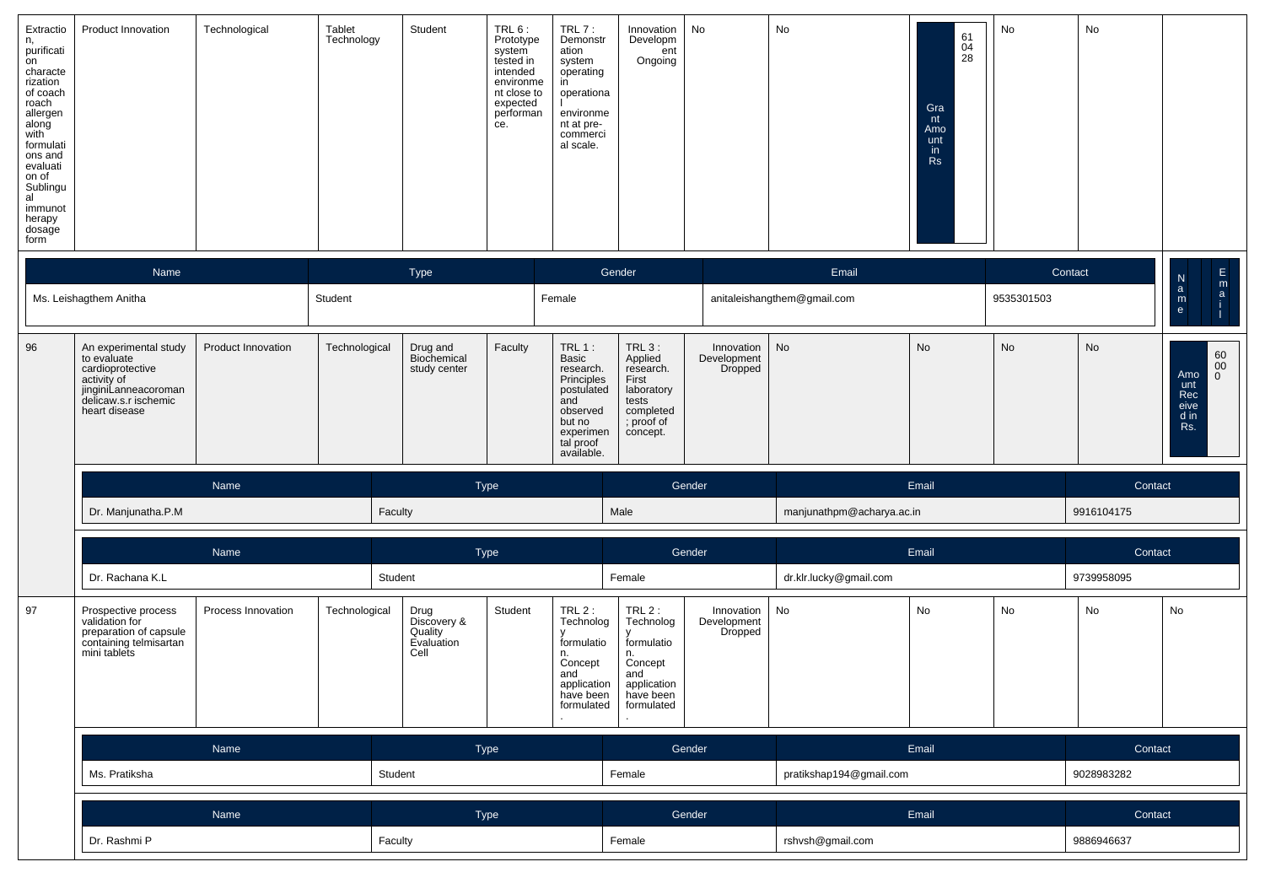| Extractio<br>n,<br>purificati<br>on<br>characte<br>rization<br>of coach<br>roach<br>allergen<br>along<br>with<br>formulati<br>ons and<br>evaluati<br>on of<br>Sublingu<br>al<br>immunot<br>herapy<br>dosage<br>form | <b>Product Innovation</b> | Technological | Tablet<br>Technology | Student | TRL 6:<br>Prototype<br>system<br>tested in<br>intended<br>environme<br>nt close to<br>expected<br>performan<br>ce. | $TRL7$ :<br>Demonstr<br>ation<br>system<br>operating<br>operationa<br>environme<br>nt at pre-<br>commerci<br>al scale. | Innovation<br>Developm<br>ent<br>Ongoing | No | No                          | 61<br>$\frac{04}{28}$<br>Gra<br>nt<br>Amo<br>unt<br>in<br>Rs | No         | No |                        |        |
|---------------------------------------------------------------------------------------------------------------------------------------------------------------------------------------------------------------------|---------------------------|---------------|----------------------|---------|--------------------------------------------------------------------------------------------------------------------|------------------------------------------------------------------------------------------------------------------------|------------------------------------------|----|-----------------------------|--------------------------------------------------------------|------------|----|------------------------|--------|
|                                                                                                                                                                                                                     | Name                      |               |                      | Type    |                                                                                                                    |                                                                                                                        | Gender                                   |    | Email                       |                                                              | Contact    |    | N.                     | E<br>m |
|                                                                                                                                                                                                                     | Ms. Leishagthem Anitha    |               | Student              |         |                                                                                                                    | Female                                                                                                                 |                                          |    | anitaleishangthem@gmail.com |                                                              | 9535301503 |    | a<br>m<br>$\mathbf{e}$ |        |

┰

┱

┱

──

| 96 | An experimental study<br>to evaluate<br>cardioprotective<br>activity of<br>jinginiLanneacoroman<br>delicaw.s.r ischemic<br>heart disease | <b>Product Innovation</b> | Technological | Drug and<br>Biochemical<br>study center | Faculty | $TRL 1$ :<br><b>Basic</b><br>research.<br>Principles<br>postulated<br>and<br>observed<br>but no<br>experimen<br>tal proof<br>available. | $TRL_3$ :<br>Applied<br>research.<br>First<br>laboratory<br>tests<br>completed<br>; proof of<br>concept. | Innovation<br>Development<br>Dropped | No                        | No | No | No         | 60<br>$00\,$<br>Amo.<br>unt<br>Rec<br>eive<br>d in<br>Rs. |
|----|------------------------------------------------------------------------------------------------------------------------------------------|---------------------------|---------------|-----------------------------------------|---------|-----------------------------------------------------------------------------------------------------------------------------------------|----------------------------------------------------------------------------------------------------------|--------------------------------------|---------------------------|----|----|------------|-----------------------------------------------------------|
|    | Name                                                                                                                                     |                           |               | <b>Type</b>                             |         |                                                                                                                                         | Gender                                                                                                   |                                      | Email                     |    |    | Contact    |                                                           |
|    | Dr. Manjunatha.P.M<br>Faculty                                                                                                            |                           |               | Male                                    |         |                                                                                                                                         |                                                                                                          |                                      | manjunathpm@acharya.ac.in |    |    | 9916104175 |                                                           |

|    | Name                                                                                                      |                    |               | Type                                                 |         |                                                                                                        | Gender                                                                                                |                                      | Email                  |                         |            | Contact    |            |  |
|----|-----------------------------------------------------------------------------------------------------------|--------------------|---------------|------------------------------------------------------|---------|--------------------------------------------------------------------------------------------------------|-------------------------------------------------------------------------------------------------------|--------------------------------------|------------------------|-------------------------|------------|------------|------------|--|
|    | Dr. Rachana K.L                                                                                           |                    |               | Student                                              |         |                                                                                                        | Female                                                                                                |                                      | dr.klr.lucky@gmail.com |                         |            | 9739958095 |            |  |
| 97 | Prospective process<br>validation for<br>preparation of capsule<br>containing telmisartan<br>mini tablets | Process Innovation | Technological | Drug<br>Discovery &<br>Quality<br>Evaluation<br>Cell | Student | TRL $2$ :<br>Technolog<br>formulatio<br>n.<br>Concept<br>and<br>application<br>have been<br>formulated | $TRL2$ :<br>Technolog<br>formulatio<br>n.<br>Concept<br>and<br>application<br>have been<br>formulated | Innovation<br>Development<br>Dropped | No                     | No                      | No         | No         | No         |  |
|    | Name                                                                                                      |                    |               |                                                      | Type    |                                                                                                        | Gender                                                                                                |                                      | Email                  |                         |            | Contact    |            |  |
|    | Ms. Pratiksha                                                                                             |                    |               | Student                                              |         |                                                                                                        | Female                                                                                                |                                      |                        | pratikshap194@gmail.com |            |            | 9028983282 |  |
|    | Name                                                                                                      |                    |               | Type                                                 |         | Gender                                                                                                 |                                                                                                       | Email                                |                        |                         | Contact    |            |            |  |
|    | Dr. Rashmi P                                                                                              |                    |               | Faculty                                              |         | Female                                                                                                 |                                                                                                       | rshvsh@gmail.com                     |                        |                         | 9886946637 |            |            |  |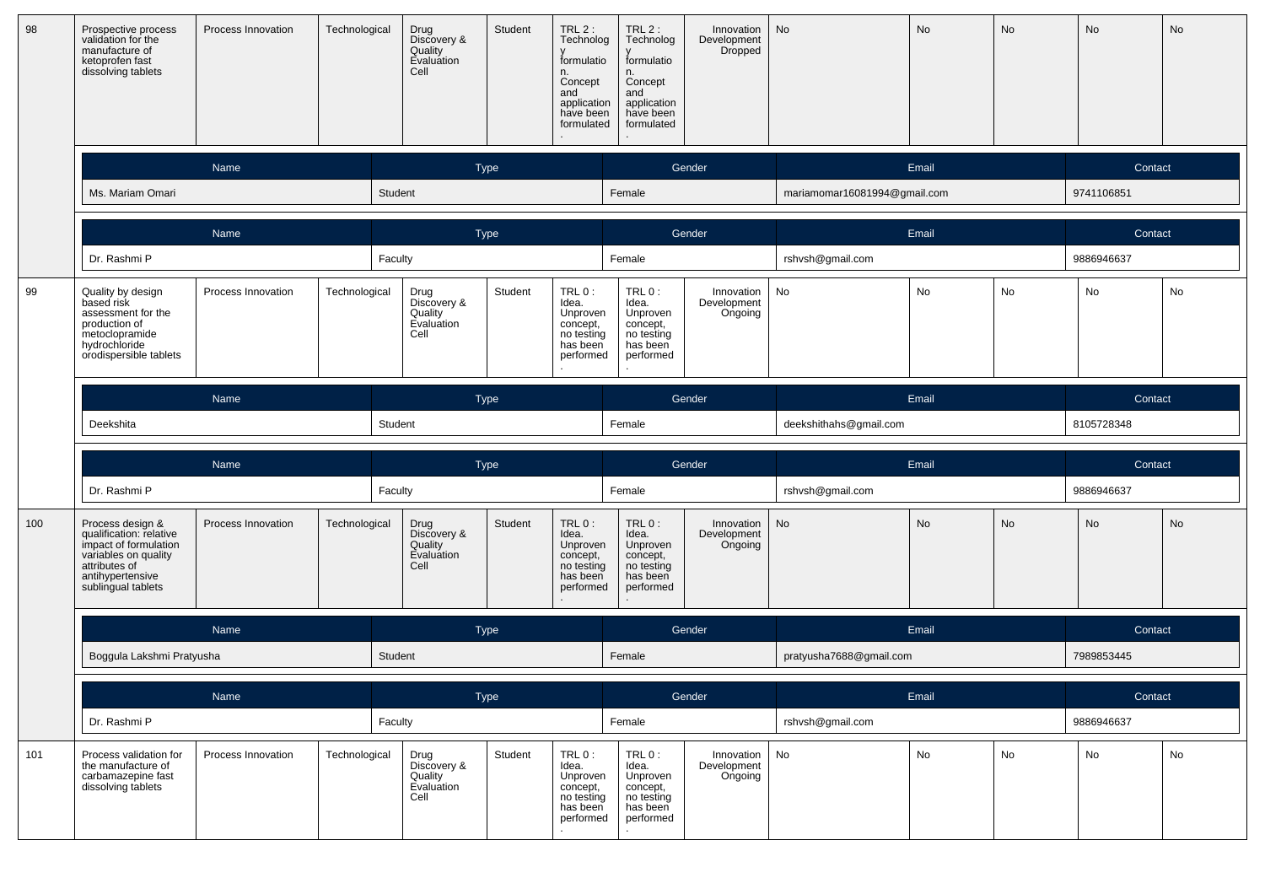| 98  | Prospective process<br>validation for the<br>manufacture of<br>ketoprofen fast<br>dissolving tablets                                                    | Process Innovation | Technological | Drug<br>Discovery &<br>Quality<br>Evaluation<br>Cell | Student     | $TRL2$ :<br>Technolog<br>formulatio<br>n.<br>Concept<br>and<br>application<br>have been<br>formulated | $TRL2$ :<br>Technolog<br>formulatio<br>n.<br>Concept<br>and<br>application<br>have been<br>formulated | Innovation<br>Development<br><b>Dropped</b> | No                           | No    | No         | No         | No |
|-----|---------------------------------------------------------------------------------------------------------------------------------------------------------|--------------------|---------------|------------------------------------------------------|-------------|-------------------------------------------------------------------------------------------------------|-------------------------------------------------------------------------------------------------------|---------------------------------------------|------------------------------|-------|------------|------------|----|
|     |                                                                                                                                                         | Name               |               |                                                      | <b>Type</b> |                                                                                                       |                                                                                                       | Gender                                      |                              | Email |            | Contact    |    |
|     | Ms. Mariam Omari                                                                                                                                        |                    |               | Student                                              |             |                                                                                                       | Female                                                                                                |                                             | mariamomar16081994@gmail.com |       |            | 9741106851 |    |
|     |                                                                                                                                                         | Name               |               |                                                      | Type        |                                                                                                       |                                                                                                       | Gender                                      |                              | Email |            | Contact    |    |
|     | Dr. Rashmi P                                                                                                                                            |                    |               | Faculty                                              |             |                                                                                                       | Female                                                                                                |                                             | rshvsh@gmail.com             |       |            | 9886946637 |    |
| 99  | Quality by design<br>based risk<br>assessment for the<br>production of<br>metoclopramide<br>hydrochloride<br>orodispersible tablets                     | Process Innovation | Technological | Drug<br>Discovery &<br>Quality<br>Evaluation<br>Cell | Student     | TRL 0:<br>Idea.<br>Unproven<br>concept,<br>no testing<br>has been<br>performed                        | TRL 0:<br>Idea.<br>Unproven<br>concept,<br>no testing<br>has been<br>performed                        | Innovation<br>Development<br>Ongoing        | No                           | No    | No         | No         | No |
|     |                                                                                                                                                         | Name               |               |                                                      | Type        |                                                                                                       |                                                                                                       | Gender                                      |                              | Email |            | Contact    |    |
|     | Deekshita                                                                                                                                               |                    |               | Student                                              |             |                                                                                                       | Female                                                                                                |                                             | deekshithahs@gmail.com       |       |            | 8105728348 |    |
|     |                                                                                                                                                         | Name               |               |                                                      | <b>Type</b> |                                                                                                       |                                                                                                       | Gender                                      |                              | Email |            | Contact    |    |
|     | Dr. Rashmi P                                                                                                                                            |                    |               | Faculty                                              |             | Female                                                                                                |                                                                                                       | rshvsh@gmail.com                            |                              |       | 9886946637 |            |    |
| 100 | Process design &<br>qualification: relative<br>impact of formulation<br>variables on quality<br>attributes of<br>antihypertensive<br>sublingual tablets | Process Innovation | Technological | Drug<br>Discovery &<br>Quality<br>Evaluation<br>Cell | Student     | TRL 0:<br>Idea.<br>Unproven<br>concept,<br>no testing<br>has been<br>performed                        | $TRL0$ :<br>Idea.<br>Unproven<br>concept,<br>no testing<br>has been<br>performed                      | Innovation<br>Development<br>Ongoing        | No                           | No    | No         | No         | No |
|     |                                                                                                                                                         | Name               |               |                                                      | <b>Type</b> |                                                                                                       |                                                                                                       | Gender                                      |                              | Email |            | Contact    |    |
|     | Boggula Lakshmi Pratyusha                                                                                                                               |                    |               | Student                                              |             |                                                                                                       | Female                                                                                                |                                             | pratyusha7688@gmail.com      |       |            | 7989853445 |    |
|     |                                                                                                                                                         | Name               |               |                                                      | Type        |                                                                                                       |                                                                                                       | Gender                                      |                              | Email |            | Contact    |    |
|     | Dr. Rashmi P                                                                                                                                            |                    |               | Faculty                                              |             |                                                                                                       | Female                                                                                                |                                             | rshvsh@gmail.com             |       |            | 9886946637 |    |
| 101 | Process validation for<br>the manufacture of<br>carbamazepine fast<br>dissolving tablets                                                                | Process Innovation | Technological | Drug<br>Discovery &<br>Quality<br>Evaluation<br>Cell | Student     | TRL 0:<br>Idea.<br>Unproven<br>concept,<br>no testing<br>has been<br>performed                        | TRL 0:<br>Idea.<br>Unproven<br>concept,<br>no testing<br>has been<br>performed                        | Innovation<br>Development<br>Ongoing        | No                           | No    | No         | No         | No |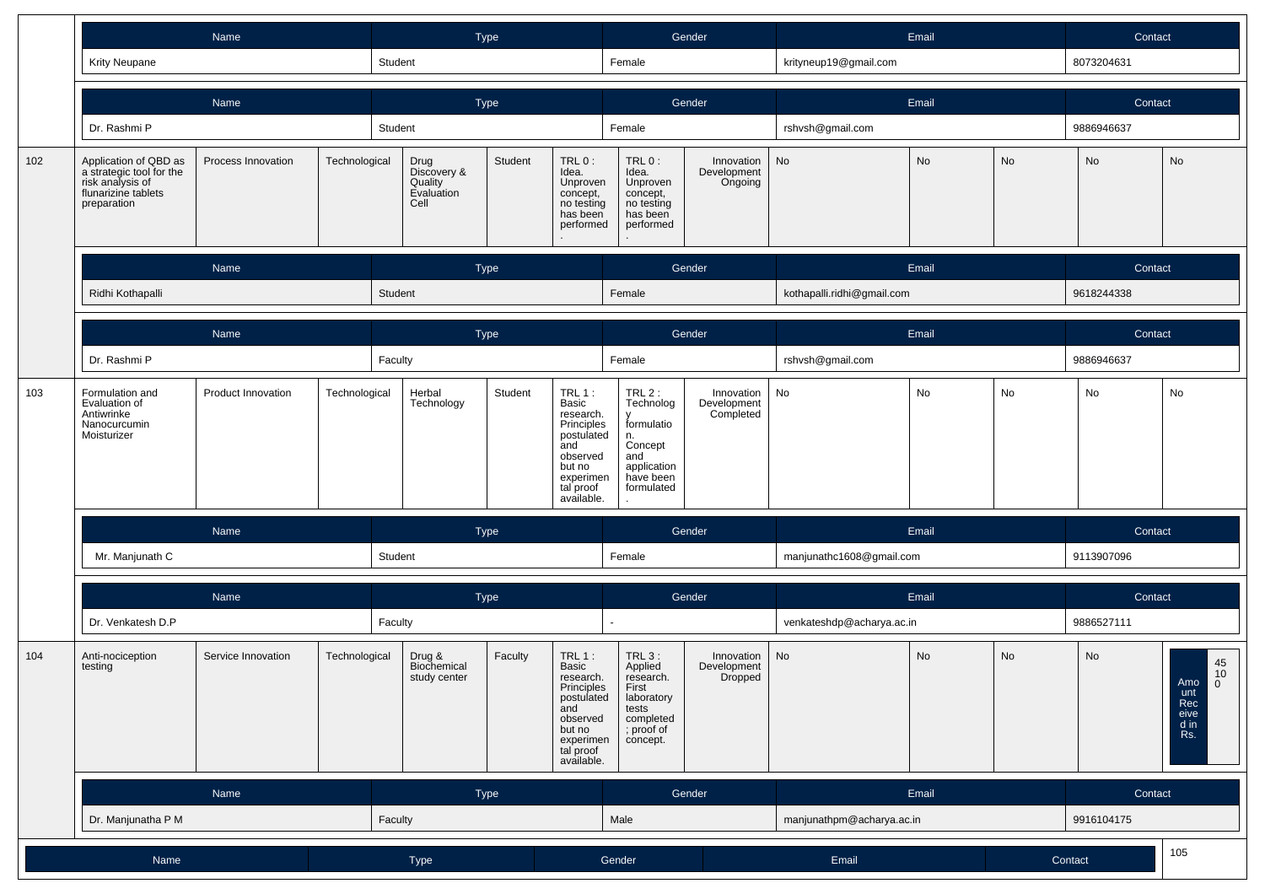|     | Name                                                                                                        |                                     |               | Type                                                                                                                                                                    |             |                                                                                                                                  | Gender                                                                                                |                                      | Email                     |                            | Contact    |            |                                                                                                |  |
|-----|-------------------------------------------------------------------------------------------------------------|-------------------------------------|---------------|-------------------------------------------------------------------------------------------------------------------------------------------------------------------------|-------------|----------------------------------------------------------------------------------------------------------------------------------|-------------------------------------------------------------------------------------------------------|--------------------------------------|---------------------------|----------------------------|------------|------------|------------------------------------------------------------------------------------------------|--|
|     | <b>Krity Neupane</b>                                                                                        |                                     |               | Student                                                                                                                                                                 |             |                                                                                                                                  | Female                                                                                                |                                      | krityneup19@gmail.com     |                            |            | 8073204631 |                                                                                                |  |
|     |                                                                                                             | Name                                |               |                                                                                                                                                                         | <b>Type</b> |                                                                                                                                  |                                                                                                       | Gender                               |                           | Email                      |            | Contact    |                                                                                                |  |
|     | Dr. Rashmi P                                                                                                |                                     |               | Student                                                                                                                                                                 |             |                                                                                                                                  |                                                                                                       |                                      | rshvsh@gmail.com          |                            |            | 9886946637 |                                                                                                |  |
| 102 | Application of QBD as<br>a strategic tool for the<br>risk analysis of<br>flunarizine tablets<br>preparation | Process Innovation                  | Technological | Drug<br>Discovery &<br>Quality<br>Evaluation<br>Cell                                                                                                                    | Student     | TRL 0:<br>Idea.<br>Unproven<br>concept,<br>no testing<br>has been<br>performed                                                   | TRL 0:<br>Idea.<br>Unproven<br>concept,<br>no testing<br>has been<br>performed                        | Innovation<br>Development<br>Ongoing | No                        | No                         | No         | No         | No                                                                                             |  |
|     |                                                                                                             | Name                                |               |                                                                                                                                                                         | Type        |                                                                                                                                  |                                                                                                       | Gender                               | Email                     |                            |            | Contact    |                                                                                                |  |
|     | Ridhi Kothapalli                                                                                            |                                     |               | Student                                                                                                                                                                 |             |                                                                                                                                  | Female                                                                                                |                                      |                           | kothapalli.ridhi@gmail.com |            |            |                                                                                                |  |
|     |                                                                                                             | Name                                |               | Type                                                                                                                                                                    |             |                                                                                                                                  | Gender                                                                                                |                                      | Email                     |                            |            | Contact    |                                                                                                |  |
|     | Dr. Rashmi P                                                                                                |                                     |               | Faculty                                                                                                                                                                 |             |                                                                                                                                  | Female                                                                                                |                                      | rshvsh@gmail.com          |                            |            | 9886946637 |                                                                                                |  |
| 103 | Formulation and<br>Evaluation of<br>Antiwrinke<br>Nanocurcumin<br>Moisturizer                               | Product Innovation<br>Technological |               | <b>TRL 1:</b><br>Herbal<br>Student<br>Technology<br>Basic<br>research.<br>Principles<br>postulated<br>and<br>observed<br>but no<br>experimen<br>tal proof<br>available. |             | $TRL2$ :<br>Technolog<br>$\mathbf{v}$<br>formulatio<br>n.<br>Concept<br>and<br>application<br>have been<br>formulated            | Innovation<br>Development<br>Completed                                                                | No                                   | No                        | No                         | No         | No         |                                                                                                |  |
|     |                                                                                                             | Name                                |               | Type                                                                                                                                                                    |             | Gender                                                                                                                           |                                                                                                       | Email                                |                           |                            | Contact    |            |                                                                                                |  |
|     | Mr. Manjunath C                                                                                             |                                     |               | Student                                                                                                                                                                 |             | Female                                                                                                                           |                                                                                                       | manjunathc1608@gmail.com             |                           |                            | 9113907096 |            |                                                                                                |  |
|     |                                                                                                             | Name                                |               | Type                                                                                                                                                                    |             | Gender                                                                                                                           |                                                                                                       |                                      | Email                     |                            | Contact    |            |                                                                                                |  |
|     | Dr. Venkatesh D.P                                                                                           |                                     |               | Faculty                                                                                                                                                                 |             |                                                                                                                                  |                                                                                                       |                                      | venkateshdp@acharya.ac.in |                            |            | 9886527111 |                                                                                                |  |
| 104 | Anti-nociception<br>testing                                                                                 | Service Innovation                  | Technological | Drug &<br>Biochemical<br>study center                                                                                                                                   | Faculty     | TRL $1$ :<br>Basic<br>research.<br>Principles<br>postulated<br>and<br>observed<br>but no<br>experimen<br>tal proof<br>available. | TRL 3:<br>Applied<br>research.<br>First<br>laboratory<br>tests<br>completed<br>; proof of<br>concept. | Innovation<br>Development<br>Dropped | No                        | <b>No</b>                  | No         | <b>No</b>  | $\begin{array}{c} 45 \\ 10 \end{array}$<br>Amo<br>$\overline{0}$<br>Rec<br>eive<br>d in<br>Rs. |  |
|     |                                                                                                             | Name                                |               |                                                                                                                                                                         | Type        |                                                                                                                                  |                                                                                                       | Gender                               |                           | Email                      |            | Contact    |                                                                                                |  |
|     | Dr. Manjunatha P M                                                                                          |                                     |               | Faculty                                                                                                                                                                 |             |                                                                                                                                  | Male                                                                                                  |                                      | manjunathpm@acharya.ac.in |                            |            | 9916104175 |                                                                                                |  |
|     | Name                                                                                                        |                                     |               | Type                                                                                                                                                                    |             |                                                                                                                                  | Gender                                                                                                |                                      | Email                     |                            | Contact    |            | 105                                                                                            |  |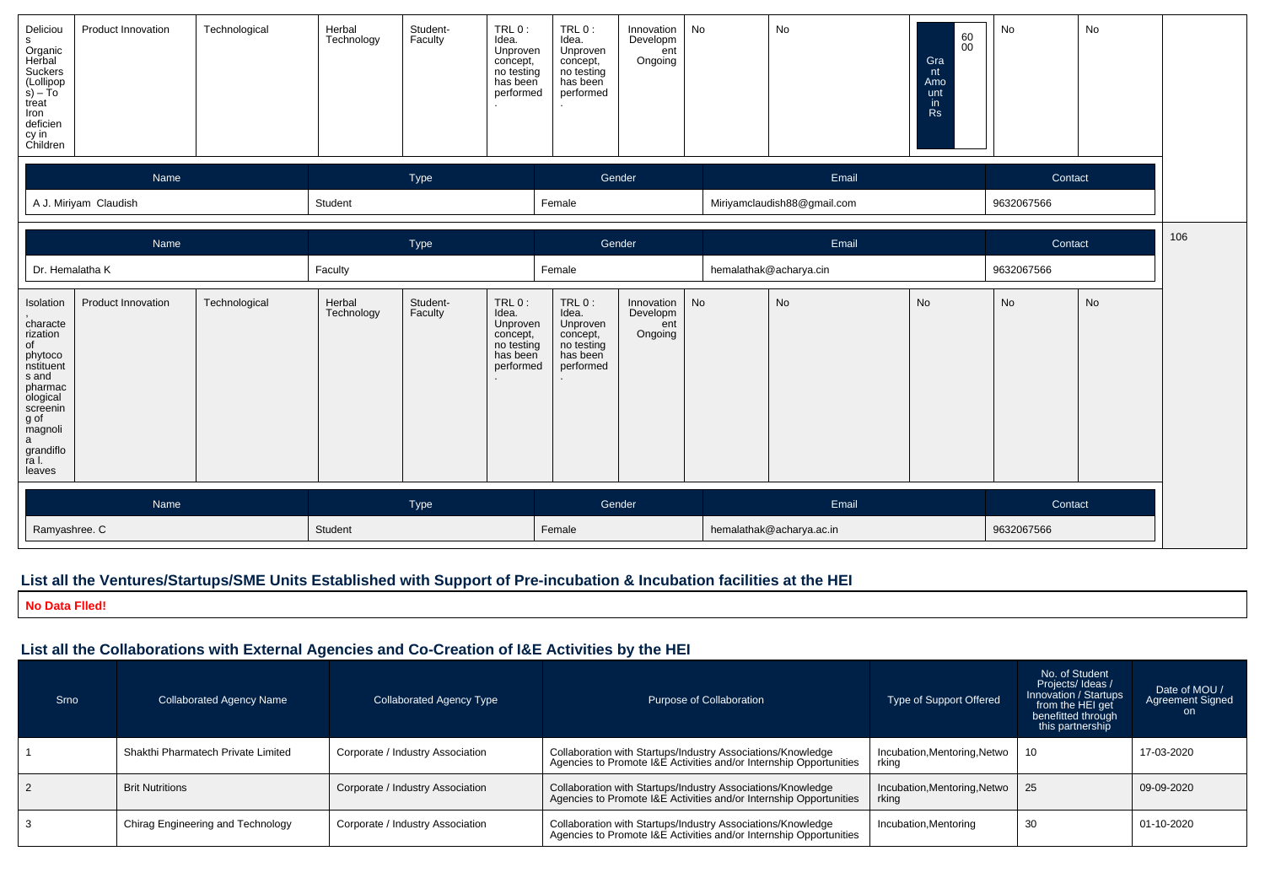| Deliciou<br>s<br>Organic<br>Herbal<br>Suckers<br>$\begin{array}{c} \text{(Lollipop)}\\ \text{s)} - \text{To} \end{array}$<br>$\begin{array}{c}\n\downarrow \text{} \\ \text{treat} \\ \text{lron} \\ \text{deficien} \\ \text{cy in} \\ \text{Children}\n\end{array}$ | Product Innovation    | Technological | Herbal<br>Technology | Student-<br>Faculty | TRL 0:<br>Idea.<br>Unproven<br>concept,<br>no testing<br>has been<br>performed | TRL 0:<br>Idea.<br>Unproven<br>concept,<br>no testing<br>has been<br>performed | Innovation<br>Developm<br>ent<br>Ongoing | No    | No                          | 60<br>00<br>Gra<br>nt<br>Amo<br>unt<br>in<br><b>Rs</b> | No      | No         |  |
|-----------------------------------------------------------------------------------------------------------------------------------------------------------------------------------------------------------------------------------------------------------------------|-----------------------|---------------|----------------------|---------------------|--------------------------------------------------------------------------------|--------------------------------------------------------------------------------|------------------------------------------|-------|-----------------------------|--------------------------------------------------------|---------|------------|--|
|                                                                                                                                                                                                                                                                       | Name                  |               |                      | Type                |                                                                                |                                                                                | Gender                                   |       | Email                       |                                                        | Contact |            |  |
|                                                                                                                                                                                                                                                                       | A J. Miriyam Claudish |               | Student              |                     |                                                                                | Female                                                                         |                                          |       | Miriyamclaudish88@gmail.com |                                                        |         | 9632067566 |  |
| Name<br>Type                                                                                                                                                                                                                                                          |                       |               |                      |                     |                                                                                | Gender                                                                         |                                          | Email |                             |                                                        | Contact | 106        |  |
| Dr. Hemalatha K                                                                                                                                                                                                                                                       |                       |               | Faculty              |                     |                                                                                | Female                                                                         |                                          |       | hemalathak@acharya.cin      |                                                        |         | 9632067566 |  |
| Isolation<br>characte<br>rization<br>of<br>phytoco<br>nstituent<br>s and<br>pharmac<br>ological<br>screenin<br>g of<br>magnoli<br>a<br>grandiflo<br>ra l.<br>leaves                                                                                                   | Product Innovation    | Technological | Herbal<br>Technology | Student-<br>Faculty | TRL0:<br>Idea.<br>Unproven<br>concept,<br>no testing<br>has been<br>performed  | TRL 0:<br>Idea.<br>Unproven<br>concept,<br>no testing<br>has been<br>performed | Innovation<br>Developm<br>ent<br>Ongoing | No    | No                          | <b>No</b>                                              | No      | <b>No</b>  |  |
| Type<br>Name                                                                                                                                                                                                                                                          |                       |               | Gender               |                     |                                                                                | Email                                                                          |                                          |       | Contact                     |                                                        |         |            |  |
| Ramyashree. C                                                                                                                                                                                                                                                         |                       |               | Student              |                     |                                                                                | Female                                                                         |                                          |       | hemalathak@acharya.ac.in    |                                                        |         | 9632067566 |  |

#### **List all the Ventures/Startups/SME Units Established with Support of Pre-incubation & Incubation facilities at the HEI**

**No Data Flled!**

### **List all the Collaborations with External Agencies and Co-Creation of I&E Activities by the HEI**

| <b>Srno</b>    | <b>Collaborated Agency Name</b>    | <b>Collaborated Agency Type</b>  | Purpose of Collaboration                                                                                                          | <b>Type of Support Offered</b>        | No. of Student<br>Projects/Ideas/<br>Innovation / Startups<br>from the HEI get<br>benefitted through<br>this partnership | Date of MOU /<br><b>Agreement Signed</b><br>on. |
|----------------|------------------------------------|----------------------------------|-----------------------------------------------------------------------------------------------------------------------------------|---------------------------------------|--------------------------------------------------------------------------------------------------------------------------|-------------------------------------------------|
|                | Shakthi Pharmatech Private Limited | Corporate / Industry Association | Collaboration with Startups/Industry Associations/Knowledge<br>Agencies to Promote I&E Activities and/or Internship Opportunities | Incubation, Mentoring, Netwo<br>rkina | -10                                                                                                                      | 17-03-2020                                      |
| $\overline{2}$ | <b>Brit Nutritions</b>             | Corporate / Industry Association | Collaboration with Startups/Industry Associations/Knowledge<br>Agencies to Promote I&E Activities and/or Internship Opportunities | Incubation, Mentoring, Netwo<br>rkina | -25                                                                                                                      | 09-09-2020                                      |
|                | Chirag Engineering and Technology  | Corporate / Industry Association | Collaboration with Startups/Industry Associations/Knowledge<br>Agencies to Promote I&E Activities and/or Internship Opportunities | Incubation, Mentoring                 | 30                                                                                                                       | 01-10-2020                                      |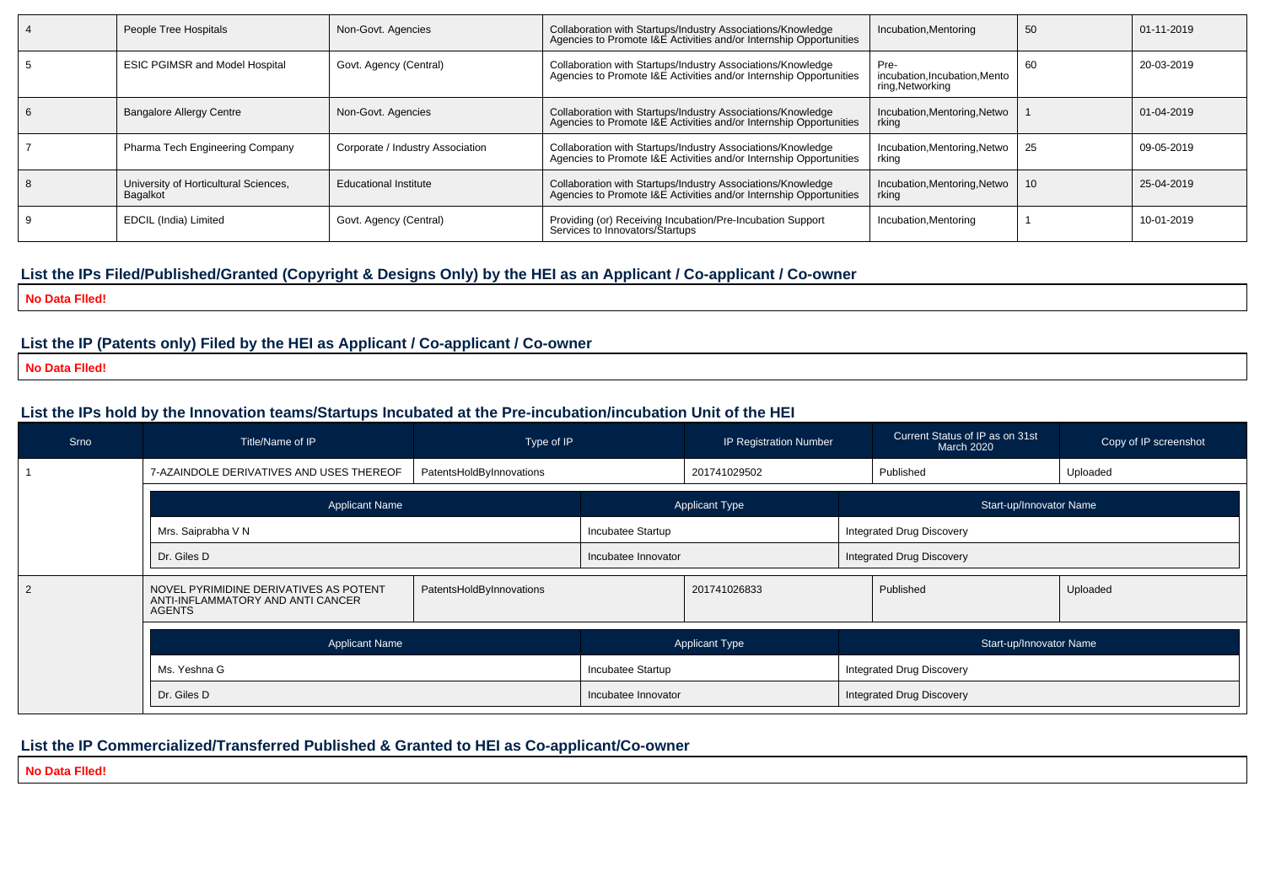| People Tree Hospitals                             | Non-Govt. Agencies               | Collaboration with Startups/Industry Associations/Knowledge<br>Agencies to Promote I&E Activities and/or Internship Opportunities | Incubation, Mentoring                                     | 50 | 01-11-2019 |
|---------------------------------------------------|----------------------------------|-----------------------------------------------------------------------------------------------------------------------------------|-----------------------------------------------------------|----|------------|
| <b>ESIC PGIMSR and Model Hospital</b>             | Govt. Agency (Central)           | Collaboration with Startups/Industry Associations/Knowledge<br>Agencies to Promote I&E Activities and/or Internship Opportunities | Pre-<br>incubation, Incubation, Mento<br>ring, Networking | 60 | 20-03-2019 |
| <b>Bangalore Allergy Centre</b>                   | Non-Govt. Agencies               | Collaboration with Startups/Industry Associations/Knowledge<br>Agencies to Promote I&E Activities and/or Internship Opportunities | Incubation, Mentoring, Netwo<br>rking                     |    | 01-04-2019 |
| Pharma Tech Engineering Company                   | Corporate / Industry Association | Collaboration with Startups/Industry Associations/Knowledge<br>Agencies to Promote I&E Activities and/or Internship Opportunities | Incubation, Mentoring, Netwo<br>rkina                     | 25 | 09-05-2019 |
| University of Horticultural Sciences,<br>Bagalkot | Educational Institute            | Collaboration with Startups/Industry Associations/Knowledge<br>Agencies to Promote I&E Activities and/or Internship Opportunities | Incubation, Mentoring, Netwo<br>rkina                     |    | 25-04-2019 |
| EDCIL (India) Limited                             | Govt. Agency (Central)           | Providing (or) Receiving Incubation/Pre-Incubation Support<br>Services to Innovators/Startups                                     | Incubation, Mentoring                                     |    | 10-01-2019 |

## **List the IPs Filed/Published/Granted (Copyright & Designs Only) by the HEI as an Applicant / Co-applicant / Co-owner**

**No Data Flled!**

#### **List the IP (Patents only) Filed by the HEI as Applicant / Co-applicant / Co-owner**

**No Data Flled!**

#### **List the IPs hold by the Innovation teams/Startups Incubated at the Pre-incubation/incubation Unit of the HEI**

| Srno | Title/Name of IP<br>Type of IP                                                                                           |                          | IP Registration Number |                                  |                                  | Current Status of IP as on 31st<br>March 2020 | Copy of IP screenshot |  |  |
|------|--------------------------------------------------------------------------------------------------------------------------|--------------------------|------------------------|----------------------------------|----------------------------------|-----------------------------------------------|-----------------------|--|--|
|      | 7-AZAINDOLE DERIVATIVES AND USES THEREOF<br>PatentsHoldByInnovations                                                     |                          | 201741029502           |                                  | Published                        |                                               | Uploaded              |  |  |
|      | <b>Applicant Name</b>                                                                                                    |                          | <b>Applicant Type</b>  |                                  |                                  | Start-up/Innovator Name                       |                       |  |  |
|      | Mrs. Saiprabha V N                                                                                                       |                          | Incubatee Startup      |                                  |                                  | Integrated Drug Discovery                     |                       |  |  |
|      | Dr. Giles D                                                                                                              |                          | Incubatee Innovator    |                                  |                                  | <b>Integrated Drug Discovery</b>              |                       |  |  |
|      | NOVEL PYRIMIDINE DERIVATIVES AS POTENT<br>PatentsHoldByInnovations<br>ANTI-INFLAMMATORY AND ANTI CANCER<br><b>AGENTS</b> |                          | 201741026833           |                                  |                                  | Published                                     | Uploaded              |  |  |
|      | <b>Applicant Name</b>                                                                                                    |                          | <b>Applicant Type</b>  |                                  |                                  | Start-up/Innovator Name                       |                       |  |  |
|      | Ms. Yeshna G                                                                                                             | <b>Incubatee Startup</b> |                        | <b>Integrated Drug Discovery</b> |                                  |                                               |                       |  |  |
|      | Dr. Giles D                                                                                                              |                          | Incubatee Innovator    |                                  | <b>Integrated Drug Discovery</b> |                                               |                       |  |  |

# **List the IP Commercialized/Transferred Published & Granted to HEI as Co-applicant/Co-owner**

**No Data Flled!**